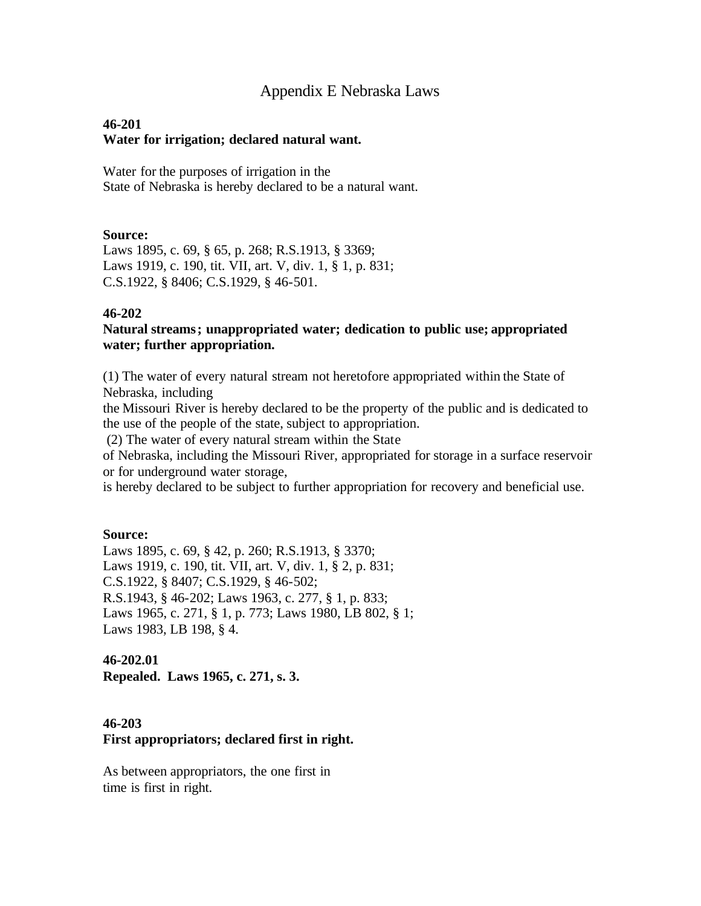## Appendix E Nebraska Laws

## **46-201 Water for irrigation; declared natural want.**

Water for the purposes of irrigation in the State of Nebraska is hereby declared to be a natural want.

#### **Source:**

Laws 1895, c. 69, § 65, p. 268; R.S.1913, § 3369; Laws 1919, c. 190, tit. VII, art. V, div. 1, § 1, p. 831; C.S.1922, § 8406; C.S.1929, § 46-501.

### **46-202**

## **Natural streams; unappropriated water; dedication to public use; appropriated water; further appropriation.**

(1) The water of every natural stream not heretofore appropriated within the State of Nebraska, including

the Missouri River is hereby declared to be the property of the public and is dedicated to the use of the people of the state, subject to appropriation.

(2) The water of every natural stream within the State

of Nebraska, including the Missouri River, appropriated for storage in a surface reservoir or for underground water storage,

is hereby declared to be subject to further appropriation for recovery and beneficial use.

## **Source:**

Laws 1895, c. 69, § 42, p. 260; R.S.1913, § 3370; Laws 1919, c. 190, tit. VII, art. V, div. 1, § 2, p. 831; C.S.1922, § 8407; C.S.1929, § 46-502; R.S.1943, § 46-202; Laws 1963, c. 277, § 1, p. 833; Laws 1965, c. 271, § 1, p. 773; Laws 1980, LB 802, § 1; Laws 1983, LB 198, § 4.

## **46-202.01**

**Repealed. Laws 1965, c. 271, s. 3.**

### **46-203 First appropriators; declared first in right.**

As between appropriators, the one first in time is first in right.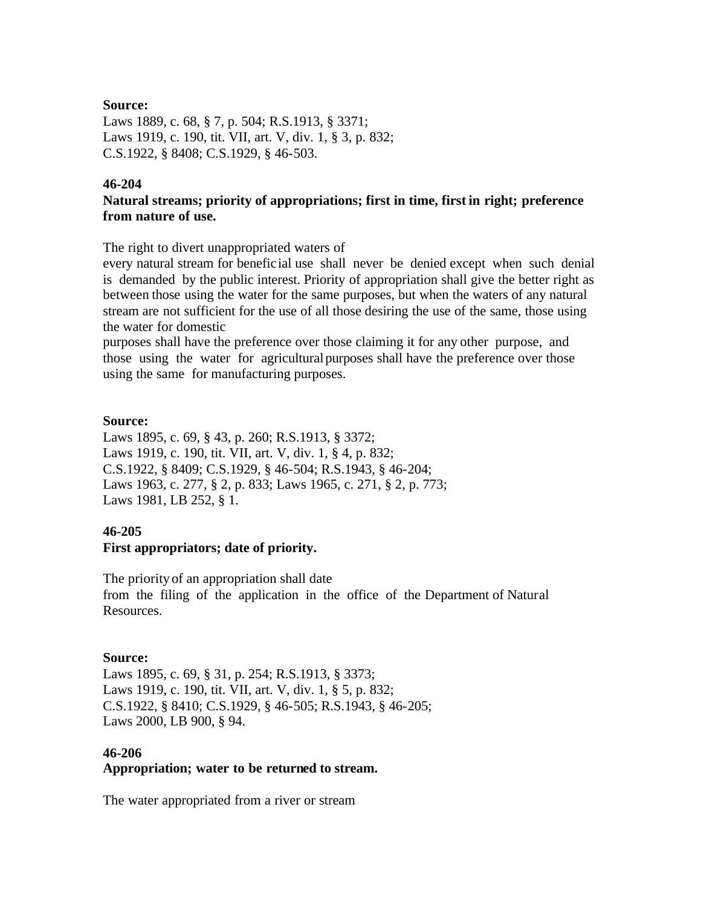### **Source:**

Laws 1889, c. 68, § 7, p. 504; R.S.1913, § 3371; Laws 1919, c. 190, tit. VII, art. V, div. 1, § 3, p. 832; C.S.1922, § 8408; C.S.1929, § 46-503.

## **46-204**

## **Natural streams; priority of appropriations; first in time, first in right; preference from nature of use.**

The right to divert unappropriated waters of

every natural stream for benefic ial use shall never be denied except when such denial is demanded by the public interest. Priority of appropriation shall give the better right as between those using the water for the same purposes, but when the waters of any natural stream are not sufficient for the use of all those desiring the use of the same, those using the water for domestic

purposes shall have the preference over those claiming it for any other purpose, and those using the water for agriculturalpurposes shall have the preference over those using the same for manufacturing purposes.

### **Source:**

Laws 1895, c. 69, § 43, p. 260; R.S.1913, § 3372; Laws 1919, c. 190, tit. VII, art. V, div. 1, § 4, p. 832; C.S.1922, § 8409; C.S.1929, § 46-504; R.S.1943, § 46-204; Laws 1963, c. 277, § 2, p. 833; Laws 1965, c. 271, § 2, p. 773; Laws 1981, LB 252, § 1.

## **46-205**

## **First appropriators; date of priority.**

The priority of an appropriation shall date from the filing of the application in the office of the Department of Natural Resources.

#### **Source:**

Laws 1895, c. 69, § 31, p. 254; R.S.1913, § 3373; Laws 1919, c. 190, tit. VII, art. V, div. 1, § 5, p. 832; C.S.1922, § 8410; C.S.1929, § 46-505; R.S.1943, § 46-205; Laws 2000, LB 900, § 94.

#### **46-206**

#### **Appropriation; water to be returned to stream.**

The water appropriated from a river or stream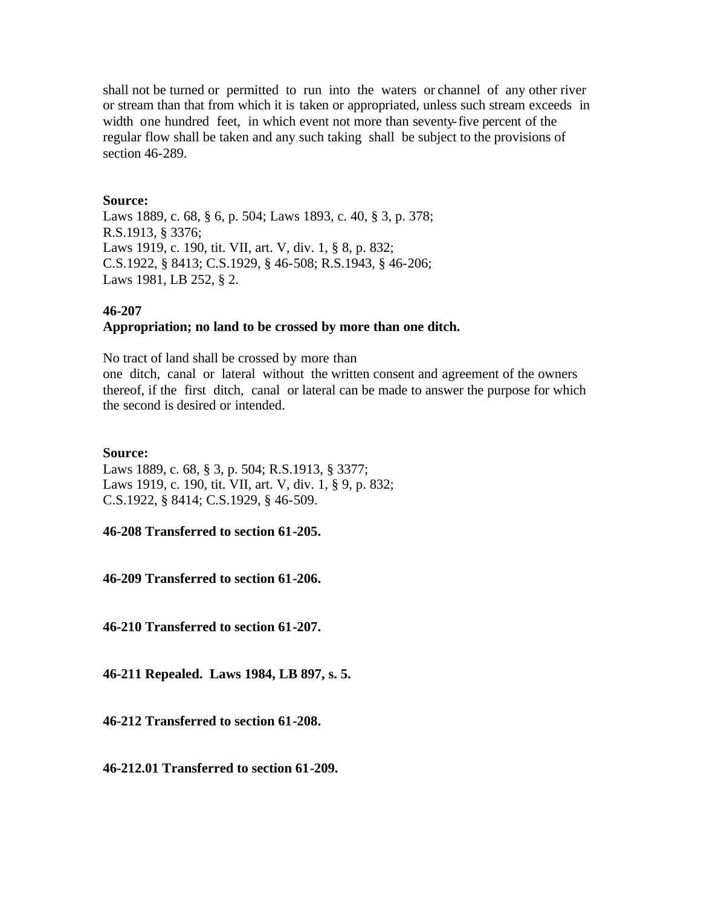shall not be turned or permitted to run into the waters or channel of any other river or stream than that from which it is taken or appropriated, unless such stream exceeds in width one hundred feet, in which event not more than seventy-five percent of the regular flow shall be taken and any such taking shall be subject to the provisions of section 46-289.

#### **Source:**

Laws 1889, c. 68, § 6, p. 504; Laws 1893, c. 40, § 3, p. 378; R.S.1913, § 3376; Laws 1919, c. 190, tit. VII, art. V, div. 1, § 8, p. 832; C.S.1922, § 8413; C.S.1929, § 46-508; R.S.1943, § 46-206; Laws 1981, LB 252, § 2.

#### **46-207**

### **Appropriation; no land to be crossed by more than one ditch.**

No tract of land shall be crossed by more than one ditch, canal or lateral without the written consent and agreement of the owners thereof, if the first ditch, canal or lateral can be made to answer the purpose for which the second is desired or intended.

#### **Source:**

Laws 1889, c. 68, § 3, p. 504; R.S.1913, § 3377; Laws 1919, c. 190, tit. VII, art. V, div. 1, § 9, p. 832; C.S.1922, § 8414; C.S.1929, § 46-509.

**46-208 Transferred to section 61-205.**

**46-209 Transferred to section 61-206.**

**46-210 Transferred to section 61-207.**

**46-211 Repealed. Laws 1984, LB 897, s. 5.**

**46-212 Transferred to section 61-208.**

**46-212.01 Transferred to section 61-209.**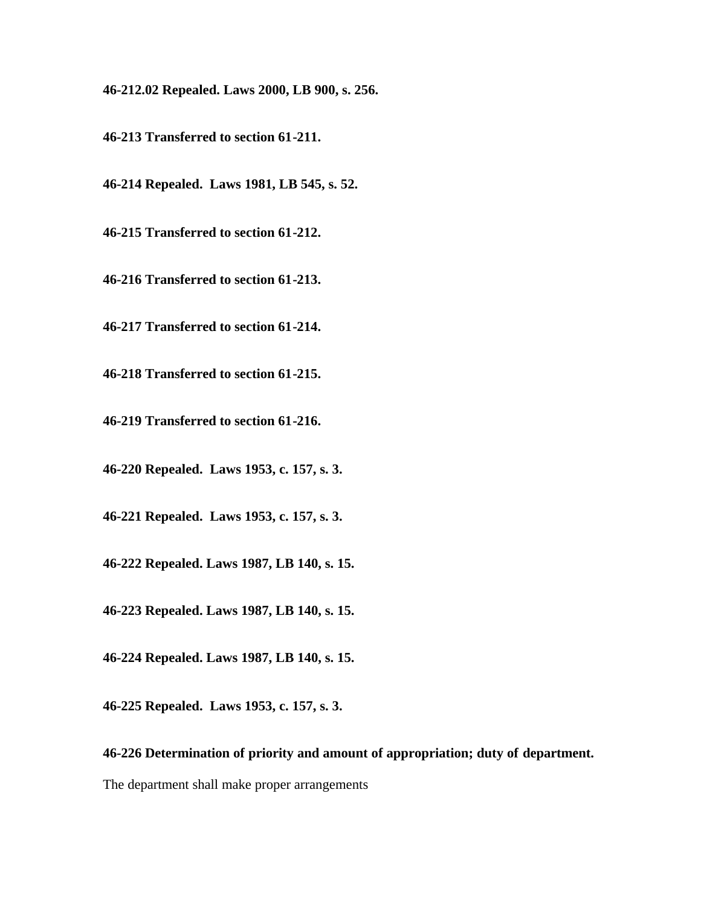**46-212.02 Repealed. Laws 2000, LB 900, s. 256.**

**46-213 Transferred to section 61-211.**

**46-214 Repealed. Laws 1981, LB 545, s. 52.**

**46-215 Transferred to section 61-212.**

**46-216 Transferred to section 61-213.**

**46-217 Transferred to section 61-214.**

**46-218 Transferred to section 61-215.**

**46-219 Transferred to section 61-216.**

**46-220 Repealed. Laws 1953, c. 157, s. 3.**

**46-221 Repealed. Laws 1953, c. 157, s. 3.**

**46-222 Repealed. Laws 1987, LB 140, s. 15.**

**46-223 Repealed. Laws 1987, LB 140, s. 15.**

**46-224 Repealed. Laws 1987, LB 140, s. 15.**

**46-225 Repealed. Laws 1953, c. 157, s. 3.**

**46-226 Determination of priority and amount of appropriation; duty of department.**

The department shall make proper arrangements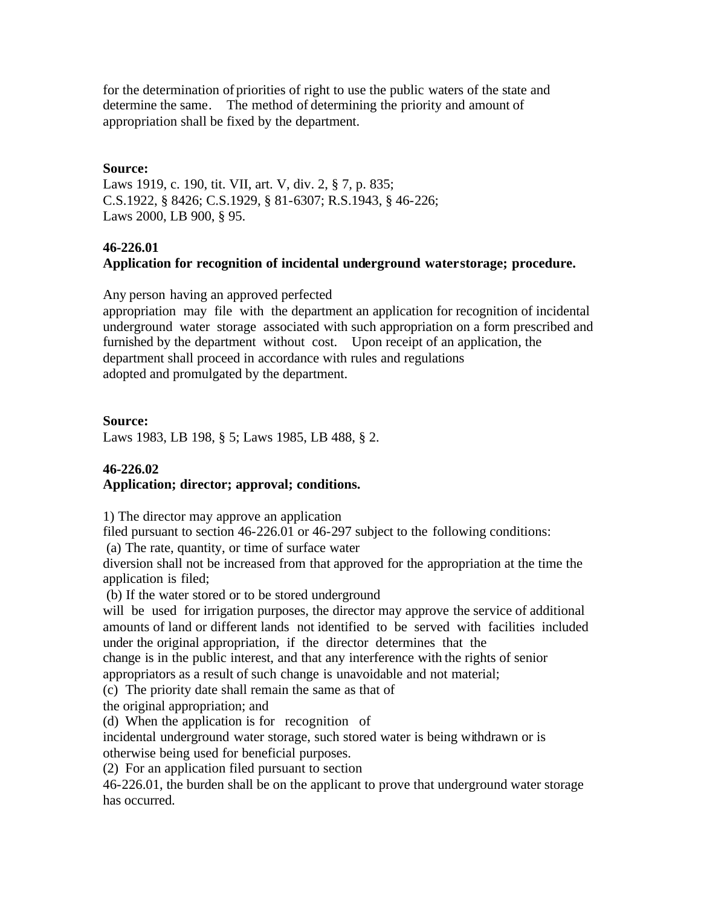for the determination of priorities of right to use the public waters of the state and determine the same. The method of determining the priority and amount of appropriation shall be fixed by the department.

## **Source:**

Laws 1919, c. 190, tit. VII, art. V, div. 2, § 7, p. 835; C.S.1922, § 8426; C.S.1929, § 81-6307; R.S.1943, § 46-226; Laws 2000, LB 900, § 95.

## **46-226.01**

# **Application for recognition of incidental underground waterstorage; procedure.**

Any person having an approved perfected

appropriation may file with the department an application for recognition of incidental underground water storage associated with such appropriation on a form prescribed and furnished by the department without cost. Upon receipt of an application, the department shall proceed in accordance with rules and regulations adopted and promulgated by the department.

## **Source:**

Laws 1983, LB 198, § 5; Laws 1985, LB 488, § 2.

# **46-226.02**

# **Application; director; approval; conditions.**

1) The director may approve an application

filed pursuant to section 46-226.01 or 46-297 subject to the following conditions:

(a) The rate, quantity, or time of surface water

diversion shall not be increased from that approved for the appropriation at the time the application is filed;

(b) If the water stored or to be stored underground

will be used for irrigation purposes, the director may approve the service of additional amounts of land or different lands not identified to be served with facilities included under the original appropriation, if the director determines that the

change is in the public interest, and that any interference with the rights of senior appropriators as a result of such change is unavoidable and not material;

(c) The priority date shall remain the same as that of

the original appropriation; and

(d) When the application is for recognition of

incidental underground water storage, such stored water is being withdrawn or is otherwise being used for beneficial purposes.

(2) For an application filed pursuant to section

46-226.01, the burden shall be on the applicant to prove that underground water storage has occurred.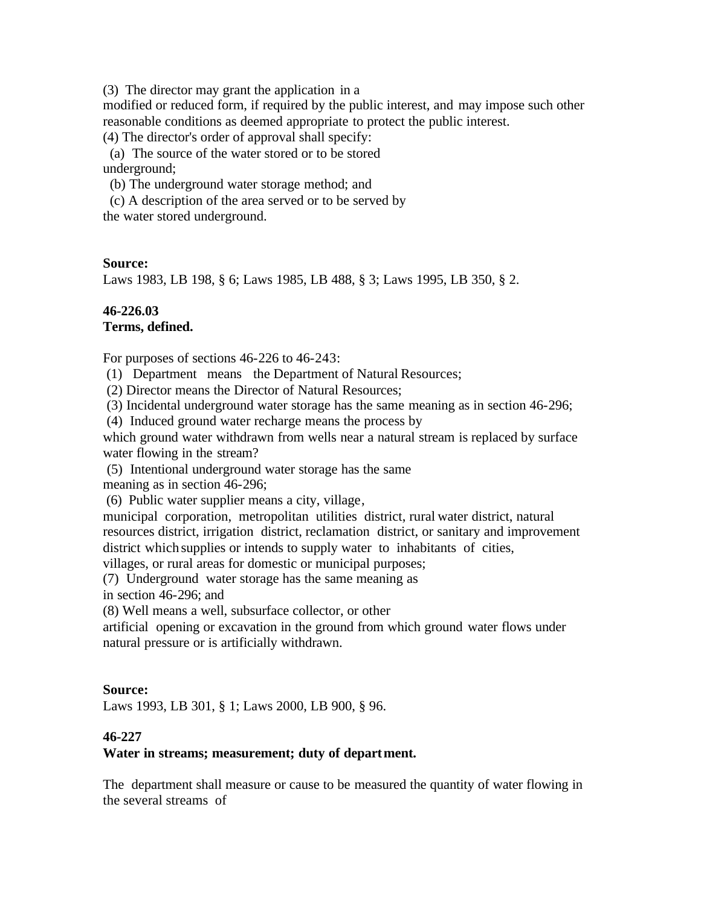(3) The director may grant the application in a

modified or reduced form, if required by the public interest, and may impose such other reasonable conditions as deemed appropriate to protect the public interest.

(4) The director's order of approval shall specify:

 (a) The source of the water stored or to be stored underground;

(b) The underground water storage method; and

 (c) A description of the area served or to be served by the water stored underground.

## **Source:**

Laws 1983, LB 198, § 6; Laws 1985, LB 488, § 3; Laws 1995, LB 350, § 2.

### **46-226.03 Terms, defined.**

For purposes of sections 46-226 to 46-243:

(1) Department means the Department of Natural Resources;

(2) Director means the Director of Natural Resources;

(3) Incidental underground water storage has the same meaning as in section 46-296;

(4) Induced ground water recharge means the process by

which ground water withdrawn from wells near a natural stream is replaced by surface water flowing in the stream?

(5) Intentional underground water storage has the same

meaning as in section 46-296;

(6) Public water supplier means a city, village,

municipal corporation, metropolitan utilities district, rural water district, natural resources district, irrigation district, reclamation district, or sanitary and improvement district which supplies or intends to supply water to inhabitants of cities, villages, or rural areas for domestic or municipal purposes;

(7) Underground water storage has the same meaning as

in section 46-296; and

(8) Well means a well, subsurface collector, or other

artificial opening or excavation in the ground from which ground water flows under natural pressure or is artificially withdrawn.

## **Source:**

Laws 1993, LB 301, § 1; Laws 2000, LB 900, § 96.

## **46-227**

## **Water in streams; measurement; duty of department.**

The department shall measure or cause to be measured the quantity of water flowing in the several streams of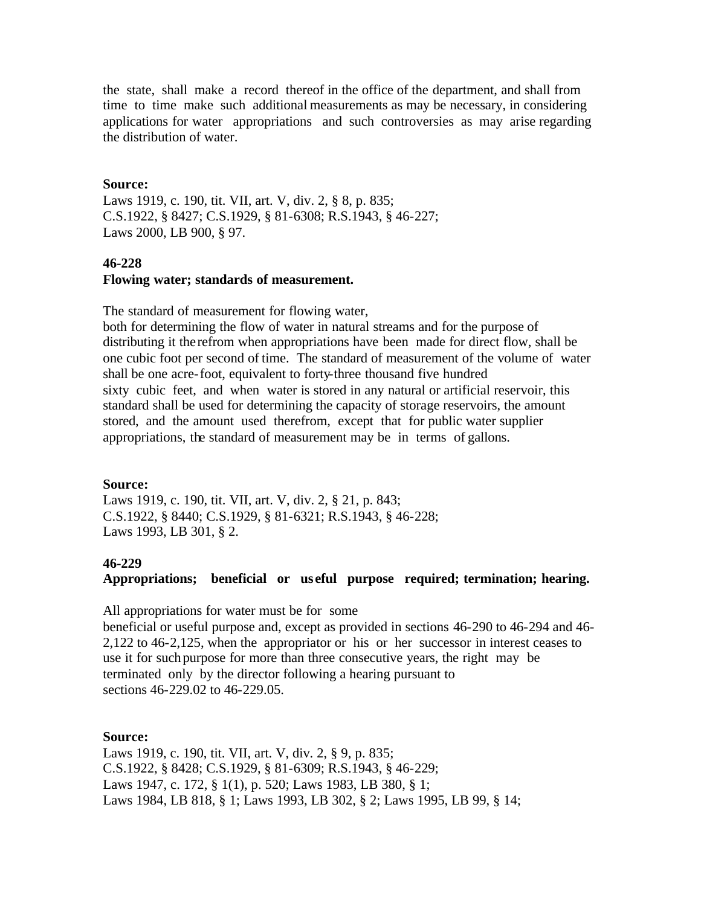the state, shall make a record thereof in the office of the department, and shall from time to time make such additional measurements as may be necessary, in considering applications for water appropriations and such controversies as may arise regarding the distribution of water.

#### **Source:**

Laws 1919, c. 190, tit. VII, art. V, div. 2, § 8, p. 835; C.S.1922, § 8427; C.S.1929, § 81-6308; R.S.1943, § 46-227; Laws 2000, LB 900, § 97.

### **46-228**

### **Flowing water; standards of measurement.**

The standard of measurement for flowing water,

both for determining the flow of water in natural streams and for the purpose of distributing it the refrom when appropriations have been made for direct flow, shall be one cubic foot per second of time. The standard of measurement of the volume of water shall be one acre-foot, equivalent to forty-three thousand five hundred sixty cubic feet, and when water is stored in any natural or artificial reservoir, this standard shall be used for determining the capacity of storage reservoirs, the amount stored, and the amount used therefrom, except that for public water supplier appropriations, the standard of measurement may be in terms of gallons.

#### **Source:**

Laws 1919, c. 190, tit. VII, art. V, div. 2, § 21, p. 843; C.S.1922, § 8440; C.S.1929, § 81-6321; R.S.1943, § 46-228; Laws 1993, LB 301, § 2.

## **46-229**

## **Appropriations; beneficial or us eful purpose required; termination; hearing.**

All appropriations for water must be for some

beneficial or useful purpose and, except as provided in sections 46-290 to 46-294 and 46- 2,122 to 46-2,125, when the appropriator or his or her successor in interest ceases to use it for suchpurpose for more than three consecutive years, the right may be terminated only by the director following a hearing pursuant to sections 46-229.02 to 46-229.05.

#### **Source:**

Laws 1919, c. 190, tit. VII, art. V, div. 2, § 9, p. 835; C.S.1922, § 8428; C.S.1929, § 81-6309; R.S.1943, § 46-229; Laws 1947, c. 172, § 1(1), p. 520; Laws 1983, LB 380, § 1; Laws 1984, LB 818, § 1; Laws 1993, LB 302, § 2; Laws 1995, LB 99, § 14;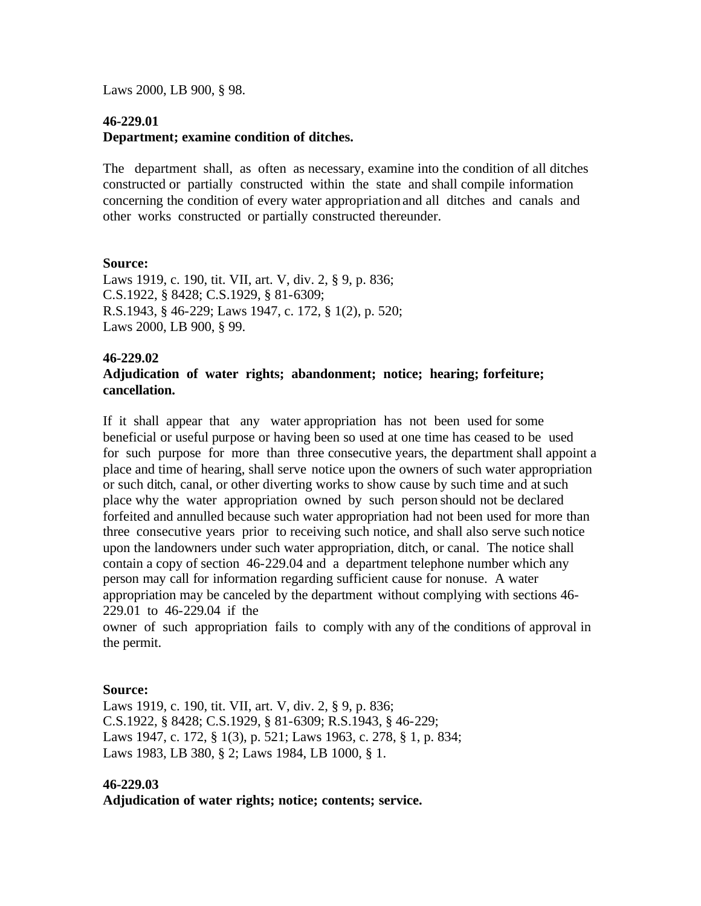Laws 2000, LB 900, § 98.

### **46-229.01 Department; examine condition of ditches.**

The department shall, as often as necessary, examine into the condition of all ditches constructed or partially constructed within the state and shall compile information concerning the condition of every water appropriation and all ditches and canals and other works constructed or partially constructed thereunder.

### **Source:**

Laws 1919, c. 190, tit. VII, art. V, div. 2, § 9, p. 836; C.S.1922, § 8428; C.S.1929, § 81-6309; R.S.1943, § 46-229; Laws 1947, c. 172, § 1(2), p. 520; Laws 2000, LB 900, § 99.

### **46-229.02**

## **Adjudication of water rights; abandonment; notice; hearing; forfeiture; cancellation.**

If it shall appear that any water appropriation has not been used for some beneficial or useful purpose or having been so used at one time has ceased to be used for such purpose for more than three consecutive years, the department shall appoint a place and time of hearing, shall serve notice upon the owners of such water appropriation or such ditch, canal, or other diverting works to show cause by such time and atsuch place why the water appropriation owned by such person should not be declared forfeited and annulled because such water appropriation had not been used for more than three consecutive years prior to receiving such notice, and shall also serve such notice upon the landowners under such water appropriation, ditch, or canal. The notice shall contain a copy of section 46-229.04 and a department telephone number which any person may call for information regarding sufficient cause for nonuse. A water appropriation may be canceled by the department without complying with sections 46- 229.01 to 46-229.04 if the

owner of such appropriation fails to comply with any of the conditions of approval in the permit.

#### **Source:**

Laws 1919, c. 190, tit. VII, art. V, div. 2, § 9, p. 836; C.S.1922, § 8428; C.S.1929, § 81-6309; R.S.1943, § 46-229; Laws 1947, c. 172, § 1(3), p. 521; Laws 1963, c. 278, § 1, p. 834; Laws 1983, LB 380, § 2; Laws 1984, LB 1000, § 1.

#### **46-229.03**

**Adjudication of water rights; notice; contents; service.**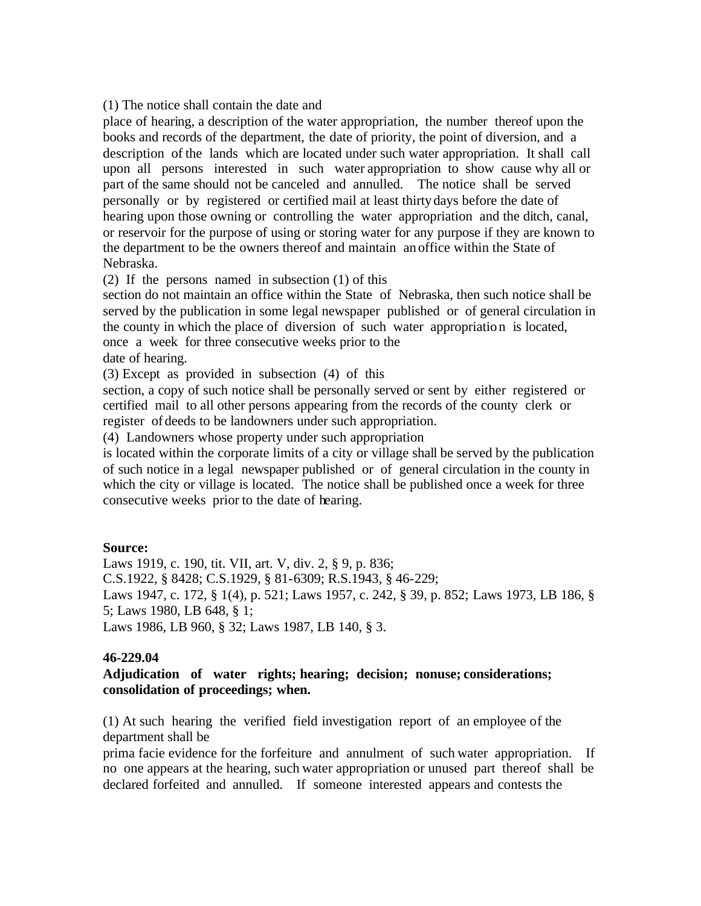(1) The notice shall contain the date and

place of hearing, a description of the water appropriation, the number thereof upon the books and records of the department, the date of priority, the point of diversion, and a description of the lands which are located under such water appropriation. It shall call upon all persons interested in such water appropriation to show cause why all or part of the same should not be canceled and annulled. The notice shall be served personally or by registered or certified mail at least thirtydays before the date of hearing upon those owning or controlling the water appropriation and the ditch, canal, or reservoir for the purpose of using or storing water for any purpose if they are known to the department to be the owners thereof and maintain anoffice within the State of Nebraska.

(2) If the persons named in subsection (1) of this

section do not maintain an office within the State of Nebraska, then such notice shall be served by the publication in some legal newspaper published or of general circulation in the county in which the place of diversion of such water appropriation is located, once a week for three consecutive weeks prior to the date of hearing.

(3) Except as provided in subsection (4) of this

section, a copy of such notice shall be personally served or sent by either registered or certified mail to all other persons appearing from the records of the county clerk or register of deeds to be landowners under such appropriation.

(4) Landowners whose property under such appropriation

is located within the corporate limits of a city or village shall be served by the publication of such notice in a legal newspaper published or of general circulation in the county in which the city or village is located. The notice shall be published once a week for three consecutive weeks prior to the date of hearing.

## **Source:**

Laws 1919, c. 190, tit. VII, art. V, div. 2, § 9, p. 836; C.S.1922, § 8428; C.S.1929, § 81-6309; R.S.1943, § 46-229; Laws 1947, c. 172, § 1(4), p. 521; Laws 1957, c. 242, § 39, p. 852; Laws 1973, LB 186, § 5; Laws 1980, LB 648, § 1; Laws 1986, LB 960, § 32; Laws 1987, LB 140, § 3.

## **46-229.04**

### **Adjudication of water rights; hearing; decision; nonuse; considerations; consolidation of proceedings; when.**

(1) At such hearing the verified field investigation report of an employee of the department shall be

prima facie evidence for the forfeiture and annulment of such water appropriation. If no one appears at the hearing, such water appropriation or unused part thereof shall be declared forfeited and annulled. If someone interested appears and contests the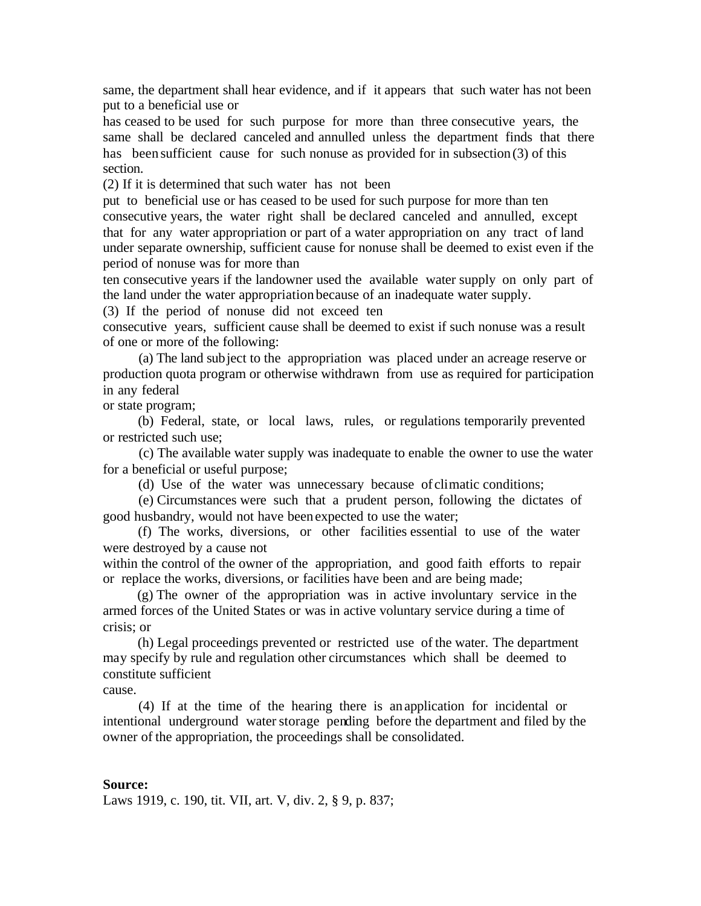same, the department shall hear evidence, and if it appears that such water has not been put to a beneficial use or

has ceased to be used for such purpose for more than three consecutive years, the same shall be declared canceled and annulled unless the department finds that there has been sufficient cause for such nonuse as provided for in subsection(3) of this section.

(2) If it is determined that such water has not been

put to beneficial use or has ceased to be used for such purpose for more than ten consecutive years, the water right shall be declared canceled and annulled, except that for any water appropriation or part of a water appropriation on any tract of land under separate ownership, sufficient cause for nonuse shall be deemed to exist even if the period of nonuse was for more than

ten consecutive years if the landowner used the available water supply on only part of the land under the water appropriation because of an inadequate water supply.

(3) If the period of nonuse did not exceed ten

consecutive years, sufficient cause shall be deemed to exist if such nonuse was a result of one or more of the following:

 (a) The land subject to the appropriation was placed under an acreage reserve or production quota program or otherwise withdrawn from use as required for participation in any federal

or state program;

 (b) Federal, state, or local laws, rules, or regulations temporarily prevented or restricted such use;

 (c) The available water supply was inadequate to enable the owner to use the water for a beneficial or useful purpose;

(d) Use of the water was unnecessary because of climatic conditions;

 (e) Circumstances were such that a prudent person, following the dictates of good husbandry, would not have beenexpected to use the water;

 (f) The works, diversions, or other facilities essential to use of the water were destroyed by a cause not

within the control of the owner of the appropriation, and good faith efforts to repair or replace the works, diversions, or facilities have been and are being made;

 (g) The owner of the appropriation was in active involuntary service in the armed forces of the United States or was in active voluntary service during a time of crisis; or

 (h) Legal proceedings prevented or restricted use of the water. The department may specify by rule and regulation other circumstances which shall be deemed to constitute sufficient

cause.

 (4) If at the time of the hearing there is anapplication for incidental or intentional underground water storage pending before the department and filed by the owner of the appropriation, the proceedings shall be consolidated.

#### **Source:**

Laws 1919, c. 190, tit. VII, art. V, div. 2, § 9, p. 837;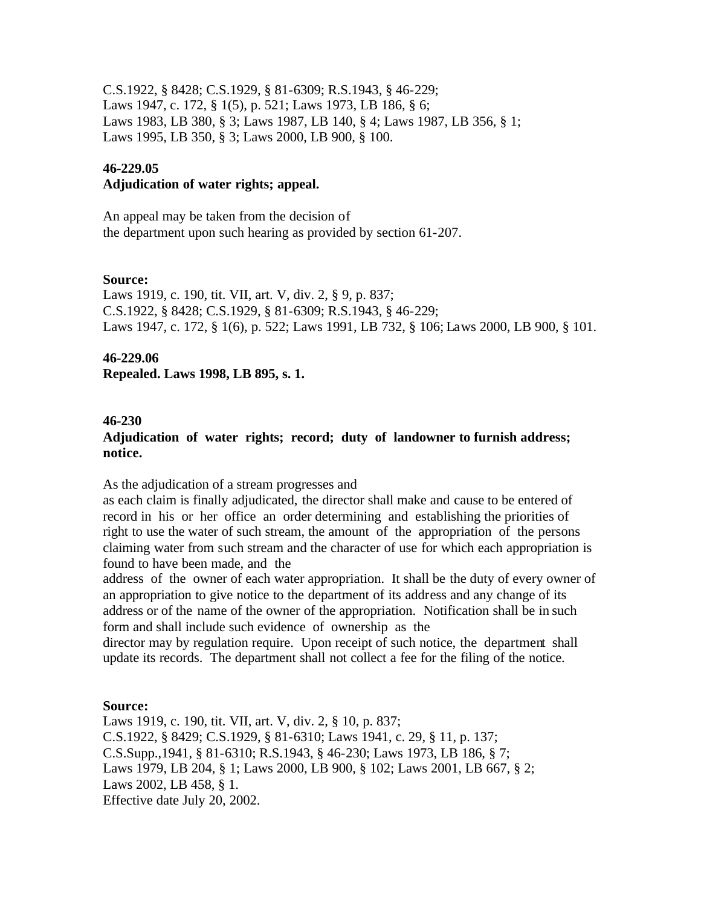C.S.1922, § 8428; C.S.1929, § 81-6309; R.S.1943, § 46-229; Laws 1947, c. 172, § 1(5), p. 521; Laws 1973, LB 186, § 6; Laws 1983, LB 380, § 3; Laws 1987, LB 140, § 4; Laws 1987, LB 356, § 1; Laws 1995, LB 350, § 3; Laws 2000, LB 900, § 100.

### **46-229.05**

#### **Adjudication of water rights; appeal.**

An appeal may be taken from the decision of the department upon such hearing as provided by section 61-207.

### **Source:**

Laws 1919, c. 190, tit. VII, art. V, div. 2, § 9, p. 837; C.S.1922, § 8428; C.S.1929, § 81-6309; R.S.1943, § 46-229; Laws 1947, c. 172, § 1(6), p. 522; Laws 1991, LB 732, § 106; Laws 2000, LB 900, § 101.

#### **46-229.06**

**Repealed. Laws 1998, LB 895, s. 1.**

#### **46-230**

## **Adjudication of water rights; record; duty of landowner to furnish address; notice.**

As the adjudication of a stream progresses and

as each claim is finally adjudicated, the director shall make and cause to be entered of record in his or her office an order determining and establishing the priorities of right to use the water of such stream, the amount of the appropriation of the persons claiming water from such stream and the character of use for which each appropriation is found to have been made, and the

address of the owner of each water appropriation. It shall be the duty of every owner of an appropriation to give notice to the department of its address and any change of its address or of the name of the owner of the appropriation. Notification shall be in such form and shall include such evidence of ownership as the

director may by regulation require. Upon receipt of such notice, the department shall update its records. The department shall not collect a fee for the filing of the notice.

#### **Source:**

Laws 1919, c. 190, tit. VII, art. V, div. 2, § 10, p. 837; C.S.1922, § 8429; C.S.1929, § 81-6310; Laws 1941, c. 29, § 11, p. 137; C.S.Supp.,1941, § 81-6310; R.S.1943, § 46-230; Laws 1973, LB 186, § 7; Laws 1979, LB 204, § 1; Laws 2000, LB 900, § 102; Laws 2001, LB 667, § 2; Laws 2002, LB 458, § 1. Effective date July 20, 2002.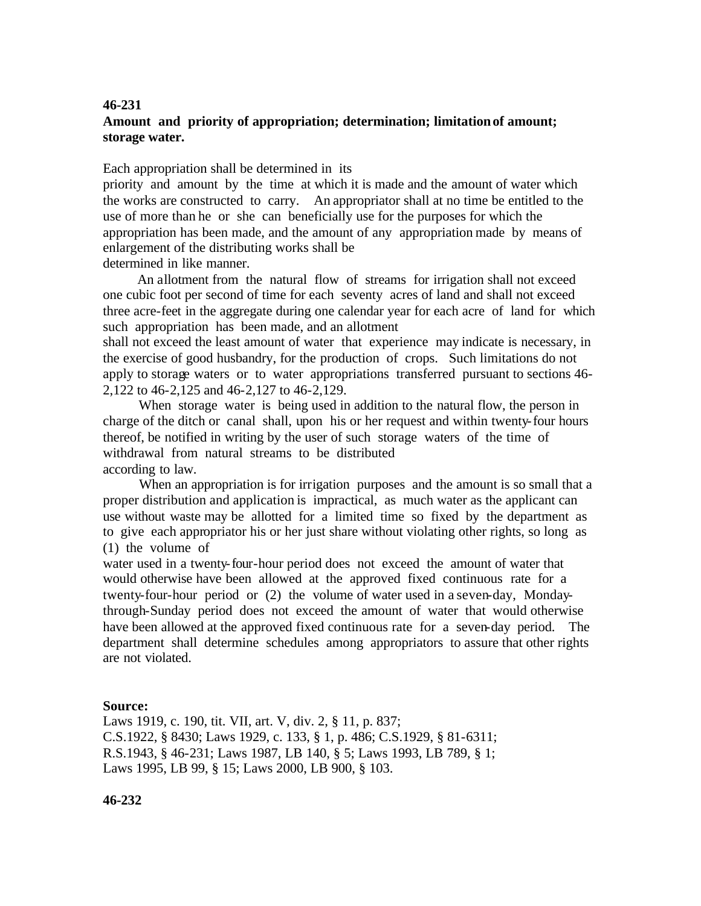#### **46-231**

### **Amount and priority of appropriation; determination; limitationof amount; storage water.**

Each appropriation shall be determined in its

priority and amount by the time at which it is made and the amount of water which the works are constructed to carry. An appropriator shall at no time be entitled to the use of more than he or she can beneficially use for the purposes for which the appropriation has been made, and the amount of any appropriation made by means of enlargement of the distributing works shall be

determined in like manner.

 An allotment from the natural flow of streams for irrigation shall not exceed one cubic foot per second of time for each seventy acres of land and shall not exceed three acre-feet in the aggregate during one calendar year for each acre of land for which such appropriation has been made, and an allotment

shall not exceed the least amount of water that experience may indicate is necessary, in the exercise of good husbandry, for the production of crops. Such limitations do not apply to storage waters or to water appropriations transferred pursuant to sections 46- 2,122 to 46-2,125 and 46-2,127 to 46-2,129.

 When storage water is being used in addition to the natural flow, the person in charge of the ditch or canal shall, upon his or her request and within twenty-four hours thereof, be notified in writing by the user of such storage waters of the time of withdrawal from natural streams to be distributed according to law.

When an appropriation is for irrigation purposes and the amount is so small that a proper distribution and application is impractical, as much water as the applicant can use without waste may be allotted for a limited time so fixed by the department as to give each appropriator his or her just share without violating other rights, so long as (1) the volume of

water used in a twenty-four-hour period does not exceed the amount of water that would otherwise have been allowed at the approved fixed continuous rate for a twenty-four-hour period or (2) the volume of water used in a seven-day, Mondaythrough-Sunday period does not exceed the amount of water that would otherwise have been allowed at the approved fixed continuous rate for a seven-day period. The department shall determine schedules among appropriators to assure that other rights are not violated.

#### **Source:**

Laws 1919, c. 190, tit. VII, art. V, div. 2, § 11, p. 837; C.S.1922, § 8430; Laws 1929, c. 133, § 1, p. 486; C.S.1929, § 81-6311; R.S.1943, § 46-231; Laws 1987, LB 140, § 5; Laws 1993, LB 789, § 1; Laws 1995, LB 99, § 15; Laws 2000, LB 900, § 103.

**46-232**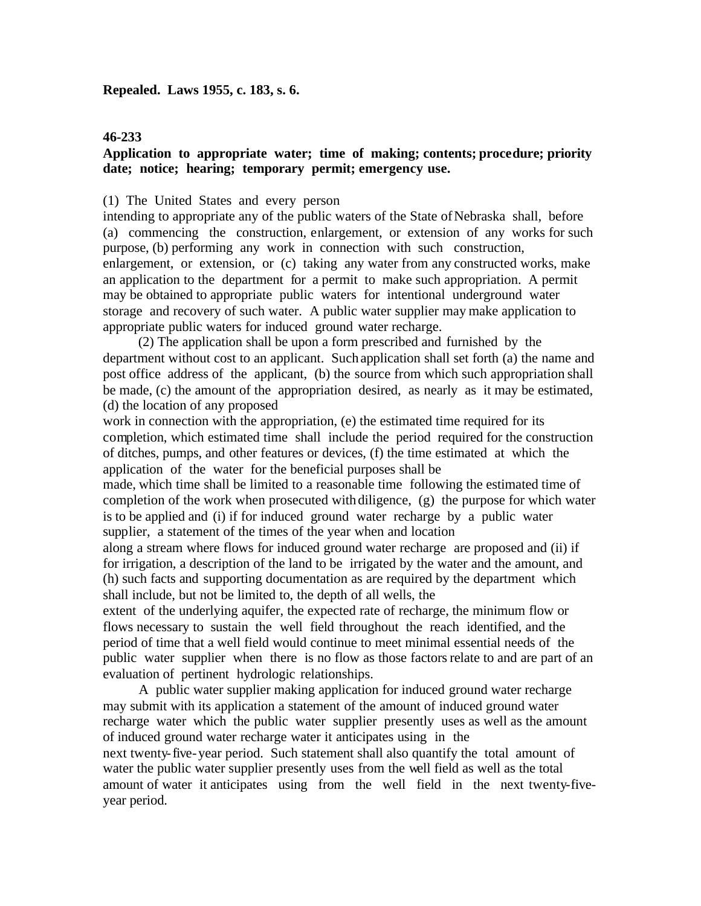#### **46-233**

## **Application to appropriate water; time of making; contents; procedure; priority date; notice; hearing; temporary permit; emergency use.**

### (1) The United States and every person

intending to appropriate any of the public waters of the State of Nebraska shall, before (a) commencing the construction, enlargement, or extension of any works for such purpose, (b) performing any work in connection with such construction, enlargement, or extension, or (c) taking any water from any constructed works, make an application to the department for a permit to make such appropriation. A permit may be obtained to appropriate public waters for intentional underground water storage and recovery of such water. A public water supplier may make application to appropriate public waters for induced ground water recharge.

 (2) The application shall be upon a form prescribed and furnished by the department without cost to an applicant. Such application shall set forth (a) the name and post office address of the applicant, (b) the source from which such appropriation shall be made, (c) the amount of the appropriation desired, as nearly as it may be estimated, (d) the location of any proposed

work in connection with the appropriation, (e) the estimated time required for its completion, which estimated time shall include the period required for the construction of ditches, pumps, and other features or devices, (f) the time estimated at which the application of the water for the beneficial purposes shall be

made, which time shall be limited to a reasonable time following the estimated time of completion of the work when prosecuted withdiligence, (g) the purpose for which water is to be applied and (i) if for induced ground water recharge by a public water supplier, a statement of the times of the year when and location

along a stream where flows for induced ground water recharge are proposed and (ii) if for irrigation, a description of the land to be irrigated by the water and the amount, and (h) such facts and supporting documentation as are required by the department which shall include, but not be limited to, the depth of all wells, the

extent of the underlying aquifer, the expected rate of recharge, the minimum flow or flows necessary to sustain the well field throughout the reach identified, and the period of time that a well field would continue to meet minimal essential needs of the public water supplier when there is no flow as those factors relate to and are part of an evaluation of pertinent hydrologic relationships.

 A public water supplier making application for induced ground water recharge may submit with its application a statement of the amount of induced ground water recharge water which the public water supplier presently uses as well as the amount of induced ground water recharge water it anticipates using in the next twenty-five-year period. Such statement shall also quantify the total amount of water the public water supplier presently uses from the well field as well as the total amount of water it anticipates using from the well field in the next twenty-fiveyear period.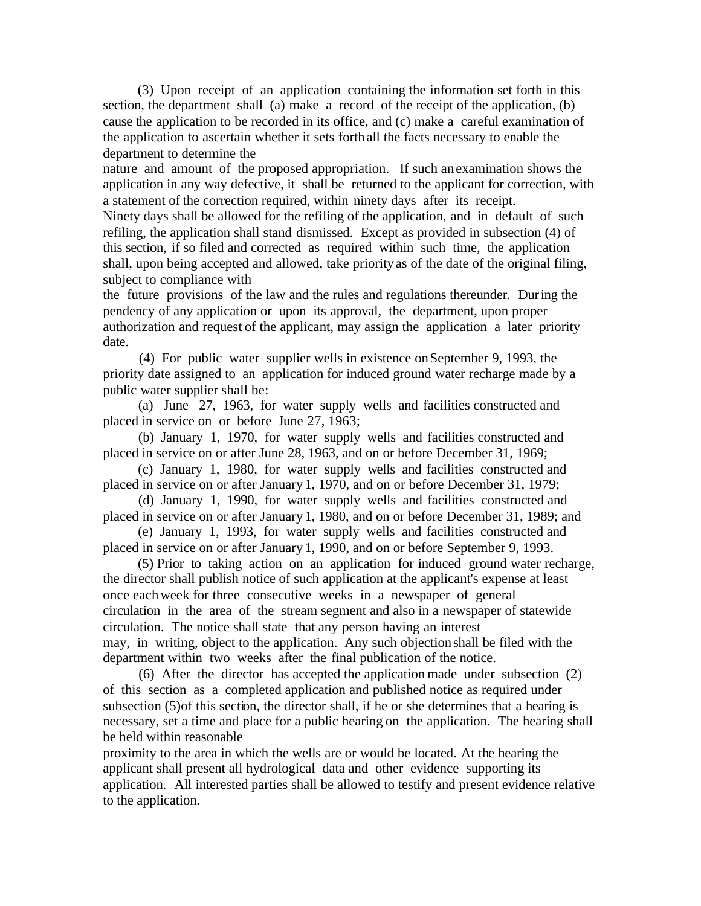(3) Upon receipt of an application containing the information set forth in this section, the department shall (a) make a record of the receipt of the application, (b) cause the application to be recorded in its office, and (c) make a careful examination of the application to ascertain whether it sets forthall the facts necessary to enable the department to determine the

nature and amount of the proposed appropriation. If such an examination shows the application in any way defective, it shall be returned to the applicant for correction, with a statement of the correction required, within ninety days after its receipt.

Ninety days shall be allowed for the refiling of the application, and in default of such refiling, the application shall stand dismissed. Except as provided in subsection (4) of this section, if so filed and corrected as required within such time, the application shall, upon being accepted and allowed, take priorityas of the date of the original filing, subject to compliance with

the future provisions of the law and the rules and regulations thereunder. During the pendency of any application or upon its approval, the department, upon proper authorization and request of the applicant, may assign the application a later priority date.

 (4) For public water supplier wells in existence onSeptember 9, 1993, the priority date assigned to an application for induced ground water recharge made by a public water supplier shall be:

 (a) June 27, 1963, for water supply wells and facilities constructed and placed in service on or before June 27, 1963;

 (b) January 1, 1970, for water supply wells and facilities constructed and placed in service on or after June 28, 1963, and on or before December 31, 1969;

 (c) January 1, 1980, for water supply wells and facilities constructed and placed in service on or after January 1, 1970, and on or before December 31, 1979;

 (d) January 1, 1990, for water supply wells and facilities constructed and placed in service on or after January 1, 1980, and on or before December 31, 1989; and

 (e) January 1, 1993, for water supply wells and facilities constructed and placed in service on or after January 1, 1990, and on or before September 9, 1993.

 (5) Prior to taking action on an application for induced ground water recharge, the director shall publish notice of such application at the applicant's expense at least once eachweek for three consecutive weeks in a newspaper of general circulation in the area of the stream segment and also in a newspaper of statewide circulation. The notice shall state that any person having an interest may, in writing, object to the application. Any such objectionshall be filed with the department within two weeks after the final publication of the notice.

 (6) After the director has accepted the application made under subsection (2) of this section as a completed application and published notice as required under subsection (5)of this section, the director shall, if he or she determines that a hearing is necessary, set a time and place for a public hearing on the application. The hearing shall be held within reasonable

proximity to the area in which the wells are or would be located. At the hearing the applicant shall present all hydrological data and other evidence supporting its application. All interested parties shall be allowed to testify and present evidence relative to the application.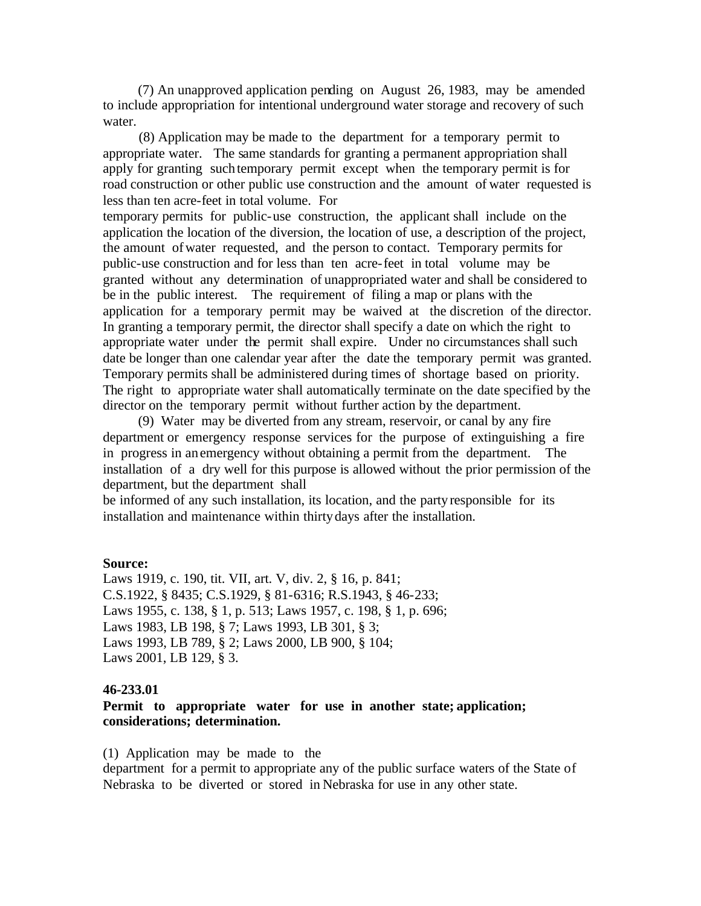(7) An unapproved application pending on August 26, 1983, may be amended to include appropriation for intentional underground water storage and recovery of such water.

 (8) Application may be made to the department for a temporary permit to appropriate water. The same standards for granting a permanent appropriation shall apply for granting suchtemporary permit except when the temporary permit is for road construction or other public use construction and the amount of water requested is less than ten acre-feet in total volume. For

temporary permits for public-use construction, the applicant shall include on the application the location of the diversion, the location of use, a description of the project, the amount ofwater requested, and the person to contact. Temporary permits for public-use construction and for less than ten acre-feet in total volume may be granted without any determination of unappropriated water and shall be considered to be in the public interest. The requirement of filing a map or plans with the application for a temporary permit may be waived at the discretion of the director. In granting a temporary permit, the director shall specify a date on which the right to appropriate water under the permit shall expire. Under no circumstances shall such date be longer than one calendar year after the date the temporary permit was granted. Temporary permits shall be administered during times of shortage based on priority. The right to appropriate water shall automatically terminate on the date specified by the director on the temporary permit without further action by the department.

 (9) Water may be diverted from any stream, reservoir, or canal by any fire department or emergency response services for the purpose of extinguishing a fire in progress in anemergency without obtaining a permit from the department. The installation of a dry well for this purpose is allowed without the prior permission of the department, but the department shall

be informed of any such installation, its location, and the partyresponsible for its installation and maintenance within thirtydays after the installation.

### **Source:**

Laws 1919, c. 190, tit. VII, art. V, div. 2, § 16, p. 841; C.S.1922, § 8435; C.S.1929, § 81-6316; R.S.1943, § 46-233; Laws 1955, c. 138, § 1, p. 513; Laws 1957, c. 198, § 1, p. 696; Laws 1983, LB 198, § 7; Laws 1993, LB 301, § 3; Laws 1993, LB 789, § 2; Laws 2000, LB 900, § 104; Laws 2001, LB 129, § 3.

### **46-233.01**

## **Permit to appropriate water for use in another state; application; considerations; determination.**

(1) Application may be made to the

department for a permit to appropriate any of the public surface waters of the State of Nebraska to be diverted or stored in Nebraska for use in any other state.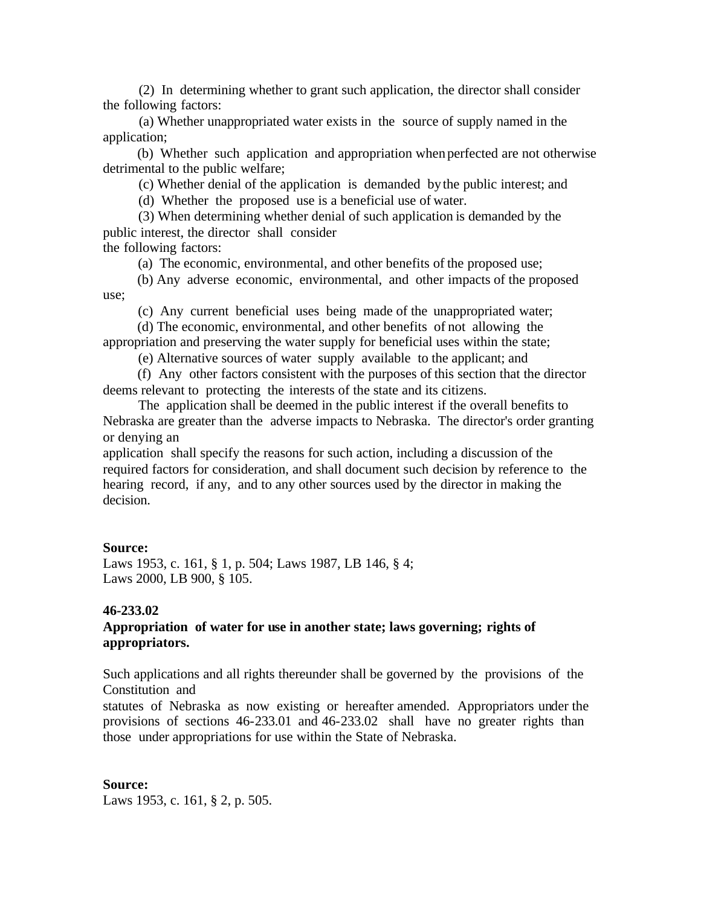(2) In determining whether to grant such application, the director shall consider the following factors:

 (a) Whether unappropriated water exists in the source of supply named in the application;

 (b) Whether such application and appropriation when perfected are not otherwise detrimental to the public welfare;

(c) Whether denial of the application is demanded bythe public interest; and

(d) Whether the proposed use is a beneficial use of water.

 (3) When determining whether denial of such application is demanded by the public interest, the director shall consider

the following factors:

(a) The economic, environmental, and other benefits of the proposed use;

 (b) Any adverse economic, environmental, and other impacts of the proposed use;

(c) Any current beneficial uses being made of the unappropriated water;

 (d) The economic, environmental, and other benefits of not allowing the appropriation and preserving the water supply for beneficial uses within the state;

(e) Alternative sources of water supply available to the applicant; and

 (f) Any other factors consistent with the purposes of this section that the director deems relevant to protecting the interests of the state and its citizens.

 The application shall be deemed in the public interest if the overall benefits to Nebraska are greater than the adverse impacts to Nebraska. The director's order granting or denying an

application shall specify the reasons for such action, including a discussion of the required factors for consideration, and shall document such decision by reference to the hearing record, if any, and to any other sources used by the director in making the decision.

### **Source:**

Laws 1953, c. 161, § 1, p. 504; Laws 1987, LB 146, § 4; Laws 2000, LB 900, § 105.

#### **46-233.02**

### **Appropriation of water for use in another state; laws governing; rights of appropriators.**

Such applications and all rights thereunder shall be governed by the provisions of the Constitution and

statutes of Nebraska as now existing or hereafter amended. Appropriators under the provisions of sections 46-233.01 and 46-233.02 shall have no greater rights than those under appropriations for use within the State of Nebraska.

**Source:** Laws 1953, c. 161, § 2, p. 505.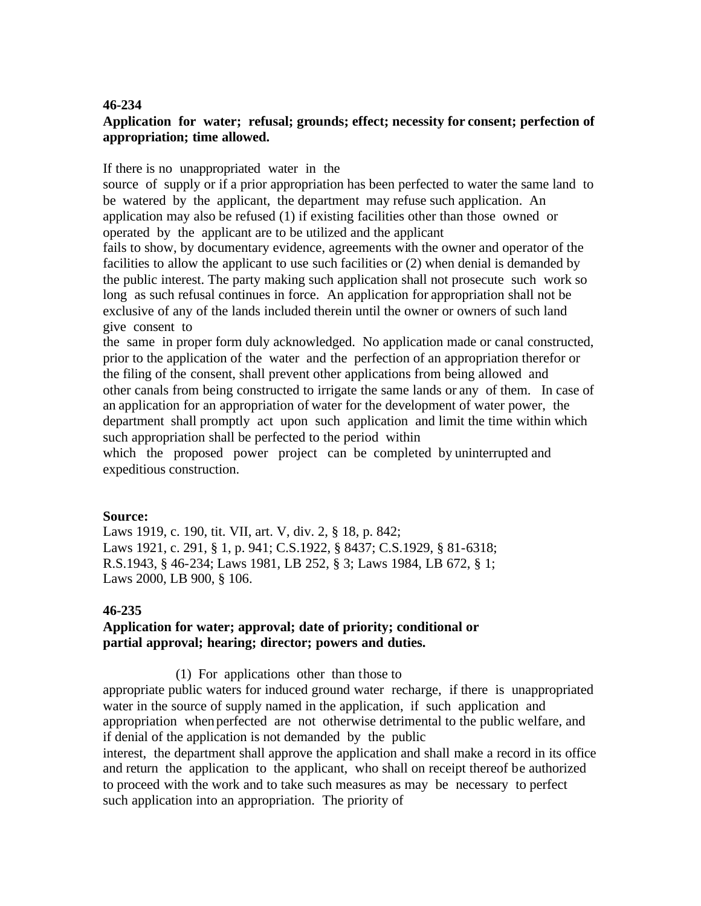### **46-234**

## **Application for water; refusal; grounds; effect; necessity for consent; perfection of appropriation; time allowed.**

If there is no unappropriated water in the

source of supply or if a prior appropriation has been perfected to water the same land to be watered by the applicant, the department may refuse such application. An application may also be refused (1) if existing facilities other than those owned or operated by the applicant are to be utilized and the applicant

fails to show, by documentary evidence, agreements with the owner and operator of the facilities to allow the applicant to use such facilities or (2) when denial is demanded by the public interest. The party making such application shall not prosecute such work so long as such refusal continues in force. An application for appropriation shall not be exclusive of any of the lands included therein until the owner or owners of such land give consent to

the same in proper form duly acknowledged. No application made or canal constructed, prior to the application of the water and the perfection of an appropriation therefor or the filing of the consent, shall prevent other applications from being allowed and other canals from being constructed to irrigate the same lands or any of them. In case of an application for an appropriation of water for the development of water power, the department shall promptly act upon such application and limit the time within which such appropriation shall be perfected to the period within

which the proposed power project can be completed by uninterrupted and expeditious construction.

#### **Source:**

Laws 1919, c. 190, tit. VII, art. V, div. 2, § 18, p. 842; Laws 1921, c. 291, § 1, p. 941; C.S.1922, § 8437; C.S.1929, § 81-6318; R.S.1943, § 46-234; Laws 1981, LB 252, § 3; Laws 1984, LB 672, § 1; Laws 2000, LB 900, § 106.

### **46-235**

### **Application for water; approval; date of priority; conditional or partial approval; hearing; director; powers and duties.**

(1) For applications other than those to

appropriate public waters for induced ground water recharge, if there is unappropriated water in the source of supply named in the application, if such application and appropriation when perfected are not otherwise detrimental to the public welfare, and if denial of the application is not demanded by the public

interest, the department shall approve the application and shall make a record in its office and return the application to the applicant, who shall on receipt thereof be authorized to proceed with the work and to take such measures as may be necessary to perfect such application into an appropriation. The priority of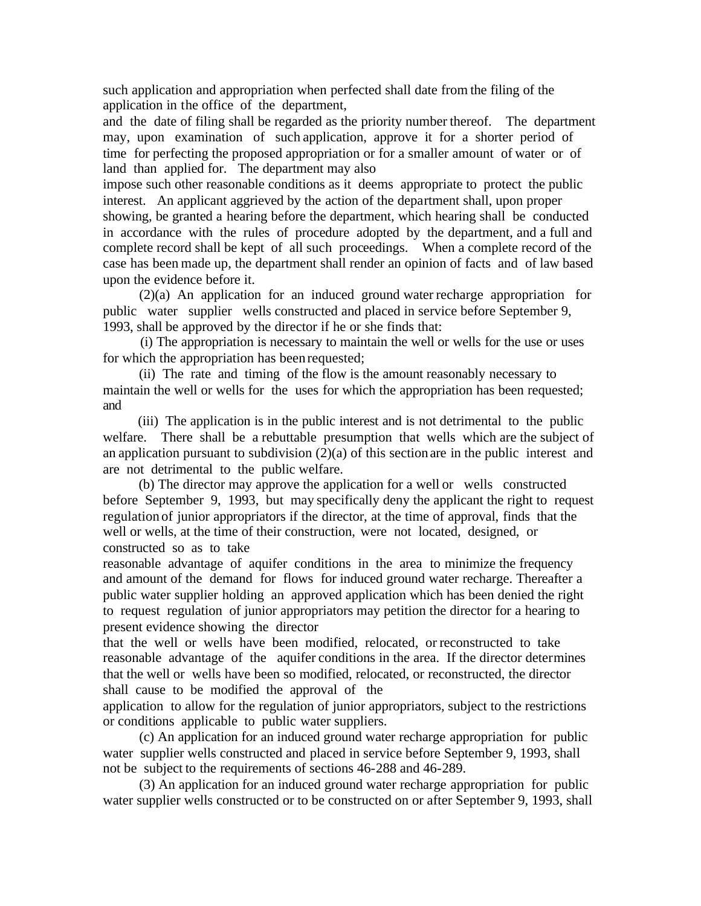such application and appropriation when perfected shall date from the filing of the application in the office of the department,

and the date of filing shall be regarded as the priority number thereof. The department may, upon examination of such application, approve it for a shorter period of time for perfecting the proposed appropriation or for a smaller amount of water or of land than applied for. The department may also

impose such other reasonable conditions as it deems appropriate to protect the public interest. An applicant aggrieved by the action of the department shall, upon proper showing, be granted a hearing before the department, which hearing shall be conducted in accordance with the rules of procedure adopted by the department, and a full and complete record shall be kept of all such proceedings. When a complete record of the case has been made up, the department shall render an opinion of facts and of law based upon the evidence before it.

 (2)(a) An application for an induced ground water recharge appropriation for public water supplier wells constructed and placed in service before September 9, 1993, shall be approved by the director if he or she finds that:

 (i) The appropriation is necessary to maintain the well or wells for the use or uses for which the appropriation has been requested;

 (ii) The rate and timing of the flow is the amount reasonably necessary to maintain the well or wells for the uses for which the appropriation has been requested; and

 (iii) The application is in the public interest and is not detrimental to the public welfare. There shall be a rebuttable presumption that wells which are the subject of an application pursuant to subdivision (2)(a) of this section are in the public interest and are not detrimental to the public welfare.

 (b) The director may approve the application for a well or wells constructed before September 9, 1993, but may specifically deny the applicant the right to request regulation of junior appropriators if the director, at the time of approval, finds that the well or wells, at the time of their construction, were not located, designed, or constructed so as to take

reasonable advantage of aquifer conditions in the area to minimize the frequency and amount of the demand for flows for induced ground water recharge. Thereafter a public water supplier holding an approved application which has been denied the right to request regulation of junior appropriators may petition the director for a hearing to present evidence showing the director

that the well or wells have been modified, relocated, or reconstructed to take reasonable advantage of the aquifer conditions in the area. If the director determines that the well or wells have been so modified, relocated, or reconstructed, the director shall cause to be modified the approval of the

application to allow for the regulation of junior appropriators, subject to the restrictions or conditions applicable to public water suppliers.

 (c) An application for an induced ground water recharge appropriation for public water supplier wells constructed and placed in service before September 9, 1993, shall not be subject to the requirements of sections 46-288 and 46-289.

 (3) An application for an induced ground water recharge appropriation for public water supplier wells constructed or to be constructed on or after September 9, 1993, shall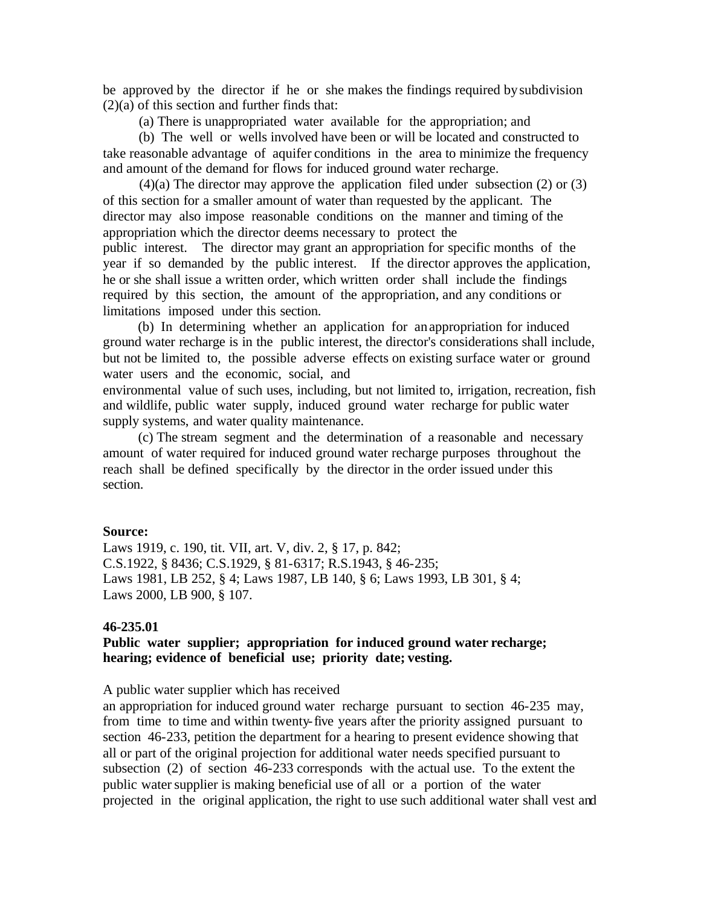be approved by the director if he or she makes the findings required bysubdivision (2)(a) of this section and further finds that:

(a) There is unappropriated water available for the appropriation; and

 (b) The well or wells involved have been or will be located and constructed to take reasonable advantage of aquifer conditions in the area to minimize the frequency and amount of the demand for flows for induced ground water recharge.

 (4)(a) The director may approve the application filed under subsection (2) or (3) of this section for a smaller amount of water than requested by the applicant. The director may also impose reasonable conditions on the manner and timing of the appropriation which the director deems necessary to protect the public interest. The director may grant an appropriation for specific months of the year if so demanded by the public interest. If the director approves the application, he or she shall issue a written order, which written order shall include the findings required by this section, the amount of the appropriation, and any conditions or limitations imposed under this section.

 (b) In determining whether an application for anappropriation for induced ground water recharge is in the public interest, the director's considerations shall include, but not be limited to, the possible adverse effects on existing surface water or ground water users and the economic, social, and

environmental value of such uses, including, but not limited to, irrigation, recreation, fish and wildlife, public water supply, induced ground water recharge for public water supply systems, and water quality maintenance.

 (c) The stream segment and the determination of a reasonable and necessary amount of water required for induced ground water recharge purposes throughout the reach shall be defined specifically by the director in the order issued under this section.

#### **Source:**

Laws 1919, c. 190, tit. VII, art. V, div. 2, § 17, p. 842; C.S.1922, § 8436; C.S.1929, § 81-6317; R.S.1943, § 46-235; Laws 1981, LB 252, § 4; Laws 1987, LB 140, § 6; Laws 1993, LB 301, § 4; Laws 2000, LB 900, § 107.

#### **46-235.01**

## **Public water supplier; appropriation for induced ground water recharge; hearing; evidence of beneficial use; priority date; vesting.**

A public water supplier which has received

an appropriation for induced ground water recharge pursuant to section 46-235 may, from time to time and within twenty-five years after the priority assigned pursuant to section 46-233, petition the department for a hearing to present evidence showing that all or part of the original projection for additional water needs specified pursuant to subsection (2) of section 46-233 corresponds with the actual use. To the extent the public water supplier is making beneficial use of all or a portion of the water projected in the original application, the right to use such additional water shall vest and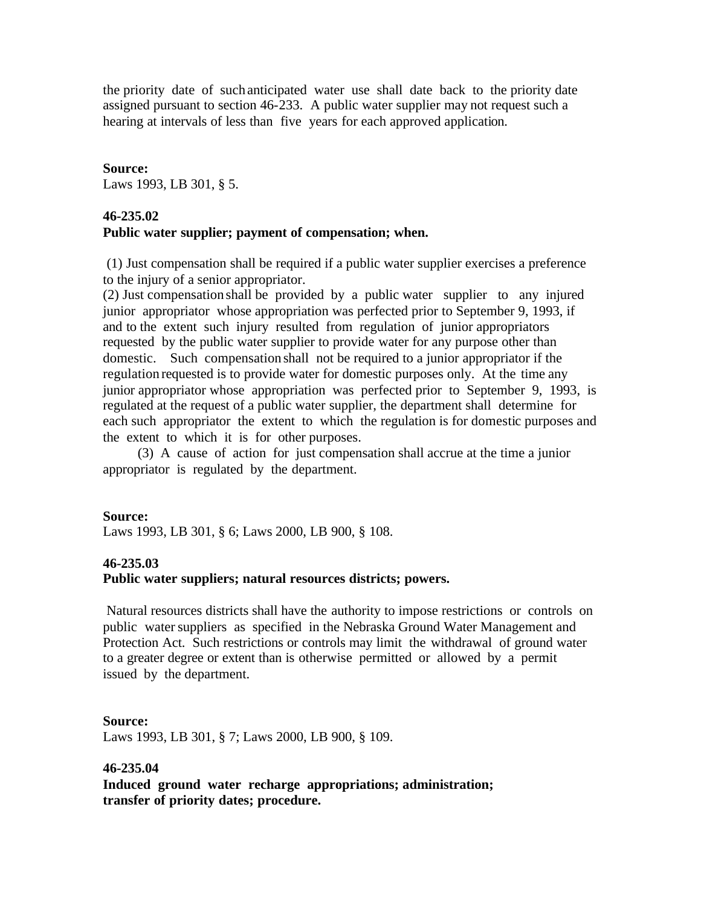the priority date of such anticipated water use shall date back to the priority date assigned pursuant to section 46-233. A public water supplier may not request such a hearing at intervals of less than five years for each approved application.

### **Source:**

Laws 1993, LB 301, § 5.

### **46-235.02**

### **Public water supplier; payment of compensation; when.**

 (1) Just compensation shall be required if a public water supplier exercises a preference to the injury of a senior appropriator.

(2) Just compensation shall be provided by a public water supplier to any injured junior appropriator whose appropriation was perfected prior to September 9, 1993, if and to the extent such injury resulted from regulation of junior appropriators requested by the public water supplier to provide water for any purpose other than domestic. Such compensation shall not be required to a junior appropriator if the regulation requested is to provide water for domestic purposes only. At the time any junior appropriator whose appropriation was perfected prior to September 9, 1993, is regulated at the request of a public water supplier, the department shall determine for each such appropriator the extent to which the regulation is for domestic purposes and the extent to which it is for other purposes.

 (3) A cause of action for just compensation shall accrue at the time a junior appropriator is regulated by the department.

#### **Source:**

Laws 1993, LB 301, § 6; Laws 2000, LB 900, § 108.

## **46-235.03**

### **Public water suppliers; natural resources districts; powers.**

 Natural resources districts shall have the authority to impose restrictions or controls on public water suppliers as specified in the Nebraska Ground Water Management and Protection Act. Such restrictions or controls may limit the withdrawal of ground water to a greater degree or extent than is otherwise permitted or allowed by a permit issued by the department.

#### **Source:**

Laws 1993, LB 301, § 7; Laws 2000, LB 900, § 109.

#### **46-235.04**

**Induced ground water recharge appropriations; administration; transfer of priority dates; procedure.**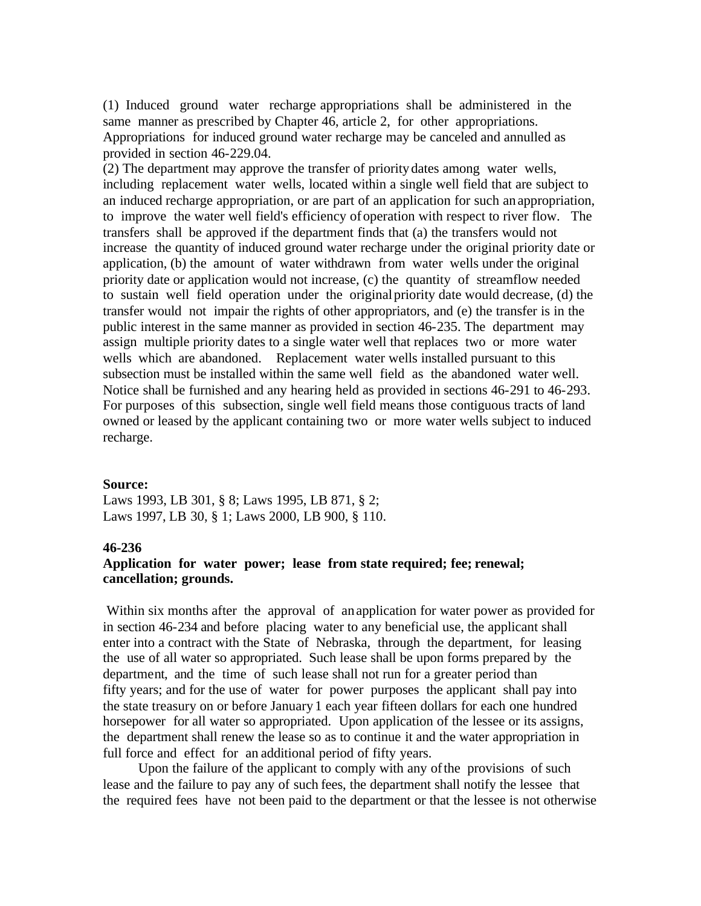(1) Induced ground water recharge appropriations shall be administered in the same manner as prescribed by Chapter 46, article 2, for other appropriations. Appropriations for induced ground water recharge may be canceled and annulled as provided in section 46-229.04.

(2) The department may approve the transfer of prioritydates among water wells, including replacement water wells, located within a single well field that are subject to an induced recharge appropriation, or are part of an application for such anappropriation, to improve the water well field's efficiency ofoperation with respect to river flow. The transfers shall be approved if the department finds that (a) the transfers would not increase the quantity of induced ground water recharge under the original priority date or application, (b) the amount of water withdrawn from water wells under the original priority date or application would not increase, (c) the quantity of streamflow needed to sustain well field operation under the originalpriority date would decrease, (d) the transfer would not impair the rights of other appropriators, and (e) the transfer is in the public interest in the same manner as provided in section 46-235. The department may assign multiple priority dates to a single water well that replaces two or more water wells which are abandoned. Replacement water wells installed pursuant to this subsection must be installed within the same well field as the abandoned water well. Notice shall be furnished and any hearing held as provided in sections 46-291 to 46-293. For purposes of this subsection, single well field means those contiguous tracts of land owned or leased by the applicant containing two or more water wells subject to induced recharge.

#### **Source:**

Laws 1993, LB 301, § 8; Laws 1995, LB 871, § 2; Laws 1997, LB 30, § 1; Laws 2000, LB 900, § 110.

### **46-236**

### **Application for water power; lease from state required; fee; renewal; cancellation; grounds.**

 Within six months after the approval of anapplication for water power as provided for in section 46-234 and before placing water to any beneficial use, the applicant shall enter into a contract with the State of Nebraska, through the department, for leasing the use of all water so appropriated. Such lease shall be upon forms prepared by the department, and the time of such lease shall not run for a greater period than fifty years; and for the use of water for power purposes the applicant shall pay into the state treasury on or before January 1 each year fifteen dollars for each one hundred horsepower for all water so appropriated. Upon application of the lessee or its assigns, the department shall renew the lease so as to continue it and the water appropriation in full force and effect for an additional period of fifty years.

Upon the failure of the applicant to comply with any of the provisions of such lease and the failure to pay any of such fees, the department shall notify the lessee that the required fees have not been paid to the department or that the lessee is not otherwise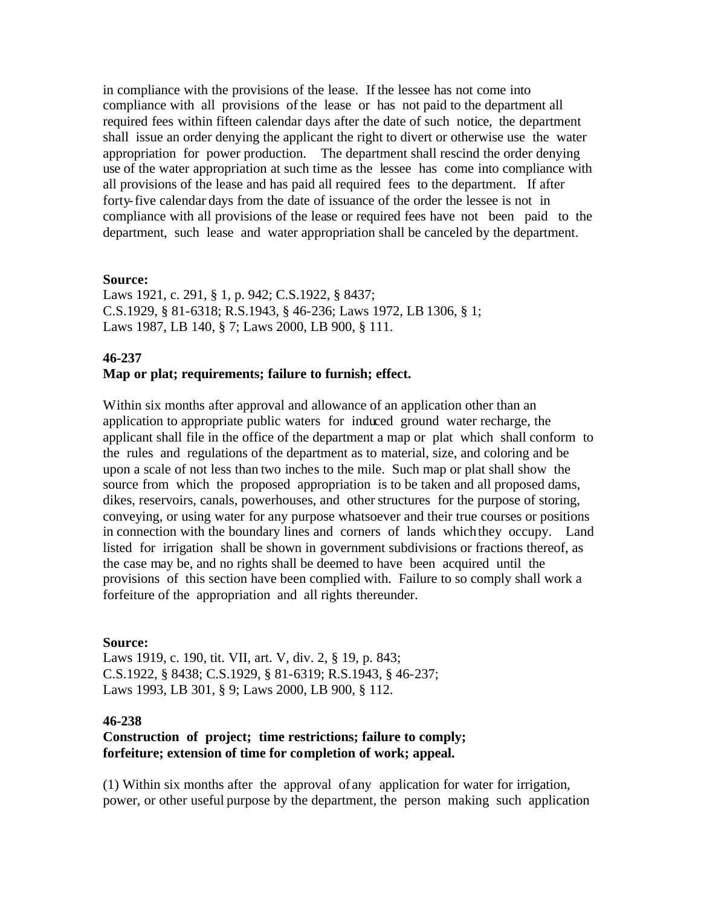in compliance with the provisions of the lease. If the lessee has not come into compliance with all provisions of the lease or has not paid to the department all required fees within fifteen calendar days after the date of such notice, the department shall issue an order denying the applicant the right to divert or otherwise use the water appropriation for power production. The department shall rescind the order denying use of the water appropriation at such time as the lessee has come into compliance with all provisions of the lease and has paid all required fees to the department. If after forty-five calendar days from the date of issuance of the order the lessee is not in compliance with all provisions of the lease or required fees have not been paid to the department, such lease and water appropriation shall be canceled by the department.

#### **Source:**

Laws 1921, c. 291, § 1, p. 942; C.S.1922, § 8437; C.S.1929, § 81-6318; R.S.1943, § 46-236; Laws 1972, LB 1306, § 1; Laws 1987, LB 140, § 7; Laws 2000, LB 900, § 111.

# **46-237**

### **Map or plat; requirements; failure to furnish; effect.**

Within six months after approval and allowance of an application other than an application to appropriate public waters for induced ground water recharge, the applicant shall file in the office of the department a map or plat which shall conform to the rules and regulations of the department as to material, size, and coloring and be upon a scale of not less than two inches to the mile. Such map or plat shall show the source from which the proposed appropriation is to be taken and all proposed dams, dikes, reservoirs, canals, powerhouses, and other structures for the purpose of storing, conveying, or using water for any purpose whatsoever and their true courses or positions in connection with the boundary lines and corners of lands whichthey occupy. Land listed for irrigation shall be shown in government subdivisions or fractions thereof, as the case may be, and no rights shall be deemed to have been acquired until the provisions of this section have been complied with. Failure to so comply shall work a forfeiture of the appropriation and all rights thereunder.

#### **Source:**

Laws 1919, c. 190, tit. VII, art. V, div. 2, § 19, p. 843; C.S.1922, § 8438; C.S.1929, § 81-6319; R.S.1943, § 46-237; Laws 1993, LB 301, § 9; Laws 2000, LB 900, § 112.

#### **46-238**

## **Construction of project; time restrictions; failure to comply; forfeiture; extension of time for completion of work; appeal.**

(1) Within six months after the approval of any application for water for irrigation, power, or other useful purpose by the department, the person making such application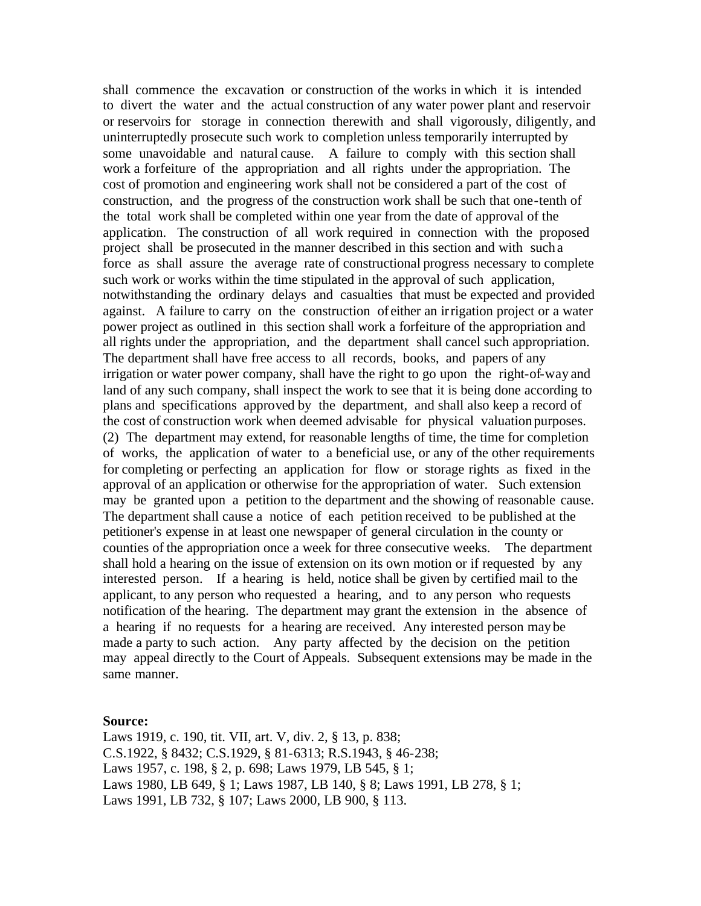shall commence the excavation or construction of the works in which it is intended to divert the water and the actual construction of any water power plant and reservoir or reservoirs for storage in connection therewith and shall vigorously, diligently, and uninterruptedly prosecute such work to completion unless temporarily interrupted by some unavoidable and natural cause. A failure to comply with this section shall work a forfeiture of the appropriation and all rights under the appropriation. The cost of promotion and engineering work shall not be considered a part of the cost of construction, and the progress of the construction work shall be such that one-tenth of the total work shall be completed within one year from the date of approval of the application. The construction of all work required in connection with the proposed project shall be prosecuted in the manner described in this section and with sucha force as shall assure the average rate of constructional progress necessary to complete such work or works within the time stipulated in the approval of such application, notwithstanding the ordinary delays and casualties that must be expected and provided against. A failure to carry on the construction of either an irrigation project or a water power project as outlined in this section shall work a forfeiture of the appropriation and all rights under the appropriation, and the department shall cancel such appropriation. The department shall have free access to all records, books, and papers of any irrigation or water power company, shall have the right to go upon the right-of-way and land of any such company, shall inspect the work to see that it is being done according to plans and specifications approved by the department, and shall also keep a record of the cost of construction work when deemed advisable for physical valuationpurposes. (2) The department may extend, for reasonable lengths of time, the time for completion of works, the application of water to a beneficial use, or any of the other requirements for completing or perfecting an application for flow or storage rights as fixed in the approval of an application or otherwise for the appropriation of water. Such extension may be granted upon a petition to the department and the showing of reasonable cause. The department shall cause a notice of each petition received to be published at the petitioner's expense in at least one newspaper of general circulation in the county or counties of the appropriation once a week for three consecutive weeks. The department shall hold a hearing on the issue of extension on its own motion or if requested by any interested person. If a hearing is held, notice shall be given by certified mail to the applicant, to any person who requested a hearing, and to any person who requests notification of the hearing. The department may grant the extension in the absence of a hearing if no requests for a hearing are received. Any interested person maybe made a party to such action. Any party affected by the decision on the petition may appeal directly to the Court of Appeals. Subsequent extensions may be made in the same manner.

#### **Source:**

Laws 1919, c. 190, tit. VII, art. V, div. 2, § 13, p. 838; C.S.1922, § 8432; C.S.1929, § 81-6313; R.S.1943, § 46-238; Laws 1957, c. 198, § 2, p. 698; Laws 1979, LB 545, § 1; Laws 1980, LB 649, § 1; Laws 1987, LB 140, § 8; Laws 1991, LB 278, § 1; Laws 1991, LB 732, § 107; Laws 2000, LB 900, § 113.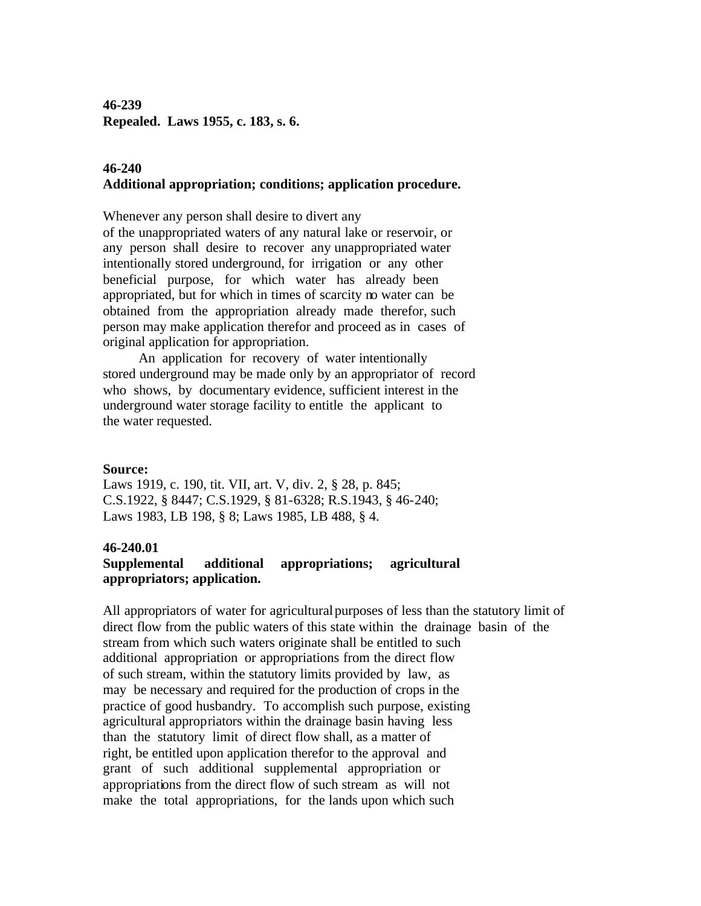**46-239 Repealed. Laws 1955, c. 183, s. 6.**

# **46-240**

## **Additional appropriation; conditions; application procedure.**

Whenever any person shall desire to divert any of the unappropriated waters of any natural lake or reservoir, or any person shall desire to recover any unappropriated water intentionally stored underground, for irrigation or any other beneficial purpose, for which water has already been appropriated, but for which in times of scarcity no water can be obtained from the appropriation already made therefor, such person may make application therefor and proceed as in cases of original application for appropriation.

 An application for recovery of water intentionally stored underground may be made only by an appropriator of record who shows, by documentary evidence, sufficient interest in the underground water storage facility to entitle the applicant to the water requested.

## **Source:**

Laws 1919, c. 190, tit. VII, art. V, div. 2, § 28, p. 845; C.S.1922, § 8447; C.S.1929, § 81-6328; R.S.1943, § 46-240; Laws 1983, LB 198, § 8; Laws 1985, LB 488, § 4.

## **46-240.01**

## **Supplemental additional appropriations; agricultural appropriators; application.**

All appropriators of water for agriculturalpurposes of less than the statutory limit of direct flow from the public waters of this state within the drainage basin of the stream from which such waters originate shall be entitled to such additional appropriation or appropriations from the direct flow of such stream, within the statutory limits provided by law, as may be necessary and required for the production of crops in the practice of good husbandry. To accomplish such purpose, existing agricultural appropriators within the drainage basin having less than the statutory limit of direct flow shall, as a matter of right, be entitled upon application therefor to the approval and grant of such additional supplemental appropriation or appropriations from the direct flow of such stream as will not make the total appropriations, for the lands upon which such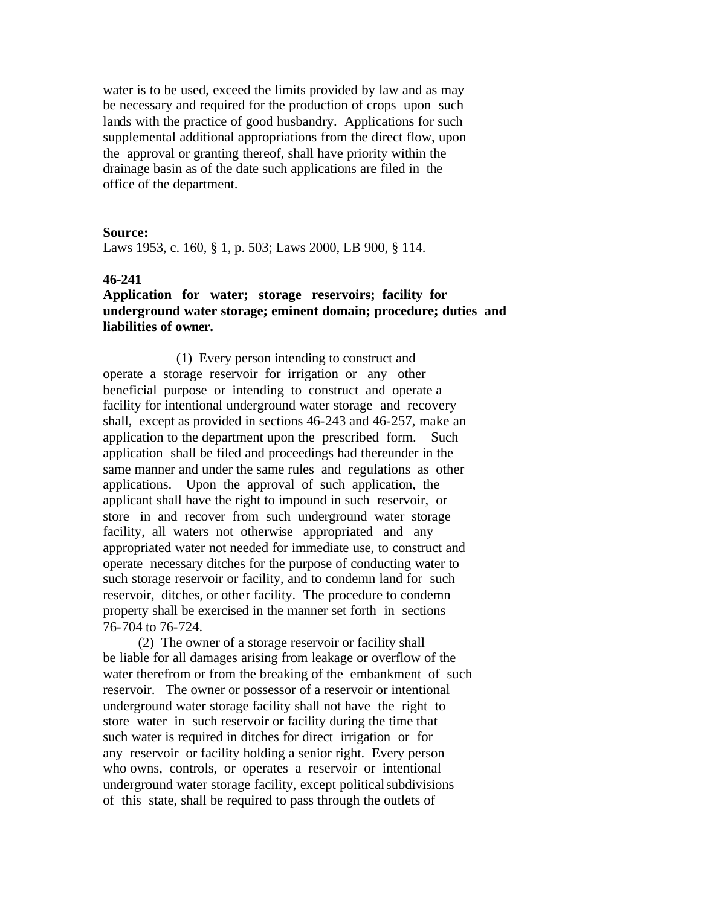water is to be used, exceed the limits provided by law and as may be necessary and required for the production of crops upon such lands with the practice of good husbandry. Applications for such supplemental additional appropriations from the direct flow, upon the approval or granting thereof, shall have priority within the drainage basin as of the date such applications are filed in the office of the department.

#### **Source:**

Laws 1953, c. 160, § 1, p. 503; Laws 2000, LB 900, § 114.

## **46-241**

## **Application for water; storage reservoirs; facility for underground water storage; eminent domain; procedure; duties and liabilities of owner.**

 (1) Every person intending to construct and operate a storage reservoir for irrigation or any other beneficial purpose or intending to construct and operate a facility for intentional underground water storage and recovery shall, except as provided in sections 46-243 and 46-257, make an application to the department upon the prescribed form. Such application shall be filed and proceedings had thereunder in the same manner and under the same rules and regulations as other applications. Upon the approval of such application, the applicant shall have the right to impound in such reservoir, or store in and recover from such underground water storage facility, all waters not otherwise appropriated and any appropriated water not needed for immediate use, to construct and operate necessary ditches for the purpose of conducting water to such storage reservoir or facility, and to condemn land for such reservoir, ditches, or other facility. The procedure to condemn property shall be exercised in the manner set forth in sections 76-704 to 76-724.

 (2) The owner of a storage reservoir or facility shall be liable for all damages arising from leakage or overflow of the water therefrom or from the breaking of the embankment of such reservoir. The owner or possessor of a reservoir or intentional underground water storage facility shall not have the right to store water in such reservoir or facility during the time that such water is required in ditches for direct irrigation or for any reservoir or facility holding a senior right. Every person who owns, controls, or operates a reservoir or intentional underground water storage facility, except political subdivisions of this state, shall be required to pass through the outlets of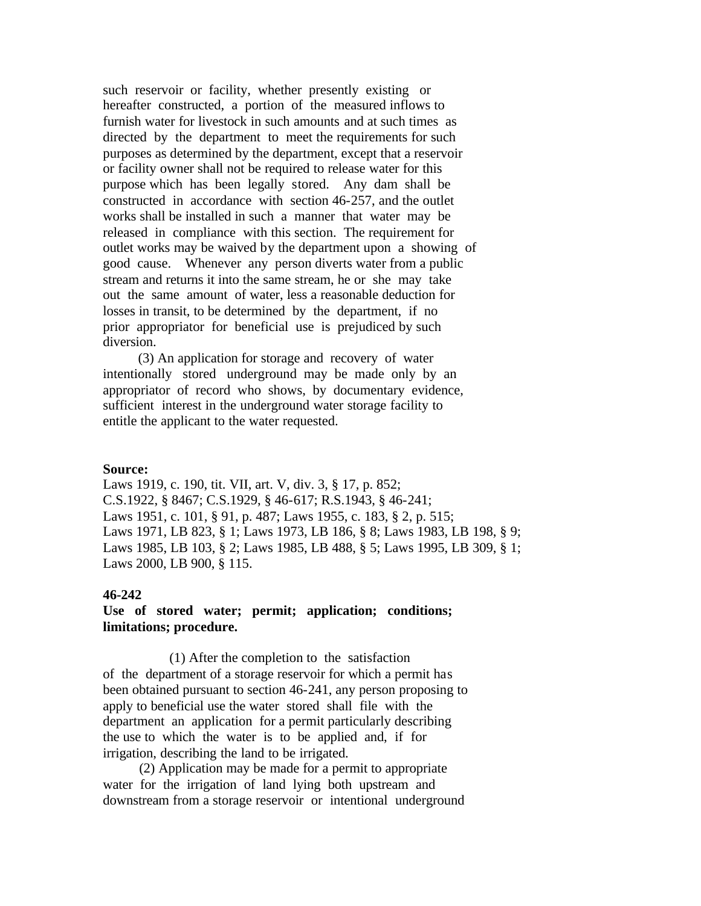such reservoir or facility, whether presently existing or hereafter constructed, a portion of the measured inflows to furnish water for livestock in such amounts and at such times as directed by the department to meet the requirements for such purposes as determined by the department, except that a reservoir or facility owner shall not be required to release water for this purpose which has been legally stored. Any dam shall be constructed in accordance with section 46-257, and the outlet works shall be installed in such a manner that water may be released in compliance with this section. The requirement for outlet works may be waived by the department upon a showing of good cause. Whenever any person diverts water from a public stream and returns it into the same stream, he or she may take out the same amount of water, less a reasonable deduction for losses in transit, to be determined by the department, if no prior appropriator for beneficial use is prejudiced by such diversion.

 (3) An application for storage and recovery of water intentionally stored underground may be made only by an appropriator of record who shows, by documentary evidence, sufficient interest in the underground water storage facility to entitle the applicant to the water requested.

### **Source:**

Laws 1919, c. 190, tit. VII, art. V, div. 3, § 17, p. 852; C.S.1922, § 8467; C.S.1929, § 46-617; R.S.1943, § 46-241; Laws 1951, c. 101, § 91, p. 487; Laws 1955, c. 183, § 2, p. 515; Laws 1971, LB 823, § 1; Laws 1973, LB 186, § 8; Laws 1983, LB 198, § 9; Laws 1985, LB 103, § 2; Laws 1985, LB 488, § 5; Laws 1995, LB 309, § 1; Laws 2000, LB 900, § 115.

#### **46-242**

## **Use of stored water; permit; application; conditions; limitations; procedure.**

 (1) After the completion to the satisfaction of the department of a storage reservoir for which a permit has been obtained pursuant to section 46-241, any person proposing to apply to beneficial use the water stored shall file with the department an application for a permit particularly describing the use to which the water is to be applied and, if for irrigation, describing the land to be irrigated.

 (2) Application may be made for a permit to appropriate water for the irrigation of land lying both upstream and downstream from a storage reservoir or intentional underground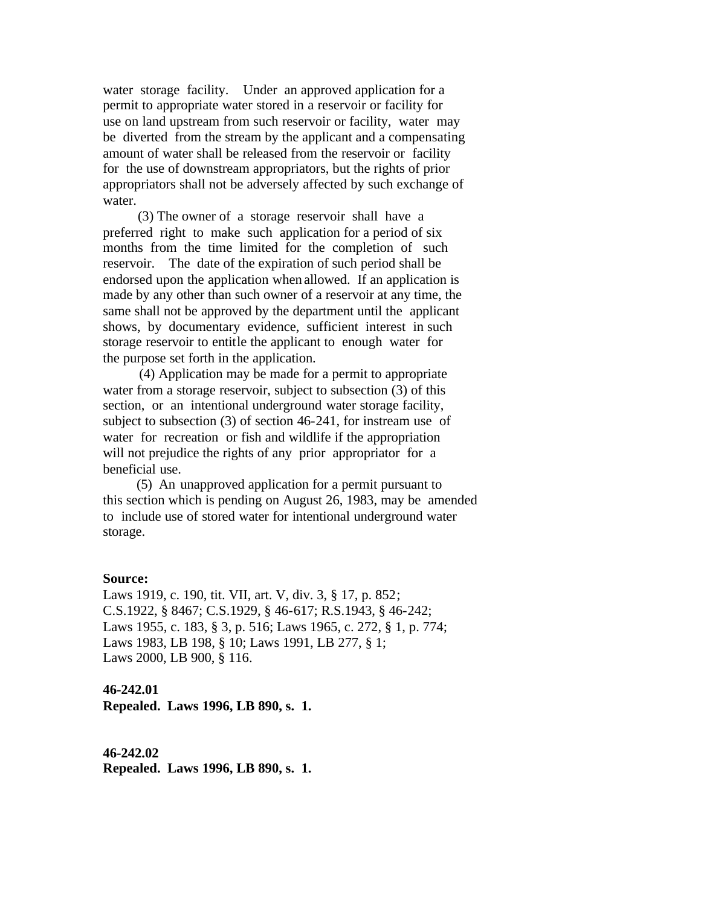water storage facility. Under an approved application for a permit to appropriate water stored in a reservoir or facility for use on land upstream from such reservoir or facility, water may be diverted from the stream by the applicant and a compensating amount of water shall be released from the reservoir or facility for the use of downstream appropriators, but the rights of prior appropriators shall not be adversely affected by such exchange of water.

 (3) The owner of a storage reservoir shall have a preferred right to make such application for a period of six months from the time limited for the completion of such reservoir. The date of the expiration of such period shall be endorsed upon the application when allowed. If an application is made by any other than such owner of a reservoir at any time, the same shall not be approved by the department until the applicant shows, by documentary evidence, sufficient interest in such storage reservoir to entitle the applicant to enough water for the purpose set forth in the application.

 (4) Application may be made for a permit to appropriate water from a storage reservoir, subject to subsection (3) of this section, or an intentional underground water storage facility, subject to subsection (3) of section 46-241, for instream use of water for recreation or fish and wildlife if the appropriation will not prejudice the rights of any prior appropriator for a beneficial use.

 (5) An unapproved application for a permit pursuant to this section which is pending on August 26, 1983, may be amended to include use of stored water for intentional underground water storage.

#### **Source:**

Laws 1919, c. 190, tit. VII, art. V, div. 3, § 17, p. 852; C.S.1922, § 8467; C.S.1929, § 46-617; R.S.1943, § 46-242; Laws 1955, c. 183, § 3, p. 516; Laws 1965, c. 272, § 1, p. 774; Laws 1983, LB 198, § 10; Laws 1991, LB 277, § 1; Laws 2000, LB 900, § 116.

### **46-242.01**

**Repealed. Laws 1996, LB 890, s. 1.**

**46-242.02 Repealed. Laws 1996, LB 890, s. 1.**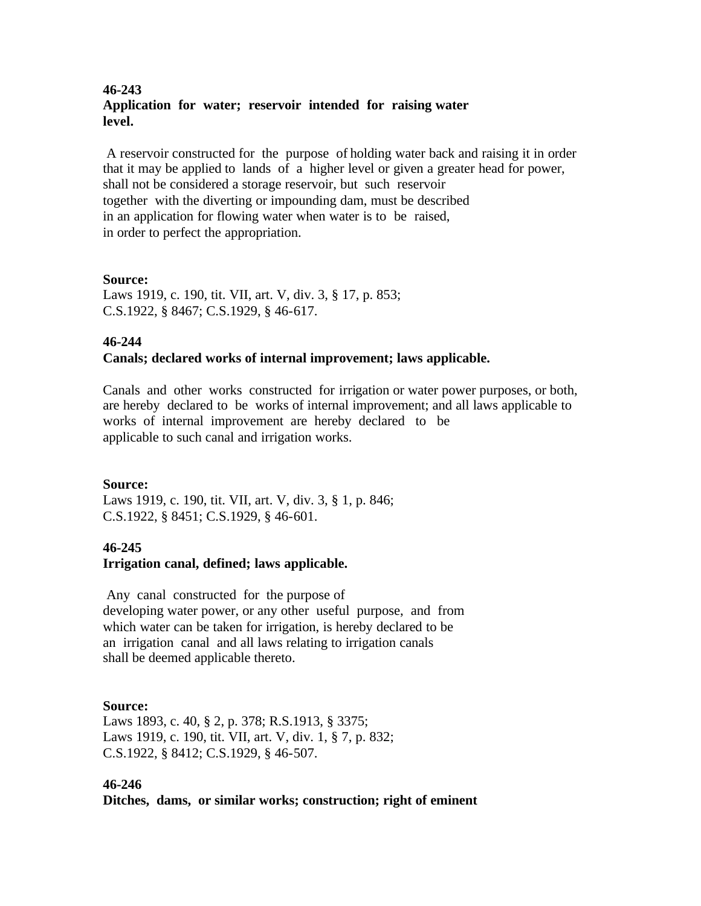## **46-243 Application for water; reservoir intended for raising water level.**

 A reservoir constructed for the purpose of holding water back and raising it in order that it may be applied to lands of a higher level or given a greater head for power, shall not be considered a storage reservoir, but such reservoir together with the diverting or impounding dam, must be described in an application for flowing water when water is to be raised, in order to perfect the appropriation.

## **Source:**

Laws 1919, c. 190, tit. VII, art. V, div. 3, § 17, p. 853; C.S.1922, § 8467; C.S.1929, § 46-617.

## **46-244**

## **Canals; declared works of internal improvement; laws applicable.**

Canals and other works constructed for irrigation or water power purposes, or both, are hereby declared to be works of internal improvement; and all laws applicable to works of internal improvement are hereby declared to be applicable to such canal and irrigation works.

## **Source:**

Laws 1919, c. 190, tit. VII, art. V, div. 3, § 1, p. 846; C.S.1922, § 8451; C.S.1929, § 46-601.

## **46-245**

## **Irrigation canal, defined; laws applicable.**

 Any canal constructed for the purpose of developing water power, or any other useful purpose, and from which water can be taken for irrigation, is hereby declared to be an irrigation canal and all laws relating to irrigation canals shall be deemed applicable thereto.

## **Source:**

Laws 1893, c. 40, § 2, p. 378; R.S.1913, § 3375; Laws 1919, c. 190, tit. VII, art. V, div. 1, § 7, p. 832; C.S.1922, § 8412; C.S.1929, § 46-507.

## **46-246**

**Ditches, dams, or similar works; construction; right of eminent**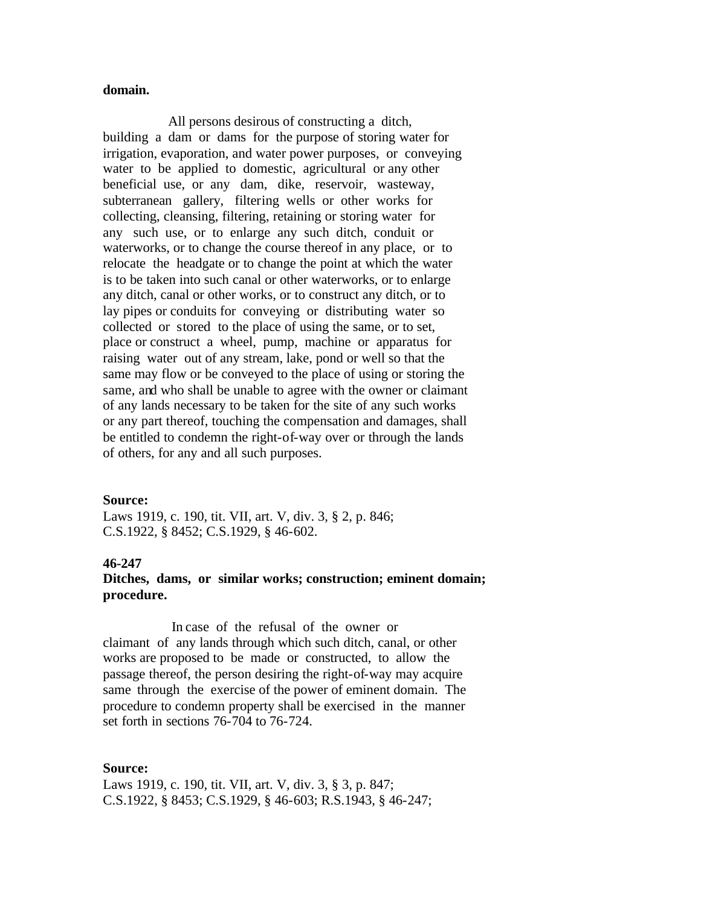#### **domain.**

 All persons desirous of constructing a ditch, building a dam or dams for the purpose of storing water for irrigation, evaporation, and water power purposes, or conveying water to be applied to domestic, agricultural or any other beneficial use, or any dam, dike, reservoir, wasteway, subterranean gallery, filtering wells or other works for collecting, cleansing, filtering, retaining or storing water for any such use, or to enlarge any such ditch, conduit or waterworks, or to change the course thereof in any place, or to relocate the headgate or to change the point at which the water is to be taken into such canal or other waterworks, or to enlarge any ditch, canal or other works, or to construct any ditch, or to lay pipes or conduits for conveying or distributing water so collected or stored to the place of using the same, or to set, place or construct a wheel, pump, machine or apparatus for raising water out of any stream, lake, pond or well so that the same may flow or be conveyed to the place of using or storing the same, and who shall be unable to agree with the owner or claimant of any lands necessary to be taken for the site of any such works or any part thereof, touching the compensation and damages, shall be entitled to condemn the right-of-way over or through the lands of others, for any and all such purposes.

#### **Source:**

Laws 1919, c. 190, tit. VII, art. V, div. 3, § 2, p. 846; C.S.1922, § 8452; C.S.1929, § 46-602.

#### **46-247**

### **Ditches, dams, or similar works; construction; eminent domain; procedure.**

 In case of the refusal of the owner or claimant of any lands through which such ditch, canal, or other works are proposed to be made or constructed, to allow the passage thereof, the person desiring the right-of-way may acquire same through the exercise of the power of eminent domain. The procedure to condemn property shall be exercised in the manner set forth in sections 76-704 to 76-724.

#### **Source:**

Laws 1919, c. 190, tit. VII, art. V, div. 3, § 3, p. 847; C.S.1922, § 8453; C.S.1929, § 46-603; R.S.1943, § 46-247;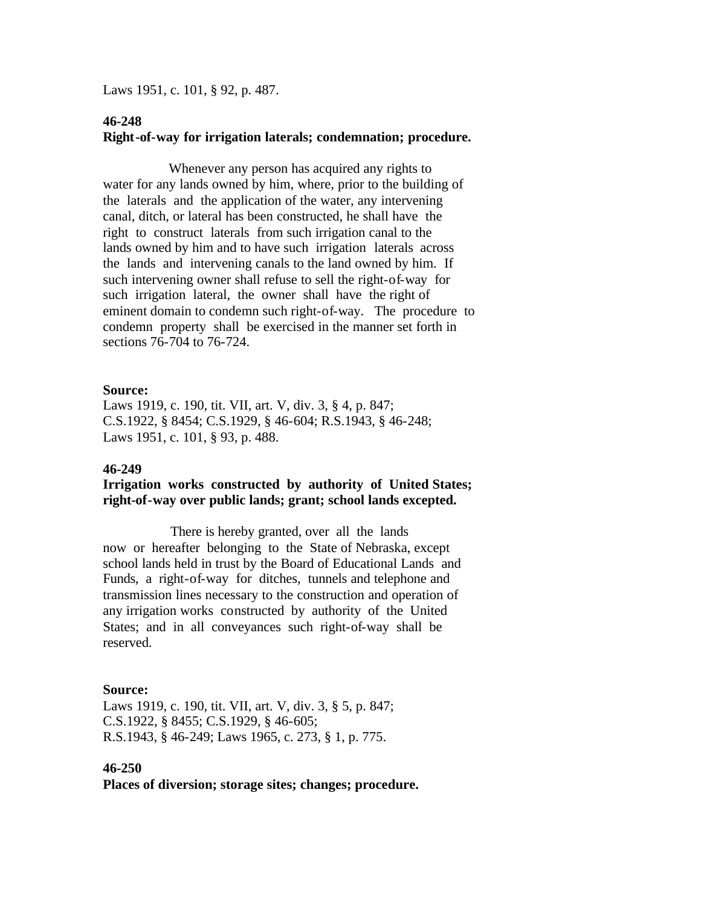Laws 1951, c. 101, § 92, p. 487.

## **46-248 Right-of-way for irrigation laterals; condemnation; procedure.**

 Whenever any person has acquired any rights to water for any lands owned by him, where, prior to the building of the laterals and the application of the water, any intervening canal, ditch, or lateral has been constructed, he shall have the right to construct laterals from such irrigation canal to the lands owned by him and to have such irrigation laterals across the lands and intervening canals to the land owned by him. If such intervening owner shall refuse to sell the right-of-way for such irrigation lateral, the owner shall have the right of eminent domain to condemn such right-of-way. The procedure to condemn property shall be exercised in the manner set forth in sections 76-704 to 76-724.

#### **Source:**

Laws 1919, c. 190, tit. VII, art. V, div. 3, § 4, p. 847; C.S.1922, § 8454; C.S.1929, § 46-604; R.S.1943, § 46-248; Laws 1951, c. 101, § 93, p. 488.

#### **46-249**

## **Irrigation works constructed by authority of United States; right-of-way over public lands; grant; school lands excepted.**

 There is hereby granted, over all the lands now or hereafter belonging to the State of Nebraska, except school lands held in trust by the Board of Educational Lands and Funds, a right-of-way for ditches, tunnels and telephone and transmission lines necessary to the construction and operation of any irrigation works constructed by authority of the United States; and in all conveyances such right-of-way shall be reserved.

## **Source:**

Laws 1919, c. 190, tit. VII, art. V, div. 3, § 5, p. 847; C.S.1922, § 8455; C.S.1929, § 46-605; R.S.1943, § 46-249; Laws 1965, c. 273, § 1, p. 775.

#### **46-250**

**Places of diversion; storage sites; changes; procedure.**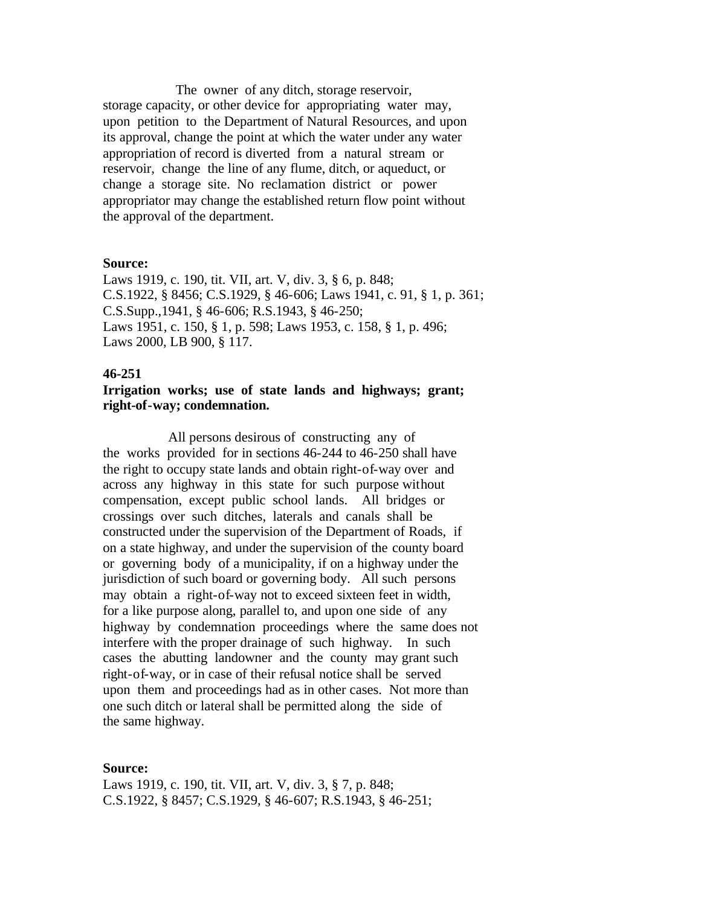The owner of any ditch, storage reservoir, storage capacity, or other device for appropriating water may, upon petition to the Department of Natural Resources, and upon its approval, change the point at which the water under any water appropriation of record is diverted from a natural stream or reservoir, change the line of any flume, ditch, or aqueduct, or change a storage site. No reclamation district or power appropriator may change the established return flow point without the approval of the department.

### **Source:**

Laws 1919, c. 190, tit. VII, art. V, div. 3, § 6, p. 848; C.S.1922, § 8456; C.S.1929, § 46-606; Laws 1941, c. 91, § 1, p. 361; C.S.Supp.,1941, § 46-606; R.S.1943, § 46-250; Laws 1951, c. 150, § 1, p. 598; Laws 1953, c. 158, § 1, p. 496; Laws 2000, LB 900, § 117.

### **46-251**

### **Irrigation works; use of state lands and highways; grant; right-of-way; condemnation.**

 All persons desirous of constructing any of the works provided for in sections 46-244 to 46-250 shall have the right to occupy state lands and obtain right-of-way over and across any highway in this state for such purpose without compensation, except public school lands. All bridges or crossings over such ditches, laterals and canals shall be constructed under the supervision of the Department of Roads, if on a state highway, and under the supervision of the county board or governing body of a municipality, if on a highway under the jurisdiction of such board or governing body. All such persons may obtain a right-of-way not to exceed sixteen feet in width, for a like purpose along, parallel to, and upon one side of any highway by condemnation proceedings where the same does not interfere with the proper drainage of such highway. In such cases the abutting landowner and the county may grant such right-of-way, or in case of their refusal notice shall be served upon them and proceedings had as in other cases. Not more than one such ditch or lateral shall be permitted along the side of the same highway.

#### **Source:**

Laws 1919, c. 190, tit. VII, art. V, div. 3, § 7, p. 848; C.S.1922, § 8457; C.S.1929, § 46-607; R.S.1943, § 46-251;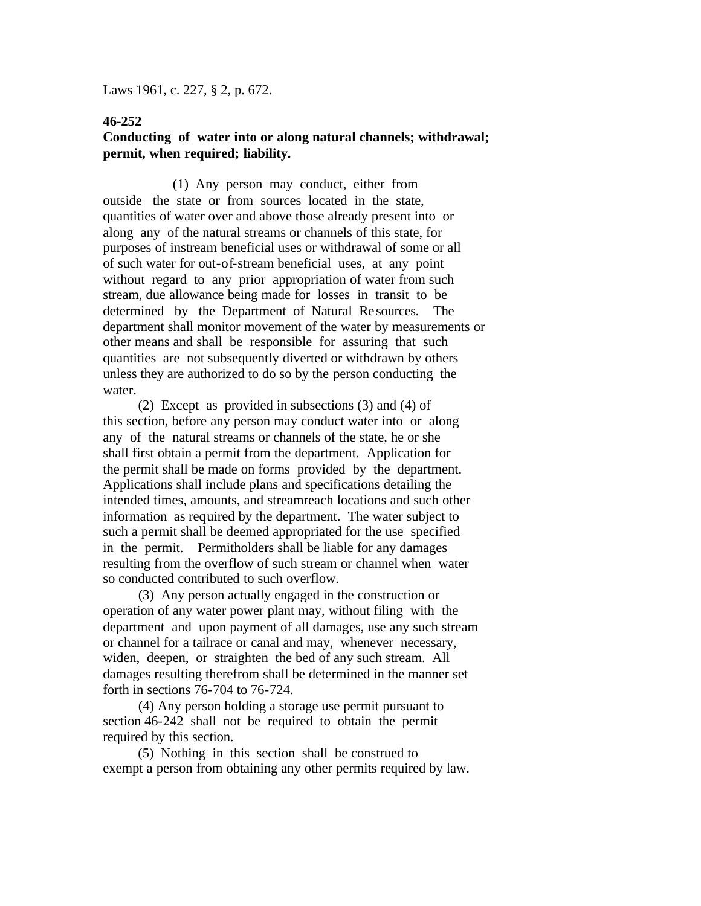Laws 1961, c. 227, § 2, p. 672.

#### **46-252**

## **Conducting of water into or along natural channels; withdrawal; permit, when required; liability.**

 (1) Any person may conduct, either from outside the state or from sources located in the state, quantities of water over and above those already present into or along any of the natural streams or channels of this state, for purposes of instream beneficial uses or withdrawal of some or all of such water for out-of-stream beneficial uses, at any point without regard to any prior appropriation of water from such stream, due allowance being made for losses in transit to be determined by the Department of Natural Re sources. The department shall monitor movement of the water by measurements or other means and shall be responsible for assuring that such quantities are not subsequently diverted or withdrawn by others unless they are authorized to do so by the person conducting the water.

 (2) Except as provided in subsections (3) and (4) of this section, before any person may conduct water into or along any of the natural streams or channels of the state, he or she shall first obtain a permit from the department. Application for the permit shall be made on forms provided by the department. Applications shall include plans and specifications detailing the intended times, amounts, and streamreach locations and such other information as required by the department. The water subject to such a permit shall be deemed appropriated for the use specified in the permit. Permitholders shall be liable for any damages resulting from the overflow of such stream or channel when water so conducted contributed to such overflow.

 (3) Any person actually engaged in the construction or operation of any water power plant may, without filing with the department and upon payment of all damages, use any such stream or channel for a tailrace or canal and may, whenever necessary, widen, deepen, or straighten the bed of any such stream. All damages resulting therefrom shall be determined in the manner set forth in sections 76-704 to 76-724.

 (4) Any person holding a storage use permit pursuant to section 46-242 shall not be required to obtain the permit required by this section.

 (5) Nothing in this section shall be construed to exempt a person from obtaining any other permits required by law.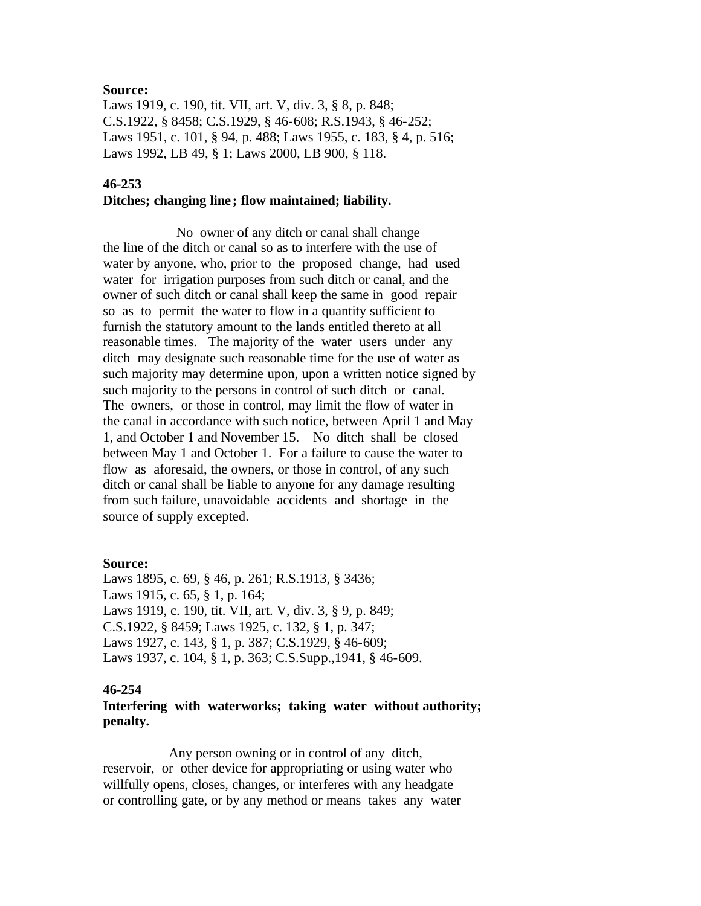#### **Source:**

Laws 1919, c. 190, tit. VII, art. V, div. 3, § 8, p. 848; C.S.1922, § 8458; C.S.1929, § 46-608; R.S.1943, § 46-252; Laws 1951, c. 101, § 94, p. 488; Laws 1955, c. 183, § 4, p. 516; Laws 1992, LB 49, § 1; Laws 2000, LB 900, § 118.

### **46-253**

#### **Ditches; changing line ; flow maintained; liability.**

 No owner of any ditch or canal shall change the line of the ditch or canal so as to interfere with the use of water by anyone, who, prior to the proposed change, had used water for irrigation purposes from such ditch or canal, and the owner of such ditch or canal shall keep the same in good repair so as to permit the water to flow in a quantity sufficient to furnish the statutory amount to the lands entitled thereto at all reasonable times. The majority of the water users under any ditch may designate such reasonable time for the use of water as such majority may determine upon, upon a written notice signed by such majority to the persons in control of such ditch or canal. The owners, or those in control, may limit the flow of water in the canal in accordance with such notice, between April 1 and May 1, and October 1 and November 15. No ditch shall be closed between May 1 and October 1. For a failure to cause the water to flow as aforesaid, the owners, or those in control, of any such ditch or canal shall be liable to anyone for any damage resulting from such failure, unavoidable accidents and shortage in the source of supply excepted.

#### **Source:**

Laws 1895, c. 69, § 46, p. 261; R.S.1913, § 3436; Laws 1915, c. 65, § 1, p. 164; Laws 1919, c. 190, tit. VII, art. V, div. 3, § 9, p. 849; C.S.1922, § 8459; Laws 1925, c. 132, § 1, p. 347; Laws 1927, c. 143, § 1, p. 387; C.S.1929, § 46-609; Laws 1937, c. 104, § 1, p. 363; C.S.Supp.,1941, § 46-609.

#### **46-254**

## **Interfering with waterworks; taking water without authority; penalty.**

 Any person owning or in control of any ditch, reservoir, or other device for appropriating or using water who willfully opens, closes, changes, or interferes with any headgate or controlling gate, or by any method or means takes any water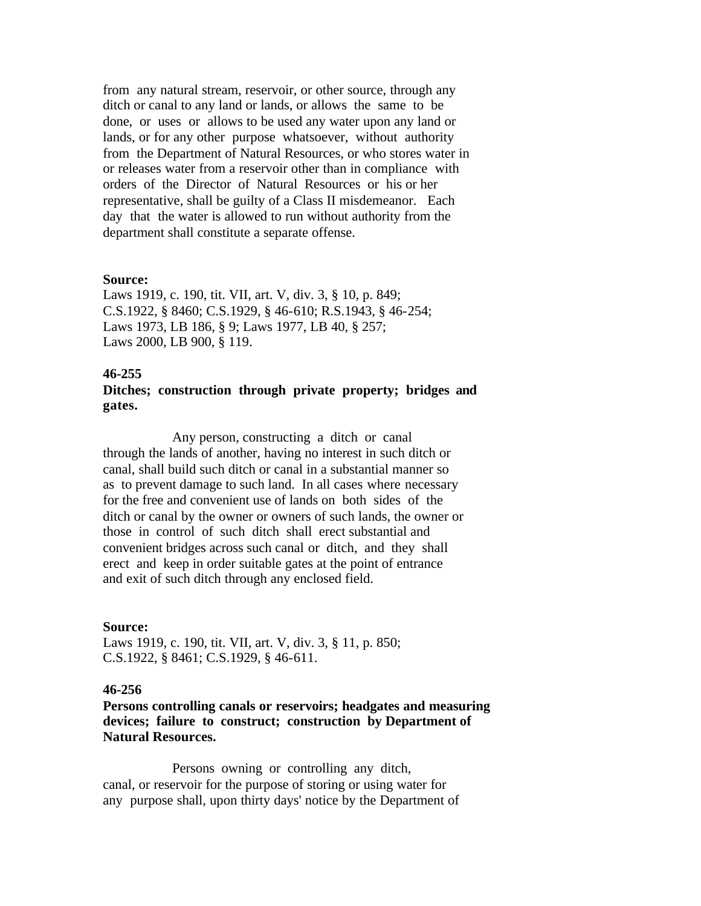from any natural stream, reservoir, or other source, through any ditch or canal to any land or lands, or allows the same to be done, or uses or allows to be used any water upon any land or lands, or for any other purpose whatsoever, without authority from the Department of Natural Resources, or who stores water in or releases water from a reservoir other than in compliance with orders of the Director of Natural Resources or his or her representative, shall be guilty of a Class II misdemeanor. Each day that the water is allowed to run without authority from the department shall constitute a separate offense.

### **Source:**

Laws 1919, c. 190, tit. VII, art. V, div. 3, § 10, p. 849; C.S.1922, § 8460; C.S.1929, § 46-610; R.S.1943, § 46-254; Laws 1973, LB 186, § 9; Laws 1977, LB 40, § 257; Laws 2000, LB 900, § 119.

### **46-255**

### **Ditches; construction through private property; bridges and gates.**

 Any person, constructing a ditch or canal through the lands of another, having no interest in such ditch or canal, shall build such ditch or canal in a substantial manner so as to prevent damage to such land. In all cases where necessary for the free and convenient use of lands on both sides of the ditch or canal by the owner or owners of such lands, the owner or those in control of such ditch shall erect substantial and convenient bridges across such canal or ditch, and they shall erect and keep in order suitable gates at the point of entrance and exit of such ditch through any enclosed field.

#### **Source:**

Laws 1919, c. 190, tit. VII, art. V, div. 3, § 11, p. 850; C.S.1922, § 8461; C.S.1929, § 46-611.

#### **46-256**

**Persons controlling canals or reservoirs; headgates and measuring devices; failure to construct; construction by Department of Natural Resources.**

 Persons owning or controlling any ditch, canal, or reservoir for the purpose of storing or using water for any purpose shall, upon thirty days' notice by the Department of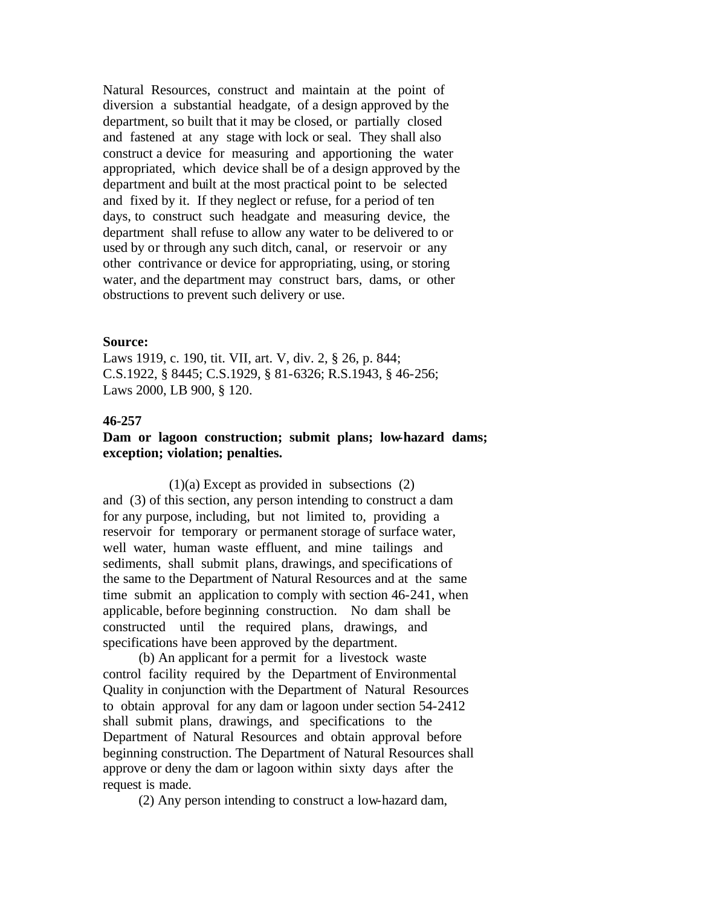Natural Resources, construct and maintain at the point of diversion a substantial headgate, of a design approved by the department, so built that it may be closed, or partially closed and fastened at any stage with lock or seal. They shall also construct a device for measuring and apportioning the water appropriated, which device shall be of a design approved by the department and built at the most practical point to be selected and fixed by it. If they neglect or refuse, for a period of ten days, to construct such headgate and measuring device, the department shall refuse to allow any water to be delivered to or used by or through any such ditch, canal, or reservoir or any other contrivance or device for appropriating, using, or storing water, and the department may construct bars, dams, or other obstructions to prevent such delivery or use.

#### **Source:**

Laws 1919, c. 190, tit. VII, art. V, div. 2, § 26, p. 844; C.S.1922, § 8445; C.S.1929, § 81-6326; R.S.1943, § 46-256; Laws 2000, LB 900, § 120.

### **46-257**

### **Dam or lagoon construction; submit plans; low-hazard dams; exception; violation; penalties.**

 (1)(a) Except as provided in subsections (2) and (3) of this section, any person intending to construct a dam for any purpose, including, but not limited to, providing a reservoir for temporary or permanent storage of surface water, well water, human waste effluent, and mine tailings and sediments, shall submit plans, drawings, and specifications of the same to the Department of Natural Resources and at the same time submit an application to comply with section 46-241, when applicable, before beginning construction. No dam shall be constructed until the required plans, drawings, and specifications have been approved by the department.

 (b) An applicant for a permit for a livestock waste control facility required by the Department of Environmental Quality in conjunction with the Department of Natural Resources to obtain approval for any dam or lagoon under section 54-2412 shall submit plans, drawings, and specifications to the Department of Natural Resources and obtain approval before beginning construction. The Department of Natural Resources shall approve or deny the dam or lagoon within sixty days after the request is made.

(2) Any person intending to construct a low-hazard dam,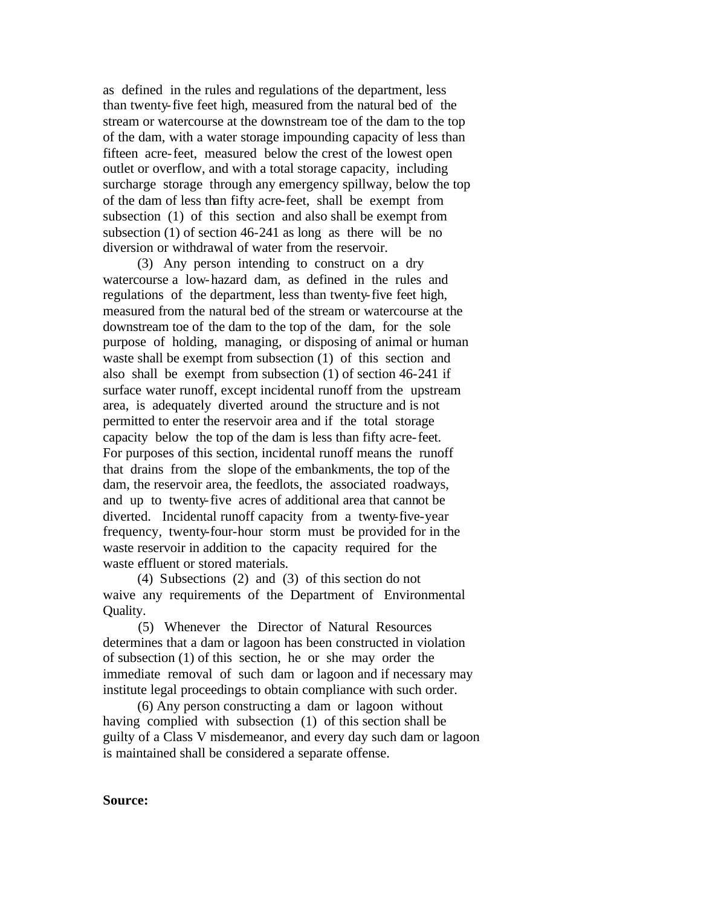as defined in the rules and regulations of the department, less than twenty-five feet high, measured from the natural bed of the stream or watercourse at the downstream toe of the dam to the top of the dam, with a water storage impounding capacity of less than fifteen acre-feet, measured below the crest of the lowest open outlet or overflow, and with a total storage capacity, including surcharge storage through any emergency spillway, below the top of the dam of less than fifty acre-feet, shall be exempt from subsection (1) of this section and also shall be exempt from subsection (1) of section 46-241 as long as there will be no diversion or withdrawal of water from the reservoir.

 (3) Any person intending to construct on a dry watercourse a low-hazard dam, as defined in the rules and regulations of the department, less than twenty-five feet high, measured from the natural bed of the stream or watercourse at the downstream toe of the dam to the top of the dam, for the sole purpose of holding, managing, or disposing of animal or human waste shall be exempt from subsection (1) of this section and also shall be exempt from subsection (1) of section 46-241 if surface water runoff, except incidental runoff from the upstream area, is adequately diverted around the structure and is not permitted to enter the reservoir area and if the total storage capacity below the top of the dam is less than fifty acre-feet. For purposes of this section, incidental runoff means the runoff that drains from the slope of the embankments, the top of the dam, the reservoir area, the feedlots, the associated roadways, and up to twenty-five acres of additional area that cannot be diverted. Incidental runoff capacity from a twenty-five-year frequency, twenty-four-hour storm must be provided for in the waste reservoir in addition to the capacity required for the waste effluent or stored materials.

 (4) Subsections (2) and (3) of this section do not waive any requirements of the Department of Environmental Quality.

 (5) Whenever the Director of Natural Resources determines that a dam or lagoon has been constructed in violation of subsection (1) of this section, he or she may order the immediate removal of such dam or lagoon and if necessary may institute legal proceedings to obtain compliance with such order.

 (6) Any person constructing a dam or lagoon without having complied with subsection (1) of this section shall be guilty of a Class V misdemeanor, and every day such dam or lagoon is maintained shall be considered a separate offense.

#### **Source:**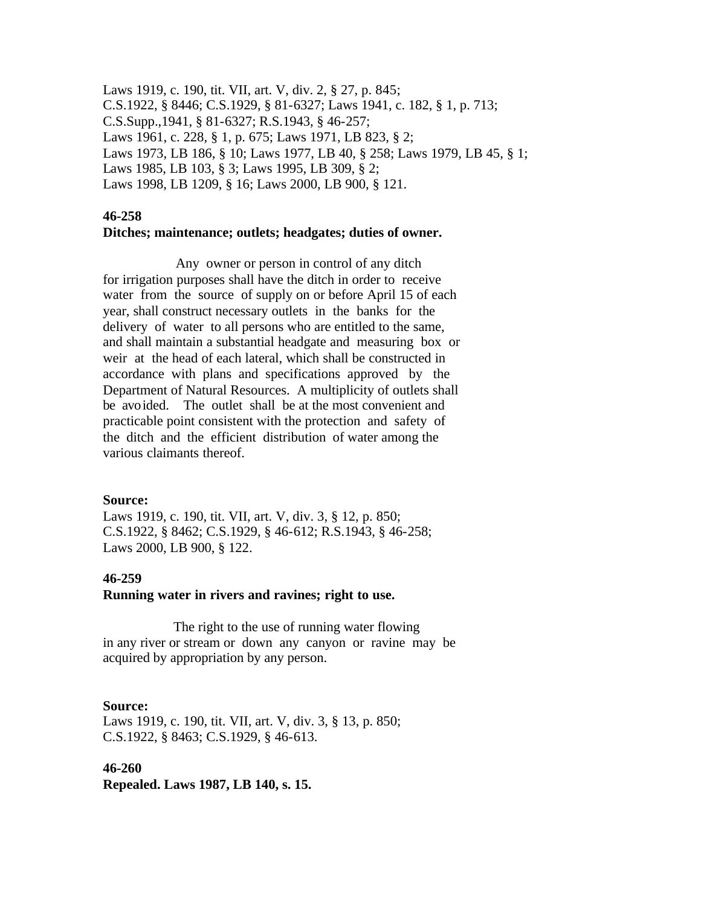Laws 1919, c. 190, tit. VII, art. V, div. 2, § 27, p. 845; C.S.1922, § 8446; C.S.1929, § 81-6327; Laws 1941, c. 182, § 1, p. 713; C.S.Supp.,1941, § 81-6327; R.S.1943, § 46-257; Laws 1961, c. 228, § 1, p. 675; Laws 1971, LB 823, § 2; Laws 1973, LB 186, § 10; Laws 1977, LB 40, § 258; Laws 1979, LB 45, § 1; Laws 1985, LB 103, § 3; Laws 1995, LB 309, § 2; Laws 1998, LB 1209, § 16; Laws 2000, LB 900, § 121.

### **46-258**

#### **Ditches; maintenance; outlets; headgates; duties of owner.**

 Any owner or person in control of any ditch for irrigation purposes shall have the ditch in order to receive water from the source of supply on or before April 15 of each year, shall construct necessary outlets in the banks for the delivery of water to all persons who are entitled to the same, and shall maintain a substantial headgate and measuring box or weir at the head of each lateral, which shall be constructed in accordance with plans and specifications approved by the Department of Natural Resources. A multiplicity of outlets shall be avoided. The outlet shall be at the most convenient and practicable point consistent with the protection and safety of the ditch and the efficient distribution of water among the various claimants thereof.

#### **Source:**

Laws 1919, c. 190, tit. VII, art. V, div. 3, § 12, p. 850; C.S.1922, § 8462; C.S.1929, § 46-612; R.S.1943, § 46-258; Laws 2000, LB 900, § 122.

#### **46-259**

#### **Running water in rivers and ravines; right to use.**

 The right to the use of running water flowing in any river or stream or down any canyon or ravine may be acquired by appropriation by any person.

### **Source:**

Laws 1919, c. 190, tit. VII, art. V, div. 3, § 13, p. 850; C.S.1922, § 8463; C.S.1929, § 46-613.

# **46-260**

**Repealed. Laws 1987, LB 140, s. 15.**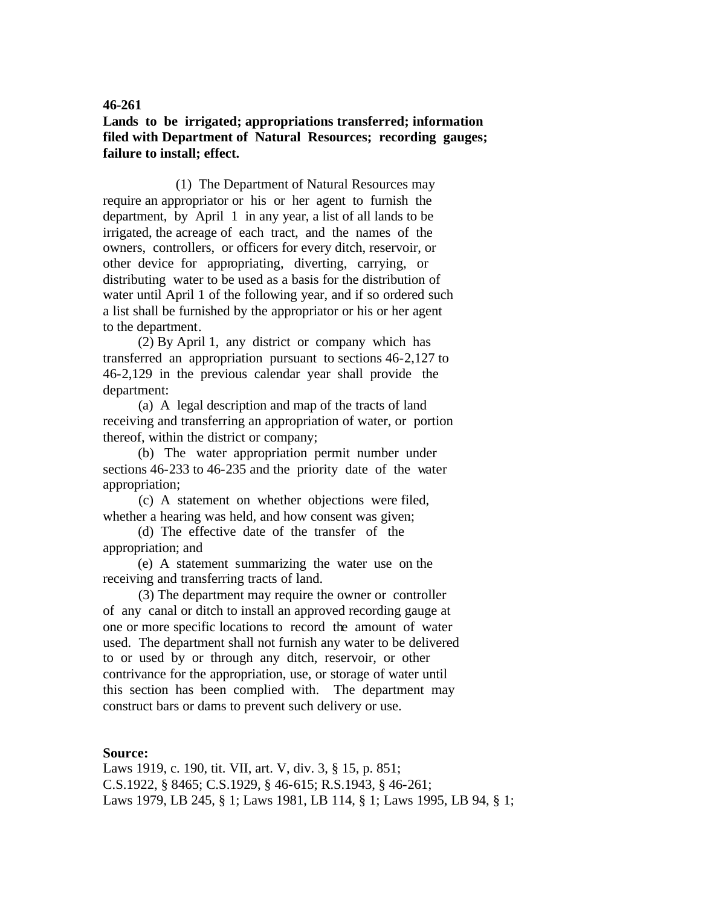**46-261**

# **Lands to be irrigated; appropriations transferred; information filed with Department of Natural Resources; recording gauges; failure to install; effect.**

 (1) The Department of Natural Resources may require an appropriator or his or her agent to furnish the department, by April 1 in any year, a list of all lands to be irrigated, the acreage of each tract, and the names of the owners, controllers, or officers for every ditch, reservoir, or other device for appropriating, diverting, carrying, or distributing water to be used as a basis for the distribution of water until April 1 of the following year, and if so ordered such a list shall be furnished by the appropriator or his or her agent to the department.

 (2) By April 1, any district or company which has transferred an appropriation pursuant to sections 46-2,127 to 46-2,129 in the previous calendar year shall provide the department:

 (a) A legal description and map of the tracts of land receiving and transferring an appropriation of water, or portion thereof, within the district or company;

 (b) The water appropriation permit number under sections 46-233 to 46-235 and the priority date of the water appropriation;

 (c) A statement on whether objections were filed, whether a hearing was held, and how consent was given;

 (d) The effective date of the transfer of the appropriation; and

 (e) A statement summarizing the water use on the receiving and transferring tracts of land.

 (3) The department may require the owner or controller of any canal or ditch to install an approved recording gauge at one or more specific locations to record the amount of water used. The department shall not furnish any water to be delivered to or used by or through any ditch, reservoir, or other contrivance for the appropriation, use, or storage of water until this section has been complied with. The department may construct bars or dams to prevent such delivery or use.

#### **Source:**

Laws 1919, c. 190, tit. VII, art. V, div. 3, § 15, p. 851; C.S.1922, § 8465; C.S.1929, § 46-615; R.S.1943, § 46-261; Laws 1979, LB 245, § 1; Laws 1981, LB 114, § 1; Laws 1995, LB 94, § 1;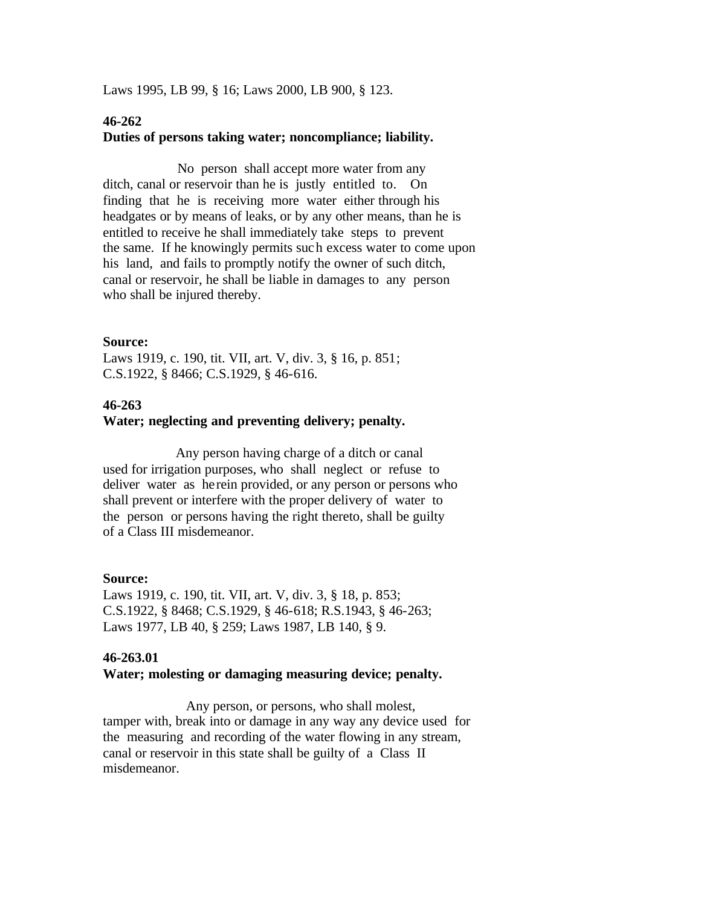Laws 1995, LB 99, § 16; Laws 2000, LB 900, § 123.

# **46-262 Duties of persons taking water; noncompliance; liability.**

 No person shall accept more water from any ditch, canal or reservoir than he is justly entitled to. On finding that he is receiving more water either through his headgates or by means of leaks, or by any other means, than he is entitled to receive he shall immediately take steps to prevent the same. If he knowingly permits such excess water to come upon his land, and fails to promptly notify the owner of such ditch, canal or reservoir, he shall be liable in damages to any person who shall be injured thereby.

#### **Source:**

Laws 1919, c. 190, tit. VII, art. V, div. 3, § 16, p. 851; C.S.1922, § 8466; C.S.1929, § 46-616.

# **46-263**

## **Water; neglecting and preventing delivery; penalty.**

 Any person having charge of a ditch or canal used for irrigation purposes, who shall neglect or refuse to deliver water as herein provided, or any person or persons who shall prevent or interfere with the proper delivery of water to the person or persons having the right thereto, shall be guilty of a Class III misdemeanor.

### **Source:**

Laws 1919, c. 190, tit. VII, art. V, div. 3, § 18, p. 853; C.S.1922, § 8468; C.S.1929, § 46-618; R.S.1943, § 46-263; Laws 1977, LB 40, § 259; Laws 1987, LB 140, § 9.

## **46-263.01**

#### **Water; molesting or damaging measuring device; penalty.**

 Any person, or persons, who shall molest, tamper with, break into or damage in any way any device used for the measuring and recording of the water flowing in any stream, canal or reservoir in this state shall be guilty of a Class II misdemeanor.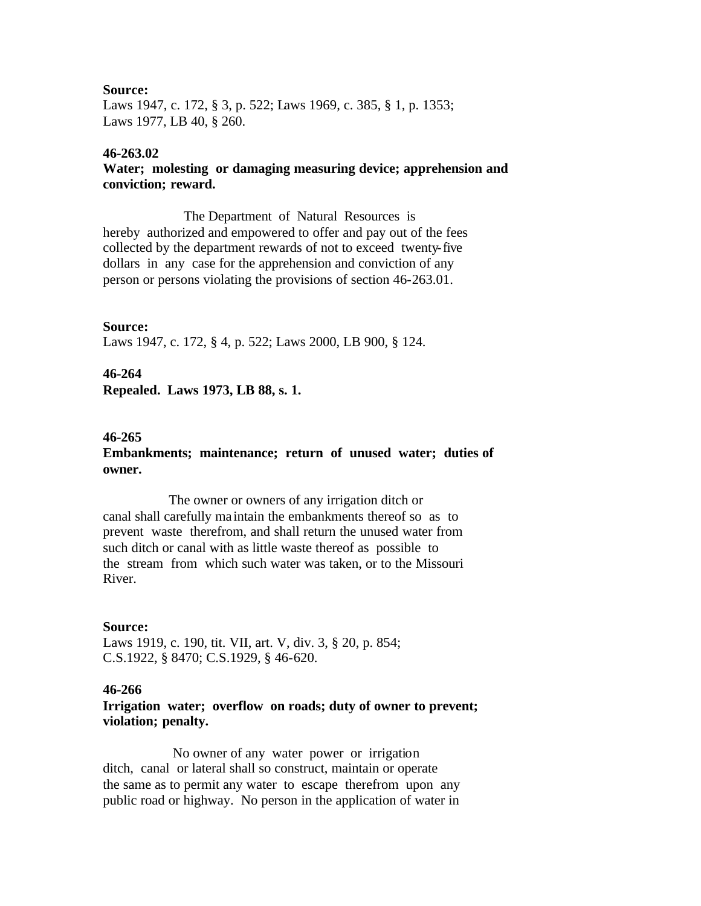### **Source:**

Laws 1947, c. 172, § 3, p. 522; Laws 1969, c. 385, § 1, p. 1353; Laws 1977, LB 40, § 260.

# **46-263.02**

**Water; molesting or damaging measuring device; apprehension and conviction; reward.**

 The Department of Natural Resources is hereby authorized and empowered to offer and pay out of the fees collected by the department rewards of not to exceed twenty-five dollars in any case for the apprehension and conviction of any person or persons violating the provisions of section 46-263.01.

## **Source:**

Laws 1947, c. 172, § 4, p. 522; Laws 2000, LB 900, § 124.

## **46-264**

**Repealed. Laws 1973, LB 88, s. 1.**

#### **46-265**

# **Embankments; maintenance; return of unused water; duties of owner.**

 The owner or owners of any irrigation ditch or canal shall carefully ma intain the embankments thereof so as to prevent waste therefrom, and shall return the unused water from such ditch or canal with as little waste thereof as possible to the stream from which such water was taken, or to the Missouri River.

#### **Source:**

Laws 1919, c. 190, tit. VII, art. V, div. 3, § 20, p. 854; C.S.1922, § 8470; C.S.1929, § 46-620.

### **46-266**

# **Irrigation water; overflow on roads; duty of owner to prevent; violation; penalty.**

 No owner of any water power or irrigation ditch, canal or lateral shall so construct, maintain or operate the same as to permit any water to escape therefrom upon any public road or highway. No person in the application of water in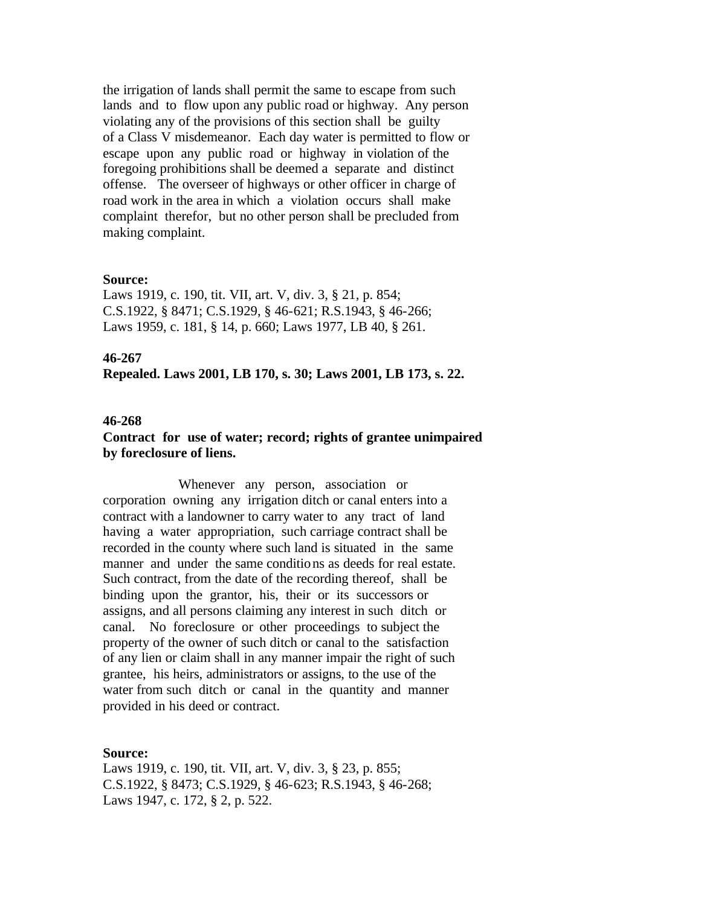the irrigation of lands shall permit the same to escape from such lands and to flow upon any public road or highway. Any person violating any of the provisions of this section shall be guilty of a Class V misdemeanor. Each day water is permitted to flow or escape upon any public road or highway in violation of the foregoing prohibitions shall be deemed a separate and distinct offense. The overseer of highways or other officer in charge of road work in the area in which a violation occurs shall make complaint therefor, but no other person shall be precluded from making complaint.

#### **Source:**

Laws 1919, c. 190, tit. VII, art. V, div. 3, § 21, p. 854; C.S.1922, § 8471; C.S.1929, § 46-621; R.S.1943, § 46-266; Laws 1959, c. 181, § 14, p. 660; Laws 1977, LB 40, § 261.

## **46-267**

**Repealed. Laws 2001, LB 170, s. 30; Laws 2001, LB 173, s. 22.**

### **46-268**

## **Contract for use of water; record; rights of grantee unimpaired by foreclosure of liens.**

 Whenever any person, association or corporation owning any irrigation ditch or canal enters into a contract with a landowner to carry water to any tract of land having a water appropriation, such carriage contract shall be recorded in the county where such land is situated in the same manner and under the same conditions as deeds for real estate. Such contract, from the date of the recording thereof, shall be binding upon the grantor, his, their or its successors or assigns, and all persons claiming any interest in such ditch or canal. No foreclosure or other proceedings to subject the property of the owner of such ditch or canal to the satisfaction of any lien or claim shall in any manner impair the right of such grantee, his heirs, administrators or assigns, to the use of the water from such ditch or canal in the quantity and manner provided in his deed or contract.

#### **Source:**

Laws 1919, c. 190, tit. VII, art. V, div. 3, § 23, p. 855; C.S.1922, § 8473; C.S.1929, § 46-623; R.S.1943, § 46-268; Laws 1947, c. 172, § 2, p. 522.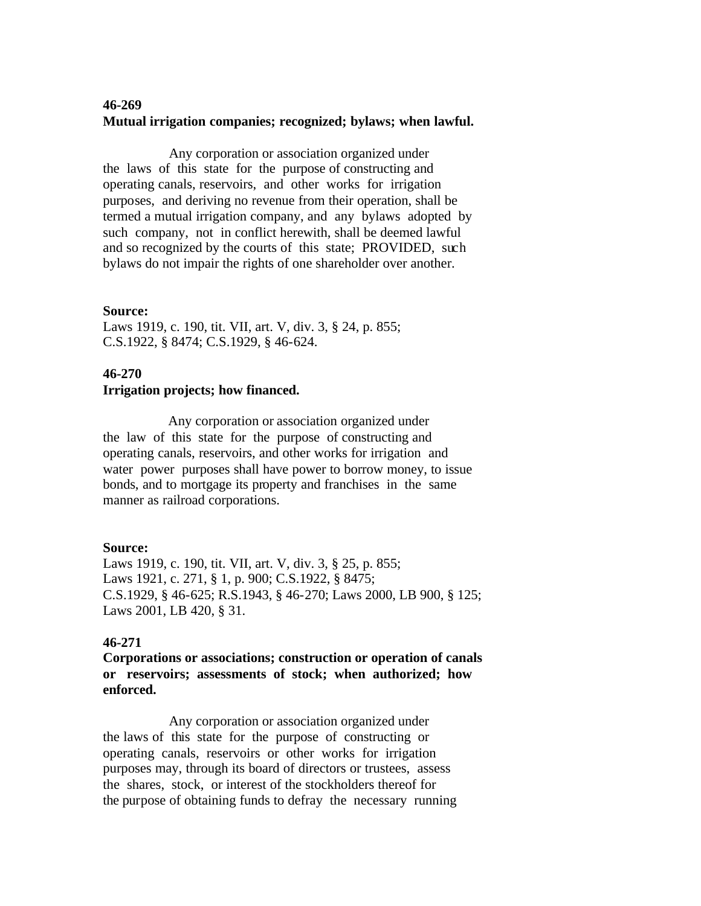# **46-269 Mutual irrigation companies; recognized; bylaws; when lawful.**

 Any corporation or association organized under the laws of this state for the purpose of constructing and operating canals, reservoirs, and other works for irrigation purposes, and deriving no revenue from their operation, shall be termed a mutual irrigation company, and any bylaws adopted by such company, not in conflict herewith, shall be deemed lawful and so recognized by the courts of this state; PROVIDED, such bylaws do not impair the rights of one shareholder over another.

## **Source:**

Laws 1919, c. 190, tit. VII, art. V, div. 3, § 24, p. 855; C.S.1922, § 8474; C.S.1929, § 46-624.

# **46-270**

## **Irrigation projects; how financed.**

 Any corporation or association organized under the law of this state for the purpose of constructing and operating canals, reservoirs, and other works for irrigation and water power purposes shall have power to borrow money, to issue bonds, and to mortgage its property and franchises in the same manner as railroad corporations.

## **Source:**

Laws 1919, c. 190, tit. VII, art. V, div. 3, § 25, p. 855; Laws 1921, c. 271, § 1, p. 900; C.S.1922, § 8475; C.S.1929, § 46-625; R.S.1943, § 46-270; Laws 2000, LB 900, § 125; Laws 2001, LB 420, § 31.

# **46-271**

**Corporations or associations; construction or operation of canals or reservoirs; assessments of stock; when authorized; how enforced.**

 Any corporation or association organized under the laws of this state for the purpose of constructing or operating canals, reservoirs or other works for irrigation purposes may, through its board of directors or trustees, assess the shares, stock, or interest of the stockholders thereof for the purpose of obtaining funds to defray the necessary running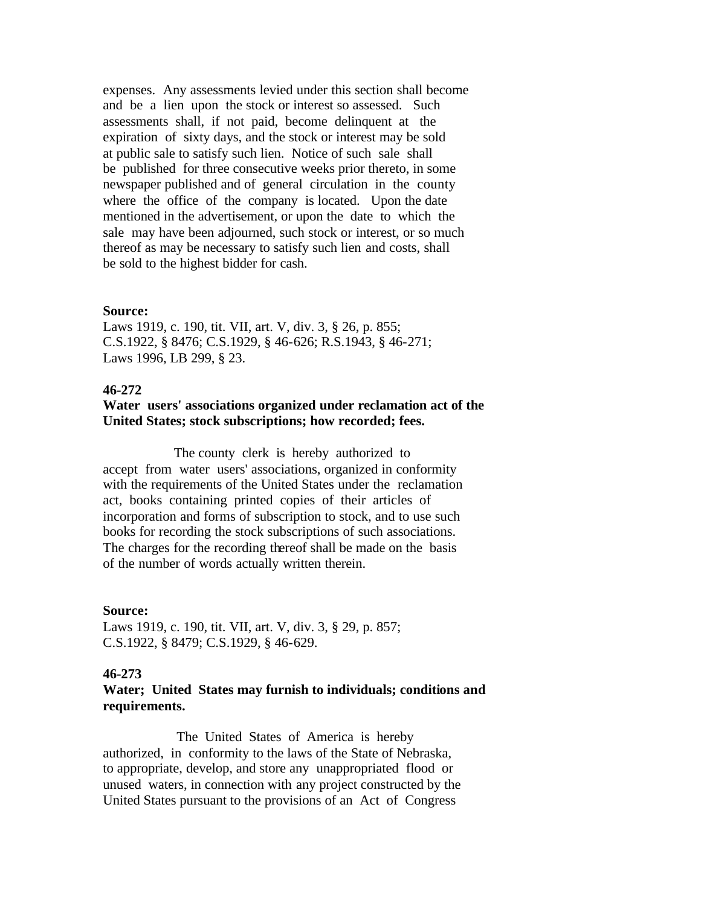expenses. Any assessments levied under this section shall become and be a lien upon the stock or interest so assessed. Such assessments shall, if not paid, become delinquent at the expiration of sixty days, and the stock or interest may be sold at public sale to satisfy such lien. Notice of such sale shall be published for three consecutive weeks prior thereto, in some newspaper published and of general circulation in the county where the office of the company is located. Upon the date mentioned in the advertisement, or upon the date to which the sale may have been adjourned, such stock or interest, or so much thereof as may be necessary to satisfy such lien and costs, shall be sold to the highest bidder for cash.

#### **Source:**

Laws 1919, c. 190, tit. VII, art. V, div. 3, § 26, p. 855; C.S.1922, § 8476; C.S.1929, § 46-626; R.S.1943, § 46-271; Laws 1996, LB 299, § 23.

# **46-272**

## **Water users' associations organized under reclamation act of the United States; stock subscriptions; how recorded; fees.**

 The county clerk is hereby authorized to accept from water users' associations, organized in conformity with the requirements of the United States under the reclamation act, books containing printed copies of their articles of incorporation and forms of subscription to stock, and to use such books for recording the stock subscriptions of such associations. The charges for the recording thereof shall be made on the basis of the number of words actually written therein.

#### **Source:**

Laws 1919, c. 190, tit. VII, art. V, div. 3, § 29, p. 857; C.S.1922, § 8479; C.S.1929, § 46-629.

#### **46-273**

# **Water; United States may furnish to individuals; conditions and requirements.**

 The United States of America is hereby authorized, in conformity to the laws of the State of Nebraska, to appropriate, develop, and store any unappropriated flood or unused waters, in connection with any project constructed by the United States pursuant to the provisions of an Act of Congress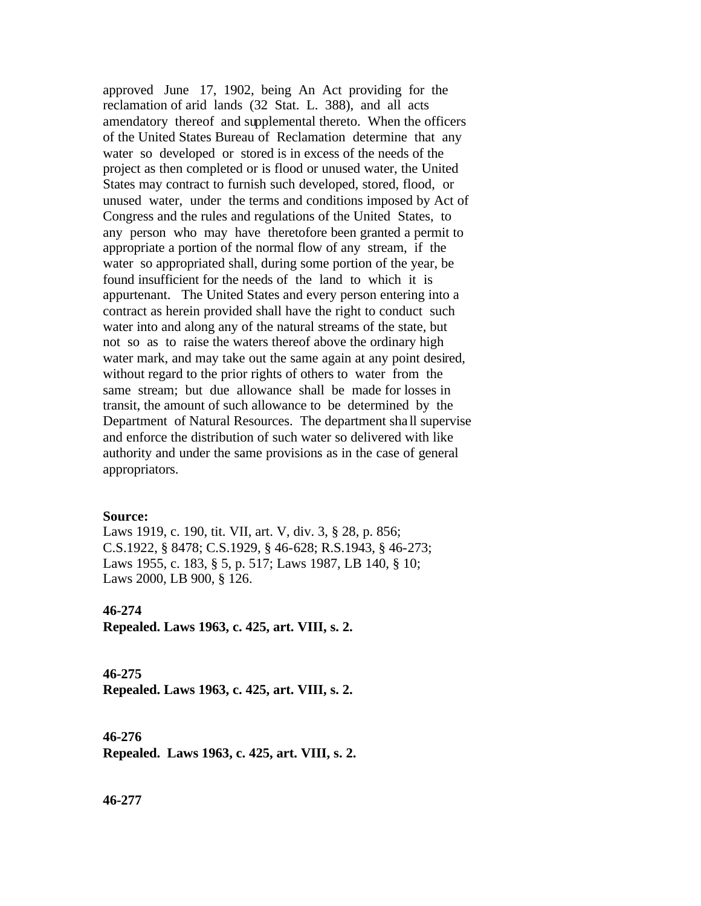approved June 17, 1902, being An Act providing for the reclamation of arid lands (32 Stat. L. 388), and all acts amendatory thereof and supplemental thereto. When the officers of the United States Bureau of Reclamation determine that any water so developed or stored is in excess of the needs of the project as then completed or is flood or unused water, the United States may contract to furnish such developed, stored, flood, or unused water, under the terms and conditions imposed by Act of Congress and the rules and regulations of the United States, to any person who may have theretofore been granted a permit to appropriate a portion of the normal flow of any stream, if the water so appropriated shall, during some portion of the year, be found insufficient for the needs of the land to which it is appurtenant. The United States and every person entering into a contract as herein provided shall have the right to conduct such water into and along any of the natural streams of the state, but not so as to raise the waters thereof above the ordinary high water mark, and may take out the same again at any point desired, without regard to the prior rights of others to water from the same stream; but due allowance shall be made for losses in transit, the amount of such allowance to be determined by the Department of Natural Resources. The department sha ll supervise and enforce the distribution of such water so delivered with like authority and under the same provisions as in the case of general appropriators.

#### **Source:**

Laws 1919, c. 190, tit. VII, art. V, div. 3, § 28, p. 856; C.S.1922, § 8478; C.S.1929, § 46-628; R.S.1943, § 46-273; Laws 1955, c. 183, § 5, p. 517; Laws 1987, LB 140, § 10; Laws 2000, LB 900, § 126.

# **46-274**

**Repealed. Laws 1963, c. 425, art. VIII, s. 2.**

#### **46-275**

**Repealed. Laws 1963, c. 425, art. VIII, s. 2.**

# **46-276**

**Repealed. Laws 1963, c. 425, art. VIII, s. 2.**

## **46-277**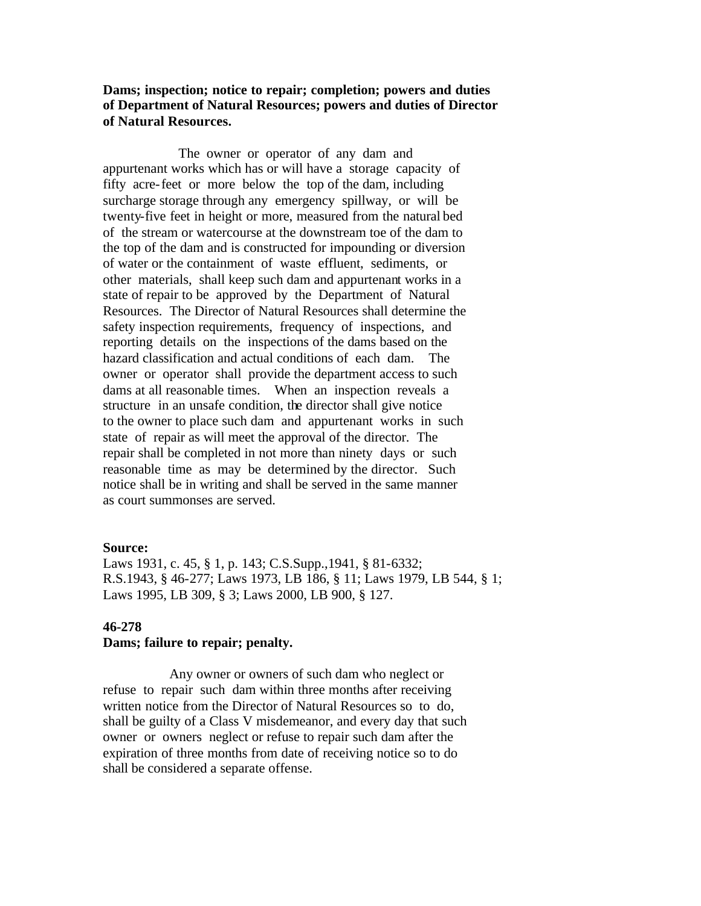**Dams; inspection; notice to repair; completion; powers and duties of Department of Natural Resources; powers and duties of Director of Natural Resources.**

 The owner or operator of any dam and appurtenant works which has or will have a storage capacity of fifty acre-feet or more below the top of the dam, including surcharge storage through any emergency spillway, or will be twenty-five feet in height or more, measured from the natural bed of the stream or watercourse at the downstream toe of the dam to the top of the dam and is constructed for impounding or diversion of water or the containment of waste effluent, sediments, or other materials, shall keep such dam and appurtenant works in a state of repair to be approved by the Department of Natural Resources. The Director of Natural Resources shall determine the safety inspection requirements, frequency of inspections, and reporting details on the inspections of the dams based on the hazard classification and actual conditions of each dam. The owner or operator shall provide the department access to such dams at all reasonable times. When an inspection reveals a structure in an unsafe condition, the director shall give notice to the owner to place such dam and appurtenant works in such state of repair as will meet the approval of the director. The repair shall be completed in not more than ninety days or such reasonable time as may be determined by the director. Such notice shall be in writing and shall be served in the same manner as court summonses are served.

### **Source:**

Laws 1931, c. 45, § 1, p. 143; C.S.Supp.,1941, § 81-6332; R.S.1943, § 46-277; Laws 1973, LB 186, § 11; Laws 1979, LB 544, § 1; Laws 1995, LB 309, § 3; Laws 2000, LB 900, § 127.

#### **46-278**

#### **Dams; failure to repair; penalty.**

 Any owner or owners of such dam who neglect or refuse to repair such dam within three months after receiving written notice from the Director of Natural Resources so to do, shall be guilty of a Class V misdemeanor, and every day that such owner or owners neglect or refuse to repair such dam after the expiration of three months from date of receiving notice so to do shall be considered a separate offense.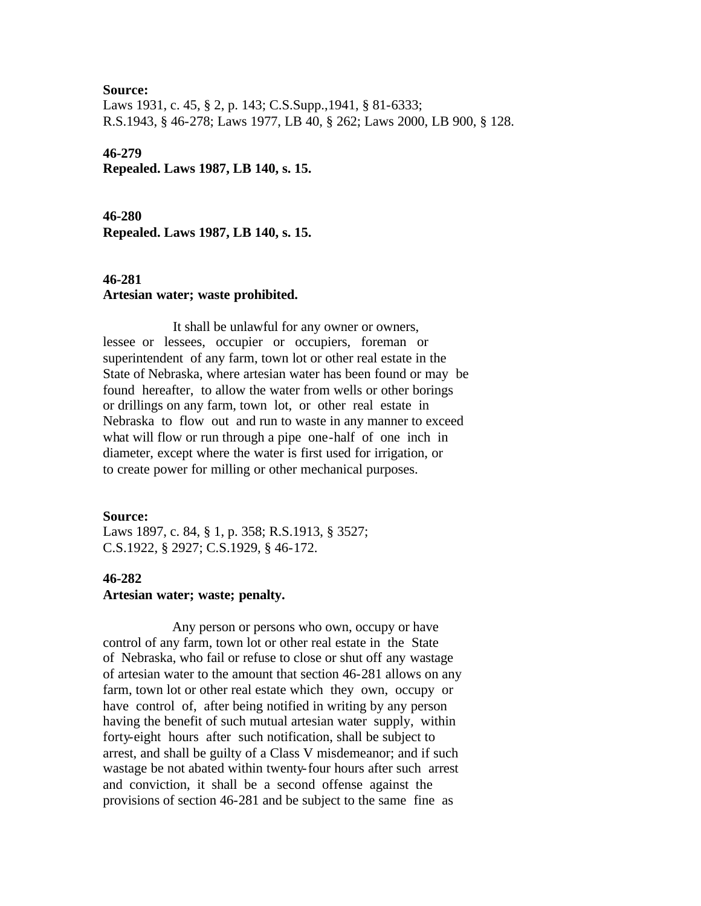**Source:** Laws 1931, c. 45, § 2, p. 143; C.S.Supp.,1941, § 81-6333; R.S.1943, § 46-278; Laws 1977, LB 40, § 262; Laws 2000, LB 900, § 128.

**46-279 Repealed. Laws 1987, LB 140, s. 15.**

**46-280 Repealed. Laws 1987, LB 140, s. 15.**

# **46-281 Artesian water; waste prohibited.**

 It shall be unlawful for any owner or owners, lessee or lessees, occupier or occupiers, foreman or superintendent of any farm, town lot or other real estate in the State of Nebraska, where artesian water has been found or may be found hereafter, to allow the water from wells or other borings or drillings on any farm, town lot, or other real estate in Nebraska to flow out and run to waste in any manner to exceed what will flow or run through a pipe one-half of one inch in diameter, except where the water is first used for irrigation, or to create power for milling or other mechanical purposes.

#### **Source:**

Laws 1897, c. 84, § 1, p. 358; R.S.1913, § 3527; C.S.1922, § 2927; C.S.1929, § 46-172.

## **46-282**

#### **Artesian water; waste; penalty.**

 Any person or persons who own, occupy or have control of any farm, town lot or other real estate in the State of Nebraska, who fail or refuse to close or shut off any wastage of artesian water to the amount that section 46-281 allows on any farm, town lot or other real estate which they own, occupy or have control of, after being notified in writing by any person having the benefit of such mutual artesian water supply, within forty-eight hours after such notification, shall be subject to arrest, and shall be guilty of a Class V misdemeanor; and if such wastage be not abated within twenty-four hours after such arrest and conviction, it shall be a second offense against the provisions of section 46-281 and be subject to the same fine as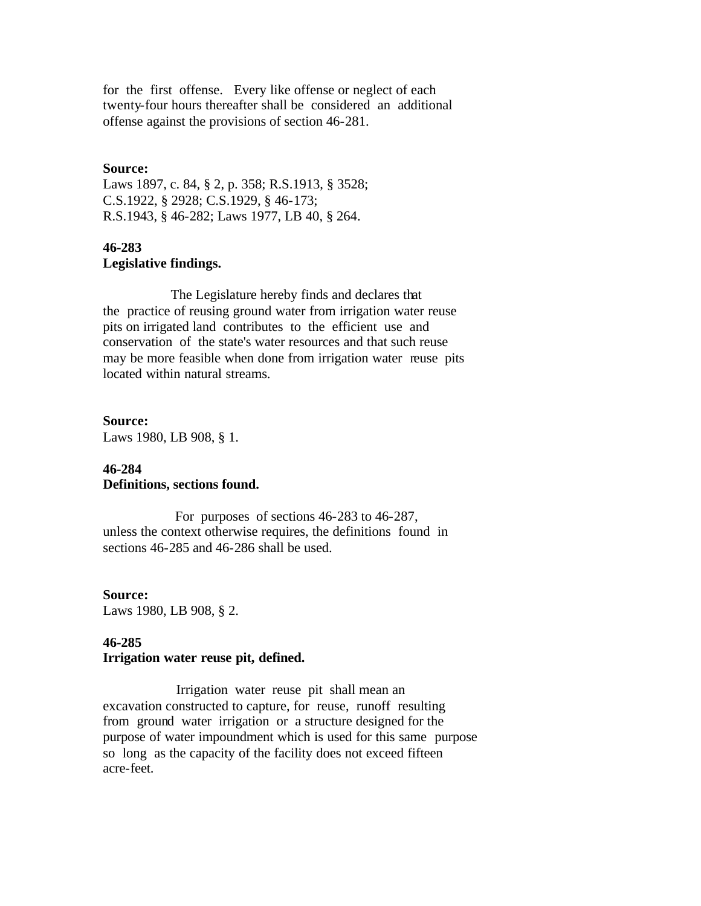for the first offense. Every like offense or neglect of each twenty-four hours thereafter shall be considered an additional offense against the provisions of section 46-281.

#### **Source:**

Laws 1897, c. 84, § 2, p. 358; R.S.1913, § 3528; C.S.1922, § 2928; C.S.1929, § 46-173; R.S.1943, § 46-282; Laws 1977, LB 40, § 264.

# **46-283 Legislative findings.**

 The Legislature hereby finds and declares that the practice of reusing ground water from irrigation water reuse pits on irrigated land contributes to the efficient use and conservation of the state's water resources and that such reuse may be more feasible when done from irrigation water reuse pits located within natural streams.

**Source:** Laws 1980, LB 908, § 1.

# **46-284 Definitions, sections found.**

 For purposes of sections 46-283 to 46-287, unless the context otherwise requires, the definitions found in sections 46-285 and 46-286 shall be used.

**Source:** Laws 1980, LB 908, § 2.

# **46-285**

## **Irrigation water reuse pit, defined.**

 Irrigation water reuse pit shall mean an excavation constructed to capture, for reuse, runoff resulting from ground water irrigation or a structure designed for the purpose of water impoundment which is used for this same purpose so long as the capacity of the facility does not exceed fifteen acre-feet.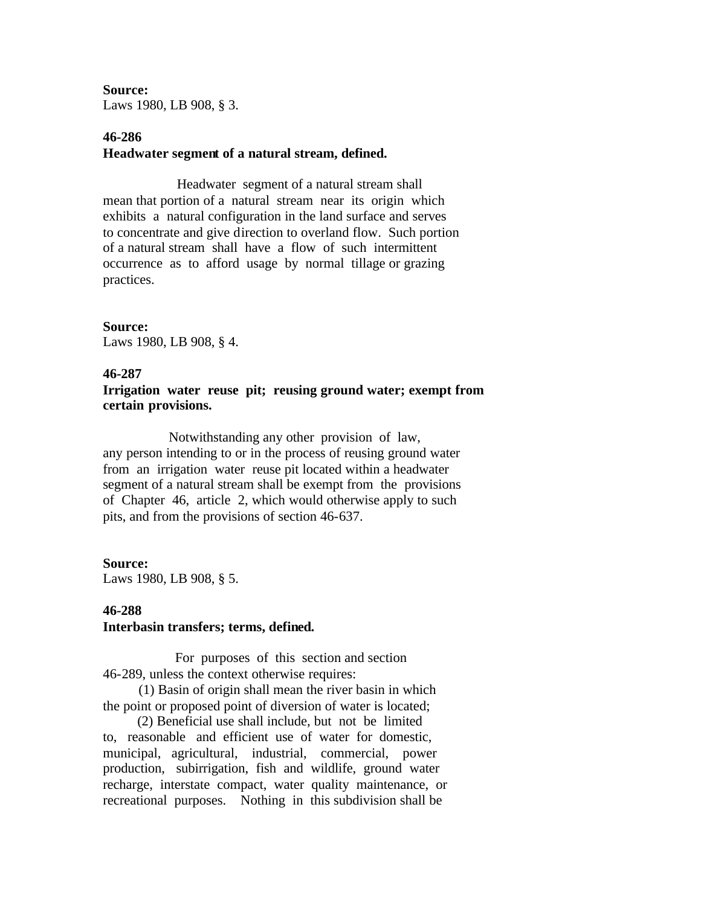**Source:** Laws 1980, LB 908, § 3.

# **46-286 Headwater segment of a natural stream, defined.**

 Headwater segment of a natural stream shall mean that portion of a natural stream near its origin which exhibits a natural configuration in the land surface and serves to concentrate and give direction to overland flow. Such portion of a natural stream shall have a flow of such intermittent occurrence as to afford usage by normal tillage or grazing practices.

# **Source:**

Laws 1980, LB 908, § 4.

# **46-287**

**Irrigation water reuse pit; reusing ground water; exempt from certain provisions.**

 Notwithstanding any other provision of law, any person intending to or in the process of reusing ground water from an irrigation water reuse pit located within a headwater segment of a natural stream shall be exempt from the provisions of Chapter 46, article 2, which would otherwise apply to such pits, and from the provisions of section 46-637.

#### **Source:**

Laws 1980, LB 908, § 5.

# **46-288**

### **Interbasin transfers; terms, defined.**

 For purposes of this section and section 46-289, unless the context otherwise requires:

 (1) Basin of origin shall mean the river basin in which the point or proposed point of diversion of water is located;

 (2) Beneficial use shall include, but not be limited to, reasonable and efficient use of water for domestic, municipal, agricultural, industrial, commercial, power production, subirrigation, fish and wildlife, ground water recharge, interstate compact, water quality maintenance, or recreational purposes. Nothing in this subdivision shall be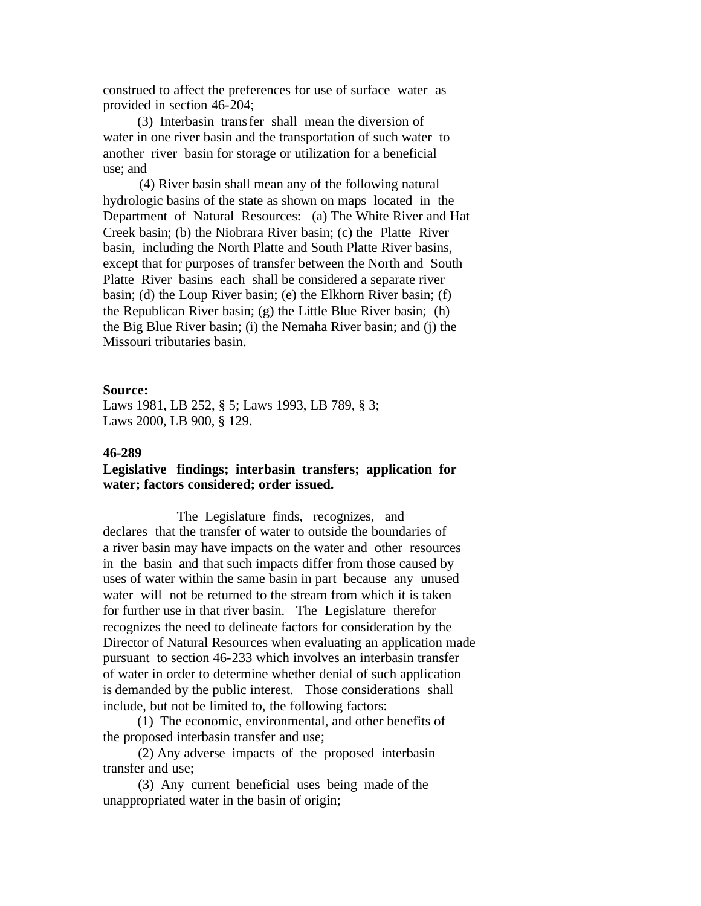construed to affect the preferences for use of surface water as provided in section 46-204;

 (3) Interbasin transfer shall mean the diversion of water in one river basin and the transportation of such water to another river basin for storage or utilization for a beneficial use; and

 (4) River basin shall mean any of the following natural hydrologic basins of the state as shown on maps located in the Department of Natural Resources: (a) The White River and Hat Creek basin; (b) the Niobrara River basin; (c) the Platte River basin, including the North Platte and South Platte River basins, except that for purposes of transfer between the North and South Platte River basins each shall be considered a separate river basin; (d) the Loup River basin; (e) the Elkhorn River basin; (f) the Republican River basin; (g) the Little Blue River basin; (h) the Big Blue River basin; (i) the Nemaha River basin; and (j) the Missouri tributaries basin.

#### **Source:**

Laws 1981, LB 252, § 5; Laws 1993, LB 789, § 3; Laws 2000, LB 900, § 129.

## **46-289**

## **Legislative findings; interbasin transfers; application for water; factors considered; order issued.**

 The Legislature finds, recognizes, and declares that the transfer of water to outside the boundaries of a river basin may have impacts on the water and other resources in the basin and that such impacts differ from those caused by uses of water within the same basin in part because any unused water will not be returned to the stream from which it is taken for further use in that river basin. The Legislature therefor recognizes the need to delineate factors for consideration by the Director of Natural Resources when evaluating an application made pursuant to section 46-233 which involves an interbasin transfer of water in order to determine whether denial of such application is demanded by the public interest. Those considerations shall include, but not be limited to, the following factors:

 (1) The economic, environmental, and other benefits of the proposed interbasin transfer and use;

 (2) Any adverse impacts of the proposed interbasin transfer and use;

 (3) Any current beneficial uses being made of the unappropriated water in the basin of origin;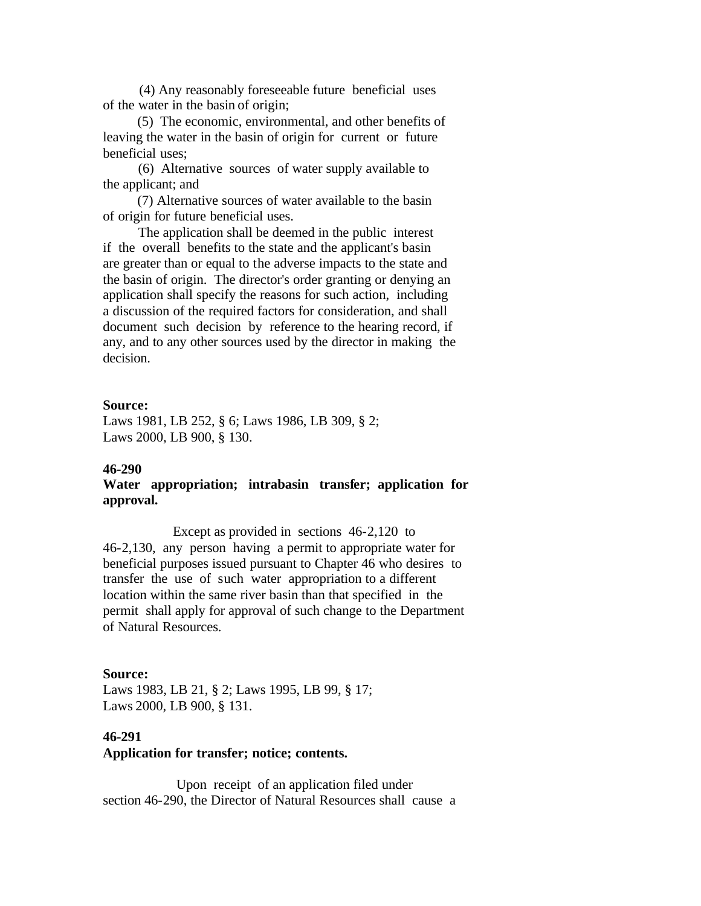(4) Any reasonably foreseeable future beneficial uses of the water in the basin of origin;

 (5) The economic, environmental, and other benefits of leaving the water in the basin of origin for current or future beneficial uses;

 (6) Alternative sources of water supply available to the applicant; and

 (7) Alternative sources of water available to the basin of origin for future beneficial uses.

 The application shall be deemed in the public interest if the overall benefits to the state and the applicant's basin are greater than or equal to the adverse impacts to the state and the basin of origin. The director's order granting or denying an application shall specify the reasons for such action, including a discussion of the required factors for consideration, and shall document such decision by reference to the hearing record, if any, and to any other sources used by the director in making the decision.

#### **Source:**

Laws 1981, LB 252, § 6; Laws 1986, LB 309, § 2; Laws 2000, LB 900, § 130.

#### **46-290**

# **Water appropriation; intrabasin transfer; application for approval.**

 Except as provided in sections 46-2,120 to 46-2,130, any person having a permit to appropriate water for beneficial purposes issued pursuant to Chapter 46 who desires to transfer the use of such water appropriation to a different location within the same river basin than that specified in the permit shall apply for approval of such change to the Department of Natural Resources.

#### **Source:**

Laws 1983, LB 21, § 2; Laws 1995, LB 99, § 17; Laws 2000, LB 900, § 131.

# **46-291**

#### **Application for transfer; notice; contents.**

 Upon receipt of an application filed under section 46-290, the Director of Natural Resources shall cause a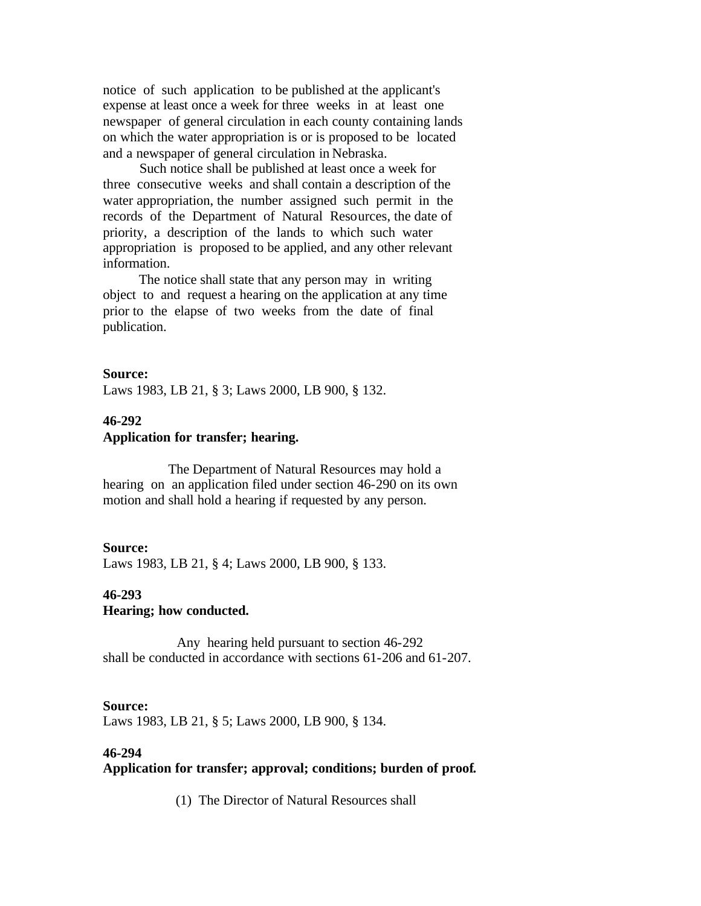notice of such application to be published at the applicant's expense at least once a week for three weeks in at least one newspaper of general circulation in each county containing lands on which the water appropriation is or is proposed to be located and a newspaper of general circulation in Nebraska.

 Such notice shall be published at least once a week for three consecutive weeks and shall contain a description of the water appropriation, the number assigned such permit in the records of the Department of Natural Resources, the date of priority, a description of the lands to which such water appropriation is proposed to be applied, and any other relevant information.

 The notice shall state that any person may in writing object to and request a hearing on the application at any time prior to the elapse of two weeks from the date of final publication.

#### **Source:**

Laws 1983, LB 21, § 3; Laws 2000, LB 900, § 132.

# **46-292**

#### **Application for transfer; hearing.**

 The Department of Natural Resources may hold a hearing on an application filed under section 46-290 on its own motion and shall hold a hearing if requested by any person.

# **Source:**

Laws 1983, LB 21, § 4; Laws 2000, LB 900, § 133.

# **46-293**

### **Hearing; how conducted.**

 Any hearing held pursuant to section 46-292 shall be conducted in accordance with sections 61-206 and 61-207.

### **Source:**

Laws 1983, LB 21, § 5; Laws 2000, LB 900, § 134.

#### **46-294**

## **Application for transfer; approval; conditions; burden of proof.**

(1) The Director of Natural Resources shall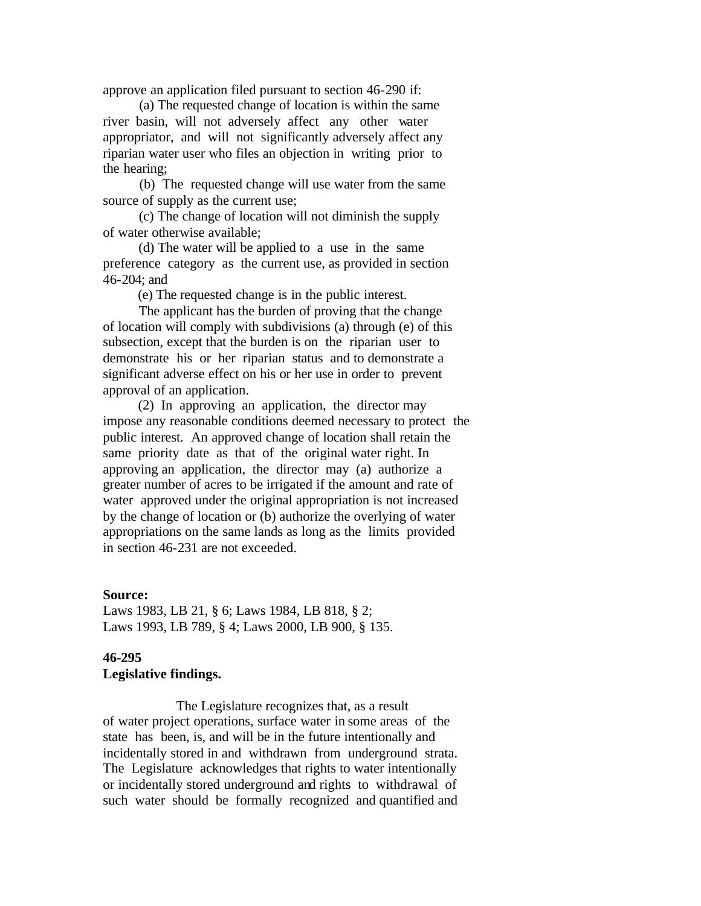approve an application filed pursuant to section 46-290 if:

 (a) The requested change of location is within the same river basin, will not adversely affect any other water appropriator, and will not significantly adversely affect any riparian water user who files an objection in writing prior to the hearing;

 (b) The requested change will use water from the same source of supply as the current use;

 (c) The change of location will not diminish the supply of water otherwise available;

 (d) The water will be applied to a use in the same preference category as the current use, as provided in section 46-204; and

(e) The requested change is in the public interest.

 The applicant has the burden of proving that the change of location will comply with subdivisions (a) through (e) of this subsection, except that the burden is on the riparian user to demonstrate his or her riparian status and to demonstrate a significant adverse effect on his or her use in order to prevent approval of an application.

 (2) In approving an application, the director may impose any reasonable conditions deemed necessary to protect the public interest. An approved change of location shall retain the same priority date as that of the original water right. In approving an application, the director may (a) authorize a greater number of acres to be irrigated if the amount and rate of water approved under the original appropriation is not increased by the change of location or (b) authorize the overlying of water appropriations on the same lands as long as the limits provided in section 46-231 are not exceeded.

#### **Source:**

Laws 1983, LB 21, § 6; Laws 1984, LB 818, § 2; Laws 1993, LB 789, § 4; Laws 2000, LB 900, § 135.

## **46-295 Legislative findings.**

 The Legislature recognizes that, as a result of water project operations, surface water in some areas of the state has been, is, and will be in the future intentionally and incidentally stored in and withdrawn from underground strata. The Legislature acknowledges that rights to water intentionally or incidentally stored underground and rights to withdrawal of such water should be formally recognized and quantified and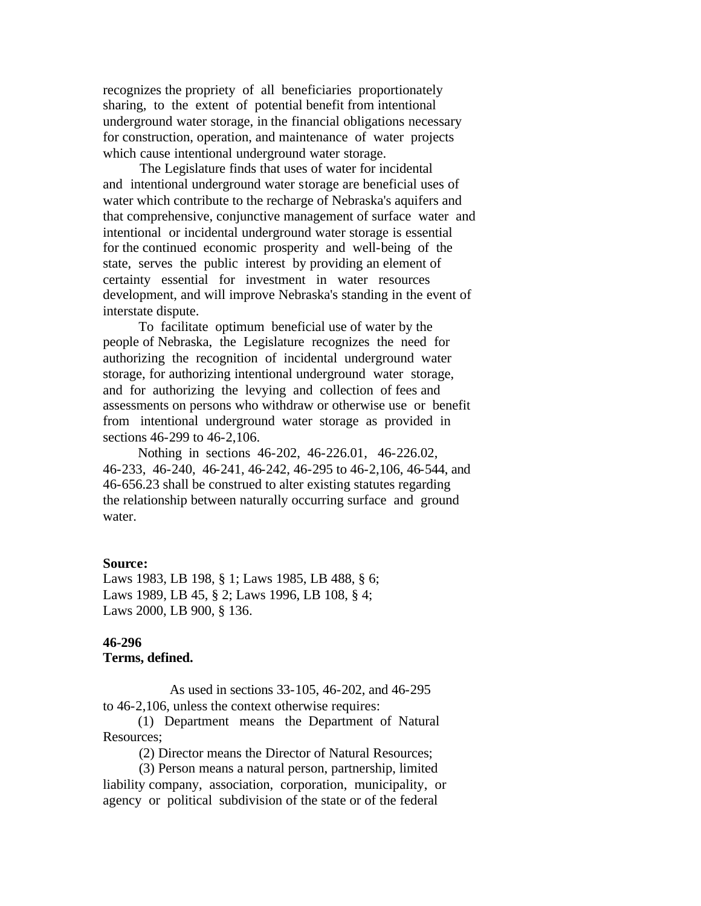recognizes the propriety of all beneficiaries proportionately sharing, to the extent of potential benefit from intentional underground water storage, in the financial obligations necessary for construction, operation, and maintenance of water projects which cause intentional underground water storage.

 The Legislature finds that uses of water for incidental and intentional underground water storage are beneficial uses of water which contribute to the recharge of Nebraska's aquifers and that comprehensive, conjunctive management of surface water and intentional or incidental underground water storage is essential for the continued economic prosperity and well-being of the state, serves the public interest by providing an element of certainty essential for investment in water resources development, and will improve Nebraska's standing in the event of interstate dispute.

 To facilitate optimum beneficial use of water by the people of Nebraska, the Legislature recognizes the need for authorizing the recognition of incidental underground water storage, for authorizing intentional underground water storage, and for authorizing the levying and collection of fees and assessments on persons who withdraw or otherwise use or benefit from intentional underground water storage as provided in sections 46-299 to 46-2,106.

 Nothing in sections 46-202, 46-226.01, 46-226.02, 46-233, 46-240, 46-241, 46-242, 46-295 to 46-2,106, 46-544, and 46-656.23 shall be construed to alter existing statutes regarding the relationship between naturally occurring surface and ground water.

# **Source:**

Laws 1983, LB 198, § 1; Laws 1985, LB 488, § 6; Laws 1989, LB 45, § 2; Laws 1996, LB 108, § 4; Laws 2000, LB 900, § 136.

## **46-296 Terms, defined.**

 As used in sections 33-105, 46-202, and 46-295 to 46-2,106, unless the context otherwise requires:

 (1) Department means the Department of Natural Resources;

(2) Director means the Director of Natural Resources;

 (3) Person means a natural person, partnership, limited liability company, association, corporation, municipality, or agency or political subdivision of the state or of the federal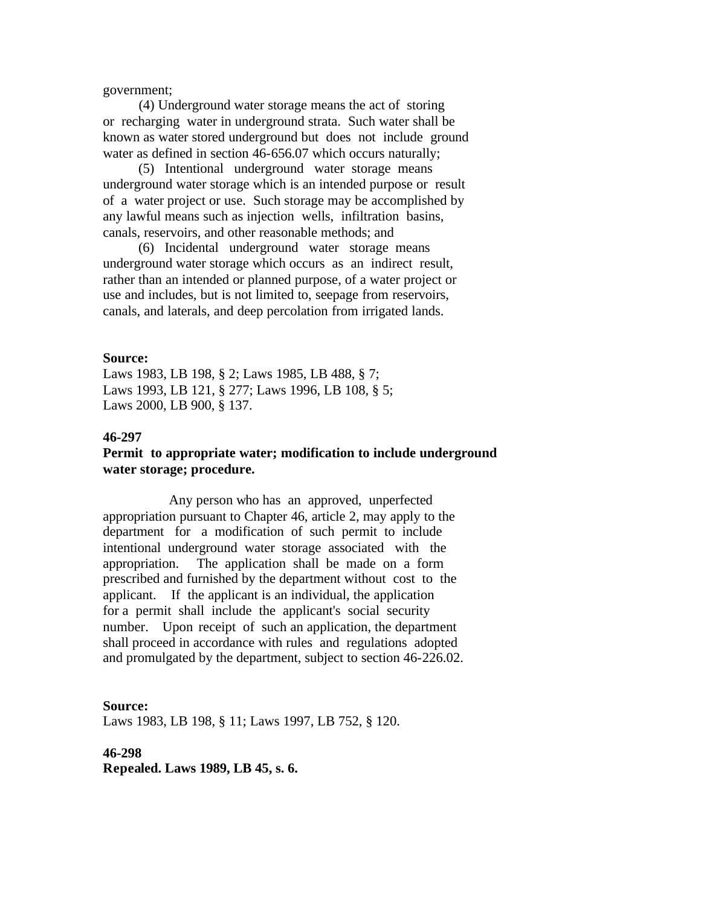government;

 (4) Underground water storage means the act of storing or recharging water in underground strata. Such water shall be known as water stored underground but does not include ground water as defined in section 46-656.07 which occurs naturally;

 (5) Intentional underground water storage means underground water storage which is an intended purpose or result of a water project or use. Such storage may be accomplished by any lawful means such as injection wells, infiltration basins, canals, reservoirs, and other reasonable methods; and

 (6) Incidental underground water storage means underground water storage which occurs as an indirect result, rather than an intended or planned purpose, of a water project or use and includes, but is not limited to, seepage from reservoirs, canals, and laterals, and deep percolation from irrigated lands.

#### **Source:**

Laws 1983, LB 198, § 2; Laws 1985, LB 488, § 7; Laws 1993, LB 121, § 277; Laws 1996, LB 108, § 5; Laws 2000, LB 900, § 137.

#### **46-297**

# **Permit to appropriate water; modification to include underground water storage; procedure.**

 Any person who has an approved, unperfected appropriation pursuant to Chapter 46, article 2, may apply to the department for a modification of such permit to include intentional underground water storage associated with the appropriation. The application shall be made on a form prescribed and furnished by the department without cost to the applicant. If the applicant is an individual, the application for a permit shall include the applicant's social security number. Upon receipt of such an application, the department shall proceed in accordance with rules and regulations adopted and promulgated by the department, subject to section 46-226.02.

**Source:** Laws 1983, LB 198, § 11; Laws 1997, LB 752, § 120.

#### **46-298 Repealed. Laws 1989, LB 45, s. 6.**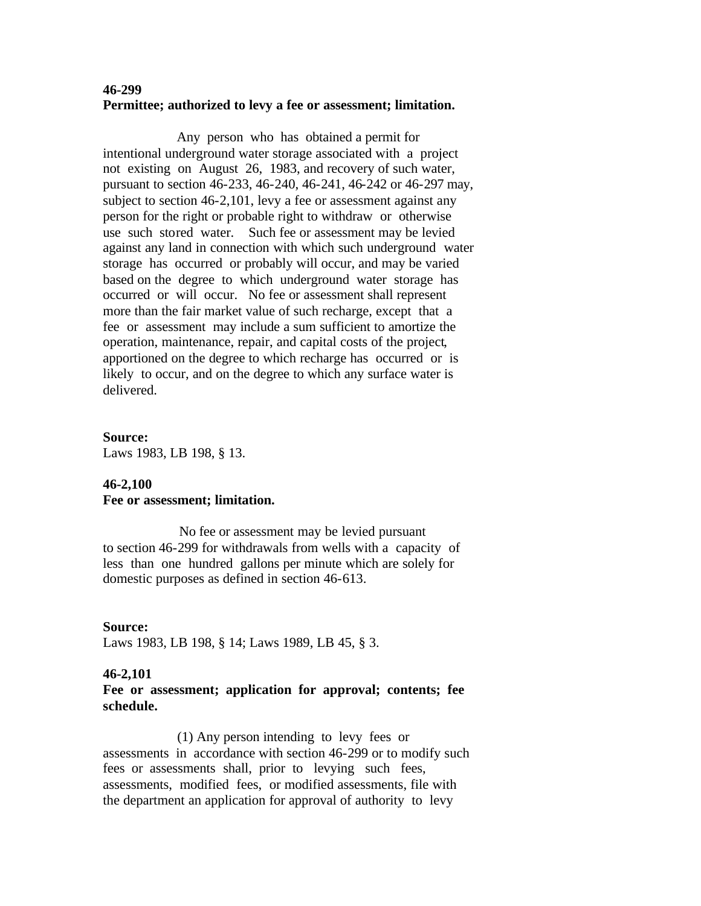# **46-299 Permittee; authorized to levy a fee or assessment; limitation.**

 Any person who has obtained a permit for intentional underground water storage associated with a project not existing on August 26, 1983, and recovery of such water, pursuant to section 46-233, 46-240, 46-241, 46-242 or 46-297 may, subject to section 46-2,101, levy a fee or assessment against any person for the right or probable right to withdraw or otherwise use such stored water. Such fee or assessment may be levied against any land in connection with which such underground water storage has occurred or probably will occur, and may be varied based on the degree to which underground water storage has occurred or will occur. No fee or assessment shall represent more than the fair market value of such recharge, except that a fee or assessment may include a sum sufficient to amortize the operation, maintenance, repair, and capital costs of the project, apportioned on the degree to which recharge has occurred or is likely to occur, and on the degree to which any surface water is delivered.

**Source:** Laws 1983, LB 198, § 13.

# **46-2,100 Fee or assessment; limitation.**

 No fee or assessment may be levied pursuant to section 46-299 for withdrawals from wells with a capacity of less than one hundred gallons per minute which are solely for domestic purposes as defined in section 46-613.

## **Source:**

Laws 1983, LB 198, § 14; Laws 1989, LB 45, § 3.

# **46-2,101**

**Fee or assessment; application for approval; contents; fee schedule.**

 (1) Any person intending to levy fees or assessments in accordance with section 46-299 or to modify such fees or assessments shall, prior to levying such fees, assessments, modified fees, or modified assessments, file with the department an application for approval of authority to levy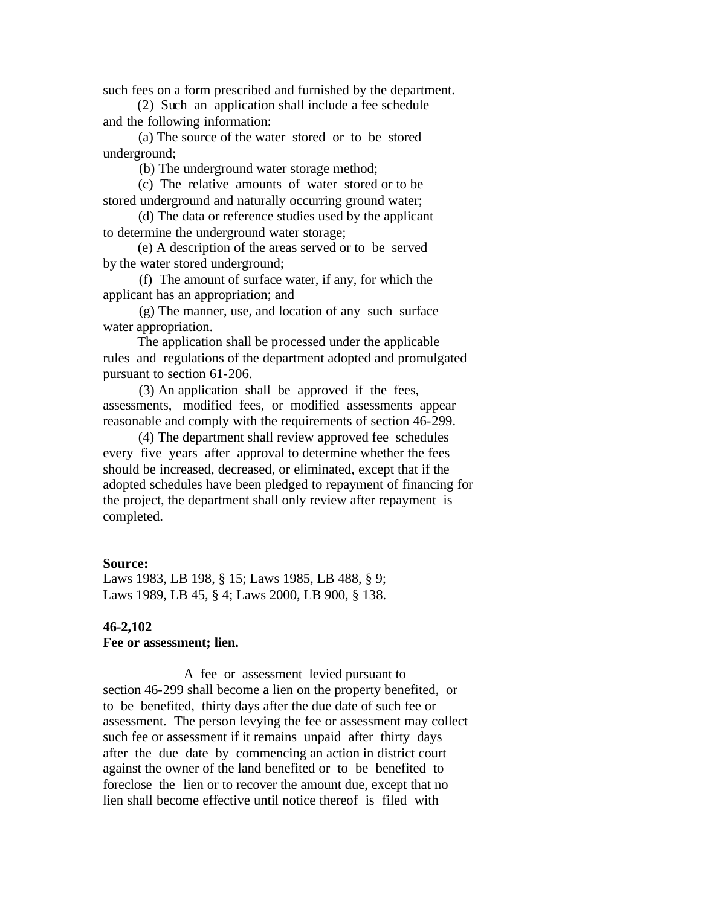such fees on a form prescribed and furnished by the department.

 (2) Such an application shall include a fee schedule and the following information:

 (a) The source of the water stored or to be stored underground;

(b) The underground water storage method;

 (c) The relative amounts of water stored or to be stored underground and naturally occurring ground water;

 (d) The data or reference studies used by the applicant to determine the underground water storage;

 (e) A description of the areas served or to be served by the water stored underground;

 (f) The amount of surface water, if any, for which the applicant has an appropriation; and

 (g) The manner, use, and location of any such surface water appropriation.

 The application shall be processed under the applicable rules and regulations of the department adopted and promulgated pursuant to section 61-206.

 (3) An application shall be approved if the fees, assessments, modified fees, or modified assessments appear reasonable and comply with the requirements of section 46-299.

 (4) The department shall review approved fee schedules every five years after approval to determine whether the fees should be increased, decreased, or eliminated, except that if the adopted schedules have been pledged to repayment of financing for the project, the department shall only review after repayment is completed.

### **Source:**

Laws 1983, LB 198, § 15; Laws 1985, LB 488, § 9; Laws 1989, LB 45, § 4; Laws 2000, LB 900, § 138.

#### **46-2,102**

#### **Fee or assessment; lien.**

 A fee or assessment levied pursuant to section 46-299 shall become a lien on the property benefited, or to be benefited, thirty days after the due date of such fee or assessment. The person levying the fee or assessment may collect such fee or assessment if it remains unpaid after thirty days after the due date by commencing an action in district court against the owner of the land benefited or to be benefited to foreclose the lien or to recover the amount due, except that no lien shall become effective until notice thereof is filed with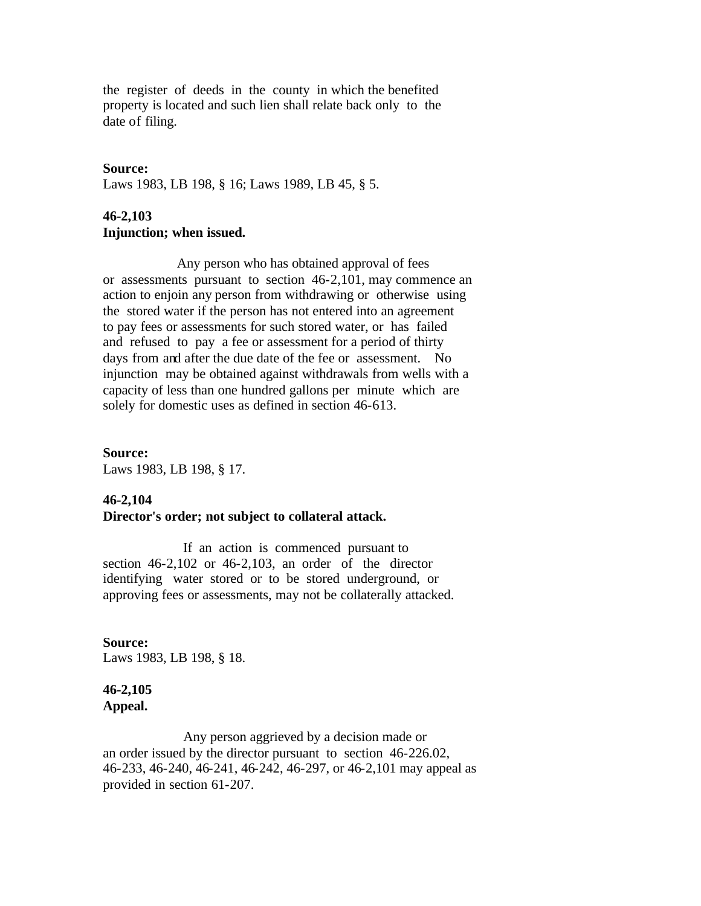the register of deeds in the county in which the benefited property is located and such lien shall relate back only to the date of filing.

### **Source:**

Laws 1983, LB 198, § 16; Laws 1989, LB 45, § 5.

# **46-2,103 Injunction; when issued.**

 Any person who has obtained approval of fees or assessments pursuant to section 46-2,101, may commence an action to enjoin any person from withdrawing or otherwise using the stored water if the person has not entered into an agreement to pay fees or assessments for such stored water, or has failed and refused to pay a fee or assessment for a period of thirty days from and after the due date of the fee or assessment. No injunction may be obtained against withdrawals from wells with a capacity of less than one hundred gallons per minute which are solely for domestic uses as defined in section 46-613.

**Source:** Laws 1983, LB 198, § 17.

# **46-2,104**

## **Director's order; not subject to collateral attack.**

 If an action is commenced pursuant to section 46-2,102 or 46-2,103, an order of the director identifying water stored or to be stored underground, or approving fees or assessments, may not be collaterally attacked.

**Source:** Laws 1983, LB 198, § 18.

# **46-2,105 Appeal.**

 Any person aggrieved by a decision made or an order issued by the director pursuant to section 46-226.02, 46-233, 46-240, 46-241, 46-242, 46-297, or 46-2,101 may appeal as provided in section 61-207.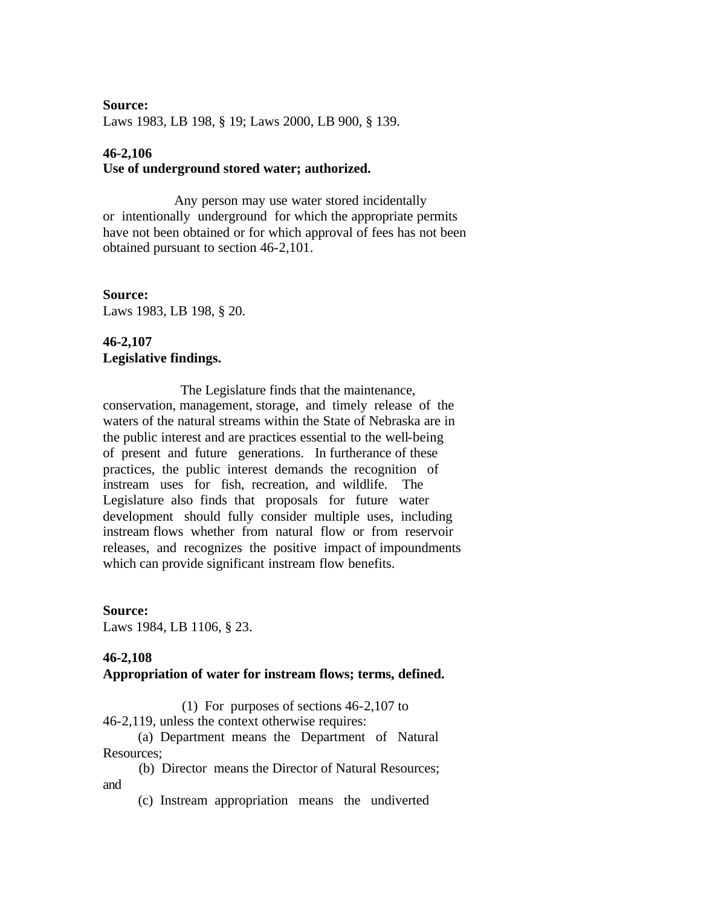### **Source:**

Laws 1983, LB 198, § 19; Laws 2000, LB 900, § 139.

#### **46-2,106**

### **Use of underground stored water; authorized.**

 Any person may use water stored incidentally or intentionally underground for which the appropriate permits have not been obtained or for which approval of fees has not been obtained pursuant to section 46-2,101.

**Source:** Laws 1983, LB 198, § 20.

# **46-2,107 Legislative findings.**

 The Legislature finds that the maintenance, conservation, management, storage, and timely release of the waters of the natural streams within the State of Nebraska are in the public interest and are practices essential to the well-being of present and future generations. In furtherance of these practices, the public interest demands the recognition of instream uses for fish, recreation, and wildlife. The Legislature also finds that proposals for future water development should fully consider multiple uses, including instream flows whether from natural flow or from reservoir releases, and recognizes the positive impact of impoundments which can provide significant instream flow benefits.

**Source:** Laws 1984, LB 1106, § 23.

#### **46-2,108**

#### **Appropriation of water for instream flows; terms, defined.**

(1) For purposes of sections 46-2,107 to

46-2,119, unless the context otherwise requires:

 (a) Department means the Department of Natural Resources;

 (b) Director means the Director of Natural Resources; and

(c) Instream appropriation means the undiverted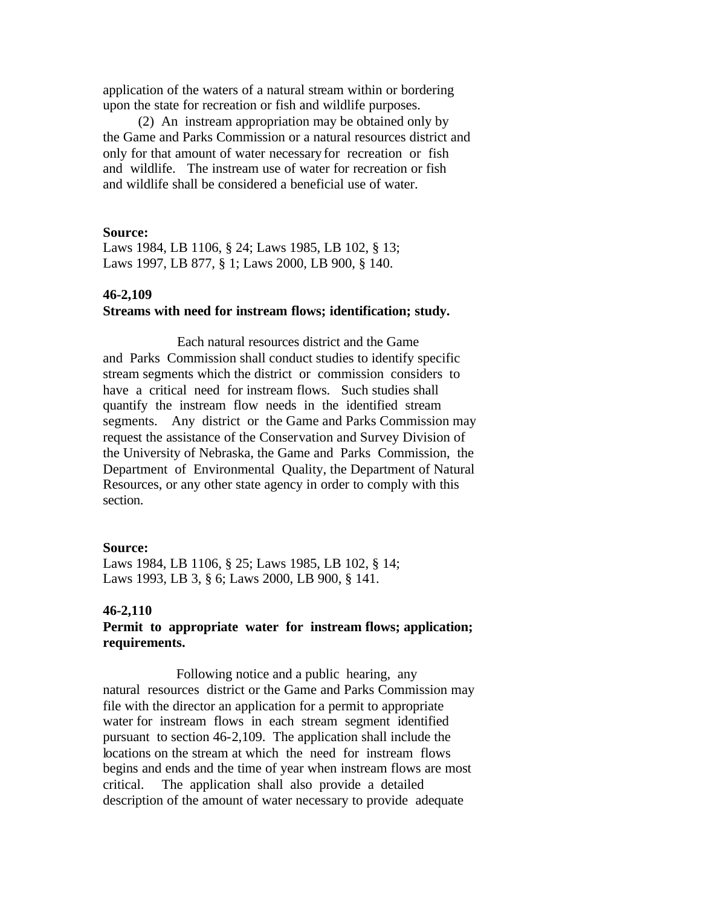application of the waters of a natural stream within or bordering upon the state for recreation or fish and wildlife purposes.

 (2) An instream appropriation may be obtained only by the Game and Parks Commission or a natural resources district and only for that amount of water necessary for recreation or fish and wildlife. The instream use of water for recreation or fish and wildlife shall be considered a beneficial use of water.

#### **Source:**

Laws 1984, LB 1106, § 24; Laws 1985, LB 102, § 13; Laws 1997, LB 877, § 1; Laws 2000, LB 900, § 140.

### **46-2,109**

#### **Streams with need for instream flows; identification; study.**

 Each natural resources district and the Game and Parks Commission shall conduct studies to identify specific stream segments which the district or commission considers to have a critical need for instream flows. Such studies shall quantify the instream flow needs in the identified stream segments. Any district or the Game and Parks Commission may request the assistance of the Conservation and Survey Division of the University of Nebraska, the Game and Parks Commission, the Department of Environmental Quality, the Department of Natural Resources, or any other state agency in order to comply with this section.

### **Source:**

Laws 1984, LB 1106, § 25; Laws 1985, LB 102, § 14; Laws 1993, LB 3, § 6; Laws 2000, LB 900, § 141.

### **46-2,110**

## **Permit to appropriate water for instream flows; application; requirements.**

 Following notice and a public hearing, any natural resources district or the Game and Parks Commission may file with the director an application for a permit to appropriate water for instream flows in each stream segment identified pursuant to section 46-2,109. The application shall include the locations on the stream at which the need for instream flows begins and ends and the time of year when instream flows are most critical. The application shall also provide a detailed description of the amount of water necessary to provide adequate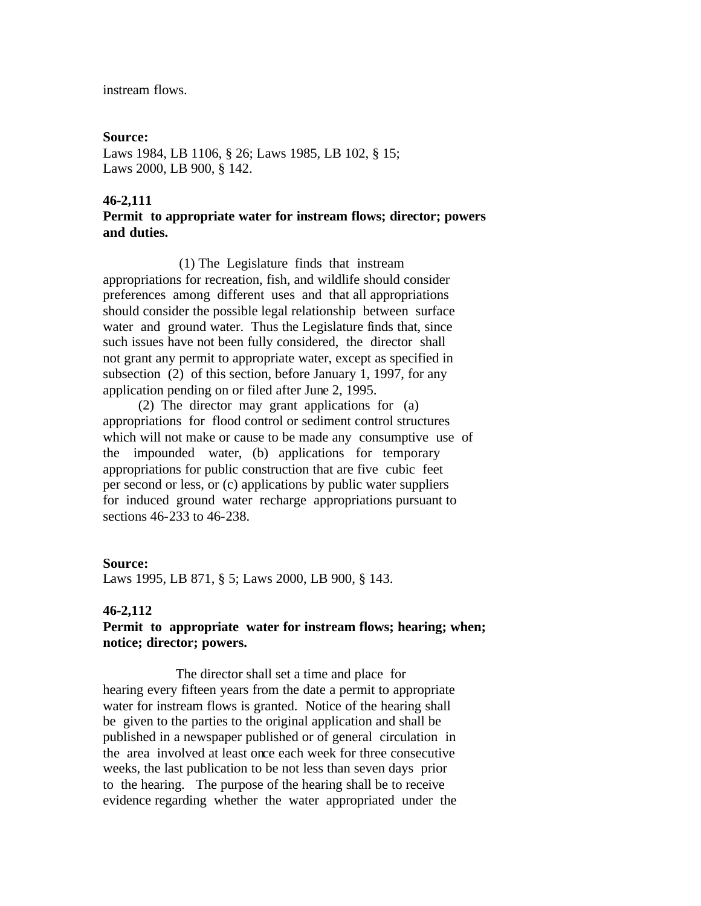instream flows.

#### **Source:**

Laws 1984, LB 1106, § 26; Laws 1985, LB 102, § 15; Laws 2000, LB 900, § 142.

#### **46-2,111**

## **Permit to appropriate water for instream flows; director; powers and duties.**

 (1) The Legislature finds that instream appropriations for recreation, fish, and wildlife should consider preferences among different uses and that all appropriations should consider the possible legal relationship between surface water and ground water. Thus the Legislature finds that, since such issues have not been fully considered, the director shall not grant any permit to appropriate water, except as specified in subsection (2) of this section, before January 1, 1997, for any application pending on or filed after June 2, 1995.

 (2) The director may grant applications for (a) appropriations for flood control or sediment control structures which will not make or cause to be made any consumptive use of the impounded water, (b) applications for temporary appropriations for public construction that are five cubic feet per second or less, or (c) applications by public water suppliers for induced ground water recharge appropriations pursuant to sections 46-233 to 46-238.

## **Source:**

Laws 1995, LB 871, § 5; Laws 2000, LB 900, § 143.

#### **46-2,112**

# **Permit to appropriate water for instream flows; hearing; when; notice; director; powers.**

 The director shall set a time and place for hearing every fifteen years from the date a permit to appropriate water for instream flows is granted. Notice of the hearing shall be given to the parties to the original application and shall be published in a newspaper published or of general circulation in the area involved at least once each week for three consecutive weeks, the last publication to be not less than seven days prior to the hearing. The purpose of the hearing shall be to receive evidence regarding whether the water appropriated under the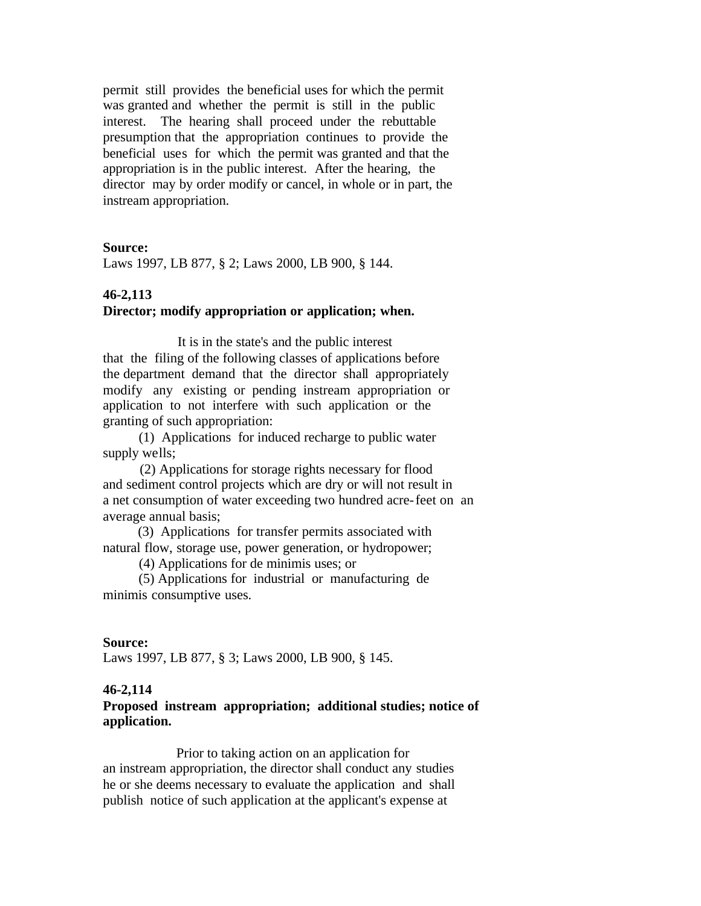permit still provides the beneficial uses for which the permit was granted and whether the permit is still in the public interest. The hearing shall proceed under the rebuttable presumption that the appropriation continues to provide the beneficial uses for which the permit was granted and that the appropriation is in the public interest. After the hearing, the director may by order modify or cancel, in whole or in part, the instream appropriation.

#### **Source:**

Laws 1997, LB 877, § 2; Laws 2000, LB 900, § 144.

### **46-2,113**

### **Director; modify appropriation or application; when.**

 It is in the state's and the public interest that the filing of the following classes of applications before the department demand that the director shall appropriately modify any existing or pending instream appropriation or application to not interfere with such application or the granting of such appropriation:

 (1) Applications for induced recharge to public water supply wells;

 (2) Applications for storage rights necessary for flood and sediment control projects which are dry or will not result in a net consumption of water exceeding two hundred acre-feet on an average annual basis;

 (3) Applications for transfer permits associated with natural flow, storage use, power generation, or hydropower;

(4) Applications for de minimis uses; or

 (5) Applications for industrial or manufacturing de minimis consumptive uses.

#### **Source:**

Laws 1997, LB 877, § 3; Laws 2000, LB 900, § 145.

### **46-2,114**

# **Proposed instream appropriation; additional studies; notice of application.**

 Prior to taking action on an application for an instream appropriation, the director shall conduct any studies he or she deems necessary to evaluate the application and shall publish notice of such application at the applicant's expense at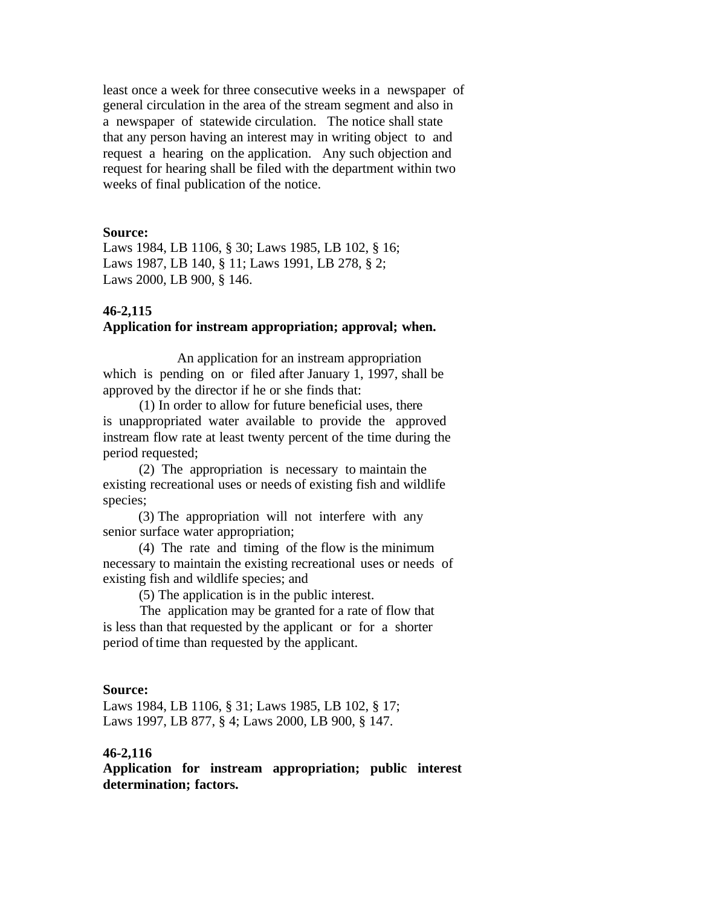least once a week for three consecutive weeks in a newspaper of general circulation in the area of the stream segment and also in a newspaper of statewide circulation. The notice shall state that any person having an interest may in writing object to and request a hearing on the application. Any such objection and request for hearing shall be filed with the department within two weeks of final publication of the notice.

#### **Source:**

Laws 1984, LB 1106, § 30; Laws 1985, LB 102, § 16; Laws 1987, LB 140, § 11; Laws 1991, LB 278, § 2; Laws 2000, LB 900, § 146.

### **46-2,115**

### **Application for instream appropriation; approval; when.**

 An application for an instream appropriation which is pending on or filed after January 1, 1997, shall be approved by the director if he or she finds that:

 (1) In order to allow for future beneficial uses, there is unappropriated water available to provide the approved instream flow rate at least twenty percent of the time during the period requested;

 (2) The appropriation is necessary to maintain the existing recreational uses or needs of existing fish and wildlife species;

 (3) The appropriation will not interfere with any senior surface water appropriation;

 (4) The rate and timing of the flow is the minimum necessary to maintain the existing recreational uses or needs of existing fish and wildlife species; and

(5) The application is in the public interest.

 The application may be granted for a rate of flow that is less than that requested by the applicant or for a shorter period of time than requested by the applicant.

### **Source:**

Laws 1984, LB 1106, § 31; Laws 1985, LB 102, § 17; Laws 1997, LB 877, § 4; Laws 2000, LB 900, § 147.

## **46-2,116**

**Application for instream appropriation; public interest determination; factors.**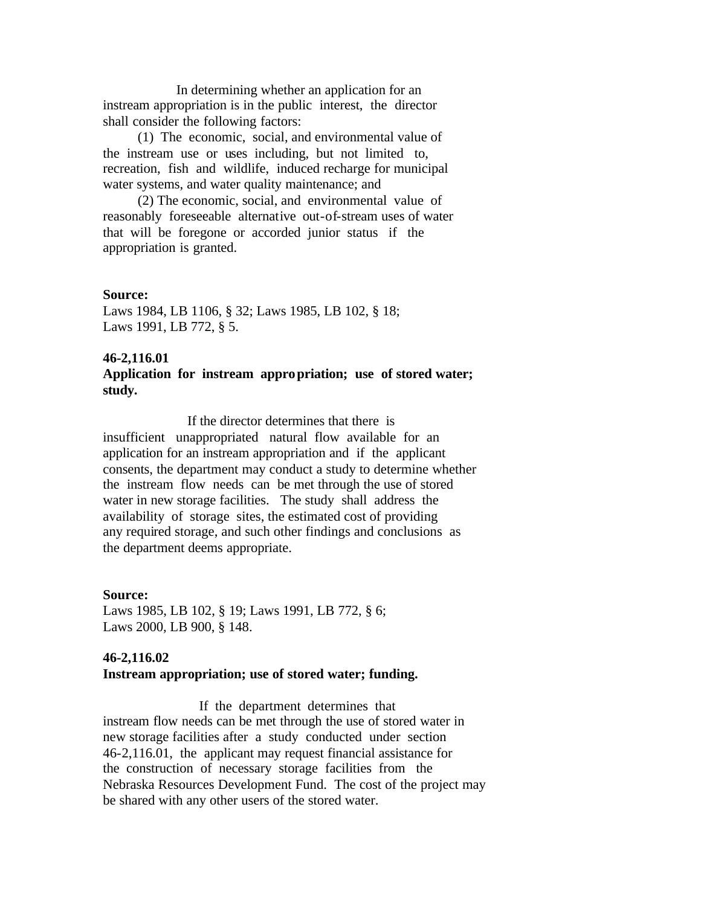In determining whether an application for an instream appropriation is in the public interest, the director shall consider the following factors:

 (1) The economic, social, and environmental value of the instream use or uses including, but not limited to, recreation, fish and wildlife, induced recharge for municipal water systems, and water quality maintenance; and

 (2) The economic, social, and environmental value of reasonably foreseeable alternative out-of-stream uses of water that will be foregone or accorded junior status if the appropriation is granted.

## **Source:**

Laws 1984, LB 1106, § 32; Laws 1985, LB 102, § 18; Laws 1991, LB 772, § 5.

### **46-2,116.01**

## **Application for instream appropriation; use of stored water; study.**

 If the director determines that there is insufficient unappropriated natural flow available for an application for an instream appropriation and if the applicant consents, the department may conduct a study to determine whether the instream flow needs can be met through the use of stored water in new storage facilities. The study shall address the availability of storage sites, the estimated cost of providing any required storage, and such other findings and conclusions as the department deems appropriate.

#### **Source:**

Laws 1985, LB 102, § 19; Laws 1991, LB 772, § 6; Laws 2000, LB 900, § 148.

# **46-2,116.02**

## **Instream appropriation; use of stored water; funding.**

 If the department determines that instream flow needs can be met through the use of stored water in new storage facilities after a study conducted under section 46-2,116.01, the applicant may request financial assistance for the construction of necessary storage facilities from the Nebraska Resources Development Fund. The cost of the project may be shared with any other users of the stored water.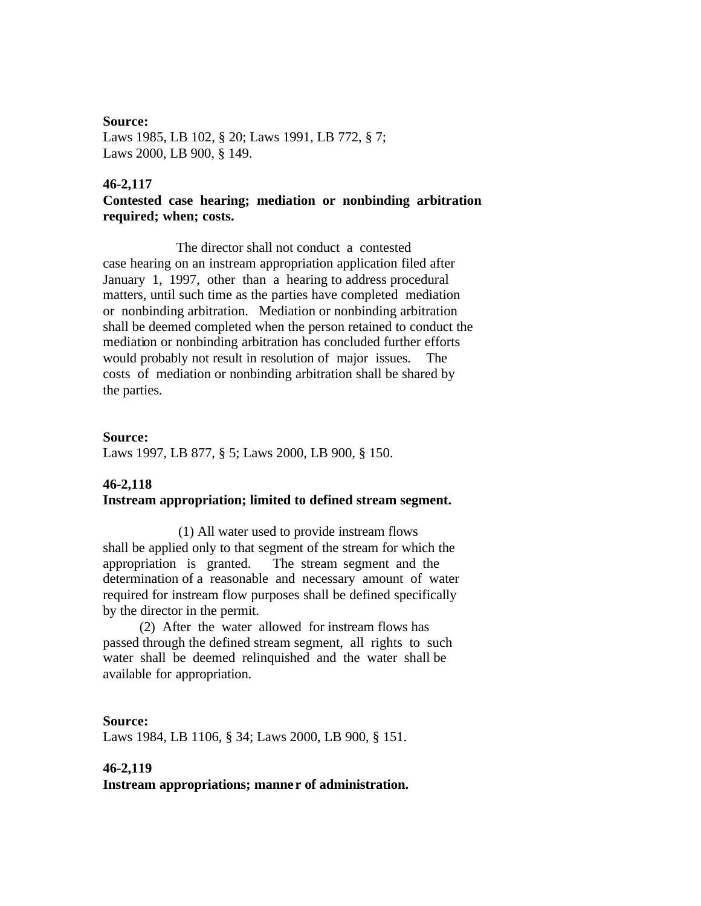### **Source:**

Laws 1985, LB 102, § 20; Laws 1991, LB 772, § 7; Laws 2000, LB 900, § 149.

# **46-2,117**

**Contested case hearing; mediation or nonbinding arbitration required; when; costs.**

 The director shall not conduct a contested case hearing on an instream appropriation application filed after January 1, 1997, other than a hearing to address procedural matters, until such time as the parties have completed mediation or nonbinding arbitration. Mediation or nonbinding arbitration shall be deemed completed when the person retained to conduct the mediation or nonbinding arbitration has concluded further efforts would probably not result in resolution of major issues. The costs of mediation or nonbinding arbitration shall be shared by the parties.

#### **Source:**

Laws 1997, LB 877, § 5; Laws 2000, LB 900, § 150.

## **46-2,118**

### **Instream appropriation; limited to defined stream segment.**

 (1) All water used to provide instream flows shall be applied only to that segment of the stream for which the appropriation is granted. The stream segment and the determination of a reasonable and necessary amount of water required for instream flow purposes shall be defined specifically by the director in the permit.

 (2) After the water allowed for instream flows has passed through the defined stream segment, all rights to such water shall be deemed relinquished and the water shall be available for appropriation.

#### **Source:**

Laws 1984, LB 1106, § 34; Laws 2000, LB 900, § 151.

#### **46-2,119**

**Instream appropriations; manne r of administration.**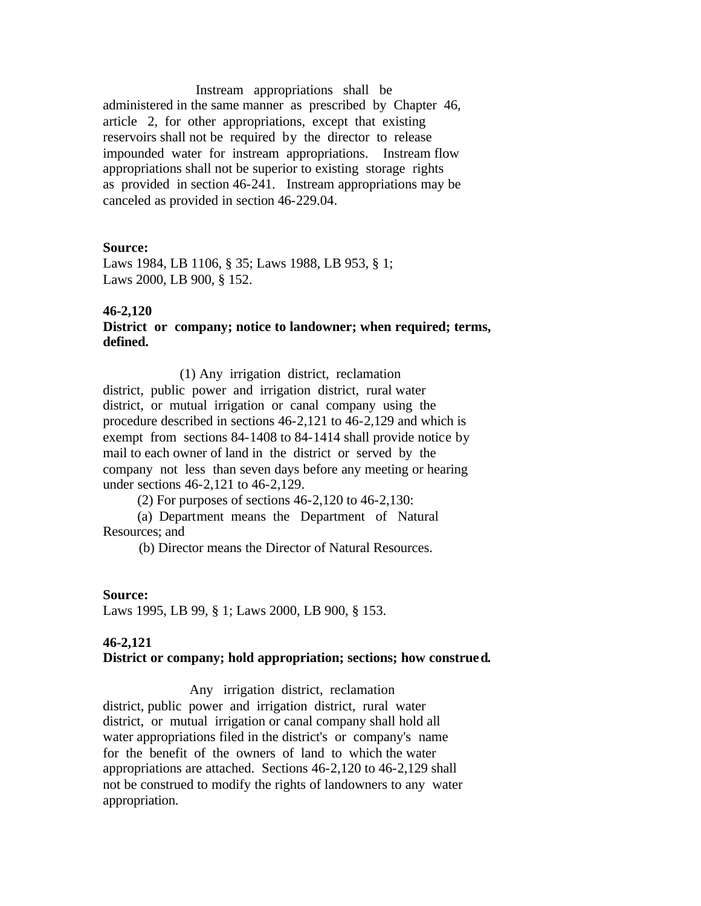Instream appropriations shall be administered in the same manner as prescribed by Chapter 46, article 2, for other appropriations, except that existing reservoirs shall not be required by the director to release impounded water for instream appropriations. Instream flow appropriations shall not be superior to existing storage rights as provided in section 46-241. Instream appropriations may be canceled as provided in section 46-229.04.

### **Source:**

Laws 1984, LB 1106, § 35; Laws 1988, LB 953, § 1; Laws 2000, LB 900, § 152.

#### **46-2,120**

## **District or company; notice to landowner; when required; terms, defined.**

 (1) Any irrigation district, reclamation district, public power and irrigation district, rural water district, or mutual irrigation or canal company using the procedure described in sections 46-2,121 to 46-2,129 and which is exempt from sections 84-1408 to 84-1414 shall provide notice by mail to each owner of land in the district or served by the company not less than seven days before any meeting or hearing under sections 46-2,121 to 46-2,129.

(2) For purposes of sections 46-2,120 to 46-2,130:

 (a) Department means the Department of Natural Resources; and

(b) Director means the Director of Natural Resources.

#### **Source:**

Laws 1995, LB 99, § 1; Laws 2000, LB 900, § 153.

## **46-2,121**

## **District or company; hold appropriation; sections; how construed.**

 Any irrigation district, reclamation district, public power and irrigation district, rural water district, or mutual irrigation or canal company shall hold all water appropriations filed in the district's or company's name for the benefit of the owners of land to which the water appropriations are attached. Sections 46-2,120 to 46-2,129 shall not be construed to modify the rights of landowners to any water appropriation.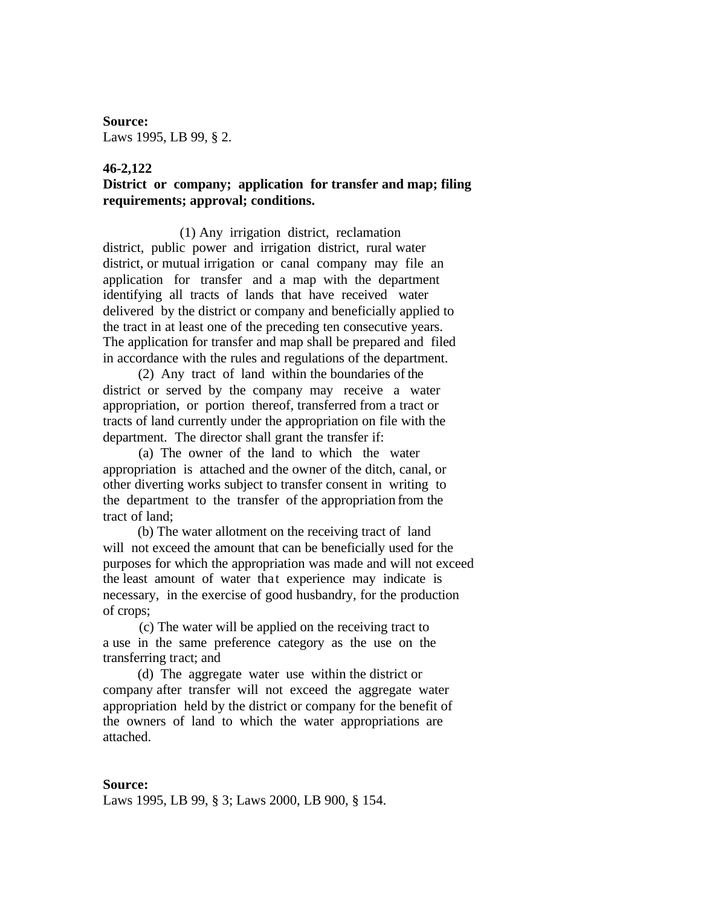**Source:** Laws 1995, LB 99, § 2.

## **46-2,122**

# **District or company; application for transfer and map; filing requirements; approval; conditions.**

 (1) Any irrigation district, reclamation district, public power and irrigation district, rural water district, or mutual irrigation or canal company may file an application for transfer and a map with the department identifying all tracts of lands that have received water delivered by the district or company and beneficially applied to the tract in at least one of the preceding ten consecutive years. The application for transfer and map shall be prepared and filed in accordance with the rules and regulations of the department.

 (2) Any tract of land within the boundaries of the district or served by the company may receive a water appropriation, or portion thereof, transferred from a tract or tracts of land currently under the appropriation on file with the department. The director shall grant the transfer if:

 (a) The owner of the land to which the water appropriation is attached and the owner of the ditch, canal, or other diverting works subject to transfer consent in writing to the department to the transfer of the appropriation from the tract of land;

 (b) The water allotment on the receiving tract of land will not exceed the amount that can be beneficially used for the purposes for which the appropriation was made and will not exceed the least amount of water that experience may indicate is necessary, in the exercise of good husbandry, for the production of crops;

 (c) The water will be applied on the receiving tract to a use in the same preference category as the use on the transferring tract; and

 (d) The aggregate water use within the district or company after transfer will not exceed the aggregate water appropriation held by the district or company for the benefit of the owners of land to which the water appropriations are attached.

#### **Source:**

Laws 1995, LB 99, § 3; Laws 2000, LB 900, § 154.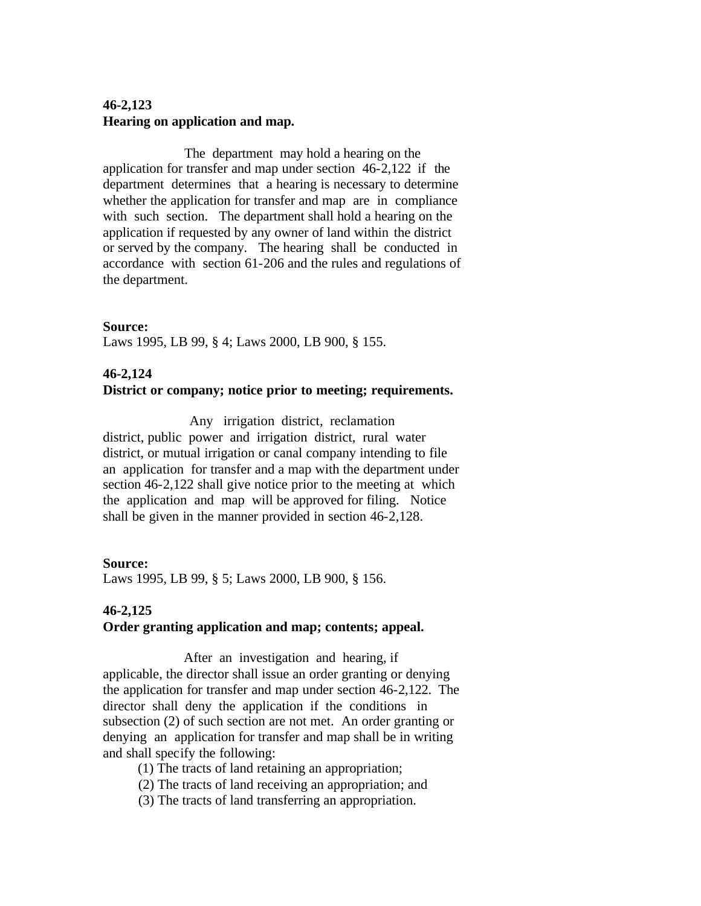# **46-2,123 Hearing on application and map.**

 The department may hold a hearing on the application for transfer and map under section 46-2,122 if the department determines that a hearing is necessary to determine whether the application for transfer and map are in compliance with such section. The department shall hold a hearing on the application if requested by any owner of land within the district or served by the company. The hearing shall be conducted in accordance with section 61-206 and the rules and regulations of the department.

## **Source:**

Laws 1995, LB 99, § 4; Laws 2000, LB 900, § 155.

# **46-2,124**

## **District or company; notice prior to meeting; requirements.**

 Any irrigation district, reclamation district, public power and irrigation district, rural water district, or mutual irrigation or canal company intending to file an application for transfer and a map with the department under section 46-2,122 shall give notice prior to the meeting at which the application and map will be approved for filing. Notice shall be given in the manner provided in section 46-2,128.

# **Source:**

Laws 1995, LB 99, § 5; Laws 2000, LB 900, § 156.

# **46-2,125**

## **Order granting application and map; contents; appeal.**

 After an investigation and hearing, if applicable, the director shall issue an order granting or denying the application for transfer and map under section 46-2,122. The director shall deny the application if the conditions in subsection (2) of such section are not met. An order granting or denying an application for transfer and map shall be in writing and shall specify the following:

- (1) The tracts of land retaining an appropriation;
- (2) The tracts of land receiving an appropriation; and
- (3) The tracts of land transferring an appropriation.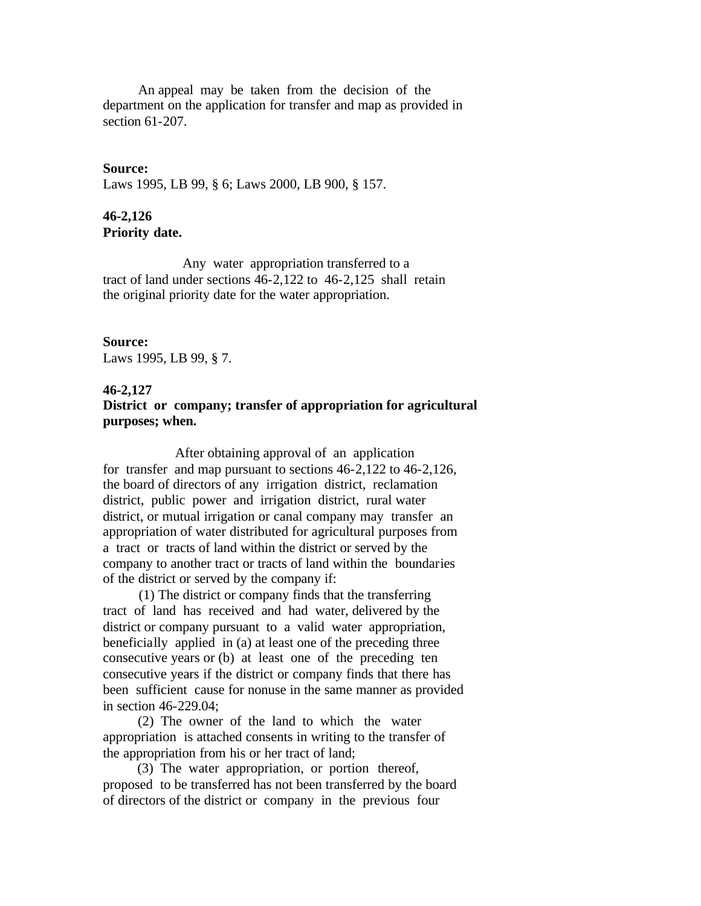An appeal may be taken from the decision of the department on the application for transfer and map as provided in section 61-207.

#### **Source:**

Laws 1995, LB 99, § 6; Laws 2000, LB 900, § 157.

## **46-2,126 Priority date.**

 Any water appropriation transferred to a tract of land under sections 46-2,122 to 46-2,125 shall retain the original priority date for the water appropriation.

#### **Source:**

Laws 1995, LB 99, § 7.

#### **46-2,127**

## **District or company; transfer of appropriation for agricultural purposes; when.**

 After obtaining approval of an application for transfer and map pursuant to sections 46-2,122 to 46-2,126, the board of directors of any irrigation district, reclamation district, public power and irrigation district, rural water district, or mutual irrigation or canal company may transfer an appropriation of water distributed for agricultural purposes from a tract or tracts of land within the district or served by the company to another tract or tracts of land within the boundaries of the district or served by the company if:

 (1) The district or company finds that the transferring tract of land has received and had water, delivered by the district or company pursuant to a valid water appropriation, beneficially applied in (a) at least one of the preceding three consecutive years or (b) at least one of the preceding ten consecutive years if the district or company finds that there has been sufficient cause for nonuse in the same manner as provided in section 46-229.04;

 (2) The owner of the land to which the water appropriation is attached consents in writing to the transfer of the appropriation from his or her tract of land;

 (3) The water appropriation, or portion thereof, proposed to be transferred has not been transferred by the board of directors of the district or company in the previous four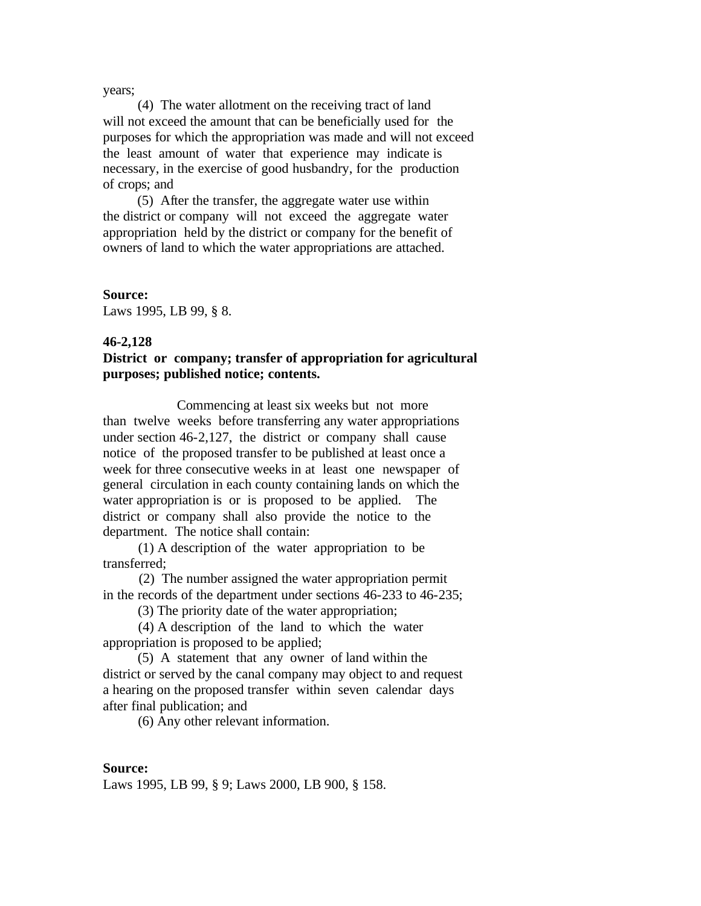years;

 (4) The water allotment on the receiving tract of land will not exceed the amount that can be beneficially used for the purposes for which the appropriation was made and will not exceed the least amount of water that experience may indicate is necessary, in the exercise of good husbandry, for the production of crops; and

 (5) After the transfer, the aggregate water use within the district or company will not exceed the aggregate water appropriation held by the district or company for the benefit of owners of land to which the water appropriations are attached.

### **Source:**

Laws 1995, LB 99, § 8.

#### **46-2,128**

## **District or company; transfer of appropriation for agricultural purposes; published notice; contents.**

 Commencing at least six weeks but not more than twelve weeks before transferring any water appropriations under section 46-2,127, the district or company shall cause notice of the proposed transfer to be published at least once a week for three consecutive weeks in at least one newspaper of general circulation in each county containing lands on which the water appropriation is or is proposed to be applied. The district or company shall also provide the notice to the department. The notice shall contain:

 (1) A description of the water appropriation to be transferred;

 (2) The number assigned the water appropriation permit in the records of the department under sections 46-233 to 46-235;

(3) The priority date of the water appropriation;

 (4) A description of the land to which the water appropriation is proposed to be applied;

 (5) A statement that any owner of land within the district or served by the canal company may object to and request a hearing on the proposed transfer within seven calendar days after final publication; and

(6) Any other relevant information.

## **Source:**

Laws 1995, LB 99, § 9; Laws 2000, LB 900, § 158.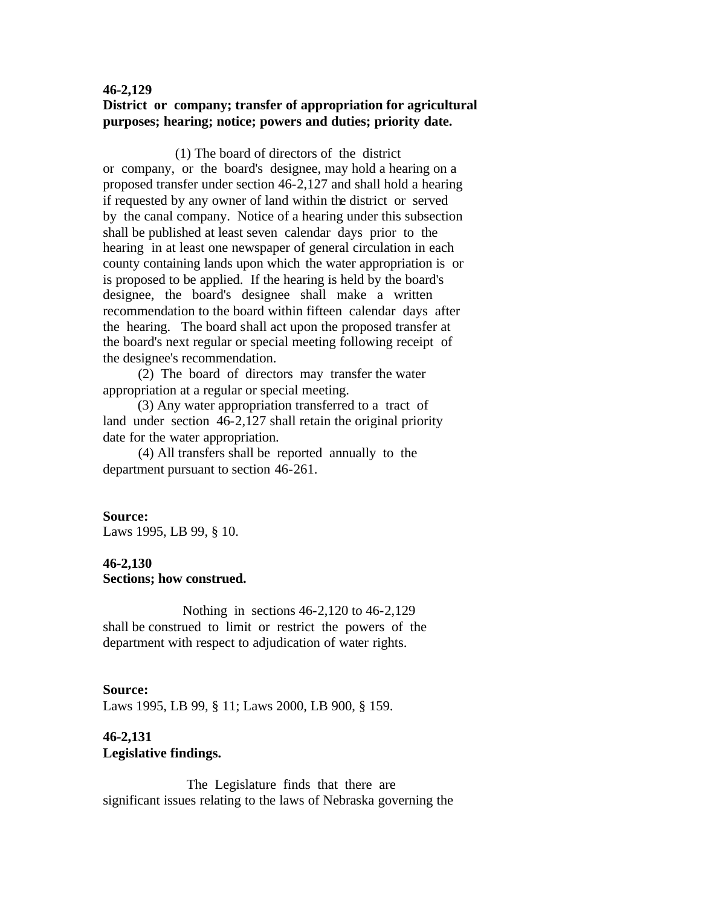# **46-2,129 District or company; transfer of appropriation for agricultural purposes; hearing; notice; powers and duties; priority date.**

 (1) The board of directors of the district or company, or the board's designee, may hold a hearing on a proposed transfer under section 46-2,127 and shall hold a hearing if requested by any owner of land within the district or served by the canal company. Notice of a hearing under this subsection shall be published at least seven calendar days prior to the hearing in at least one newspaper of general circulation in each county containing lands upon which the water appropriation is or is proposed to be applied. If the hearing is held by the board's designee, the board's designee shall make a written recommendation to the board within fifteen calendar days after the hearing. The board shall act upon the proposed transfer at the board's next regular or special meeting following receipt of the designee's recommendation.

 (2) The board of directors may transfer the water appropriation at a regular or special meeting.

 (3) Any water appropriation transferred to a tract of land under section 46-2,127 shall retain the original priority date for the water appropriation.

 (4) All transfers shall be reported annually to the department pursuant to section 46-261.

## **Source:**

Laws 1995, LB 99, § 10.

# **46-2,130 Sections; how construed.**

 Nothing in sections 46-2,120 to 46-2,129 shall be construed to limit or restrict the powers of the department with respect to adjudication of water rights.

## **Source:**

Laws 1995, LB 99, § 11; Laws 2000, LB 900, § 159.

# **46-2,131 Legislative findings.**

 The Legislature finds that there are significant issues relating to the laws of Nebraska governing the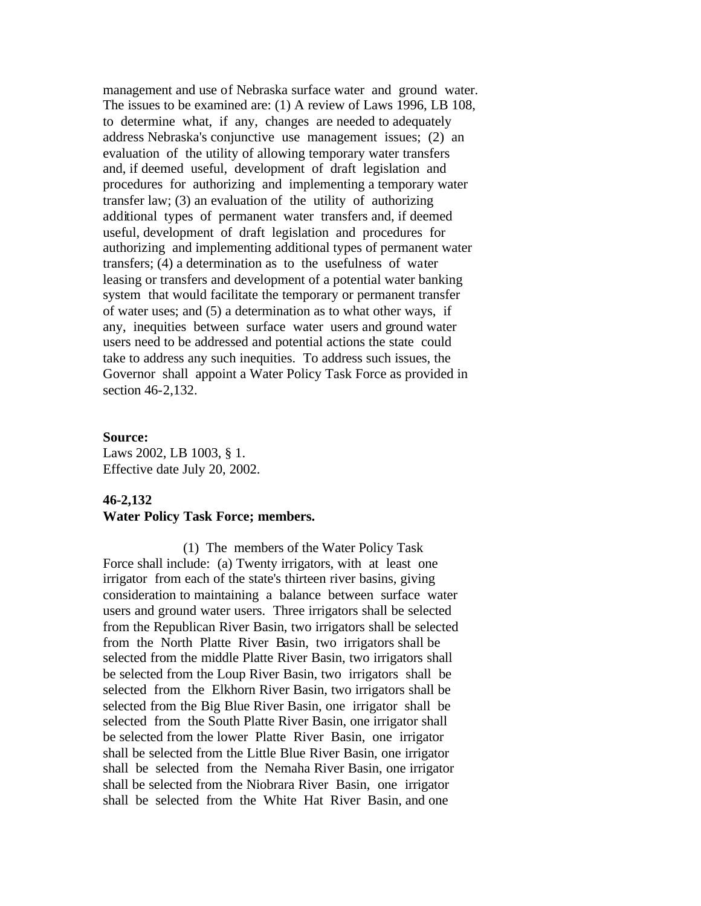management and use of Nebraska surface water and ground water. The issues to be examined are: (1) A review of Laws 1996, LB 108, to determine what, if any, changes are needed to adequately address Nebraska's conjunctive use management issues; (2) an evaluation of the utility of allowing temporary water transfers and, if deemed useful, development of draft legislation and procedures for authorizing and implementing a temporary water transfer law; (3) an evaluation of the utility of authorizing additional types of permanent water transfers and, if deemed useful, development of draft legislation and procedures for authorizing and implementing additional types of permanent water transfers; (4) a determination as to the usefulness of water leasing or transfers and development of a potential water banking system that would facilitate the temporary or permanent transfer of water uses; and (5) a determination as to what other ways, if any, inequities between surface water users and ground water users need to be addressed and potential actions the state could take to address any such inequities. To address such issues, the Governor shall appoint a Water Policy Task Force as provided in section 46-2,132.

#### **Source:**

Laws 2002, LB 1003, § 1. Effective date July 20, 2002.

#### **46-2,132**

## **Water Policy Task Force; members.**

 (1) The members of the Water Policy Task Force shall include: (a) Twenty irrigators, with at least one irrigator from each of the state's thirteen river basins, giving consideration to maintaining a balance between surface water users and ground water users. Three irrigators shall be selected from the Republican River Basin, two irrigators shall be selected from the North Platte River Basin, two irrigators shall be selected from the middle Platte River Basin, two irrigators shall be selected from the Loup River Basin, two irrigators shall be selected from the Elkhorn River Basin, two irrigators shall be selected from the Big Blue River Basin, one irrigator shall be selected from the South Platte River Basin, one irrigator shall be selected from the lower Platte River Basin, one irrigator shall be selected from the Little Blue River Basin, one irrigator shall be selected from the Nemaha River Basin, one irrigator shall be selected from the Niobrara River Basin, one irrigator shall be selected from the White Hat River Basin, and one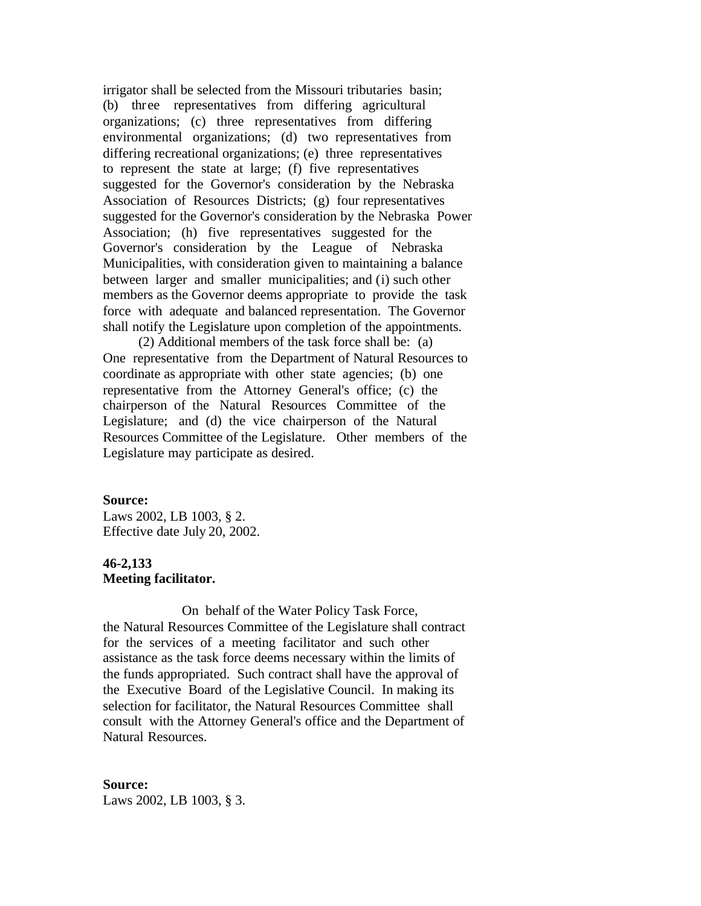irrigator shall be selected from the Missouri tributaries basin; (b) three representatives from differing agricultural organizations; (c) three representatives from differing environmental organizations; (d) two representatives from differing recreational organizations; (e) three representatives to represent the state at large; (f) five representatives suggested for the Governor's consideration by the Nebraska Association of Resources Districts; (g) four representatives suggested for the Governor's consideration by the Nebraska Power Association; (h) five representatives suggested for the Governor's consideration by the League of Nebraska Municipalities, with consideration given to maintaining a balance between larger and smaller municipalities; and (i) such other members as the Governor deems appropriate to provide the task force with adequate and balanced representation. The Governor shall notify the Legislature upon completion of the appointments.

 (2) Additional members of the task force shall be: (a) One representative from the Department of Natural Resources to coordinate as appropriate with other state agencies; (b) one representative from the Attorney General's office; (c) the chairperson of the Natural Resources Committee of the Legislature; and (d) the vice chairperson of the Natural Resources Committee of the Legislature. Other members of the Legislature may participate as desired.

#### **Source:**

Laws 2002, LB 1003, § 2. Effective date July 20, 2002.

## **46-2,133 Meeting facilitator.**

 On behalf of the Water Policy Task Force, the Natural Resources Committee of the Legislature shall contract for the services of a meeting facilitator and such other assistance as the task force deems necessary within the limits of the funds appropriated. Such contract shall have the approval of the Executive Board of the Legislative Council. In making its selection for facilitator, the Natural Resources Committee shall consult with the Attorney General's office and the Department of Natural Resources.

**Source:** Laws 2002, LB 1003, § 3.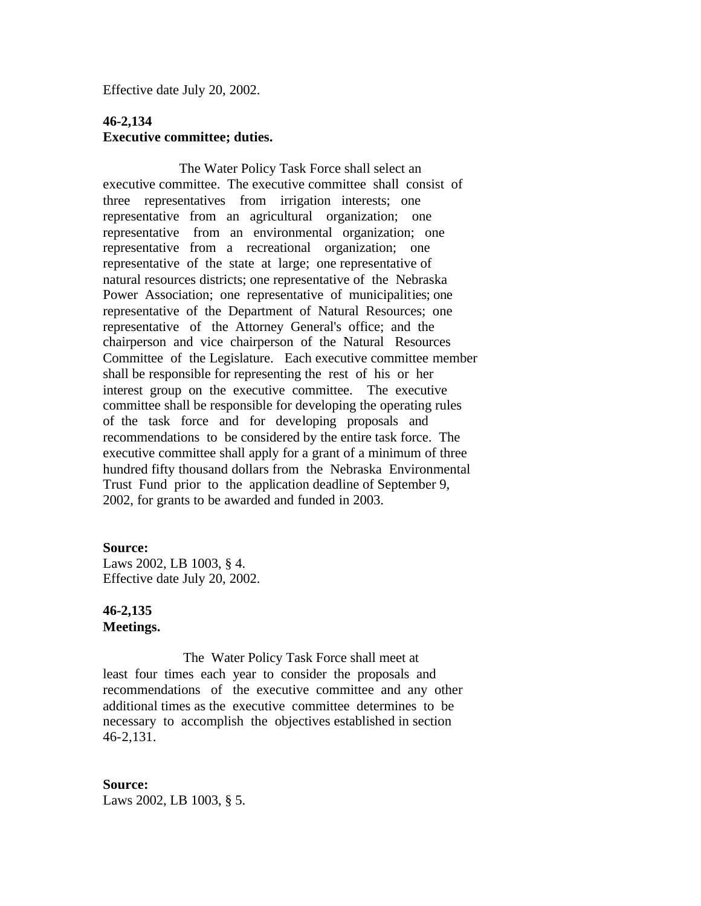Effective date July 20, 2002.

## **46-2,134 Executive committee; duties.**

 The Water Policy Task Force shall select an executive committee. The executive committee shall consist of three representatives from irrigation interests; one representative from an agricultural organization; one representative from an environmental organization; one representative from a recreational organization; one representative of the state at large; one representative of natural resources districts; one representative of the Nebraska Power Association; one representative of municipalities; one representative of the Department of Natural Resources; one representative of the Attorney General's office; and the chairperson and vice chairperson of the Natural Resources Committee of the Legislature. Each executive committee member shall be responsible for representing the rest of his or her interest group on the executive committee. The executive committee shall be responsible for developing the operating rules of the task force and for developing proposals and recommendations to be considered by the entire task force. The executive committee shall apply for a grant of a minimum of three hundred fifty thousand dollars from the Nebraska Environmental Trust Fund prior to the application deadline of September 9, 2002, for grants to be awarded and funded in 2003.

## **Source:**

Laws 2002, LB 1003, § 4. Effective date July 20, 2002.

## **46-2,135 Meetings.**

 The Water Policy Task Force shall meet at least four times each year to consider the proposals and recommendations of the executive committee and any other additional times as the executive committee determines to be necessary to accomplish the objectives established in section 46-2,131.

**Source:** Laws 2002, LB 1003, § 5.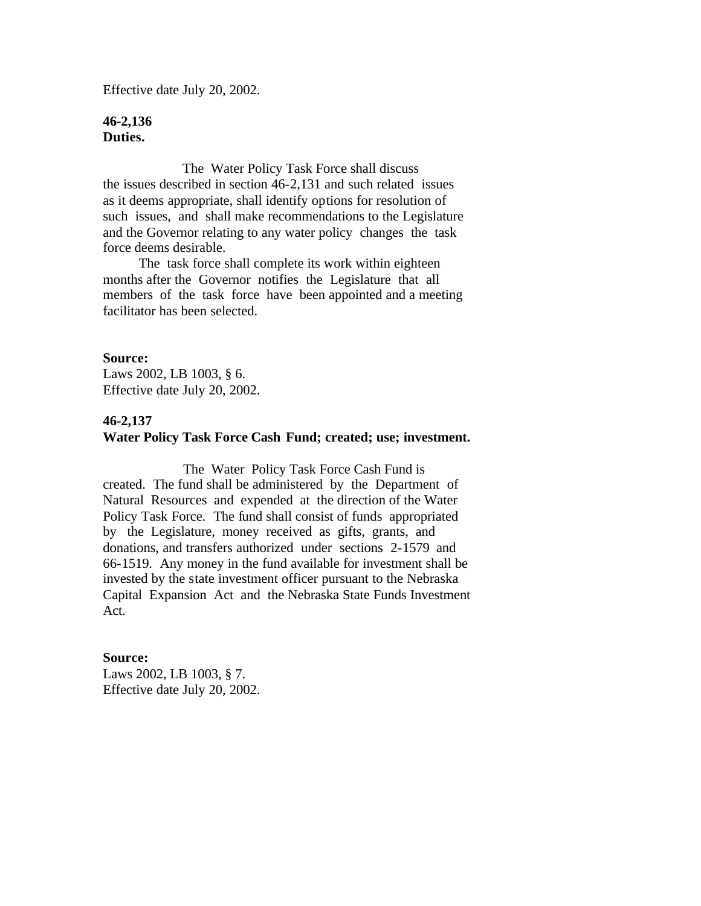Effective date July 20, 2002.

## **46-2,136 Duties.**

 The Water Policy Task Force shall discuss the issues described in section 46-2,131 and such related issues as it deems appropriate, shall identify options for resolution of such issues, and shall make recommendations to the Legislature and the Governor relating to any water policy changes the task force deems desirable.

 The task force shall complete its work within eighteen months after the Governor notifies the Legislature that all members of the task force have been appointed and a meeting facilitator has been selected.

## **Source:**

Laws 2002, LB 1003, § 6. Effective date July 20, 2002.

## **46-2,137**

## **Water Policy Task Force Cash Fund; created; use; investment.**

 The Water Policy Task Force Cash Fund is created. The fund shall be administered by the Department of Natural Resources and expended at the direction of the Water Policy Task Force. The fund shall consist of funds appropriated by the Legislature, money received as gifts, grants, and donations, and transfers authorized under sections 2-1579 and 66-1519. Any money in the fund available for investment shall be invested by the state investment officer pursuant to the Nebraska Capital Expansion Act and the Nebraska State Funds Investment Act.

### **Source:**

Laws 2002, LB 1003, § 7. Effective date July 20, 2002.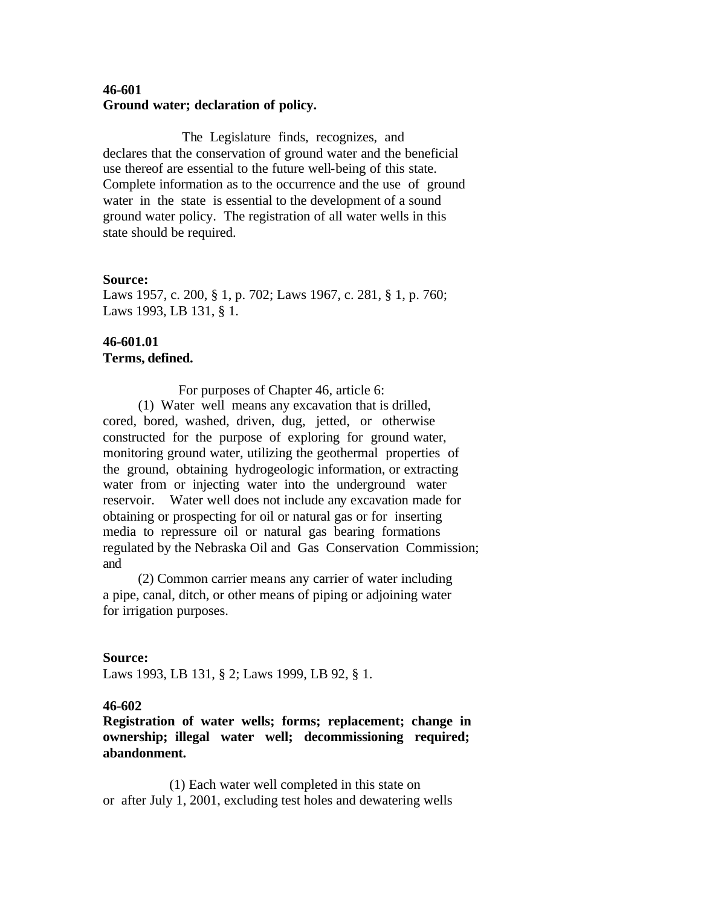# **46-601 Ground water; declaration of policy.**

 The Legislature finds, recognizes, and declares that the conservation of ground water and the beneficial use thereof are essential to the future well-being of this state. Complete information as to the occurrence and the use of ground water in the state is essential to the development of a sound ground water policy. The registration of all water wells in this state should be required.

## **Source:**

Laws 1957, c. 200, § 1, p. 702; Laws 1967, c. 281, § 1, p. 760; Laws 1993, LB 131, § 1.

# **46-601.01 Terms, defined.**

For purposes of Chapter 46, article 6:

 (1) Water well means any excavation that is drilled, cored, bored, washed, driven, dug, jetted, or otherwise constructed for the purpose of exploring for ground water, monitoring ground water, utilizing the geothermal properties of the ground, obtaining hydrogeologic information, or extracting water from or injecting water into the underground water reservoir. Water well does not include any excavation made for obtaining or prospecting for oil or natural gas or for inserting media to repressure oil or natural gas bearing formations regulated by the Nebraska Oil and Gas Conservation Commission; and

 (2) Common carrier means any carrier of water including a pipe, canal, ditch, or other means of piping or adjoining water for irrigation purposes.

## **Source:**

Laws 1993, LB 131, § 2; Laws 1999, LB 92, § 1.

# **46-602**

**Registration of water wells; forms; replacement; change in ownership; illegal water well; decommissioning required; abandonment.**

 (1) Each water well completed in this state on or after July 1, 2001, excluding test holes and dewatering wells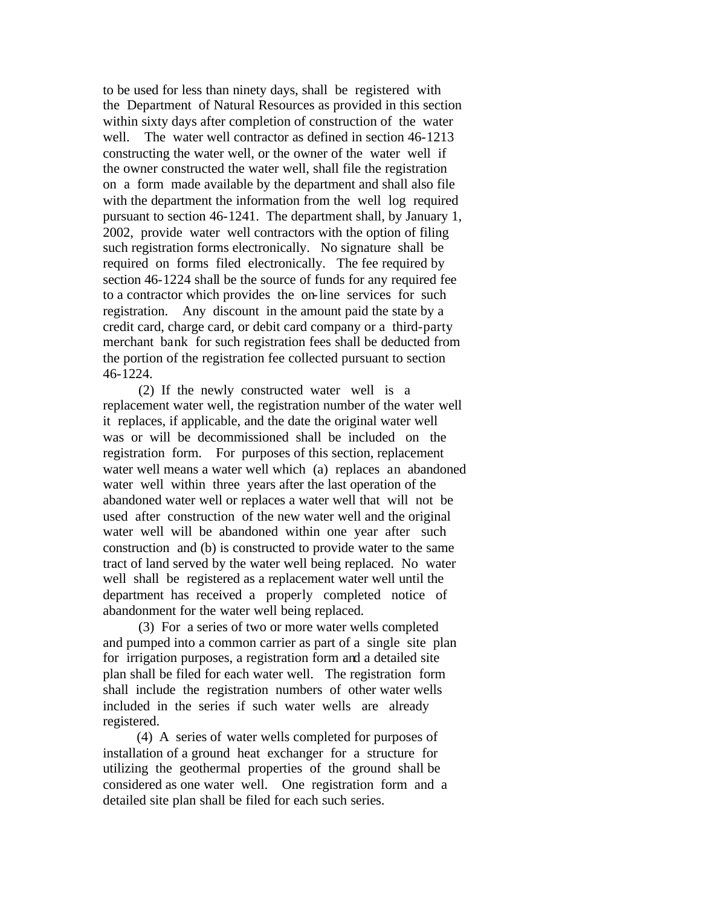to be used for less than ninety days, shall be registered with the Department of Natural Resources as provided in this section within sixty days after completion of construction of the water well. The water well contractor as defined in section 46-1213 constructing the water well, or the owner of the water well if the owner constructed the water well, shall file the registration on a form made available by the department and shall also file with the department the information from the well log required pursuant to section 46-1241. The department shall, by January 1, 2002, provide water well contractors with the option of filing such registration forms electronically. No signature shall be required on forms filed electronically. The fee required by section 46-1224 shall be the source of funds for any required fee to a contractor which provides the on-line services for such registration. Any discount in the amount paid the state by a credit card, charge card, or debit card company or a third-party merchant bank for such registration fees shall be deducted from the portion of the registration fee collected pursuant to section 46-1224.

 (2) If the newly constructed water well is a replacement water well, the registration number of the water well it replaces, if applicable, and the date the original water well was or will be decommissioned shall be included on the registration form. For purposes of this section, replacement water well means a water well which (a) replaces an abandoned water well within three years after the last operation of the abandoned water well or replaces a water well that will not be used after construction of the new water well and the original water well will be abandoned within one year after such construction and (b) is constructed to provide water to the same tract of land served by the water well being replaced. No water well shall be registered as a replacement water well until the department has received a properly completed notice of abandonment for the water well being replaced.

 (3) For a series of two or more water wells completed and pumped into a common carrier as part of a single site plan for irrigation purposes, a registration form and a detailed site plan shall be filed for each water well. The registration form shall include the registration numbers of other water wells included in the series if such water wells are already registered.

 (4) A series of water wells completed for purposes of installation of a ground heat exchanger for a structure for utilizing the geothermal properties of the ground shall be considered as one water well. One registration form and a detailed site plan shall be filed for each such series.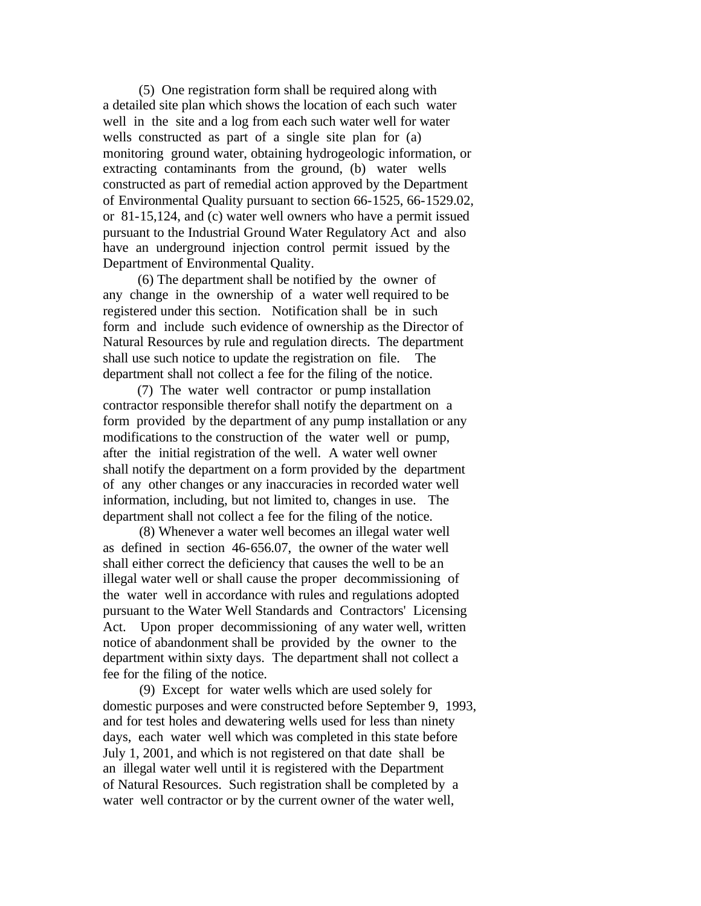(5) One registration form shall be required along with a detailed site plan which shows the location of each such water well in the site and a log from each such water well for water wells constructed as part of a single site plan for (a) monitoring ground water, obtaining hydrogeologic information, or extracting contaminants from the ground, (b) water wells constructed as part of remedial action approved by the Department of Environmental Quality pursuant to section 66-1525, 66-1529.02, or 81-15,124, and (c) water well owners who have a permit issued pursuant to the Industrial Ground Water Regulatory Act and also have an underground injection control permit issued by the Department of Environmental Quality.

 (6) The department shall be notified by the owner of any change in the ownership of a water well required to be registered under this section. Notification shall be in such form and include such evidence of ownership as the Director of Natural Resources by rule and regulation directs. The department shall use such notice to update the registration on file. The department shall not collect a fee for the filing of the notice.

 (7) The water well contractor or pump installation contractor responsible therefor shall notify the department on a form provided by the department of any pump installation or any modifications to the construction of the water well or pump, after the initial registration of the well. A water well owner shall notify the department on a form provided by the department of any other changes or any inaccuracies in recorded water well information, including, but not limited to, changes in use. The department shall not collect a fee for the filing of the notice.

 (8) Whenever a water well becomes an illegal water well as defined in section 46-656.07, the owner of the water well shall either correct the deficiency that causes the well to be an illegal water well or shall cause the proper decommissioning of the water well in accordance with rules and regulations adopted pursuant to the Water Well Standards and Contractors' Licensing Act. Upon proper decommissioning of any water well, written notice of abandonment shall be provided by the owner to the department within sixty days. The department shall not collect a fee for the filing of the notice.

 (9) Except for water wells which are used solely for domestic purposes and were constructed before September 9, 1993, and for test holes and dewatering wells used for less than ninety days, each water well which was completed in this state before July 1, 2001, and which is not registered on that date shall be an illegal water well until it is registered with the Department of Natural Resources. Such registration shall be completed by a water well contractor or by the current owner of the water well,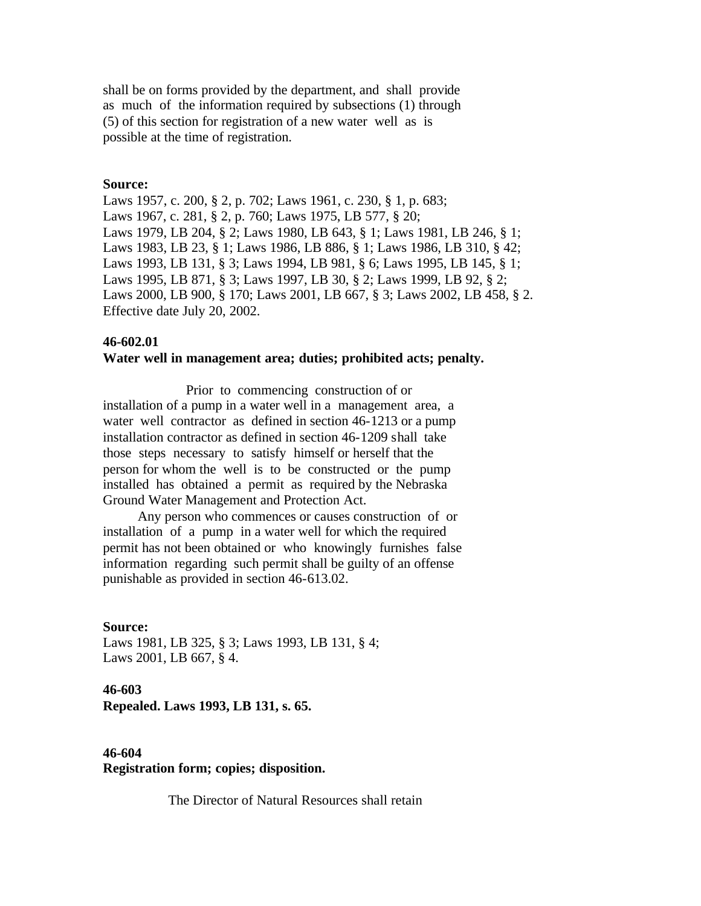shall be on forms provided by the department, and shall provide as much of the information required by subsections (1) through (5) of this section for registration of a new water well as is possible at the time of registration.

### **Source:**

Laws 1957, c. 200, § 2, p. 702; Laws 1961, c. 230, § 1, p. 683; Laws 1967, c. 281, § 2, p. 760; Laws 1975, LB 577, § 20; Laws 1979, LB 204, § 2; Laws 1980, LB 643, § 1; Laws 1981, LB 246, § 1; Laws 1983, LB 23, § 1; Laws 1986, LB 886, § 1; Laws 1986, LB 310, § 42; Laws 1993, LB 131, § 3; Laws 1994, LB 981, § 6; Laws 1995, LB 145, § 1; Laws 1995, LB 871, § 3; Laws 1997, LB 30, § 2; Laws 1999, LB 92, § 2; Laws 2000, LB 900, § 170; Laws 2001, LB 667, § 3; Laws 2002, LB 458, § 2. Effective date July 20, 2002.

#### **46-602.01**

## **Water well in management area; duties; prohibited acts; penalty.**

 Prior to commencing construction of or installation of a pump in a water well in a management area, a water well contractor as defined in section 46-1213 or a pump installation contractor as defined in section 46-1209 shall take those steps necessary to satisfy himself or herself that the person for whom the well is to be constructed or the pump installed has obtained a permit as required by the Nebraska Ground Water Management and Protection Act.

 Any person who commences or causes construction of or installation of a pump in a water well for which the required permit has not been obtained or who knowingly furnishes false information regarding such permit shall be guilty of an offense punishable as provided in section 46-613.02.

#### **Source:**

Laws 1981, LB 325, § 3; Laws 1993, LB 131, § 4; Laws 2001, LB 667, § 4.

# **46-603 Repealed. Laws 1993, LB 131, s. 65.**

# **46-604 Registration form; copies; disposition.**

The Director of Natural Resources shall retain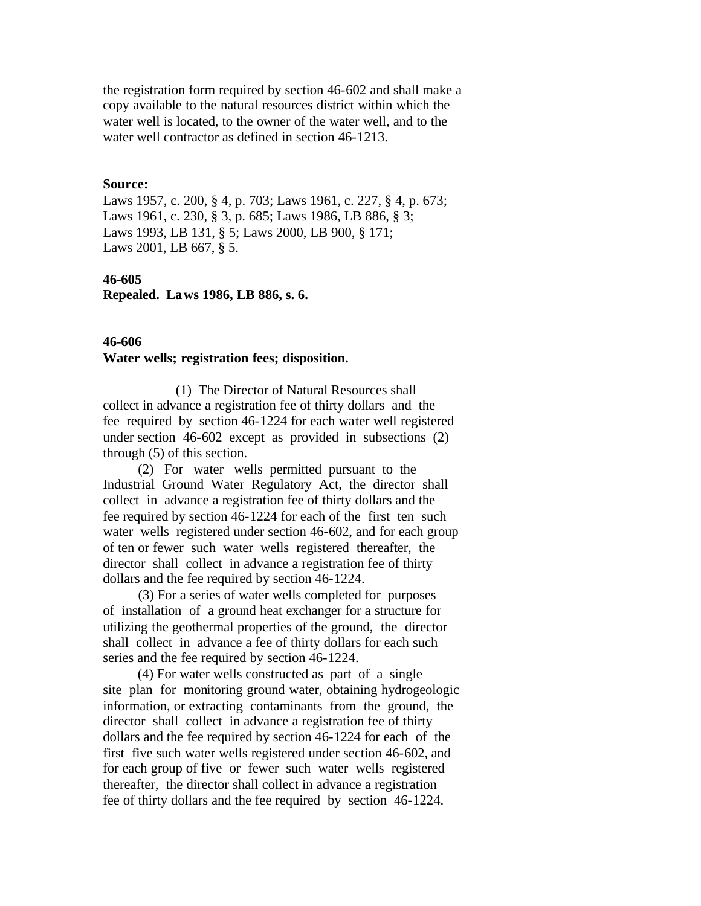the registration form required by section 46-602 and shall make a copy available to the natural resources district within which the water well is located, to the owner of the water well, and to the water well contractor as defined in section 46-1213.

#### **Source:**

Laws 1957, c. 200, § 4, p. 703; Laws 1961, c. 227, § 4, p. 673; Laws 1961, c. 230, § 3, p. 685; Laws 1986, LB 886, § 3; Laws 1993, LB 131, § 5; Laws 2000, LB 900, § 171; Laws 2001, LB 667, § 5.

#### **46-605**

**Repealed. Laws 1986, LB 886, s. 6.**

## **46-606**

## **Water wells; registration fees; disposition.**

 (1) The Director of Natural Resources shall collect in advance a registration fee of thirty dollars and the fee required by section 46-1224 for each water well registered under section 46-602 except as provided in subsections (2) through (5) of this section.

 (2) For water wells permitted pursuant to the Industrial Ground Water Regulatory Act, the director shall collect in advance a registration fee of thirty dollars and the fee required by section 46-1224 for each of the first ten such water wells registered under section 46-602, and for each group of ten or fewer such water wells registered thereafter, the director shall collect in advance a registration fee of thirty dollars and the fee required by section 46-1224.

 (3) For a series of water wells completed for purposes of installation of a ground heat exchanger for a structure for utilizing the geothermal properties of the ground, the director shall collect in advance a fee of thirty dollars for each such series and the fee required by section 46-1224.

 (4) For water wells constructed as part of a single site plan for monitoring ground water, obtaining hydrogeologic information, or extracting contaminants from the ground, the director shall collect in advance a registration fee of thirty dollars and the fee required by section 46-1224 for each of the first five such water wells registered under section 46-602, and for each group of five or fewer such water wells registered thereafter, the director shall collect in advance a registration fee of thirty dollars and the fee required by section 46-1224.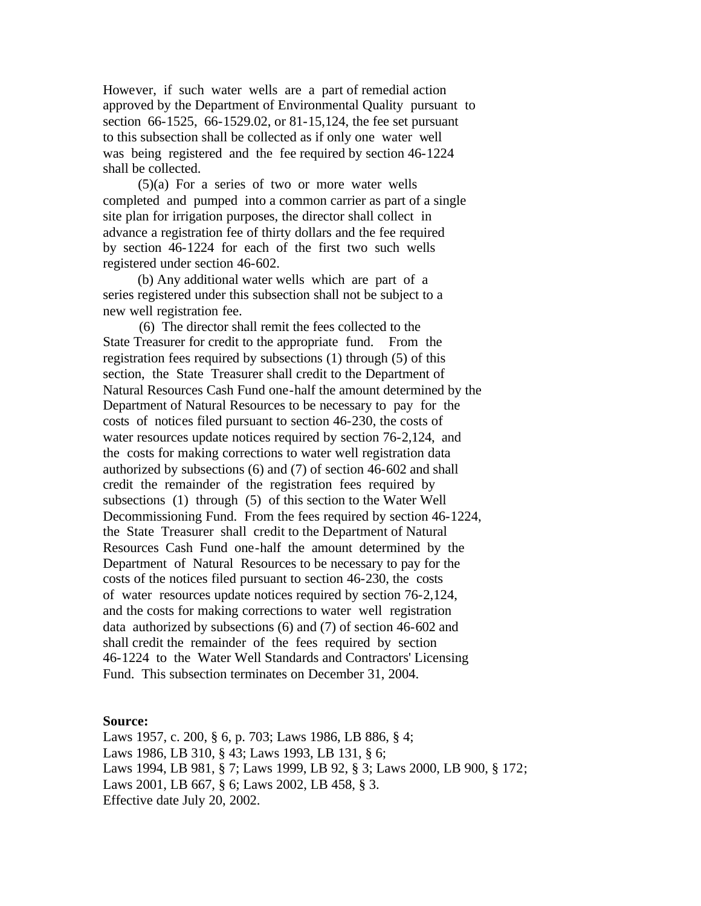However, if such water wells are a part of remedial action approved by the Department of Environmental Quality pursuant to section 66-1525, 66-1529.02, or 81-15,124, the fee set pursuant to this subsection shall be collected as if only one water well was being registered and the fee required by section 46-1224 shall be collected.

 (5)(a) For a series of two or more water wells completed and pumped into a common carrier as part of a single site plan for irrigation purposes, the director shall collect in advance a registration fee of thirty dollars and the fee required by section 46-1224 for each of the first two such wells registered under section 46-602.

 (b) Any additional water wells which are part of a series registered under this subsection shall not be subject to a new well registration fee.

 (6) The director shall remit the fees collected to the State Treasurer for credit to the appropriate fund. From the registration fees required by subsections (1) through (5) of this section, the State Treasurer shall credit to the Department of Natural Resources Cash Fund one-half the amount determined by the Department of Natural Resources to be necessary to pay for the costs of notices filed pursuant to section 46-230, the costs of water resources update notices required by section 76-2,124, and the costs for making corrections to water well registration data authorized by subsections (6) and (7) of section 46-602 and shall credit the remainder of the registration fees required by subsections (1) through (5) of this section to the Water Well Decommissioning Fund. From the fees required by section 46-1224, the State Treasurer shall credit to the Department of Natural Resources Cash Fund one-half the amount determined by the Department of Natural Resources to be necessary to pay for the costs of the notices filed pursuant to section 46-230, the costs of water resources update notices required by section 76-2,124, and the costs for making corrections to water well registration data authorized by subsections (6) and (7) of section 46-602 and shall credit the remainder of the fees required by section 46-1224 to the Water Well Standards and Contractors' Licensing Fund. This subsection terminates on December 31, 2004.

#### **Source:**

Laws 1957, c. 200, § 6, p. 703; Laws 1986, LB 886, § 4; Laws 1986, LB 310, § 43; Laws 1993, LB 131, § 6; Laws 1994, LB 981, § 7; Laws 1999, LB 92, § 3; Laws 2000, LB 900, § 172; Laws 2001, LB 667, § 6; Laws 2002, LB 458, § 3. Effective date July 20, 2002.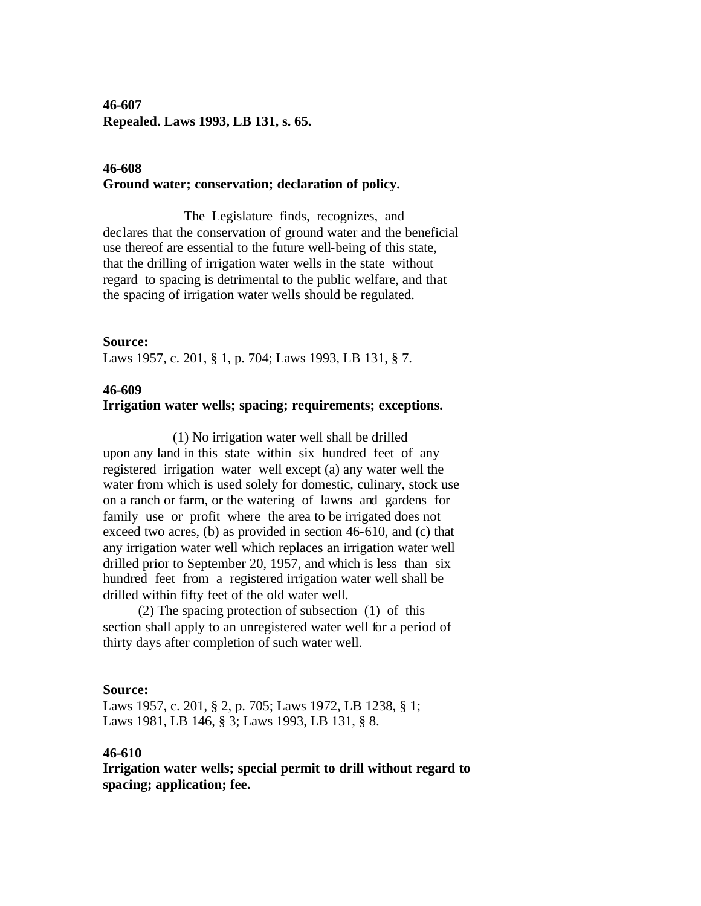**46-607 Repealed. Laws 1993, LB 131, s. 65.**

## **46-608 Ground water; conservation; declaration of policy.**

 The Legislature finds, recognizes, and declares that the conservation of ground water and the beneficial use thereof are essential to the future well-being of this state, that the drilling of irrigation water wells in the state without regard to spacing is detrimental to the public welfare, and that the spacing of irrigation water wells should be regulated.

## **Source:**

Laws 1957, c. 201, § 1, p. 704; Laws 1993, LB 131, § 7.

## **46-609**

## **Irrigation water wells; spacing; requirements; exceptions.**

 (1) No irrigation water well shall be drilled upon any land in this state within six hundred feet of any registered irrigation water well except (a) any water well the water from which is used solely for domestic, culinary, stock use on a ranch or farm, or the watering of lawns and gardens for family use or profit where the area to be irrigated does not exceed two acres, (b) as provided in section 46-610, and (c) that any irrigation water well which replaces an irrigation water well drilled prior to September 20, 1957, and which is less than six hundred feet from a registered irrigation water well shall be drilled within fifty feet of the old water well.

 (2) The spacing protection of subsection (1) of this section shall apply to an unregistered water well for a period of thirty days after completion of such water well.

## **Source:**

Laws 1957, c. 201, § 2, p. 705; Laws 1972, LB 1238, § 1; Laws 1981, LB 146, § 3; Laws 1993, LB 131, § 8.

# **46-610**

**Irrigation water wells; special permit to drill without regard to spacing; application; fee.**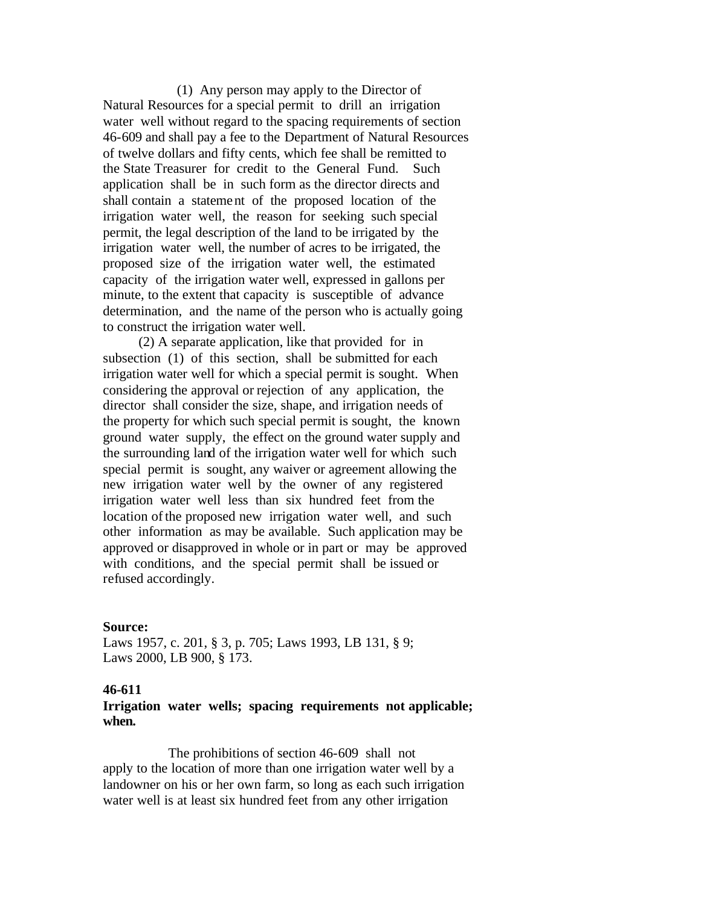(1) Any person may apply to the Director of Natural Resources for a special permit to drill an irrigation water well without regard to the spacing requirements of section 46-609 and shall pay a fee to the Department of Natural Resources of twelve dollars and fifty cents, which fee shall be remitted to the State Treasurer for credit to the General Fund. Such application shall be in such form as the director directs and shall contain a statement of the proposed location of the irrigation water well, the reason for seeking such special permit, the legal description of the land to be irrigated by the irrigation water well, the number of acres to be irrigated, the proposed size of the irrigation water well, the estimated capacity of the irrigation water well, expressed in gallons per minute, to the extent that capacity is susceptible of advance determination, and the name of the person who is actually going to construct the irrigation water well.

 (2) A separate application, like that provided for in subsection (1) of this section, shall be submitted for each irrigation water well for which a special permit is sought. When considering the approval or rejection of any application, the director shall consider the size, shape, and irrigation needs of the property for which such special permit is sought, the known ground water supply, the effect on the ground water supply and the surrounding land of the irrigation water well for which such special permit is sought, any waiver or agreement allowing the new irrigation water well by the owner of any registered irrigation water well less than six hundred feet from the location of the proposed new irrigation water well, and such other information as may be available. Such application may be approved or disapproved in whole or in part or may be approved with conditions, and the special permit shall be issued or refused accordingly.

#### **Source:**

Laws 1957, c. 201, § 3, p. 705; Laws 1993, LB 131, § 9; Laws 2000, LB 900, § 173.

#### **46-611**

# **Irrigation water wells; spacing requirements not applicable; when.**

 The prohibitions of section 46-609 shall not apply to the location of more than one irrigation water well by a landowner on his or her own farm, so long as each such irrigation water well is at least six hundred feet from any other irrigation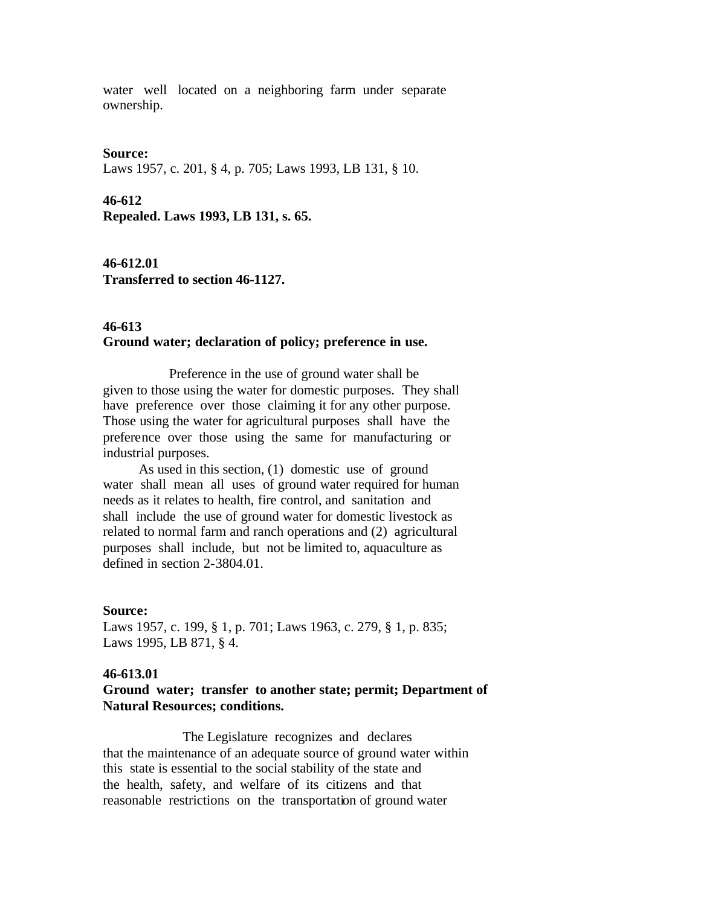water well located on a neighboring farm under separate ownership.

**Source:**

Laws 1957, c. 201, § 4, p. 705; Laws 1993, LB 131, § 10.

**46-612 Repealed. Laws 1993, LB 131, s. 65.**

**46-612.01 Transferred to section 46-1127.**

# **46-613 Ground water; declaration of policy; preference in use.**

 Preference in the use of ground water shall be given to those using the water for domestic purposes. They shall have preference over those claiming it for any other purpose. Those using the water for agricultural purposes shall have the preference over those using the same for manufacturing or industrial purposes.

 As used in this section, (1) domestic use of ground water shall mean all uses of ground water required for human needs as it relates to health, fire control, and sanitation and shall include the use of ground water for domestic livestock as related to normal farm and ranch operations and (2) agricultural purposes shall include, but not be limited to, aquaculture as defined in section 2-3804.01.

## **Source:**

Laws 1957, c. 199, § 1, p. 701; Laws 1963, c. 279, § 1, p. 835; Laws 1995, LB 871, § 4.

#### **46-613.01**

## **Ground water; transfer to another state; permit; Department of Natural Resources; conditions.**

 The Legislature recognizes and declares that the maintenance of an adequate source of ground water within this state is essential to the social stability of the state and the health, safety, and welfare of its citizens and that reasonable restrictions on the transportation of ground water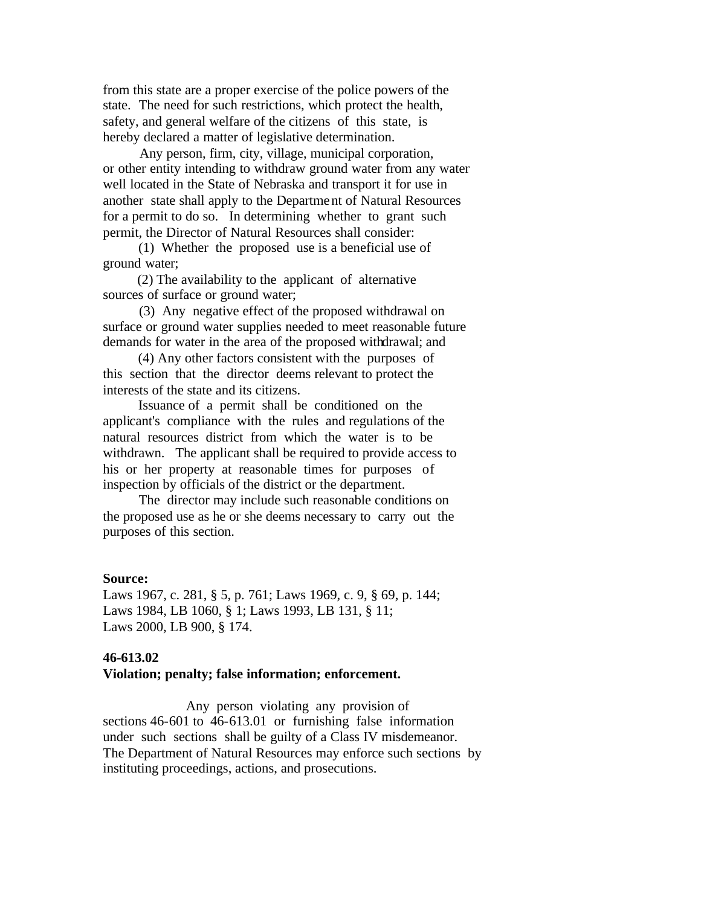from this state are a proper exercise of the police powers of the state. The need for such restrictions, which protect the health, safety, and general welfare of the citizens of this state, is hereby declared a matter of legislative determination.

 Any person, firm, city, village, municipal corporation, or other entity intending to withdraw ground water from any water well located in the State of Nebraska and transport it for use in another state shall apply to the Department of Natural Resources for a permit to do so. In determining whether to grant such permit, the Director of Natural Resources shall consider:

 (1) Whether the proposed use is a beneficial use of ground water;

 (2) The availability to the applicant of alternative sources of surface or ground water;

 (3) Any negative effect of the proposed withdrawal on surface or ground water supplies needed to meet reasonable future demands for water in the area of the proposed withdrawal; and

 (4) Any other factors consistent with the purposes of this section that the director deems relevant to protect the interests of the state and its citizens.

 Issuance of a permit shall be conditioned on the applicant's compliance with the rules and regulations of the natural resources district from which the water is to be withdrawn. The applicant shall be required to provide access to his or her property at reasonable times for purposes of inspection by officials of the district or the department.

 The director may include such reasonable conditions on the proposed use as he or she deems necessary to carry out the purposes of this section.

## **Source:**

Laws 1967, c. 281, § 5, p. 761; Laws 1969, c. 9, § 69, p. 144; Laws 1984, LB 1060, § 1; Laws 1993, LB 131, § 11; Laws 2000, LB 900, § 174.

## **46-613.02**

#### **Violation; penalty; false information; enforcement.**

 Any person violating any provision of sections 46-601 to 46-613.01 or furnishing false information under such sections shall be guilty of a Class IV misdemeanor. The Department of Natural Resources may enforce such sections by instituting proceedings, actions, and prosecutions.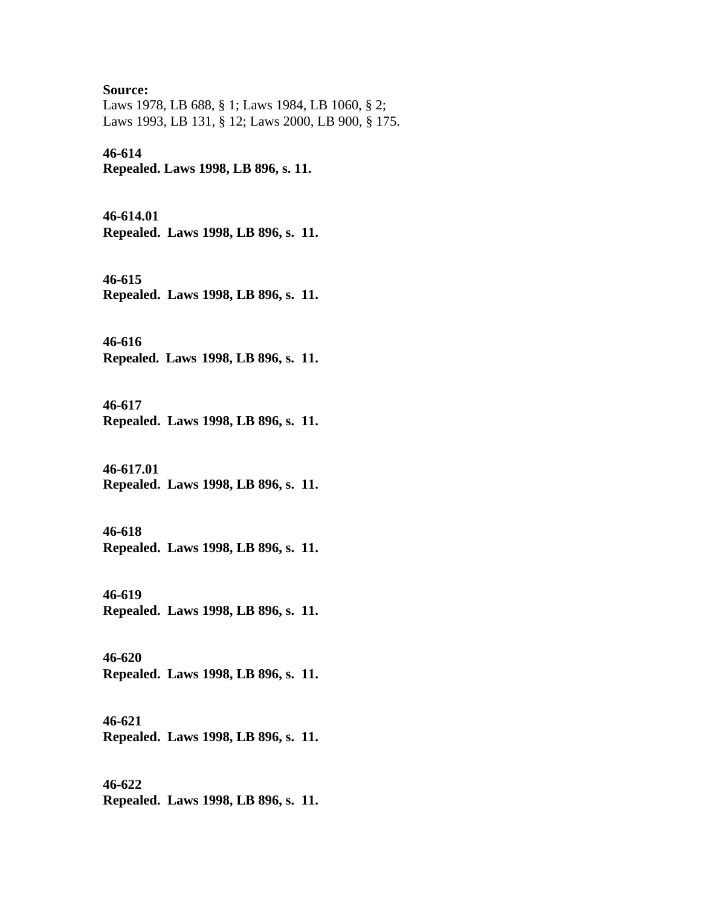**Source:** Laws 1978, LB 688, § 1; Laws 1984, LB 1060, § 2; Laws 1993, LB 131, § 12; Laws 2000, LB 900, § 175.

# **46-614**

**Repealed. Laws 1998, LB 896, s. 11.**

**46-614.01**

**Repealed. Laws 1998, LB 896, s. 11.**

**46-615 Repealed. Laws 1998, LB 896, s. 11.**

**46-616 Repealed. Laws 1998, LB 896, s. 11.**

**46-617 Repealed. Laws 1998, LB 896, s. 11.**

**46-617.01 Repealed. Laws 1998, LB 896, s. 11.**

**46-618**

**Repealed. Laws 1998, LB 896, s. 11.**

**46-619 Repealed. Laws 1998, LB 896, s. 11.**

**46-620 Repealed. Laws 1998, LB 896, s. 11.**

**46-621 Repealed. Laws 1998, LB 896, s. 11.**

**46-622 Repealed. Laws 1998, LB 896, s. 11.**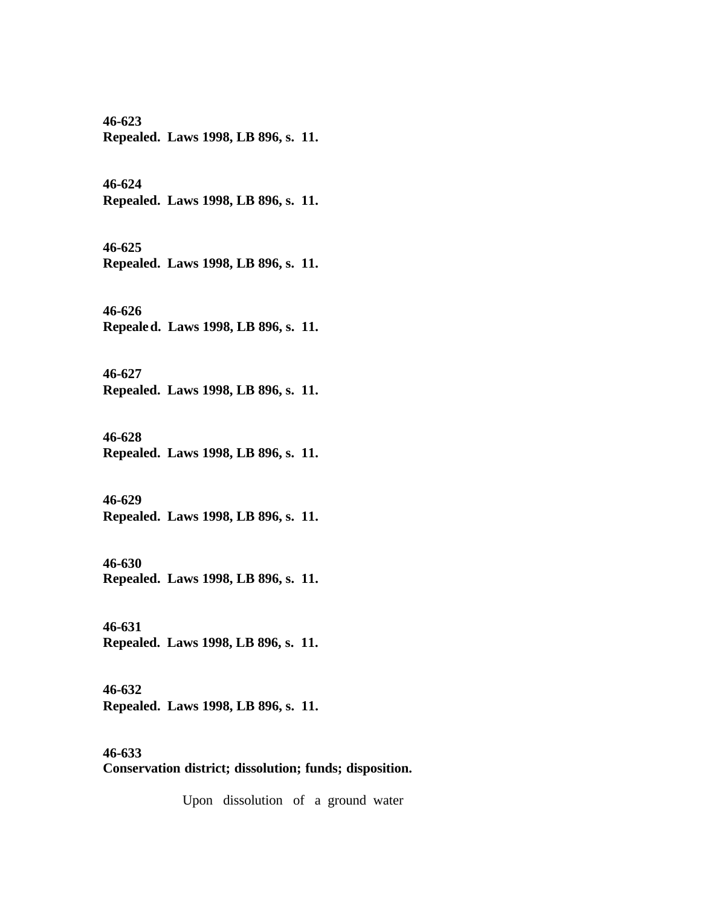**46-623 Repealed. Laws 1998, LB 896, s. 11.**

**46-624**

**Repealed. Laws 1998, LB 896, s. 11.**

**46-625**

**Repealed. Laws 1998, LB 896, s. 11.**

**46-626 Repealed. Laws 1998, LB 896, s. 11.**

**46-627 Repealed. Laws 1998, LB 896, s. 11.**

**46-628 Repealed. Laws 1998, LB 896, s. 11.**

**46-629 Repealed. Laws 1998, LB 896, s. 11.**

**46-630 Repealed. Laws 1998, LB 896, s. 11.**

**46-631 Repealed. Laws 1998, LB 896, s. 11.**

**46-632 Repealed. Laws 1998, LB 896, s. 11.**

**46-633 Conservation district; dissolution; funds; disposition.**

Upon dissolution of a ground water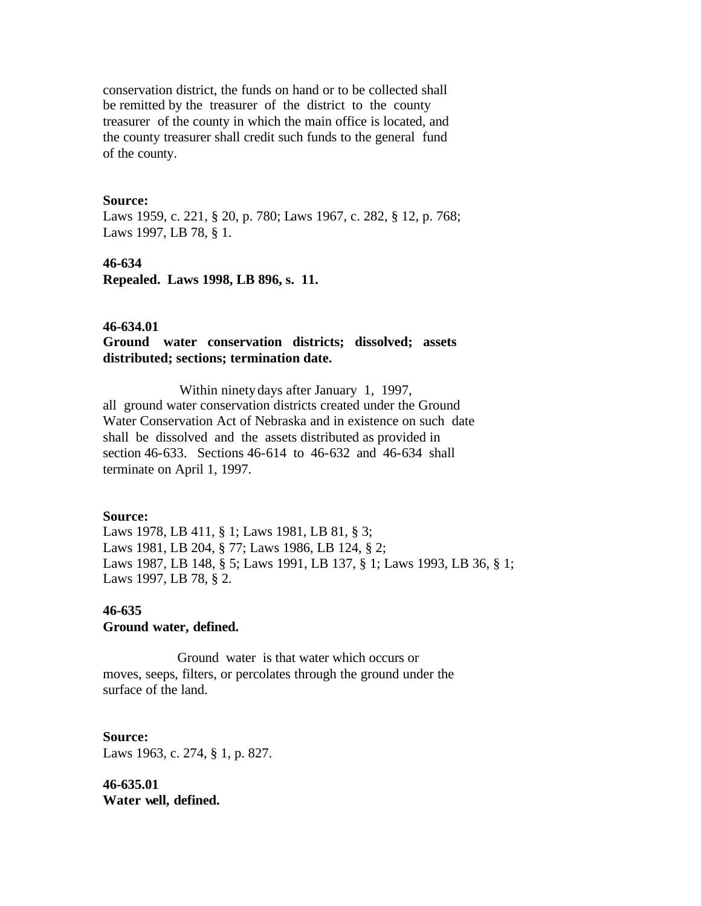conservation district, the funds on hand or to be collected shall be remitted by the treasurer of the district to the county treasurer of the county in which the main office is located, and the county treasurer shall credit such funds to the general fund of the county.

## **Source:**

Laws 1959, c. 221, § 20, p. 780; Laws 1967, c. 282, § 12, p. 768; Laws 1997, LB 78, § 1.

#### **46-634**

**Repealed. Laws 1998, LB 896, s. 11.**

### **46-634.01**

# **Ground water conservation districts; dissolved; assets distributed; sections; termination date.**

 Within ninety days after January 1, 1997, all ground water conservation districts created under the Ground Water Conservation Act of Nebraska and in existence on such date shall be dissolved and the assets distributed as provided in section 46-633. Sections 46-614 to 46-632 and 46-634 shall terminate on April 1, 1997.

### **Source:**

Laws 1978, LB 411, § 1; Laws 1981, LB 81, § 3; Laws 1981, LB 204, § 77; Laws 1986, LB 124, § 2; Laws 1987, LB 148, § 5; Laws 1991, LB 137, § 1; Laws 1993, LB 36, § 1; Laws 1997, LB 78, § 2.

# **46-635**

### **Ground water, defined.**

 Ground water is that water which occurs or moves, seeps, filters, or percolates through the ground under the surface of the land.

**Source:** Laws 1963, c. 274, § 1, p. 827.

**46-635.01 Water well, defined.**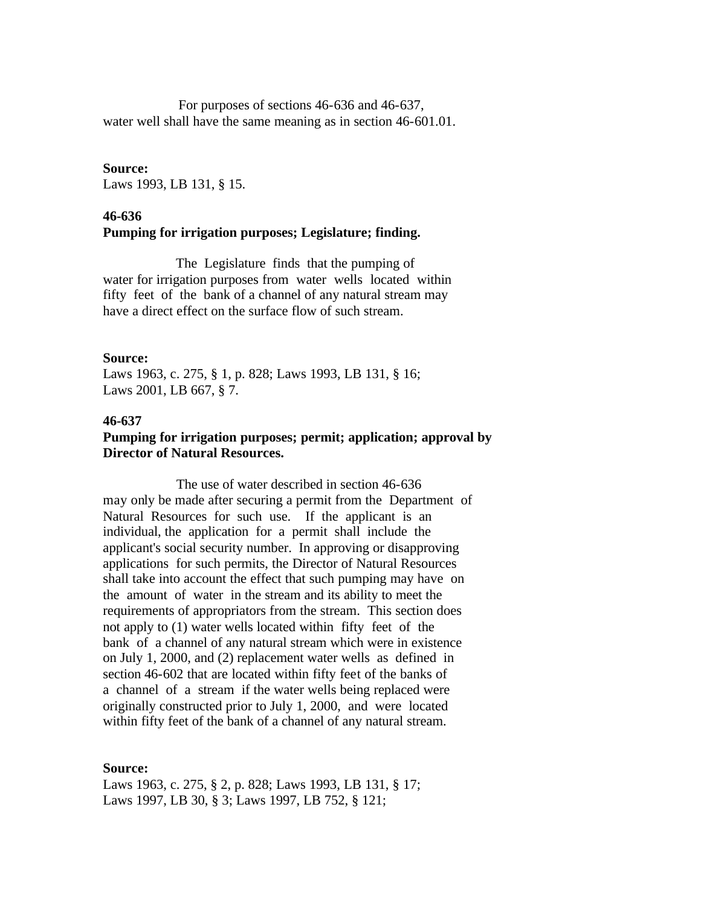For purposes of sections 46-636 and 46-637, water well shall have the same meaning as in section 46-601.01.

**Source:** Laws 1993, LB 131, § 15.

# **46-636 Pumping for irrigation purposes; Legislature; finding.**

 The Legislature finds that the pumping of water for irrigation purposes from water wells located within fifty feet of the bank of a channel of any natural stream may have a direct effect on the surface flow of such stream.

## **Source:**

Laws 1963, c. 275, § 1, p. 828; Laws 1993, LB 131, § 16; Laws 2001, LB 667, § 7.

### **46-637**

# **Pumping for irrigation purposes; permit; application; approval by Director of Natural Resources.**

 The use of water described in section 46-636 may only be made after securing a permit from the Department of Natural Resources for such use. If the applicant is an individual, the application for a permit shall include the applicant's social security number. In approving or disapproving applications for such permits, the Director of Natural Resources shall take into account the effect that such pumping may have on the amount of water in the stream and its ability to meet the requirements of appropriators from the stream. This section does not apply to (1) water wells located within fifty feet of the bank of a channel of any natural stream which were in existence on July 1, 2000, and (2) replacement water wells as defined in section 46-602 that are located within fifty feet of the banks of a channel of a stream if the water wells being replaced were originally constructed prior to July 1, 2000, and were located within fifty feet of the bank of a channel of any natural stream.

## **Source:**

Laws 1963, c. 275, § 2, p. 828; Laws 1993, LB 131, § 17; Laws 1997, LB 30, § 3; Laws 1997, LB 752, § 121;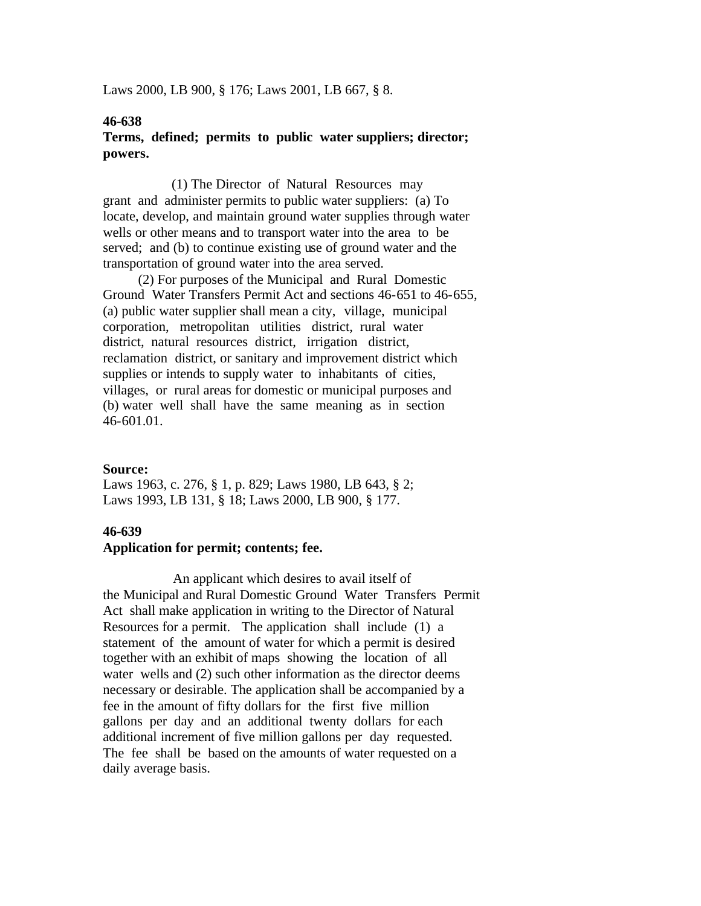Laws 2000, LB 900, § 176; Laws 2001, LB 667, § 8.

## **46-638**

## **Terms, defined; permits to public water suppliers; director; powers.**

 (1) The Director of Natural Resources may grant and administer permits to public water suppliers: (a) To locate, develop, and maintain ground water supplies through water wells or other means and to transport water into the area to be served; and (b) to continue existing use of ground water and the transportation of ground water into the area served.

 (2) For purposes of the Municipal and Rural Domestic Ground Water Transfers Permit Act and sections 46-651 to 46-655, (a) public water supplier shall mean a city, village, municipal corporation, metropolitan utilities district, rural water district, natural resources district, irrigation district, reclamation district, or sanitary and improvement district which supplies or intends to supply water to inhabitants of cities, villages, or rural areas for domestic or municipal purposes and (b) water well shall have the same meaning as in section 46-601.01.

## **Source:**

Laws 1963, c. 276, § 1, p. 829; Laws 1980, LB 643, § 2; Laws 1993, LB 131, § 18; Laws 2000, LB 900, § 177.

#### **46-639**

### **Application for permit; contents; fee.**

 An applicant which desires to avail itself of the Municipal and Rural Domestic Ground Water Transfers Permit Act shall make application in writing to the Director of Natural Resources for a permit. The application shall include (1) a statement of the amount of water for which a permit is desired together with an exhibit of maps showing the location of all water wells and (2) such other information as the director deems necessary or desirable. The application shall be accompanied by a fee in the amount of fifty dollars for the first five million gallons per day and an additional twenty dollars for each additional increment of five million gallons per day requested. The fee shall be based on the amounts of water requested on a daily average basis.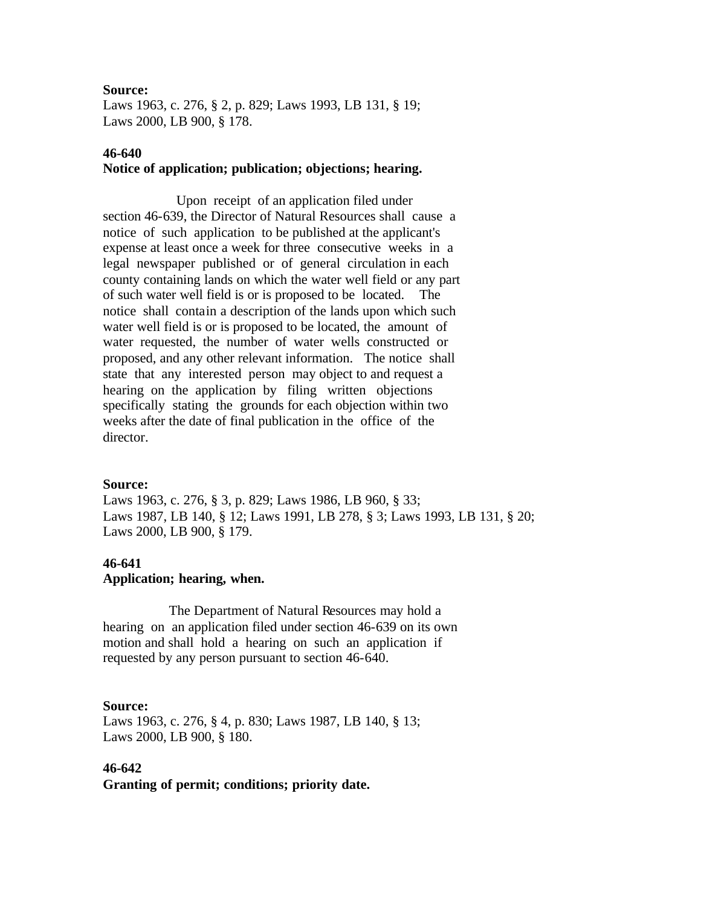#### **Source:**

Laws 1963, c. 276, § 2, p. 829; Laws 1993, LB 131, § 19; Laws 2000, LB 900, § 178.

#### **46-640**

## **Notice of application; publication; objections; hearing.**

 Upon receipt of an application filed under section 46-639, the Director of Natural Resources shall cause a notice of such application to be published at the applicant's expense at least once a week for three consecutive weeks in a legal newspaper published or of general circulation in each county containing lands on which the water well field or any part of such water well field is or is proposed to be located. The notice shall contain a description of the lands upon which such water well field is or is proposed to be located, the amount of water requested, the number of water wells constructed or proposed, and any other relevant information. The notice shall state that any interested person may object to and request a hearing on the application by filing written objections specifically stating the grounds for each objection within two weeks after the date of final publication in the office of the director.

#### **Source:**

Laws 1963, c. 276, § 3, p. 829; Laws 1986, LB 960, § 33; Laws 1987, LB 140, § 12; Laws 1991, LB 278, § 3; Laws 1993, LB 131, § 20; Laws 2000, LB 900, § 179.

#### **46-641**

## **Application; hearing, when.**

 The Department of Natural Resources may hold a hearing on an application filed under section 46-639 on its own motion and shall hold a hearing on such an application if requested by any person pursuant to section 46-640.

## **Source:**

Laws 1963, c. 276, § 4, p. 830; Laws 1987, LB 140, § 13; Laws 2000, LB 900, § 180.

#### **46-642**

**Granting of permit; conditions; priority date.**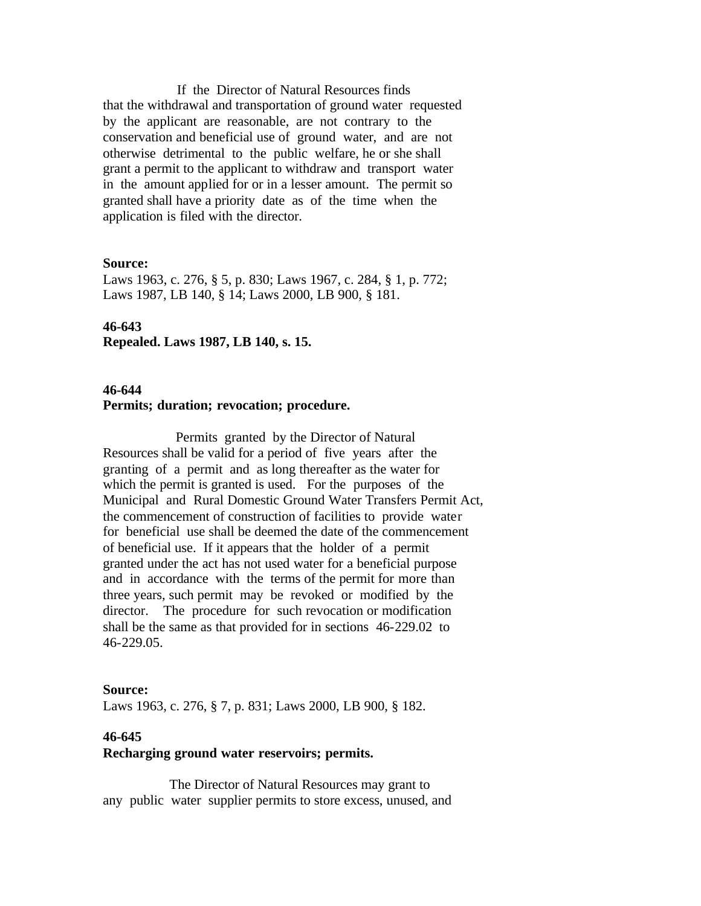If the Director of Natural Resources finds that the withdrawal and transportation of ground water requested by the applicant are reasonable, are not contrary to the conservation and beneficial use of ground water, and are not otherwise detrimental to the public welfare, he or she shall grant a permit to the applicant to withdraw and transport water in the amount applied for or in a lesser amount. The permit so granted shall have a priority date as of the time when the application is filed with the director.

## **Source:**

Laws 1963, c. 276, § 5, p. 830; Laws 1967, c. 284, § 1, p. 772; Laws 1987, LB 140, § 14; Laws 2000, LB 900, § 181.

## **46-643**

**Repealed. Laws 1987, LB 140, s. 15.**

## **46-644**

## **Permits; duration; revocation; procedure.**

 Permits granted by the Director of Natural Resources shall be valid for a period of five years after the granting of a permit and as long thereafter as the water for which the permit is granted is used. For the purposes of the Municipal and Rural Domestic Ground Water Transfers Permit Act, the commencement of construction of facilities to provide water for beneficial use shall be deemed the date of the commencement of beneficial use. If it appears that the holder of a permit granted under the act has not used water for a beneficial purpose and in accordance with the terms of the permit for more than three years, such permit may be revoked or modified by the director. The procedure for such revocation or modification shall be the same as that provided for in sections 46-229.02 to 46-229.05.

#### **Source:**

Laws 1963, c. 276, § 7, p. 831; Laws 2000, LB 900, § 182.

# **46-645**

#### **Recharging ground water reservoirs; permits.**

 The Director of Natural Resources may grant to any public water supplier permits to store excess, unused, and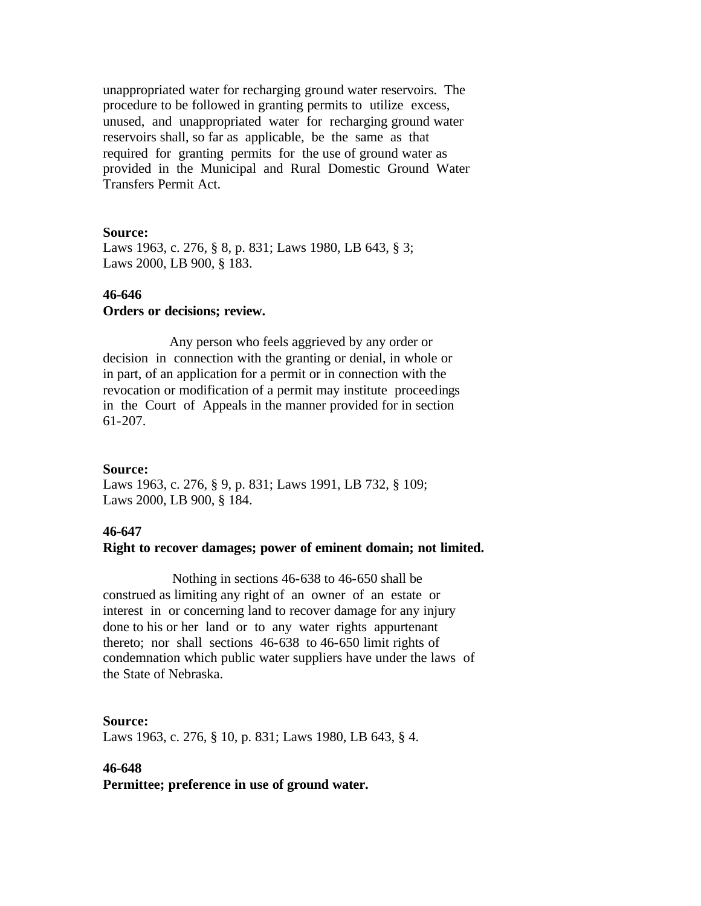unappropriated water for recharging ground water reservoirs. The procedure to be followed in granting permits to utilize excess, unused, and unappropriated water for recharging ground water reservoirs shall, so far as applicable, be the same as that required for granting permits for the use of ground water as provided in the Municipal and Rural Domestic Ground Water Transfers Permit Act.

### **Source:**

Laws 1963, c. 276, § 8, p. 831; Laws 1980, LB 643, § 3; Laws 2000, LB 900, § 183.

# **46-646 Orders or decisions; review.**

 Any person who feels aggrieved by any order or decision in connection with the granting or denial, in whole or in part, of an application for a permit or in connection with the revocation or modification of a permit may institute proceedings in the Court of Appeals in the manner provided for in section 61-207.

## **Source:**

Laws 1963, c. 276, § 9, p. 831; Laws 1991, LB 732, § 109; Laws 2000, LB 900, § 184.

## **46-647**

## **Right to recover damages; power of eminent domain; not limited.**

 Nothing in sections 46-638 to 46-650 shall be construed as limiting any right of an owner of an estate or interest in or concerning land to recover damage for any injury done to his or her land or to any water rights appurtenant thereto; nor shall sections 46-638 to 46-650 limit rights of condemnation which public water suppliers have under the laws of the State of Nebraska.

#### **Source:**

Laws 1963, c. 276, § 10, p. 831; Laws 1980, LB 643, § 4.

#### **46-648**

**Permittee; preference in use of ground water.**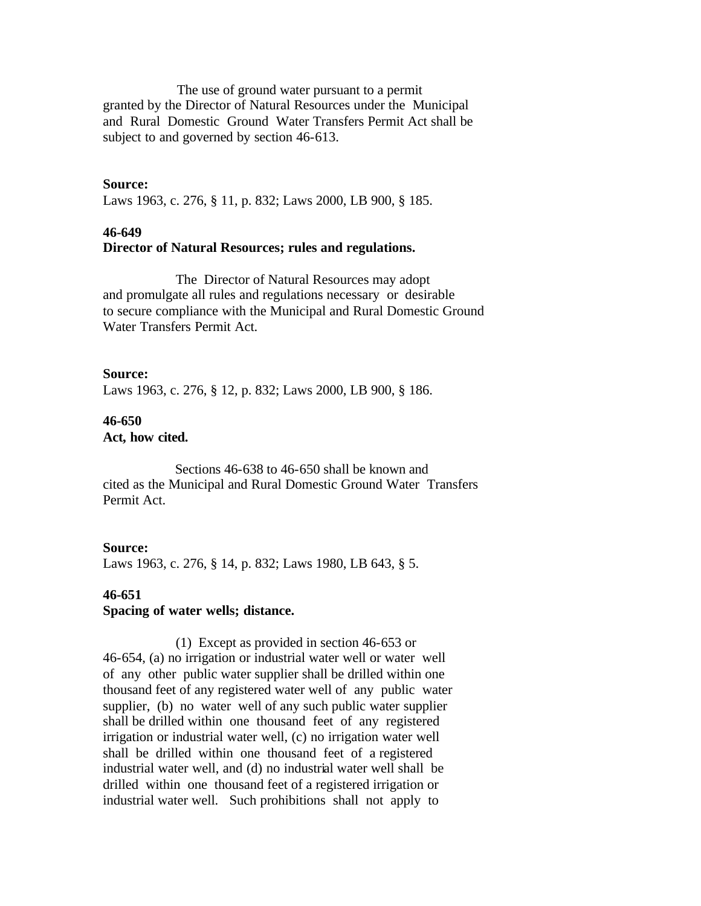The use of ground water pursuant to a permit granted by the Director of Natural Resources under the Municipal and Rural Domestic Ground Water Transfers Permit Act shall be subject to and governed by section 46-613.

### **Source:**

Laws 1963, c. 276, § 11, p. 832; Laws 2000, LB 900, § 185.

# **46-649**

## **Director of Natural Resources; rules and regulations.**

 The Director of Natural Resources may adopt and promulgate all rules and regulations necessary or desirable to secure compliance with the Municipal and Rural Domestic Ground Water Transfers Permit Act.

## **Source:**

Laws 1963, c. 276, § 12, p. 832; Laws 2000, LB 900, § 186.

## **46-650 Act, how cited.**

 Sections 46-638 to 46-650 shall be known and cited as the Municipal and Rural Domestic Ground Water Transfers Permit Act.

## **Source:**

Laws 1963, c. 276, § 14, p. 832; Laws 1980, LB 643, § 5.

#### **46-651**

## **Spacing of water wells; distance.**

 (1) Except as provided in section 46-653 or 46-654, (a) no irrigation or industrial water well or water well of any other public water supplier shall be drilled within one thousand feet of any registered water well of any public water supplier, (b) no water well of any such public water supplier shall be drilled within one thousand feet of any registered irrigation or industrial water well, (c) no irrigation water well shall be drilled within one thousand feet of a registered industrial water well, and (d) no industrial water well shall be drilled within one thousand feet of a registered irrigation or industrial water well. Such prohibitions shall not apply to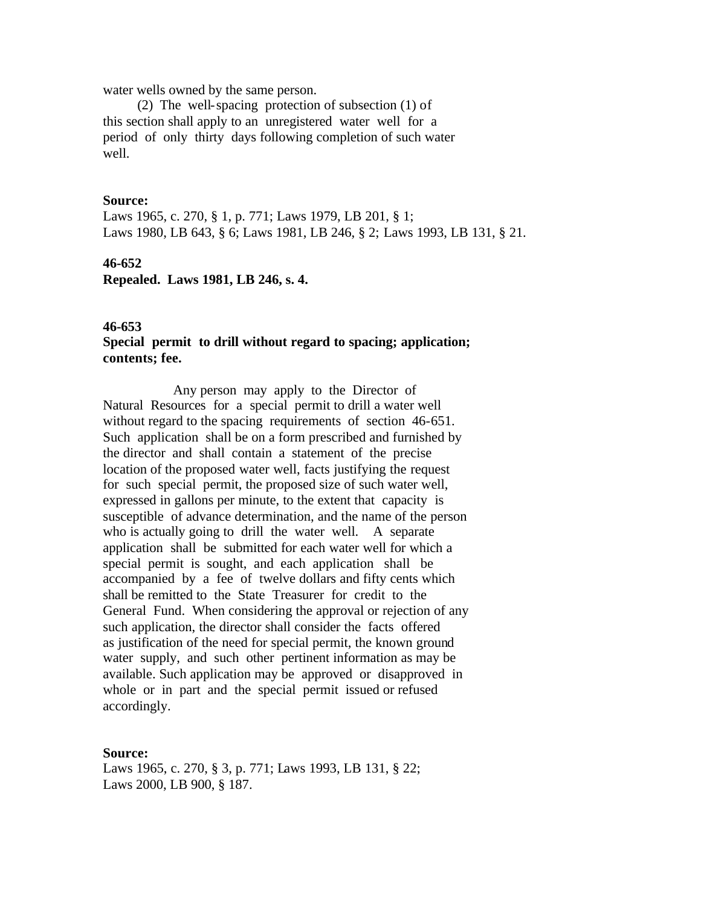water wells owned by the same person.

 (2) The well-spacing protection of subsection (1) of this section shall apply to an unregistered water well for a period of only thirty days following completion of such water well.

### **Source:**

Laws 1965, c. 270, § 1, p. 771; Laws 1979, LB 201, § 1; Laws 1980, LB 643, § 6; Laws 1981, LB 246, § 2; Laws 1993, LB 131, § 21.

### **46-652**

**Repealed. Laws 1981, LB 246, s. 4.**

## **46-653**

# **Special permit to drill without regard to spacing; application; contents; fee.**

 Any person may apply to the Director of Natural Resources for a special permit to drill a water well without regard to the spacing requirements of section 46-651. Such application shall be on a form prescribed and furnished by the director and shall contain a statement of the precise location of the proposed water well, facts justifying the request for such special permit, the proposed size of such water well, expressed in gallons per minute, to the extent that capacity is susceptible of advance determination, and the name of the person who is actually going to drill the water well. A separate application shall be submitted for each water well for which a special permit is sought, and each application shall be accompanied by a fee of twelve dollars and fifty cents which shall be remitted to the State Treasurer for credit to the General Fund. When considering the approval or rejection of any such application, the director shall consider the facts offered as justification of the need for special permit, the known ground water supply, and such other pertinent information as may be available. Such application may be approved or disapproved in whole or in part and the special permit issued or refused accordingly.

#### **Source:**

Laws 1965, c. 270, § 3, p. 771; Laws 1993, LB 131, § 22; Laws 2000, LB 900, § 187.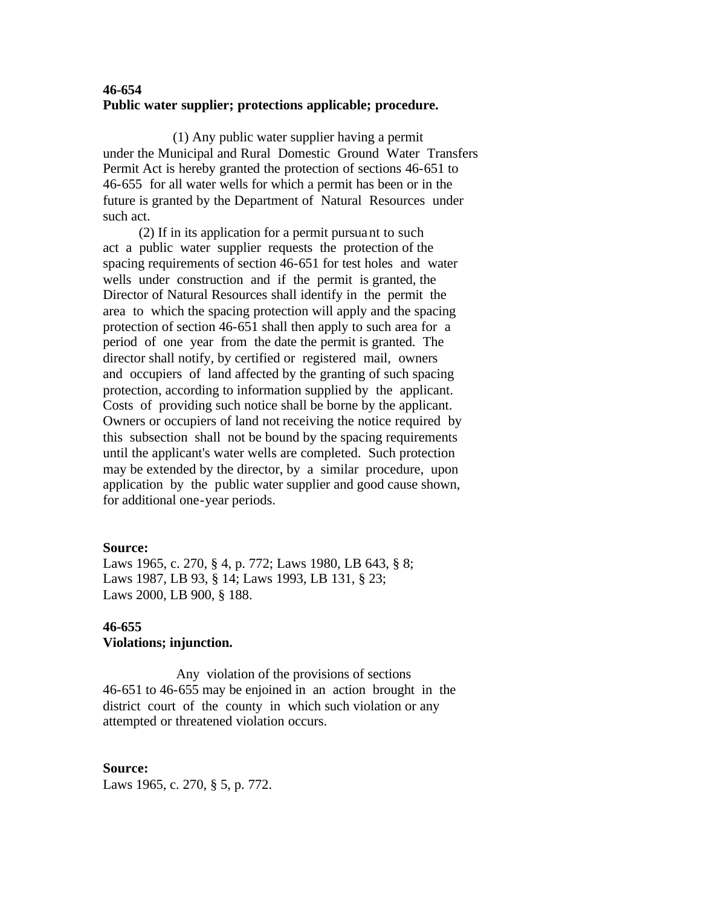# **46-654 Public water supplier; protections applicable; procedure.**

 (1) Any public water supplier having a permit under the Municipal and Rural Domestic Ground Water Transfers Permit Act is hereby granted the protection of sections 46-651 to 46-655 for all water wells for which a permit has been or in the future is granted by the Department of Natural Resources under such act.

 (2) If in its application for a permit pursuant to such act a public water supplier requests the protection of the spacing requirements of section 46-651 for test holes and water wells under construction and if the permit is granted, the Director of Natural Resources shall identify in the permit the area to which the spacing protection will apply and the spacing protection of section 46-651 shall then apply to such area for a period of one year from the date the permit is granted. The director shall notify, by certified or registered mail, owners and occupiers of land affected by the granting of such spacing protection, according to information supplied by the applicant. Costs of providing such notice shall be borne by the applicant. Owners or occupiers of land not receiving the notice required by this subsection shall not be bound by the spacing requirements until the applicant's water wells are completed. Such protection may be extended by the director, by a similar procedure, upon application by the public water supplier and good cause shown, for additional one-year periods.

## **Source:**

Laws 1965, c. 270, § 4, p. 772; Laws 1980, LB 643, § 8; Laws 1987, LB 93, § 14; Laws 1993, LB 131, § 23; Laws 2000, LB 900, § 188.

## **46-655 Violations; injunction.**

 Any violation of the provisions of sections 46-651 to 46-655 may be enjoined in an action brought in the district court of the county in which such violation or any attempted or threatened violation occurs.

## **Source:**

Laws 1965, c. 270, § 5, p. 772.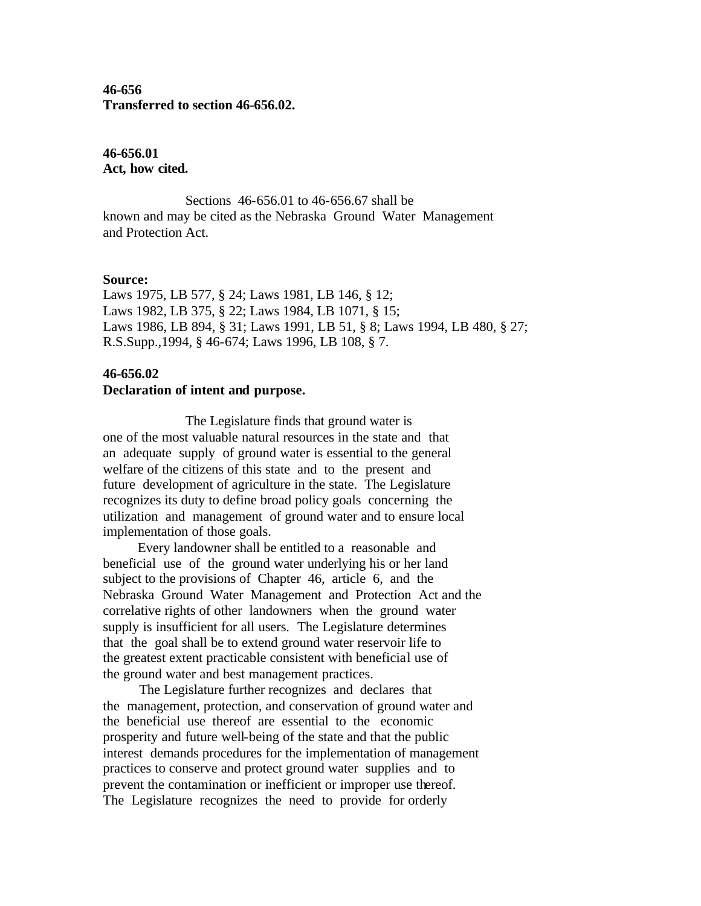**46-656 Transferred to section 46-656.02.**

# **46-656.01 Act, how cited.**

 Sections 46-656.01 to 46-656.67 shall be known and may be cited as the Nebraska Ground Water Management and Protection Act.

### **Source:**

Laws 1975, LB 577, § 24; Laws 1981, LB 146, § 12; Laws 1982, LB 375, § 22; Laws 1984, LB 1071, § 15; Laws 1986, LB 894, § 31; Laws 1991, LB 51, § 8; Laws 1994, LB 480, § 27; R.S.Supp.,1994, § 46-674; Laws 1996, LB 108, § 7.

# **46-656.02**

## **Declaration of intent and purpose.**

 The Legislature finds that ground water is one of the most valuable natural resources in the state and that an adequate supply of ground water is essential to the general welfare of the citizens of this state and to the present and future development of agriculture in the state. The Legislature recognizes its duty to define broad policy goals concerning the utilization and management of ground water and to ensure local implementation of those goals.

 Every landowner shall be entitled to a reasonable and beneficial use of the ground water underlying his or her land subject to the provisions of Chapter 46, article 6, and the Nebraska Ground Water Management and Protection Act and the correlative rights of other landowners when the ground water supply is insufficient for all users. The Legislature determines that the goal shall be to extend ground water reservoir life to the greatest extent practicable consistent with beneficial use of the ground water and best management practices.

 The Legislature further recognizes and declares that the management, protection, and conservation of ground water and the beneficial use thereof are essential to the economic prosperity and future well-being of the state and that the public interest demands procedures for the implementation of management practices to conserve and protect ground water supplies and to prevent the contamination or inefficient or improper use thereof. The Legislature recognizes the need to provide for orderly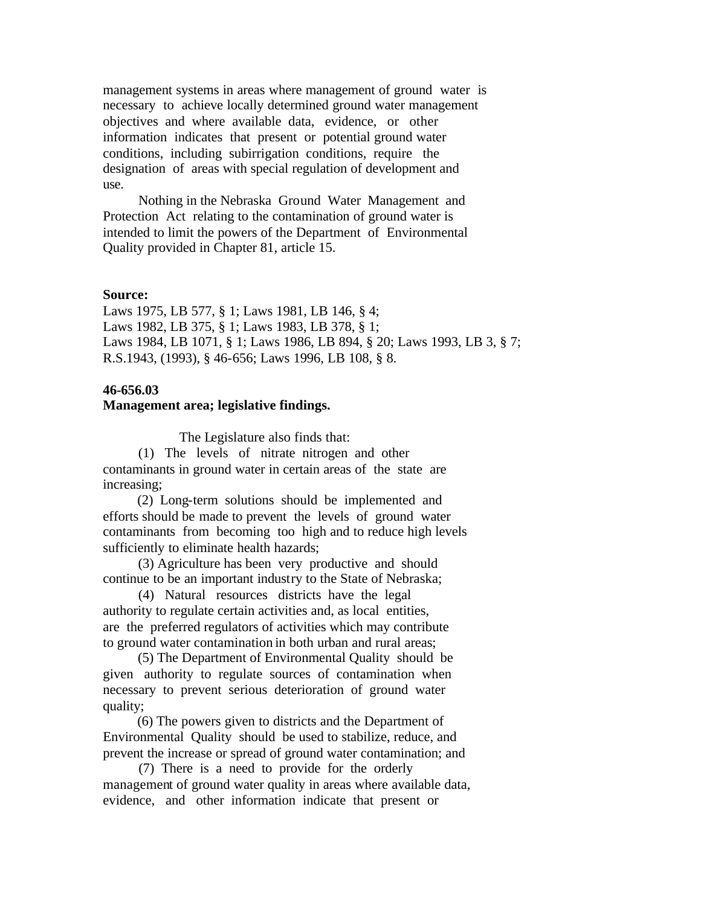management systems in areas where management of ground water is necessary to achieve locally determined ground water management objectives and where available data, evidence, or other information indicates that present or potential ground water conditions, including subirrigation conditions, require the designation of areas with special regulation of development and use.

 Nothing in the Nebraska Ground Water Management and Protection Act relating to the contamination of ground water is intended to limit the powers of the Department of Environmental Quality provided in Chapter 81, article 15.

### **Source:**

Laws 1975, LB 577, § 1; Laws 1981, LB 146, § 4; Laws 1982, LB 375, § 1; Laws 1983, LB 378, § 1; Laws 1984, LB 1071, § 1; Laws 1986, LB 894, § 20; Laws 1993, LB 3, § 7; R.S.1943, (1993), § 46-656; Laws 1996, LB 108, § 8.

## **46-656.03**

## **Management area; legislative findings.**

The Legislature also finds that:

 (1) The levels of nitrate nitrogen and other contaminants in ground water in certain areas of the state are increasing;

 (2) Long-term solutions should be implemented and efforts should be made to prevent the levels of ground water contaminants from becoming too high and to reduce high levels sufficiently to eliminate health hazards;

 (3) Agriculture has been very productive and should continue to be an important industry to the State of Nebraska;

 (4) Natural resources districts have the legal authority to regulate certain activities and, as local entities, are the preferred regulators of activities which may contribute to ground water contamination in both urban and rural areas;

 (5) The Department of Environmental Quality should be given authority to regulate sources of contamination when necessary to prevent serious deterioration of ground water quality;

 (6) The powers given to districts and the Department of Environmental Quality should be used to stabilize, reduce, and prevent the increase or spread of ground water contamination; and

 (7) There is a need to provide for the orderly management of ground water quality in areas where available data, evidence, and other information indicate that present or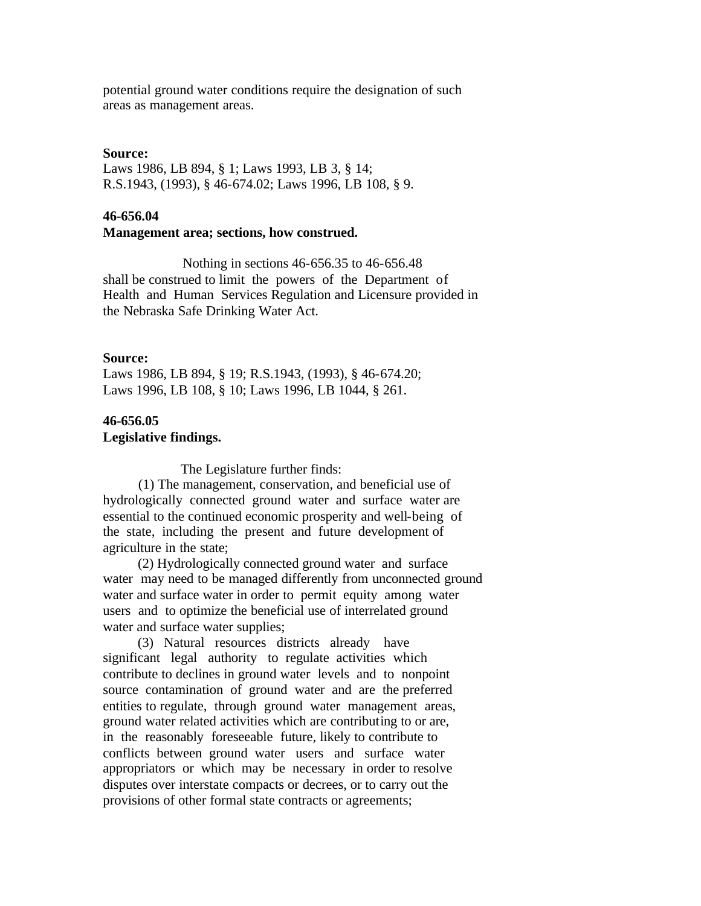potential ground water conditions require the designation of such areas as management areas.

#### **Source:**

Laws 1986, LB 894, § 1; Laws 1993, LB 3, § 14; R.S.1943, (1993), § 46-674.02; Laws 1996, LB 108, § 9.

## **46-656.04**

## **Management area; sections, how construed.**

 Nothing in sections 46-656.35 to 46-656.48 shall be construed to limit the powers of the Department of Health and Human Services Regulation and Licensure provided in the Nebraska Safe Drinking Water Act.

### **Source:**

Laws 1986, LB 894, § 19; R.S.1943, (1993), § 46-674.20; Laws 1996, LB 108, § 10; Laws 1996, LB 1044, § 261.

## **46-656.05 Legislative findings.**

The Legislature further finds:

 (1) The management, conservation, and beneficial use of hydrologically connected ground water and surface water are essential to the continued economic prosperity and well-being of the state, including the present and future development of agriculture in the state;

 (2) Hydrologically connected ground water and surface water may need to be managed differently from unconnected ground water and surface water in order to permit equity among water users and to optimize the beneficial use of interrelated ground water and surface water supplies;

 (3) Natural resources districts already have significant legal authority to regulate activities which contribute to declines in ground water levels and to nonpoint source contamination of ground water and are the preferred entities to regulate, through ground water management areas, ground water related activities which are contributing to or are, in the reasonably foreseeable future, likely to contribute to conflicts between ground water users and surface water appropriators or which may be necessary in order to resolve disputes over interstate compacts or decrees, or to carry out the provisions of other formal state contracts or agreements;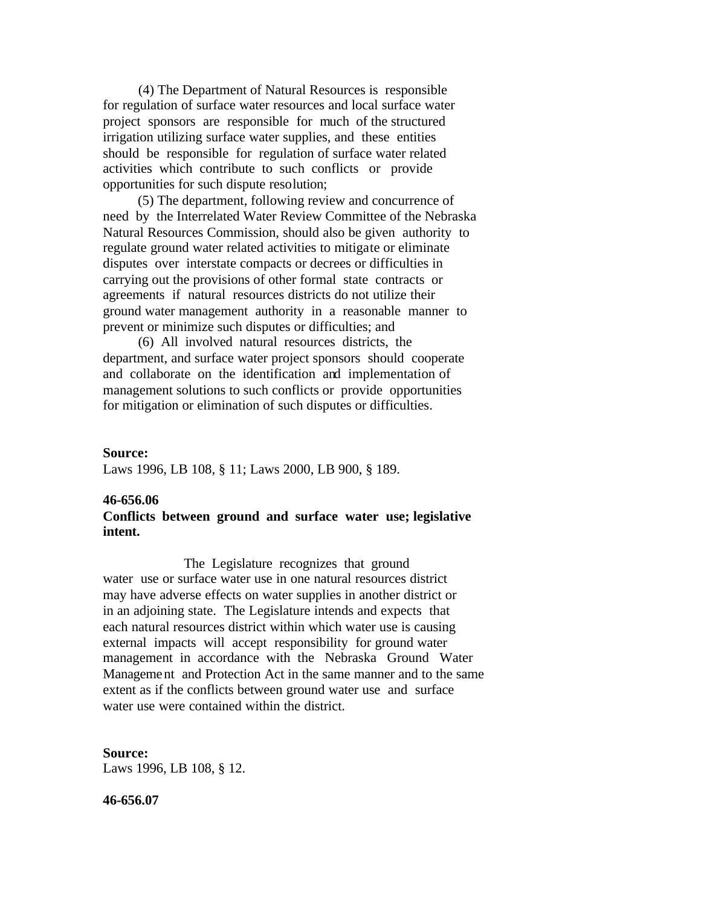(4) The Department of Natural Resources is responsible for regulation of surface water resources and local surface water project sponsors are responsible for much of the structured irrigation utilizing surface water supplies, and these entities should be responsible for regulation of surface water related activities which contribute to such conflicts or provide opportunities for such dispute resolution;

 (5) The department, following review and concurrence of need by the Interrelated Water Review Committee of the Nebraska Natural Resources Commission, should also be given authority to regulate ground water related activities to mitigate or eliminate disputes over interstate compacts or decrees or difficulties in carrying out the provisions of other formal state contracts or agreements if natural resources districts do not utilize their ground water management authority in a reasonable manner to prevent or minimize such disputes or difficulties; and

 (6) All involved natural resources districts, the department, and surface water project sponsors should cooperate and collaborate on the identification and implementation of management solutions to such conflicts or provide opportunities for mitigation or elimination of such disputes or difficulties.

## **Source:**

Laws 1996, LB 108, § 11; Laws 2000, LB 900, § 189.

#### **46-656.06**

## **Conflicts between ground and surface water use; legislative intent.**

 The Legislature recognizes that ground water use or surface water use in one natural resources district may have adverse effects on water supplies in another district or in an adjoining state. The Legislature intends and expects that each natural resources district within which water use is causing external impacts will accept responsibility for ground water management in accordance with the Nebraska Ground Water Management and Protection Act in the same manner and to the same extent as if the conflicts between ground water use and surface water use were contained within the district.

**Source:** Laws 1996, LB 108, § 12.

**46-656.07**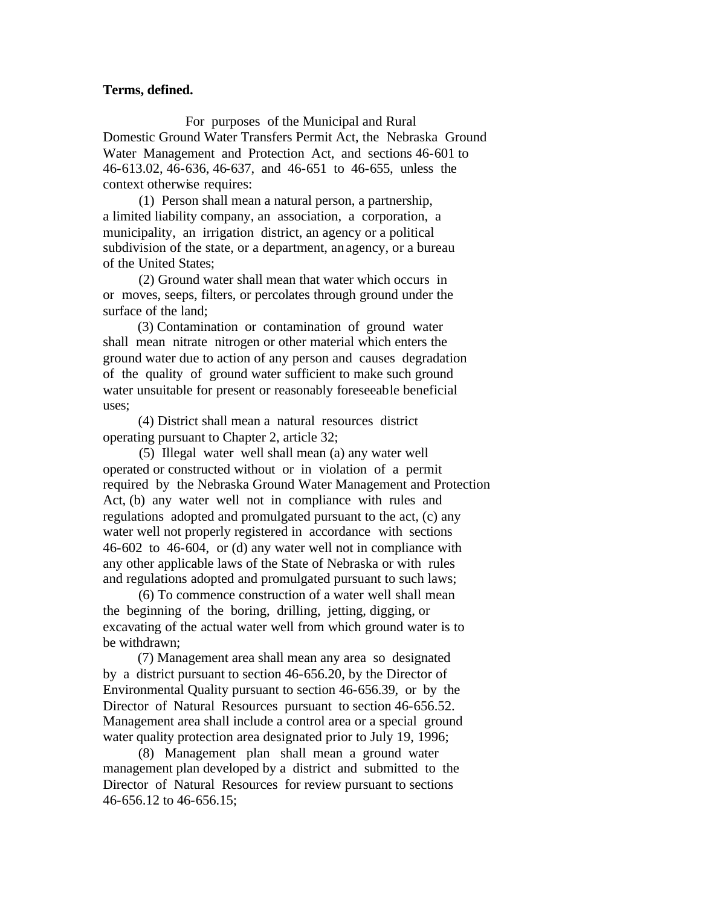## **Terms, defined.**

 For purposes of the Municipal and Rural Domestic Ground Water Transfers Permit Act, the Nebraska Ground Water Management and Protection Act, and sections 46-601 to 46-613.02, 46-636, 46-637, and 46-651 to 46-655, unless the context otherwise requires:

 (1) Person shall mean a natural person, a partnership, a limited liability company, an association, a corporation, a municipality, an irrigation district, an agency or a political subdivision of the state, or a department, an agency, or a bureau of the United States;

 (2) Ground water shall mean that water which occurs in or moves, seeps, filters, or percolates through ground under the surface of the land;

 (3) Contamination or contamination of ground water shall mean nitrate nitrogen or other material which enters the ground water due to action of any person and causes degradation of the quality of ground water sufficient to make such ground water unsuitable for present or reasonably foreseeable beneficial uses;

 (4) District shall mean a natural resources district operating pursuant to Chapter 2, article 32;

 (5) Illegal water well shall mean (a) any water well operated or constructed without or in violation of a permit required by the Nebraska Ground Water Management and Protection Act, (b) any water well not in compliance with rules and regulations adopted and promulgated pursuant to the act, (c) any water well not properly registered in accordance with sections 46-602 to 46-604, or (d) any water well not in compliance with any other applicable laws of the State of Nebraska or with rules and regulations adopted and promulgated pursuant to such laws;

 (6) To commence construction of a water well shall mean the beginning of the boring, drilling, jetting, digging, or excavating of the actual water well from which ground water is to be withdrawn;

 (7) Management area shall mean any area so designated by a district pursuant to section 46-656.20, by the Director of Environmental Quality pursuant to section 46-656.39, or by the Director of Natural Resources pursuant to section 46-656.52. Management area shall include a control area or a special ground water quality protection area designated prior to July 19, 1996;

 (8) Management plan shall mean a ground water management plan developed by a district and submitted to the Director of Natural Resources for review pursuant to sections 46-656.12 to 46-656.15;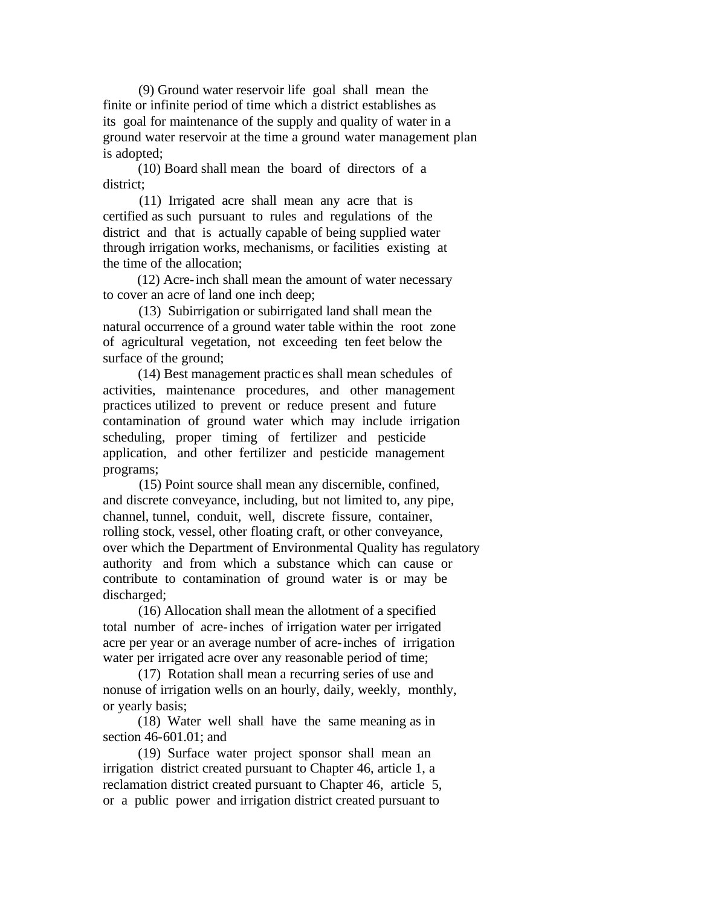(9) Ground water reservoir life goal shall mean the finite or infinite period of time which a district establishes as its goal for maintenance of the supply and quality of water in a ground water reservoir at the time a ground water management plan is adopted;

 (10) Board shall mean the board of directors of a district;

 (11) Irrigated acre shall mean any acre that is certified as such pursuant to rules and regulations of the district and that is actually capable of being supplied water through irrigation works, mechanisms, or facilities existing at the time of the allocation;

 (12) Acre-inch shall mean the amount of water necessary to cover an acre of land one inch deep;

 (13) Subirrigation or subirrigated land shall mean the natural occurrence of a ground water table within the root zone of agricultural vegetation, not exceeding ten feet below the surface of the ground;

 (14) Best management practic es shall mean schedules of activities, maintenance procedures, and other management practices utilized to prevent or reduce present and future contamination of ground water which may include irrigation scheduling, proper timing of fertilizer and pesticide application, and other fertilizer and pesticide management programs;

 (15) Point source shall mean any discernible, confined, and discrete conveyance, including, but not limited to, any pipe, channel, tunnel, conduit, well, discrete fissure, container, rolling stock, vessel, other floating craft, or other conveyance, over which the Department of Environmental Quality has regulatory authority and from which a substance which can cause or contribute to contamination of ground water is or may be discharged;

 (16) Allocation shall mean the allotment of a specified total number of acre-inches of irrigation water per irrigated acre per year or an average number of acre-inches of irrigation water per irrigated acre over any reasonable period of time;

 (17) Rotation shall mean a recurring series of use and nonuse of irrigation wells on an hourly, daily, weekly, monthly, or yearly basis;

 (18) Water well shall have the same meaning as in section 46-601.01; and

 (19) Surface water project sponsor shall mean an irrigation district created pursuant to Chapter 46, article 1, a reclamation district created pursuant to Chapter 46, article 5, or a public power and irrigation district created pursuant to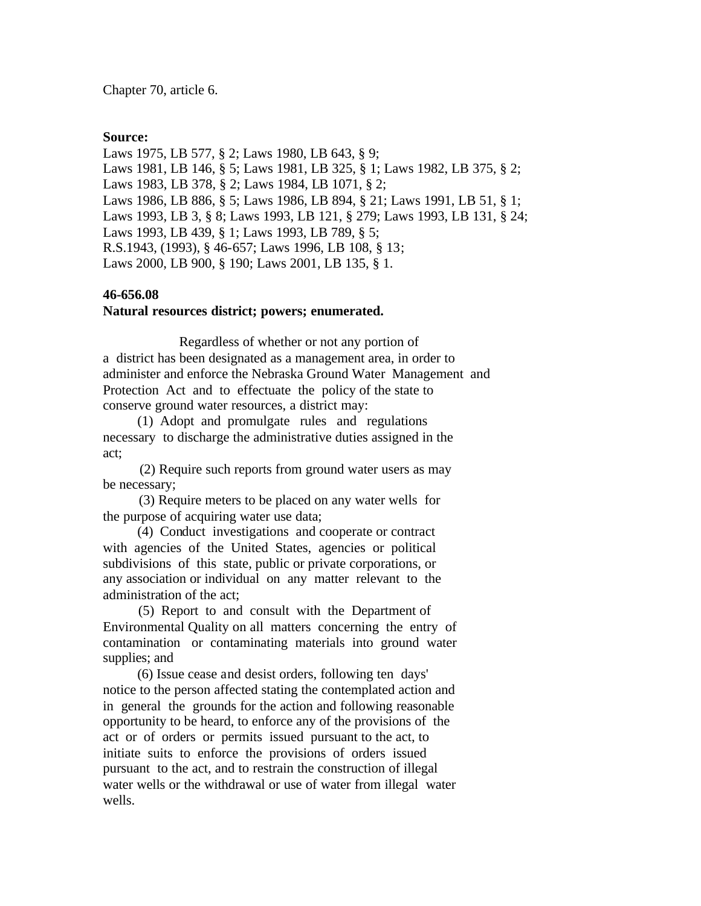Chapter 70, article 6.

#### **Source:**

Laws 1975, LB 577, § 2; Laws 1980, LB 643, § 9; Laws 1981, LB 146, § 5; Laws 1981, LB 325, § 1; Laws 1982, LB 375, § 2; Laws 1983, LB 378, § 2; Laws 1984, LB 1071, § 2; Laws 1986, LB 886, § 5; Laws 1986, LB 894, § 21; Laws 1991, LB 51, § 1; Laws 1993, LB 3, § 8; Laws 1993, LB 121, § 279; Laws 1993, LB 131, § 24; Laws 1993, LB 439, § 1; Laws 1993, LB 789, § 5; R.S.1943, (1993), § 46-657; Laws 1996, LB 108, § 13; Laws 2000, LB 900, § 190; Laws 2001, LB 135, § 1.

### **46-656.08**

#### **Natural resources district; powers; enumerated.**

 Regardless of whether or not any portion of a district has been designated as a management area, in order to administer and enforce the Nebraska Ground Water Management and Protection Act and to effectuate the policy of the state to conserve ground water resources, a district may:

 (1) Adopt and promulgate rules and regulations necessary to discharge the administrative duties assigned in the act;

 (2) Require such reports from ground water users as may be necessary;

 (3) Require meters to be placed on any water wells for the purpose of acquiring water use data;

 (4) Conduct investigations and cooperate or contract with agencies of the United States, agencies or political subdivisions of this state, public or private corporations, or any association or individual on any matter relevant to the administration of the act;

 (5) Report to and consult with the Department of Environmental Quality on all matters concerning the entry of contamination or contaminating materials into ground water supplies; and

 (6) Issue cease and desist orders, following ten days' notice to the person affected stating the contemplated action and in general the grounds for the action and following reasonable opportunity to be heard, to enforce any of the provisions of the act or of orders or permits issued pursuant to the act, to initiate suits to enforce the provisions of orders issued pursuant to the act, and to restrain the construction of illegal water wells or the withdrawal or use of water from illegal water wells.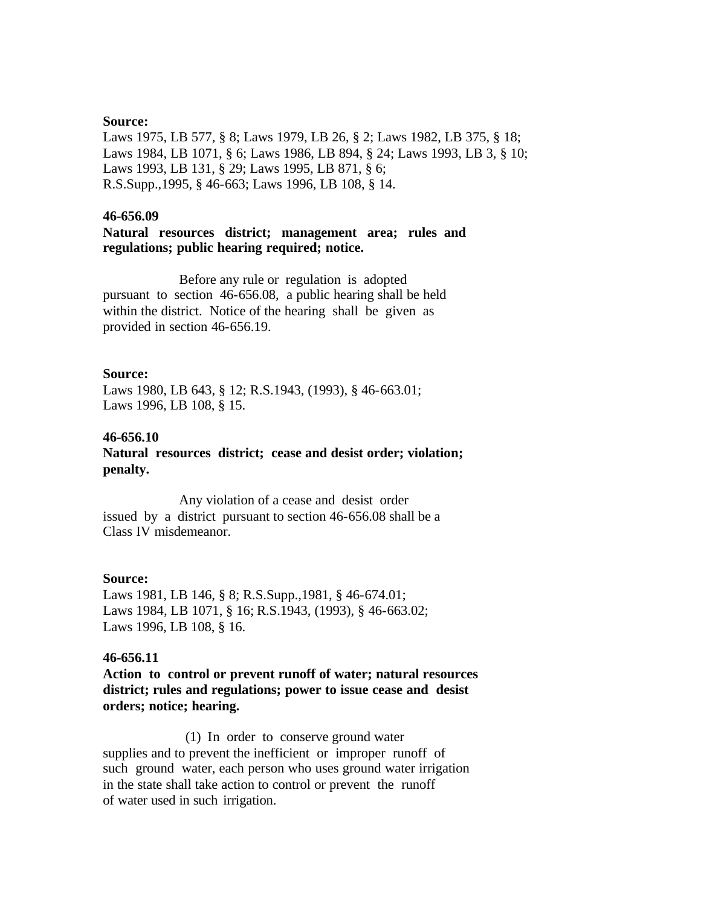## **Source:**

Laws 1975, LB 577, § 8; Laws 1979, LB 26, § 2; Laws 1982, LB 375, § 18; Laws 1984, LB 1071, § 6; Laws 1986, LB 894, § 24; Laws 1993, LB 3, § 10; Laws 1993, LB 131, § 29; Laws 1995, LB 871, § 6; R.S.Supp.,1995, § 46-663; Laws 1996, LB 108, § 14.

#### **46-656.09**

## **Natural resources district; management area; rules and regulations; public hearing required; notice.**

 Before any rule or regulation is adopted pursuant to section 46-656.08, a public hearing shall be held within the district. Notice of the hearing shall be given as provided in section 46-656.19.

### **Source:**

Laws 1980, LB 643, § 12; R.S.1943, (1993), § 46-663.01; Laws 1996, LB 108, § 15.

### **46-656.10**

**Natural resources district; cease and desist order; violation; penalty.**

 Any violation of a cease and desist order issued by a district pursuant to section 46-656.08 shall be a Class IV misdemeanor.

#### **Source:**

Laws 1981, LB 146, § 8; R.S.Supp.,1981, § 46-674.01; Laws 1984, LB 1071, § 16; R.S.1943, (1993), § 46-663.02; Laws 1996, LB 108, § 16.

## **46-656.11**

**Action to control or prevent runoff of water; natural resources district; rules and regulations; power to issue cease and desist orders; notice; hearing.**

 (1) In order to conserve ground water supplies and to prevent the inefficient or improper runoff of such ground water, each person who uses ground water irrigation in the state shall take action to control or prevent the runoff of water used in such irrigation.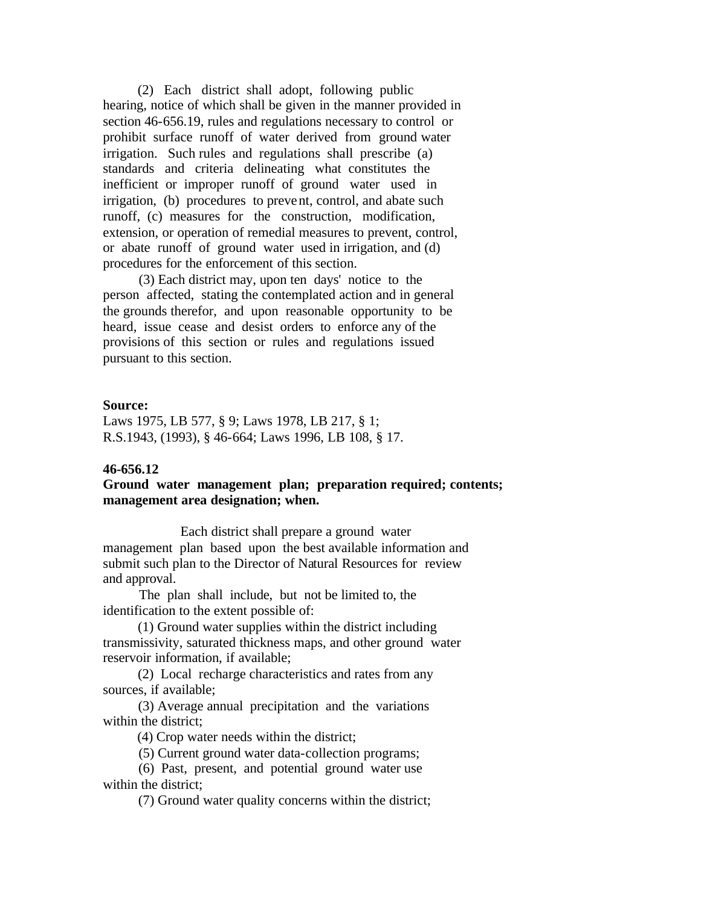(2) Each district shall adopt, following public hearing, notice of which shall be given in the manner provided in section 46-656.19, rules and regulations necessary to control or prohibit surface runoff of water derived from ground water irrigation. Such rules and regulations shall prescribe (a) standards and criteria delineating what constitutes the inefficient or improper runoff of ground water used in irrigation, (b) procedures to prevent, control, and abate such runoff, (c) measures for the construction, modification, extension, or operation of remedial measures to prevent, control, or abate runoff of ground water used in irrigation, and (d) procedures for the enforcement of this section.

 (3) Each district may, upon ten days' notice to the person affected, stating the contemplated action and in general the grounds therefor, and upon reasonable opportunity to be heard, issue cease and desist orders to enforce any of the provisions of this section or rules and regulations issued pursuant to this section.

#### **Source:**

Laws 1975, LB 577, § 9; Laws 1978, LB 217, § 1; R.S.1943, (1993), § 46-664; Laws 1996, LB 108, § 17.

#### **46-656.12**

# **Ground water management plan; preparation required; contents; management area designation; when.**

 Each district shall prepare a ground water management plan based upon the best available information and submit such plan to the Director of Natural Resources for review and approval.

 The plan shall include, but not be limited to, the identification to the extent possible of:

 (1) Ground water supplies within the district including transmissivity, saturated thickness maps, and other ground water reservoir information, if available;

 (2) Local recharge characteristics and rates from any sources, if available;

 (3) Average annual precipitation and the variations within the district;

(4) Crop water needs within the district;

(5) Current ground water data-collection programs;

 (6) Past, present, and potential ground water use within the district;

(7) Ground water quality concerns within the district;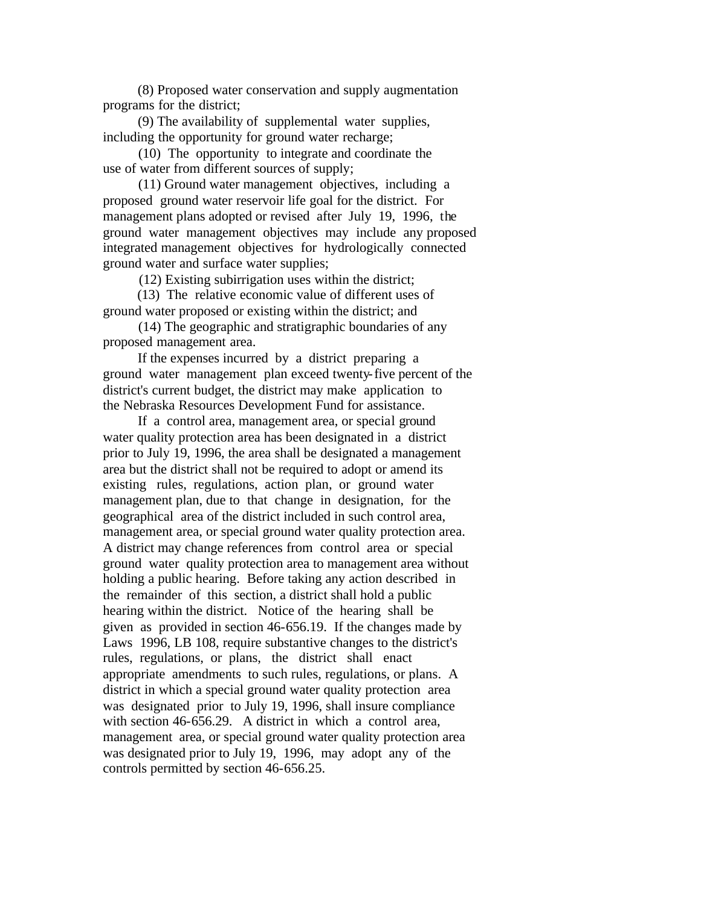(8) Proposed water conservation and supply augmentation programs for the district;

 (9) The availability of supplemental water supplies, including the opportunity for ground water recharge;

 (10) The opportunity to integrate and coordinate the use of water from different sources of supply;

 (11) Ground water management objectives, including a proposed ground water reservoir life goal for the district. For management plans adopted or revised after July 19, 1996, the ground water management objectives may include any proposed integrated management objectives for hydrologically connected ground water and surface water supplies;

(12) Existing subirrigation uses within the district;

 (13) The relative economic value of different uses of ground water proposed or existing within the district; and

 (14) The geographic and stratigraphic boundaries of any proposed management area.

 If the expenses incurred by a district preparing a ground water management plan exceed twenty-five percent of the district's current budget, the district may make application to the Nebraska Resources Development Fund for assistance.

 If a control area, management area, or special ground water quality protection area has been designated in a district prior to July 19, 1996, the area shall be designated a management area but the district shall not be required to adopt or amend its existing rules, regulations, action plan, or ground water management plan, due to that change in designation, for the geographical area of the district included in such control area, management area, or special ground water quality protection area. A district may change references from control area or special ground water quality protection area to management area without holding a public hearing. Before taking any action described in the remainder of this section, a district shall hold a public hearing within the district. Notice of the hearing shall be given as provided in section 46-656.19. If the changes made by Laws 1996, LB 108, require substantive changes to the district's rules, regulations, or plans, the district shall enact appropriate amendments to such rules, regulations, or plans. A district in which a special ground water quality protection area was designated prior to July 19, 1996, shall insure compliance with section 46-656.29. A district in which a control area, management area, or special ground water quality protection area was designated prior to July 19, 1996, may adopt any of the controls permitted by section 46-656.25.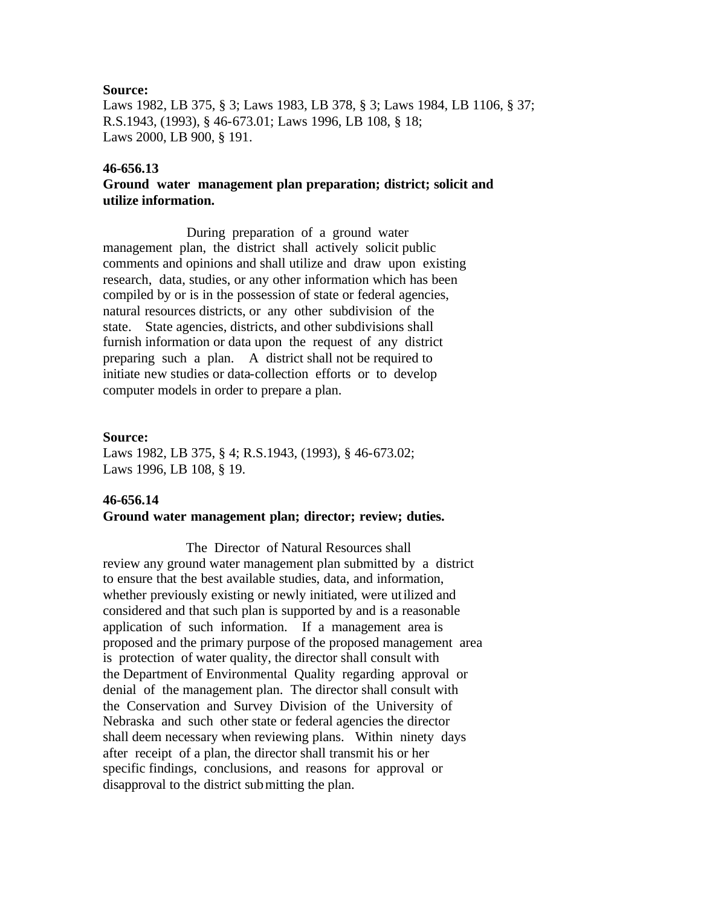## **Source:**

Laws 1982, LB 375, § 3; Laws 1983, LB 378, § 3; Laws 1984, LB 1106, § 37; R.S.1943, (1993), § 46-673.01; Laws 1996, LB 108, § 18; Laws 2000, LB 900, § 191.

## **46-656.13**

# **Ground water management plan preparation; district; solicit and utilize information.**

 During preparation of a ground water management plan, the district shall actively solicit public comments and opinions and shall utilize and draw upon existing research, data, studies, or any other information which has been compiled by or is in the possession of state or federal agencies, natural resources districts, or any other subdivision of the state. State agencies, districts, and other subdivisions shall furnish information or data upon the request of any district preparing such a plan. A district shall not be required to initiate new studies or data-collection efforts or to develop computer models in order to prepare a plan.

#### **Source:**

Laws 1982, LB 375, § 4; R.S.1943, (1993), § 46-673.02; Laws 1996, LB 108, § 19.

## **46-656.14**

## **Ground water management plan; director; review; duties.**

 The Director of Natural Resources shall review any ground water management plan submitted by a district to ensure that the best available studies, data, and information, whether previously existing or newly initiated, were utilized and considered and that such plan is supported by and is a reasonable application of such information. If a management area is proposed and the primary purpose of the proposed management area is protection of water quality, the director shall consult with the Department of Environmental Quality regarding approval or denial of the management plan. The director shall consult with the Conservation and Survey Division of the University of Nebraska and such other state or federal agencies the director shall deem necessary when reviewing plans. Within ninety days after receipt of a plan, the director shall transmit his or her specific findings, conclusions, and reasons for approval or disapproval to the district submitting the plan.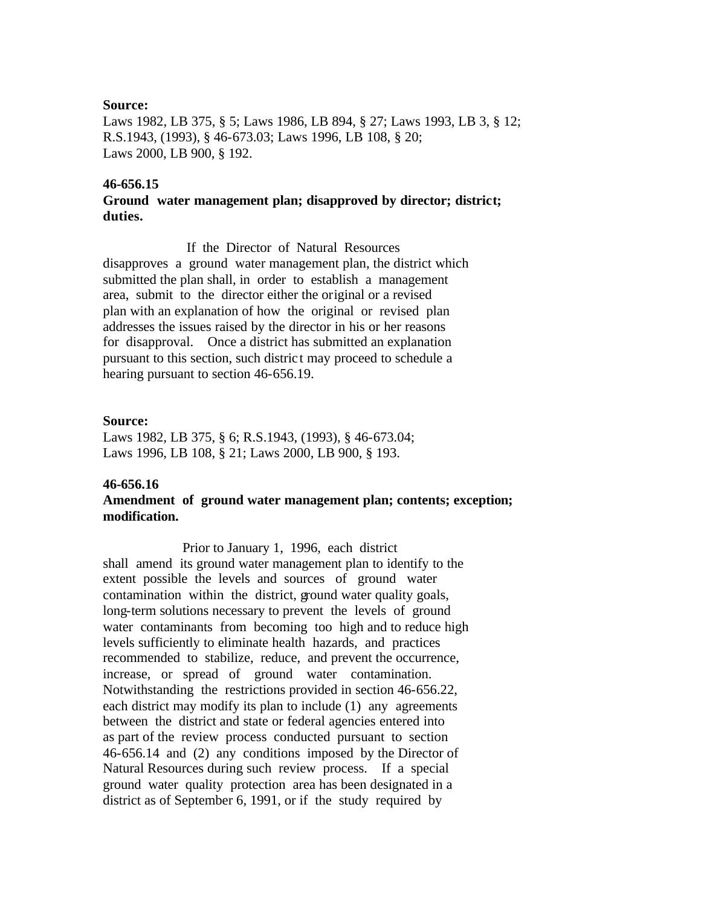#### **Source:**

Laws 1982, LB 375, § 5; Laws 1986, LB 894, § 27; Laws 1993, LB 3, § 12; R.S.1943, (1993), § 46-673.03; Laws 1996, LB 108, § 20; Laws 2000, LB 900, § 192.

## **46-656.15**

**Ground water management plan; disapproved by director; district; duties.**

 If the Director of Natural Resources disapproves a ground water management plan, the district which submitted the plan shall, in order to establish a management area, submit to the director either the original or a revised plan with an explanation of how the original or revised plan addresses the issues raised by the director in his or her reasons for disapproval. Once a district has submitted an explanation pursuant to this section, such distric t may proceed to schedule a hearing pursuant to section 46-656.19.

## **Source:**

Laws 1982, LB 375, § 6; R.S.1943, (1993), § 46-673.04; Laws 1996, LB 108, § 21; Laws 2000, LB 900, § 193.

#### **46-656.16**

**Amendment of ground water management plan; contents; exception; modification.**

 Prior to January 1, 1996, each district shall amend its ground water management plan to identify to the extent possible the levels and sources of ground water contamination within the district, ground water quality goals, long-term solutions necessary to prevent the levels of ground water contaminants from becoming too high and to reduce high levels sufficiently to eliminate health hazards, and practices recommended to stabilize, reduce, and prevent the occurrence, increase, or spread of ground water contamination. Notwithstanding the restrictions provided in section 46-656.22, each district may modify its plan to include (1) any agreements between the district and state or federal agencies entered into as part of the review process conducted pursuant to section 46-656.14 and (2) any conditions imposed by the Director of Natural Resources during such review process. If a special ground water quality protection area has been designated in a district as of September 6, 1991, or if the study required by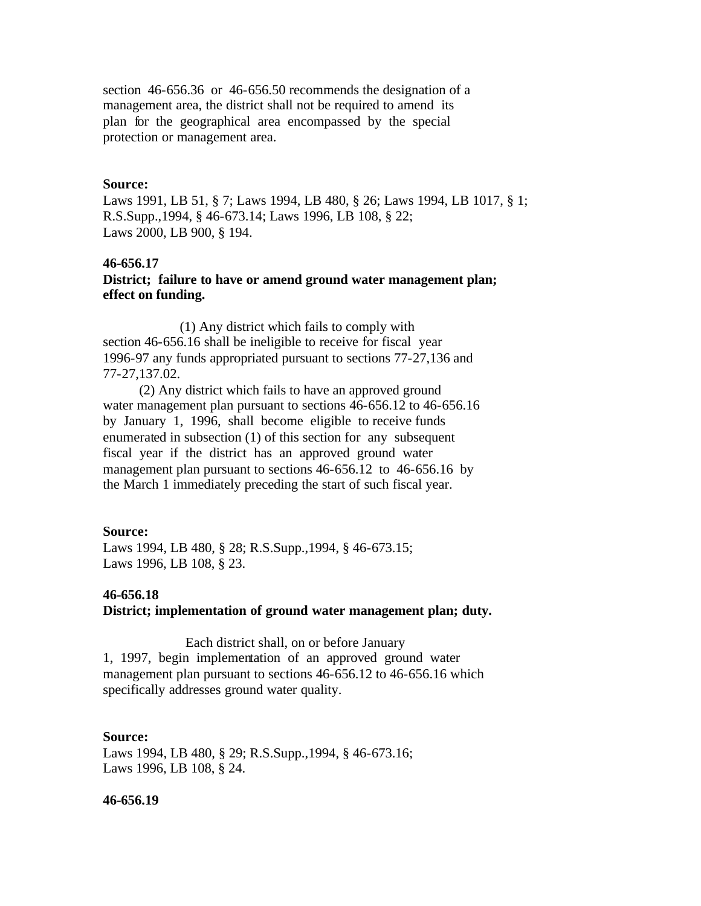section 46-656.36 or 46-656.50 recommends the designation of a management area, the district shall not be required to amend its plan for the geographical area encompassed by the special protection or management area.

### **Source:**

Laws 1991, LB 51, § 7; Laws 1994, LB 480, § 26; Laws 1994, LB 1017, § 1; R.S.Supp.,1994, § 46-673.14; Laws 1996, LB 108, § 22; Laws 2000, LB 900, § 194.

### **46-656.17**

# **District; failure to have or amend ground water management plan; effect on funding.**

 (1) Any district which fails to comply with section 46-656.16 shall be ineligible to receive for fiscal year 1996-97 any funds appropriated pursuant to sections 77-27,136 and 77-27,137.02.

 (2) Any district which fails to have an approved ground water management plan pursuant to sections 46-656.12 to 46-656.16 by January 1, 1996, shall become eligible to receive funds enumerated in subsection (1) of this section for any subsequent fiscal year if the district has an approved ground water management plan pursuant to sections 46-656.12 to 46-656.16 by the March 1 immediately preceding the start of such fiscal year.

#### **Source:**

Laws 1994, LB 480, § 28; R.S.Supp.,1994, § 46-673.15; Laws 1996, LB 108, § 23.

## **46-656.18**

**District; implementation of ground water management plan; duty.**

 Each district shall, on or before January 1, 1997, begin implementation of an approved ground water management plan pursuant to sections 46-656.12 to 46-656.16 which specifically addresses ground water quality.

#### **Source:**

Laws 1994, LB 480, § 29; R.S.Supp.,1994, § 46-673.16; Laws 1996, LB 108, § 24.

#### **46-656.19**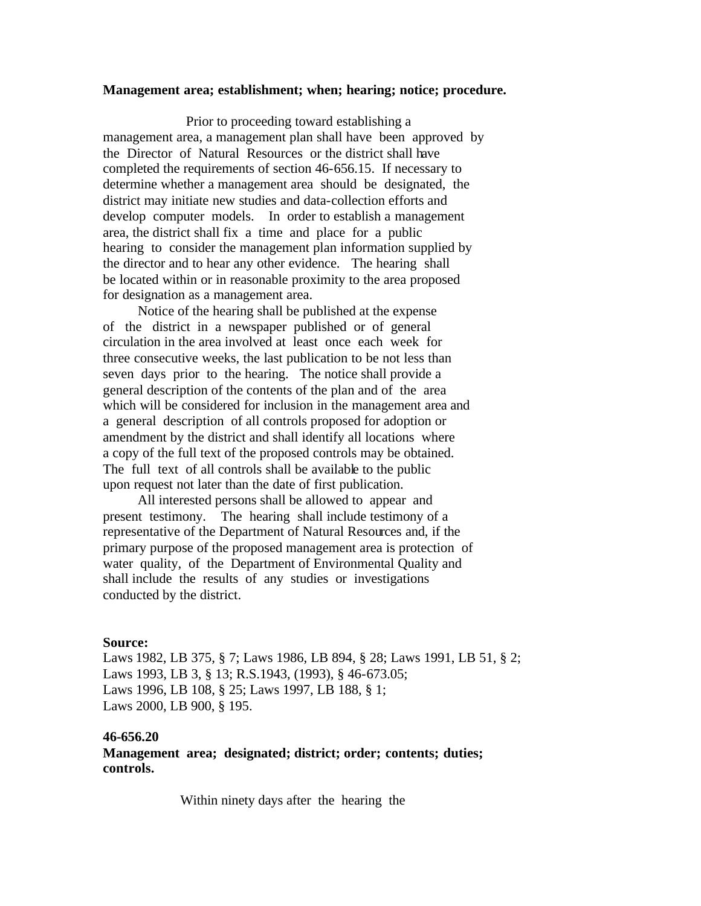### **Management area; establishment; when; hearing; notice; procedure.**

 Prior to proceeding toward establishing a management area, a management plan shall have been approved by the Director of Natural Resources or the district shall have completed the requirements of section 46-656.15. If necessary to determine whether a management area should be designated, the district may initiate new studies and data-collection efforts and develop computer models. In order to establish a management area, the district shall fix a time and place for a public hearing to consider the management plan information supplied by the director and to hear any other evidence. The hearing shall be located within or in reasonable proximity to the area proposed for designation as a management area.

 Notice of the hearing shall be published at the expense of the district in a newspaper published or of general circulation in the area involved at least once each week for three consecutive weeks, the last publication to be not less than seven days prior to the hearing. The notice shall provide a general description of the contents of the plan and of the area which will be considered for inclusion in the management area and a general description of all controls proposed for adoption or amendment by the district and shall identify all locations where a copy of the full text of the proposed controls may be obtained. The full text of all controls shall be available to the public upon request not later than the date of first publication.

 All interested persons shall be allowed to appear and present testimony. The hearing shall include testimony of a representative of the Department of Natural Resources and, if the primary purpose of the proposed management area is protection of water quality, of the Department of Environmental Quality and shall include the results of any studies or investigations conducted by the district.

#### **Source:**

Laws 1982, LB 375, § 7; Laws 1986, LB 894, § 28; Laws 1991, LB 51, § 2; Laws 1993, LB 3, § 13; R.S.1943, (1993), § 46-673.05; Laws 1996, LB 108, § 25; Laws 1997, LB 188, § 1; Laws 2000, LB 900, § 195.

# **46-656.20**

**Management area; designated; district; order; contents; duties; controls.**

Within ninety days after the hearing the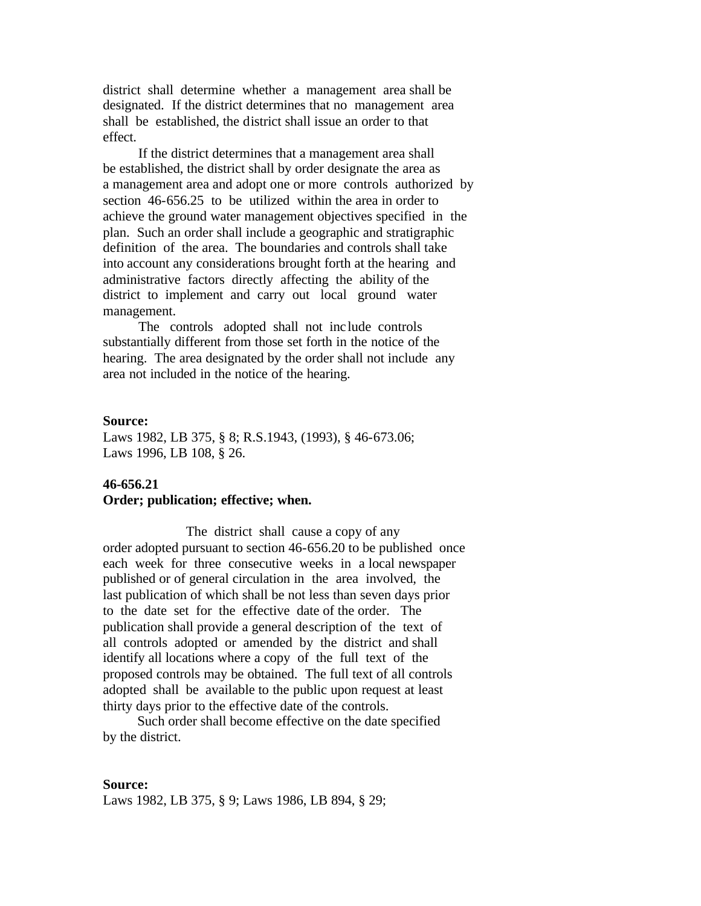district shall determine whether a management area shall be designated. If the district determines that no management area shall be established, the district shall issue an order to that effect.

 If the district determines that a management area shall be established, the district shall by order designate the area as a management area and adopt one or more controls authorized by section 46-656.25 to be utilized within the area in order to achieve the ground water management objectives specified in the plan. Such an order shall include a geographic and stratigraphic definition of the area. The boundaries and controls shall take into account any considerations brought forth at the hearing and administrative factors directly affecting the ability of the district to implement and carry out local ground water management.

 The controls adopted shall not inc lude controls substantially different from those set forth in the notice of the hearing. The area designated by the order shall not include any area not included in the notice of the hearing.

## **Source:**

Laws 1982, LB 375, § 8; R.S.1943, (1993), § 46-673.06; Laws 1996, LB 108, § 26.

# **46-656.21 Order; publication; effective; when.**

 The district shall cause a copy of any order adopted pursuant to section 46-656.20 to be published once each week for three consecutive weeks in a local newspaper published or of general circulation in the area involved, the last publication of which shall be not less than seven days prior to the date set for the effective date of the order. The publication shall provide a general description of the text of all controls adopted or amended by the district and shall identify all locations where a copy of the full text of the proposed controls may be obtained. The full text of all controls adopted shall be available to the public upon request at least thirty days prior to the effective date of the controls.

 Such order shall become effective on the date specified by the district.

#### **Source:**

Laws 1982, LB 375, § 9; Laws 1986, LB 894, § 29;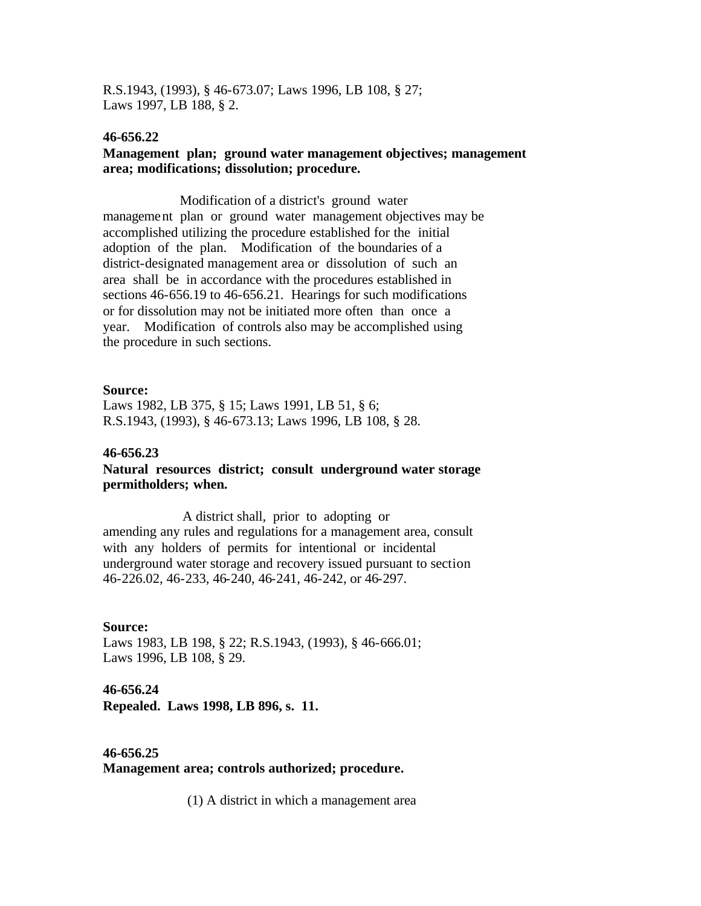R.S.1943, (1993), § 46-673.07; Laws 1996, LB 108, § 27; Laws 1997, LB 188, § 2.

## **46-656.22**

# **Management plan; ground water management objectives; management area; modifications; dissolution; procedure.**

 Modification of a district's ground water management plan or ground water management objectives may be accomplished utilizing the procedure established for the initial adoption of the plan. Modification of the boundaries of a district-designated management area or dissolution of such an area shall be in accordance with the procedures established in sections 46-656.19 to 46-656.21. Hearings for such modifications or for dissolution may not be initiated more often than once a year. Modification of controls also may be accomplished using the procedure in such sections.

#### **Source:**

Laws 1982, LB 375, § 15; Laws 1991, LB 51, § 6; R.S.1943, (1993), § 46-673.13; Laws 1996, LB 108, § 28.

# **46-656.23**

# **Natural resources district; consult underground water storage permitholders; when.**

 A district shall, prior to adopting or amending any rules and regulations for a management area, consult with any holders of permits for intentional or incidental underground water storage and recovery issued pursuant to section 46-226.02, 46-233, 46-240, 46-241, 46-242, or 46-297.

#### **Source:**

Laws 1983, LB 198, § 22; R.S.1943, (1993), § 46-666.01; Laws 1996, LB 108, § 29.

### **46-656.24**

**Repealed. Laws 1998, LB 896, s. 11.**

#### **46-656.25**

**Management area; controls authorized; procedure.**

(1) A district in which a management area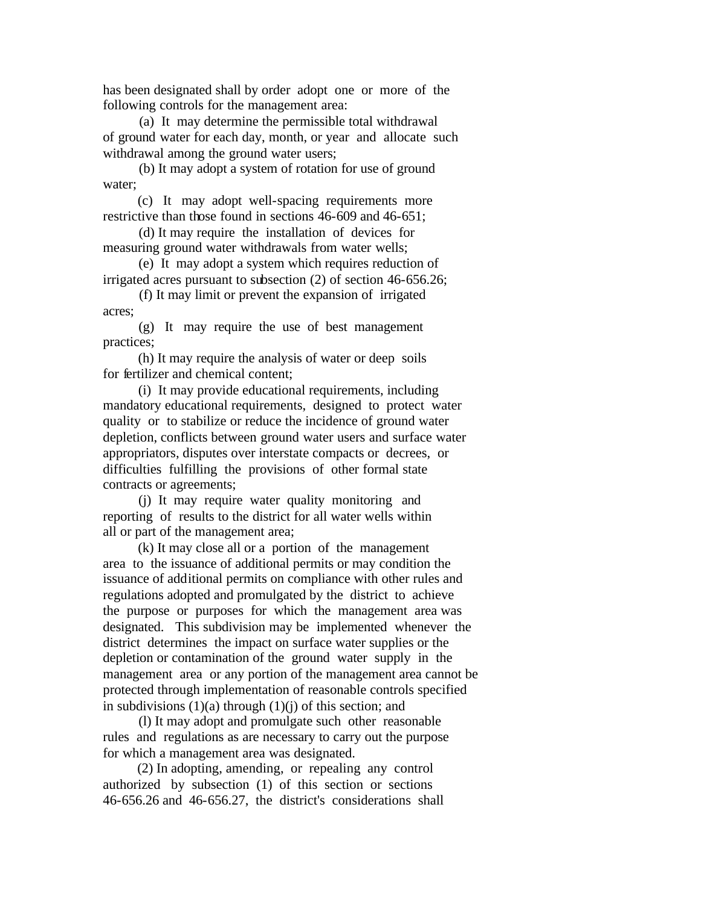has been designated shall by order adopt one or more of the following controls for the management area:

 (a) It may determine the permissible total withdrawal of ground water for each day, month, or year and allocate such withdrawal among the ground water users;

 (b) It may adopt a system of rotation for use of ground water;

 (c) It may adopt well-spacing requirements more restrictive than those found in sections 46-609 and 46-651;

 (d) It may require the installation of devices for measuring ground water withdrawals from water wells;

 (e) It may adopt a system which requires reduction of irrigated acres pursuant to subsection (2) of section 46-656.26;

 (f) It may limit or prevent the expansion of irrigated acres;

 (g) It may require the use of best management practices;

 (h) It may require the analysis of water or deep soils for fertilizer and chemical content;

 (i) It may provide educational requirements, including mandatory educational requirements, designed to protect water quality or to stabilize or reduce the incidence of ground water depletion, conflicts between ground water users and surface water appropriators, disputes over interstate compacts or decrees, or difficulties fulfilling the provisions of other formal state contracts or agreements;

 (j) It may require water quality monitoring and reporting of results to the district for all water wells within all or part of the management area;

 (k) It may close all or a portion of the management area to the issuance of additional permits or may condition the issuance of additional permits on compliance with other rules and regulations adopted and promulgated by the district to achieve the purpose or purposes for which the management area was designated. This subdivision may be implemented whenever the district determines the impact on surface water supplies or the depletion or contamination of the ground water supply in the management area or any portion of the management area cannot be protected through implementation of reasonable controls specified in subdivisions (1)(a) through (1)(j) of this section; and

 (l) It may adopt and promulgate such other reasonable rules and regulations as are necessary to carry out the purpose for which a management area was designated.

 (2) In adopting, amending, or repealing any control authorized by subsection (1) of this section or sections 46-656.26 and 46-656.27, the district's considerations shall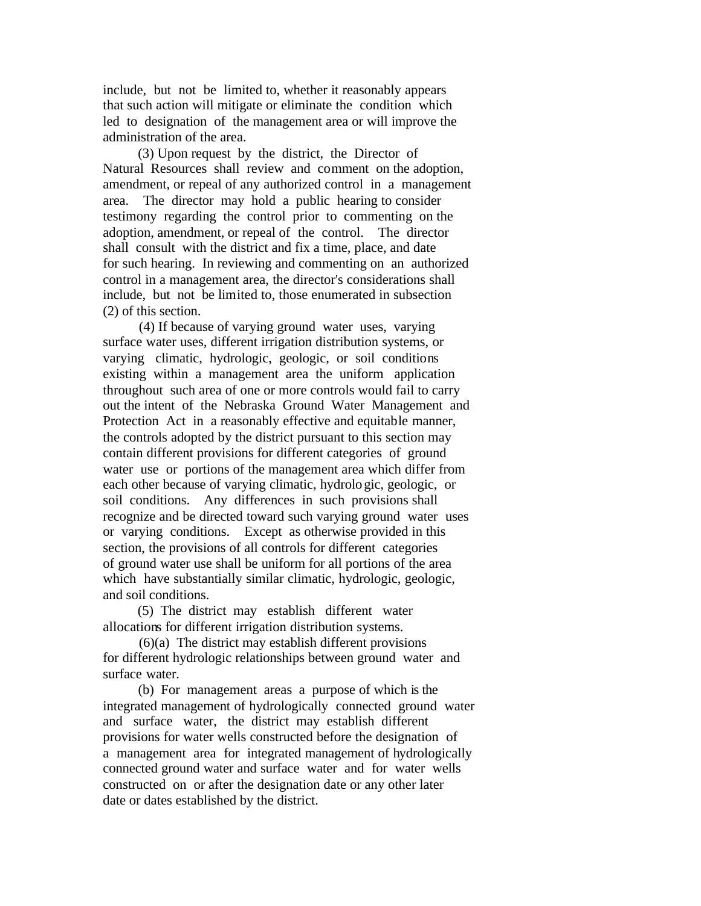include, but not be limited to, whether it reasonably appears that such action will mitigate or eliminate the condition which led to designation of the management area or will improve the administration of the area.

 (3) Upon request by the district, the Director of Natural Resources shall review and comment on the adoption, amendment, or repeal of any authorized control in a management area. The director may hold a public hearing to consider testimony regarding the control prior to commenting on the adoption, amendment, or repeal of the control. The director shall consult with the district and fix a time, place, and date for such hearing. In reviewing and commenting on an authorized control in a management area, the director's considerations shall include, but not be limited to, those enumerated in subsection (2) of this section.

 (4) If because of varying ground water uses, varying surface water uses, different irrigation distribution systems, or varying climatic, hydrologic, geologic, or soil conditions existing within a management area the uniform application throughout such area of one or more controls would fail to carry out the intent of the Nebraska Ground Water Management and Protection Act in a reasonably effective and equitable manner, the controls adopted by the district pursuant to this section may contain different provisions for different categories of ground water use or portions of the management area which differ from each other because of varying climatic, hydrologic, geologic, or soil conditions. Any differences in such provisions shall recognize and be directed toward such varying ground water uses or varying conditions. Except as otherwise provided in this section, the provisions of all controls for different categories of ground water use shall be uniform for all portions of the area which have substantially similar climatic, hydrologic, geologic, and soil conditions.

 (5) The district may establish different water allocations for different irrigation distribution systems.

 (6)(a) The district may establish different provisions for different hydrologic relationships between ground water and surface water.

 (b) For management areas a purpose of which is the integrated management of hydrologically connected ground water and surface water, the district may establish different provisions for water wells constructed before the designation of a management area for integrated management of hydrologically connected ground water and surface water and for water wells constructed on or after the designation date or any other later date or dates established by the district.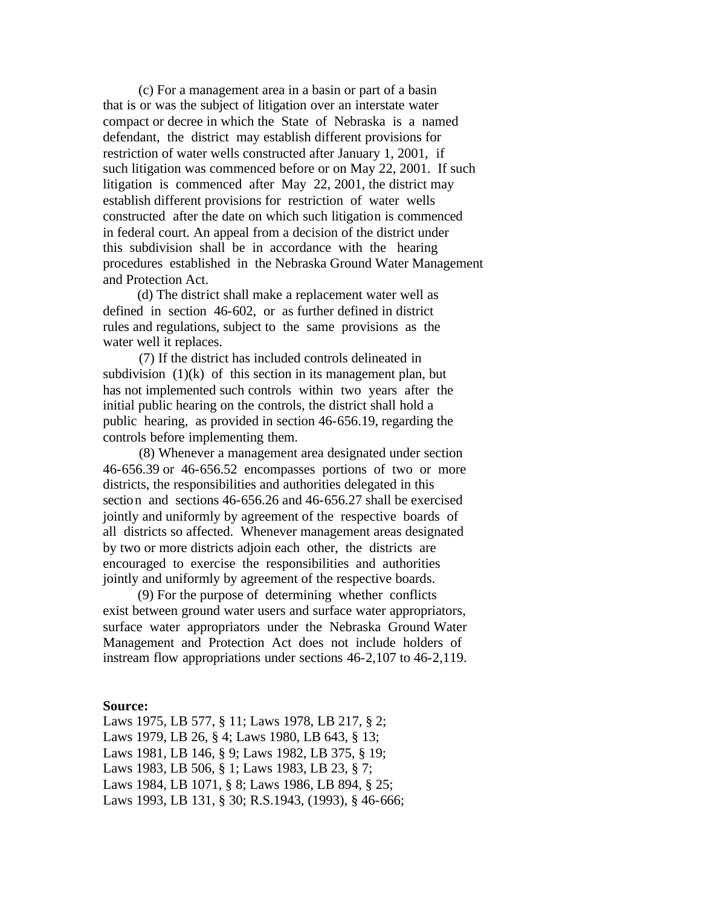(c) For a management area in a basin or part of a basin that is or was the subject of litigation over an interstate water compact or decree in which the State of Nebraska is a named defendant, the district may establish different provisions for restriction of water wells constructed after January 1, 2001, if such litigation was commenced before or on May 22, 2001. If such litigation is commenced after May 22, 2001, the district may establish different provisions for restriction of water wells constructed after the date on which such litigation is commenced in federal court. An appeal from a decision of the district under this subdivision shall be in accordance with the hearing procedures established in the Nebraska Ground Water Management and Protection Act.

 (d) The district shall make a replacement water well as defined in section 46-602, or as further defined in district rules and regulations, subject to the same provisions as the water well it replaces.

 (7) If the district has included controls delineated in subdivision  $(1)(k)$  of this section in its management plan, but has not implemented such controls within two years after the initial public hearing on the controls, the district shall hold a public hearing, as provided in section 46-656.19, regarding the controls before implementing them.

 (8) Whenever a management area designated under section 46-656.39 or 46-656.52 encompasses portions of two or more districts, the responsibilities and authorities delegated in this section and sections 46-656.26 and 46-656.27 shall be exercised jointly and uniformly by agreement of the respective boards of all districts so affected. Whenever management areas designated by two or more districts adjoin each other, the districts are encouraged to exercise the responsibilities and authorities jointly and uniformly by agreement of the respective boards.

 (9) For the purpose of determining whether conflicts exist between ground water users and surface water appropriators, surface water appropriators under the Nebraska Ground Water Management and Protection Act does not include holders of instream flow appropriations under sections 46-2,107 to 46-2,119.

### **Source:**

Laws 1975, LB 577, § 11; Laws 1978, LB 217, § 2; Laws 1979, LB 26, § 4; Laws 1980, LB 643, § 13; Laws 1981, LB 146, § 9; Laws 1982, LB 375, § 19; Laws 1983, LB 506, § 1; Laws 1983, LB 23, § 7; Laws 1984, LB 1071, § 8; Laws 1986, LB 894, § 25; Laws 1993, LB 131, § 30; R.S.1943, (1993), § 46-666;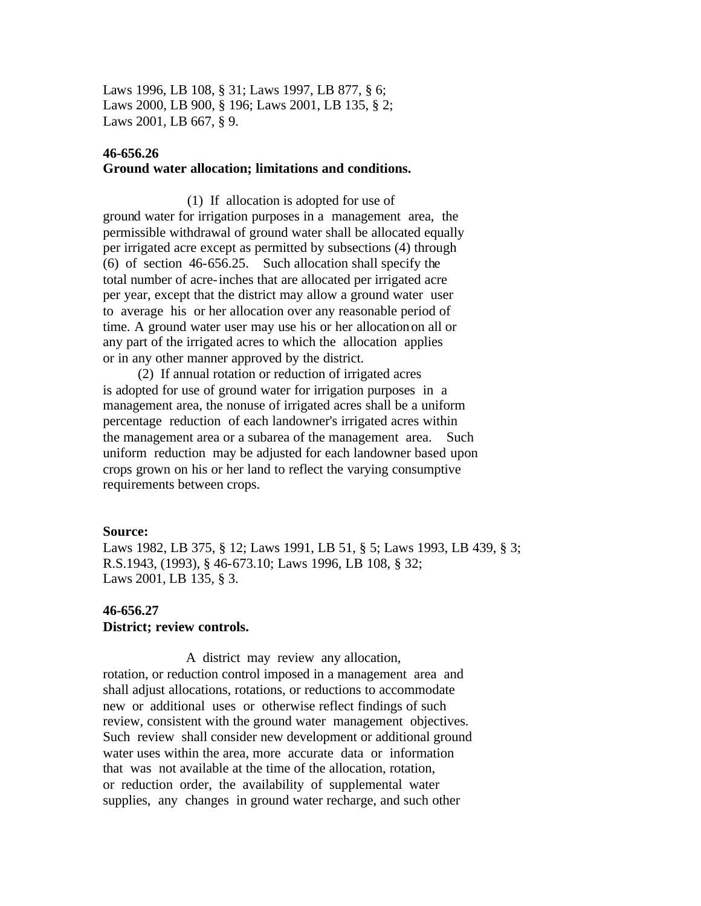Laws 1996, LB 108, § 31; Laws 1997, LB 877, § 6; Laws 2000, LB 900, § 196; Laws 2001, LB 135, § 2; Laws 2001, LB 667, § 9.

# **46-656.26**

# **Ground water allocation; limitations and conditions.**

 (1) If allocation is adopted for use of ground water for irrigation purposes in a management area, the permissible withdrawal of ground water shall be allocated equally per irrigated acre except as permitted by subsections (4) through (6) of section 46-656.25. Such allocation shall specify the total number of acre-inches that are allocated per irrigated acre per year, except that the district may allow a ground water user to average his or her allocation over any reasonable period of time. A ground water user may use his or her allocation on all or any part of the irrigated acres to which the allocation applies or in any other manner approved by the district.

 (2) If annual rotation or reduction of irrigated acres is adopted for use of ground water for irrigation purposes in a management area, the nonuse of irrigated acres shall be a uniform percentage reduction of each landowner's irrigated acres within the management area or a subarea of the management area. Such uniform reduction may be adjusted for each landowner based upon crops grown on his or her land to reflect the varying consumptive requirements between crops.

#### **Source:**

Laws 1982, LB 375, § 12; Laws 1991, LB 51, § 5; Laws 1993, LB 439, § 3; R.S.1943, (1993), § 46-673.10; Laws 1996, LB 108, § 32; Laws 2001, LB 135, § 3.

# **46-656.27 District; review controls.**

 A district may review any allocation, rotation, or reduction control imposed in a management area and shall adjust allocations, rotations, or reductions to accommodate new or additional uses or otherwise reflect findings of such review, consistent with the ground water management objectives. Such review shall consider new development or additional ground water uses within the area, more accurate data or information that was not available at the time of the allocation, rotation, or reduction order, the availability of supplemental water supplies, any changes in ground water recharge, and such other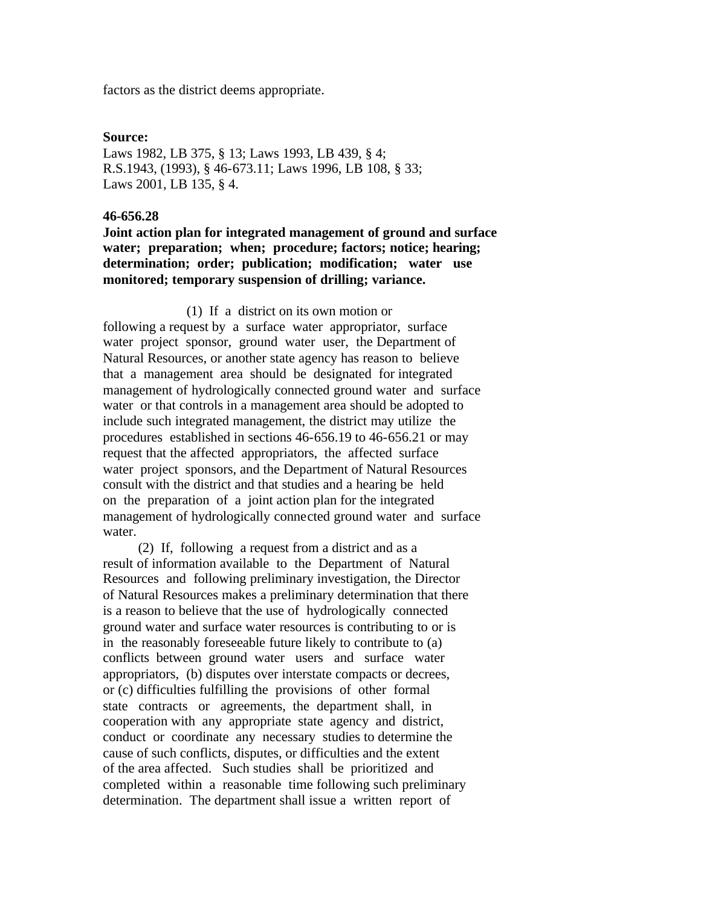factors as the district deems appropriate.

### **Source:**

Laws 1982, LB 375, § 13; Laws 1993, LB 439, § 4; R.S.1943, (1993), § 46-673.11; Laws 1996, LB 108, § 33; Laws 2001, LB 135, § 4.

#### **46-656.28**

# **Joint action plan for integrated management of ground and surface water; preparation; when; procedure; factors; notice; hearing; determination; order; publication; modification; water use monitored; temporary suspension of drilling; variance.**

 (1) If a district on its own motion or following a request by a surface water appropriator, surface water project sponsor, ground water user, the Department of Natural Resources, or another state agency has reason to believe that a management area should be designated for integrated management of hydrologically connected ground water and surface water or that controls in a management area should be adopted to include such integrated management, the district may utilize the procedures established in sections 46-656.19 to 46-656.21 or may request that the affected appropriators, the affected surface water project sponsors, and the Department of Natural Resources consult with the district and that studies and a hearing be held on the preparation of a joint action plan for the integrated management of hydrologically connected ground water and surface water.

 (2) If, following a request from a district and as a result of information available to the Department of Natural Resources and following preliminary investigation, the Director of Natural Resources makes a preliminary determination that there is a reason to believe that the use of hydrologically connected ground water and surface water resources is contributing to or is in the reasonably foreseeable future likely to contribute to (a) conflicts between ground water users and surface water appropriators, (b) disputes over interstate compacts or decrees, or (c) difficulties fulfilling the provisions of other formal state contracts or agreements, the department shall, in cooperation with any appropriate state agency and district, conduct or coordinate any necessary studies to determine the cause of such conflicts, disputes, or difficulties and the extent of the area affected. Such studies shall be prioritized and completed within a reasonable time following such preliminary determination. The department shall issue a written report of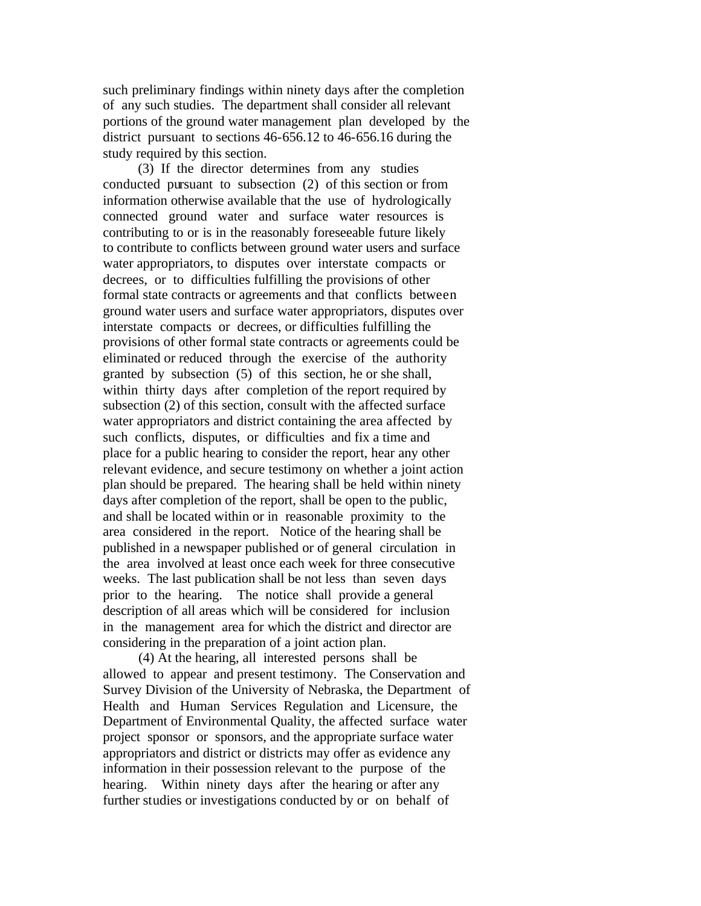such preliminary findings within ninety days after the completion of any such studies. The department shall consider all relevant portions of the ground water management plan developed by the district pursuant to sections 46-656.12 to 46-656.16 during the study required by this section.

 (3) If the director determines from any studies conducted pursuant to subsection (2) of this section or from information otherwise available that the use of hydrologically connected ground water and surface water resources is contributing to or is in the reasonably foreseeable future likely to contribute to conflicts between ground water users and surface water appropriators, to disputes over interstate compacts or decrees, or to difficulties fulfilling the provisions of other formal state contracts or agreements and that conflicts between ground water users and surface water appropriators, disputes over interstate compacts or decrees, or difficulties fulfilling the provisions of other formal state contracts or agreements could be eliminated or reduced through the exercise of the authority granted by subsection (5) of this section, he or she shall, within thirty days after completion of the report required by subsection (2) of this section, consult with the affected surface water appropriators and district containing the area affected by such conflicts, disputes, or difficulties and fix a time and place for a public hearing to consider the report, hear any other relevant evidence, and secure testimony on whether a joint action plan should be prepared. The hearing shall be held within ninety days after completion of the report, shall be open to the public, and shall be located within or in reasonable proximity to the area considered in the report. Notice of the hearing shall be published in a newspaper published or of general circulation in the area involved at least once each week for three consecutive weeks. The last publication shall be not less than seven days prior to the hearing. The notice shall provide a general description of all areas which will be considered for inclusion in the management area for which the district and director are considering in the preparation of a joint action plan.

 (4) At the hearing, all interested persons shall be allowed to appear and present testimony. The Conservation and Survey Division of the University of Nebraska, the Department of Health and Human Services Regulation and Licensure, the Department of Environmental Quality, the affected surface water project sponsor or sponsors, and the appropriate surface water appropriators and district or districts may offer as evidence any information in their possession relevant to the purpose of the hearing. Within ninety days after the hearing or after any further studies or investigations conducted by or on behalf of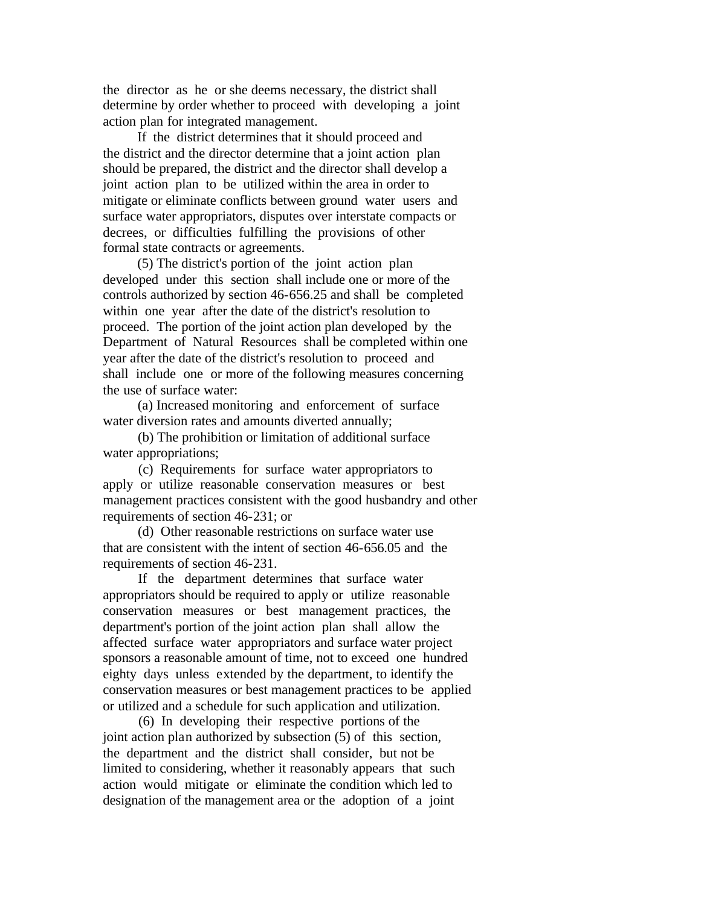the director as he or she deems necessary, the district shall determine by order whether to proceed with developing a joint action plan for integrated management.

 If the district determines that it should proceed and the district and the director determine that a joint action plan should be prepared, the district and the director shall develop a joint action plan to be utilized within the area in order to mitigate or eliminate conflicts between ground water users and surface water appropriators, disputes over interstate compacts or decrees, or difficulties fulfilling the provisions of other formal state contracts or agreements.

 (5) The district's portion of the joint action plan developed under this section shall include one or more of the controls authorized by section 46-656.25 and shall be completed within one year after the date of the district's resolution to proceed. The portion of the joint action plan developed by the Department of Natural Resources shall be completed within one year after the date of the district's resolution to proceed and shall include one or more of the following measures concerning the use of surface water:

 (a) Increased monitoring and enforcement of surface water diversion rates and amounts diverted annually;

 (b) The prohibition or limitation of additional surface water appropriations;

 (c) Requirements for surface water appropriators to apply or utilize reasonable conservation measures or best management practices consistent with the good husbandry and other requirements of section 46-231; or

 (d) Other reasonable restrictions on surface water use that are consistent with the intent of section 46-656.05 and the requirements of section 46-231.

 If the department determines that surface water appropriators should be required to apply or utilize reasonable conservation measures or best management practices, the department's portion of the joint action plan shall allow the affected surface water appropriators and surface water project sponsors a reasonable amount of time, not to exceed one hundred eighty days unless extended by the department, to identify the conservation measures or best management practices to be applied or utilized and a schedule for such application and utilization.

 (6) In developing their respective portions of the joint action plan authorized by subsection (5) of this section, the department and the district shall consider, but not be limited to considering, whether it reasonably appears that such action would mitigate or eliminate the condition which led to designation of the management area or the adoption of a joint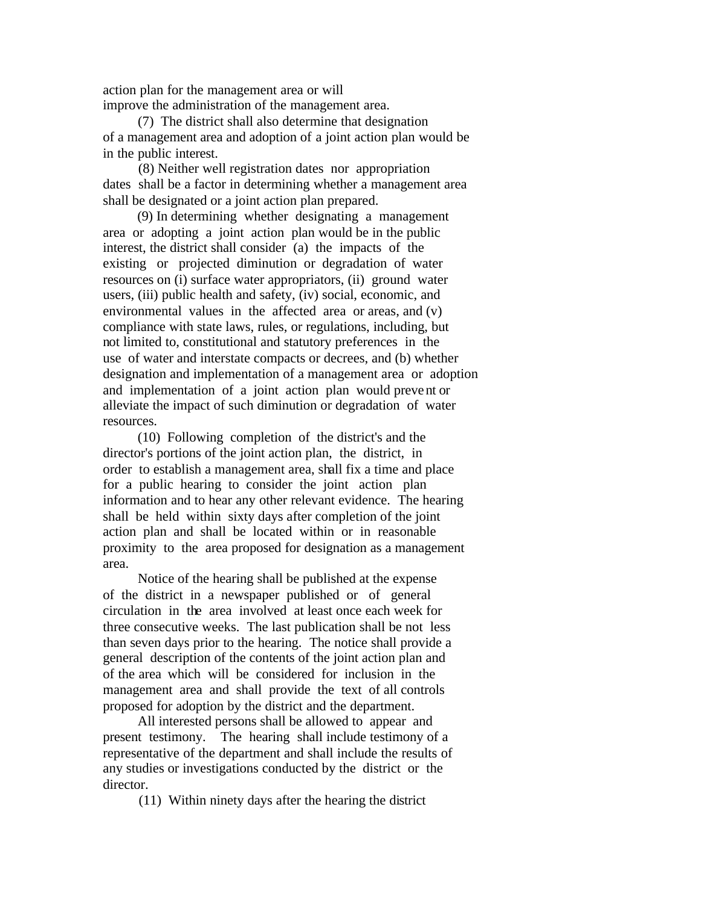action plan for the management area or will improve the administration of the management area.

 (7) The district shall also determine that designation of a management area and adoption of a joint action plan would be in the public interest.

 (8) Neither well registration dates nor appropriation dates shall be a factor in determining whether a management area shall be designated or a joint action plan prepared.

 (9) In determining whether designating a management area or adopting a joint action plan would be in the public interest, the district shall consider (a) the impacts of the existing or projected diminution or degradation of water resources on (i) surface water appropriators, (ii) ground water users, (iii) public health and safety, (iv) social, economic, and environmental values in the affected area or areas, and (v) compliance with state laws, rules, or regulations, including, but not limited to, constitutional and statutory preferences in the use of water and interstate compacts or decrees, and (b) whether designation and implementation of a management area or adoption and implementation of a joint action plan would prevent or alleviate the impact of such diminution or degradation of water resources.

 (10) Following completion of the district's and the director's portions of the joint action plan, the district, in order to establish a management area, shall fix a time and place for a public hearing to consider the joint action plan information and to hear any other relevant evidence. The hearing shall be held within sixty days after completion of the joint action plan and shall be located within or in reasonable proximity to the area proposed for designation as a management area.

 Notice of the hearing shall be published at the expense of the district in a newspaper published or of general circulation in the area involved at least once each week for three consecutive weeks. The last publication shall be not less than seven days prior to the hearing. The notice shall provide a general description of the contents of the joint action plan and of the area which will be considered for inclusion in the management area and shall provide the text of all controls proposed for adoption by the district and the department.

 All interested persons shall be allowed to appear and present testimony. The hearing shall include testimony of a representative of the department and shall include the results of any studies or investigations conducted by the district or the director.

(11) Within ninety days after the hearing the district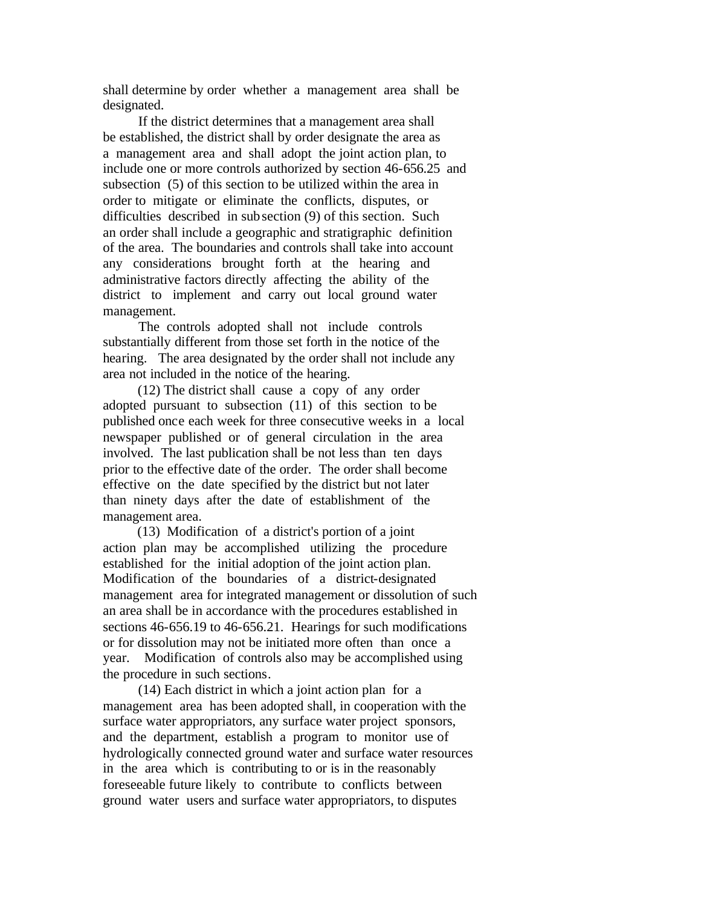shall determine by order whether a management area shall be designated.

 If the district determines that a management area shall be established, the district shall by order designate the area as a management area and shall adopt the joint action plan, to include one or more controls authorized by section 46-656.25 and subsection (5) of this section to be utilized within the area in order to mitigate or eliminate the conflicts, disputes, or difficulties described in subsection (9) of this section. Such an order shall include a geographic and stratigraphic definition of the area. The boundaries and controls shall take into account any considerations brought forth at the hearing and administrative factors directly affecting the ability of the district to implement and carry out local ground water management.

 The controls adopted shall not include controls substantially different from those set forth in the notice of the hearing. The area designated by the order shall not include any area not included in the notice of the hearing.

 (12) The district shall cause a copy of any order adopted pursuant to subsection (11) of this section to be published once each week for three consecutive weeks in a local newspaper published or of general circulation in the area involved. The last publication shall be not less than ten days prior to the effective date of the order. The order shall become effective on the date specified by the district but not later than ninety days after the date of establishment of the management area.

 (13) Modification of a district's portion of a joint action plan may be accomplished utilizing the procedure established for the initial adoption of the joint action plan. Modification of the boundaries of a district-designated management area for integrated management or dissolution of such an area shall be in accordance with the procedures established in sections 46-656.19 to 46-656.21. Hearings for such modifications or for dissolution may not be initiated more often than once a year. Modification of controls also may be accomplished using the procedure in such sections.

 (14) Each district in which a joint action plan for a management area has been adopted shall, in cooperation with the surface water appropriators, any surface water project sponsors, and the department, establish a program to monitor use of hydrologically connected ground water and surface water resources in the area which is contributing to or is in the reasonably foreseeable future likely to contribute to conflicts between ground water users and surface water appropriators, to disputes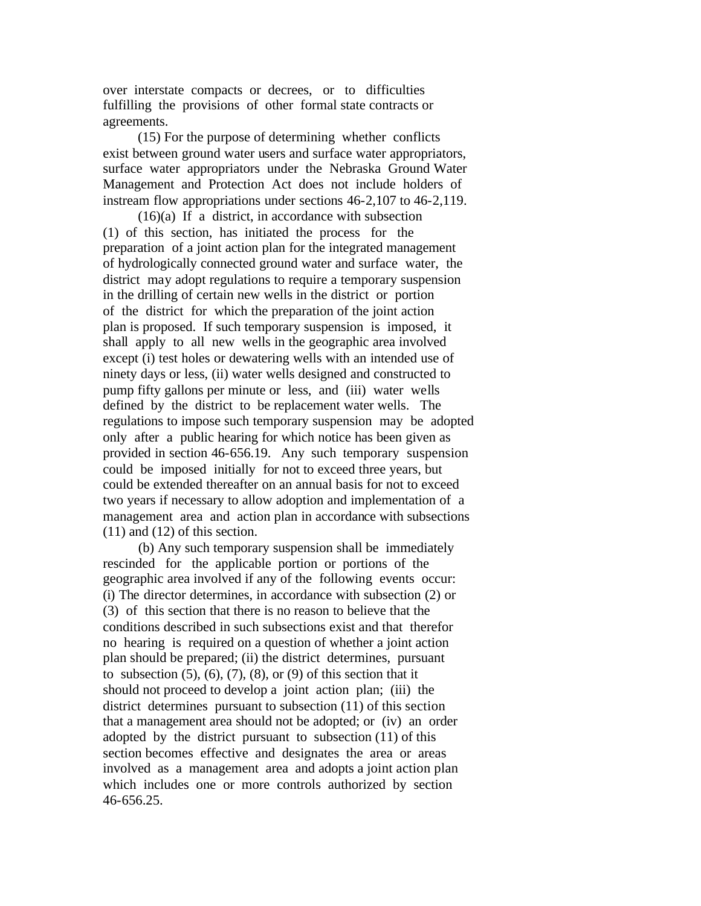over interstate compacts or decrees, or to difficulties fulfilling the provisions of other formal state contracts or agreements.

 (15) For the purpose of determining whether conflicts exist between ground water users and surface water appropriators, surface water appropriators under the Nebraska Ground Water Management and Protection Act does not include holders of instream flow appropriations under sections 46-2,107 to 46-2,119.

 (16)(a) If a district, in accordance with subsection (1) of this section, has initiated the process for the preparation of a joint action plan for the integrated management of hydrologically connected ground water and surface water, the district may adopt regulations to require a temporary suspension in the drilling of certain new wells in the district or portion of the district for which the preparation of the joint action plan is proposed. If such temporary suspension is imposed, it shall apply to all new wells in the geographic area involved except (i) test holes or dewatering wells with an intended use of ninety days or less, (ii) water wells designed and constructed to pump fifty gallons per minute or less, and (iii) water wells defined by the district to be replacement water wells. The regulations to impose such temporary suspension may be adopted only after a public hearing for which notice has been given as provided in section 46-656.19. Any such temporary suspension could be imposed initially for not to exceed three years, but could be extended thereafter on an annual basis for not to exceed two years if necessary to allow adoption and implementation of a management area and action plan in accordance with subsections (11) and (12) of this section.

 (b) Any such temporary suspension shall be immediately rescinded for the applicable portion or portions of the geographic area involved if any of the following events occur: (i) The director determines, in accordance with subsection (2) or (3) of this section that there is no reason to believe that the conditions described in such subsections exist and that therefor no hearing is required on a question of whether a joint action plan should be prepared; (ii) the district determines, pursuant to subsection  $(5)$ ,  $(6)$ ,  $(7)$ ,  $(8)$ , or  $(9)$  of this section that it should not proceed to develop a joint action plan; (iii) the district determines pursuant to subsection (11) of this section that a management area should not be adopted; or (iv) an order adopted by the district pursuant to subsection (11) of this section becomes effective and designates the area or areas involved as a management area and adopts a joint action plan which includes one or more controls authorized by section 46-656.25.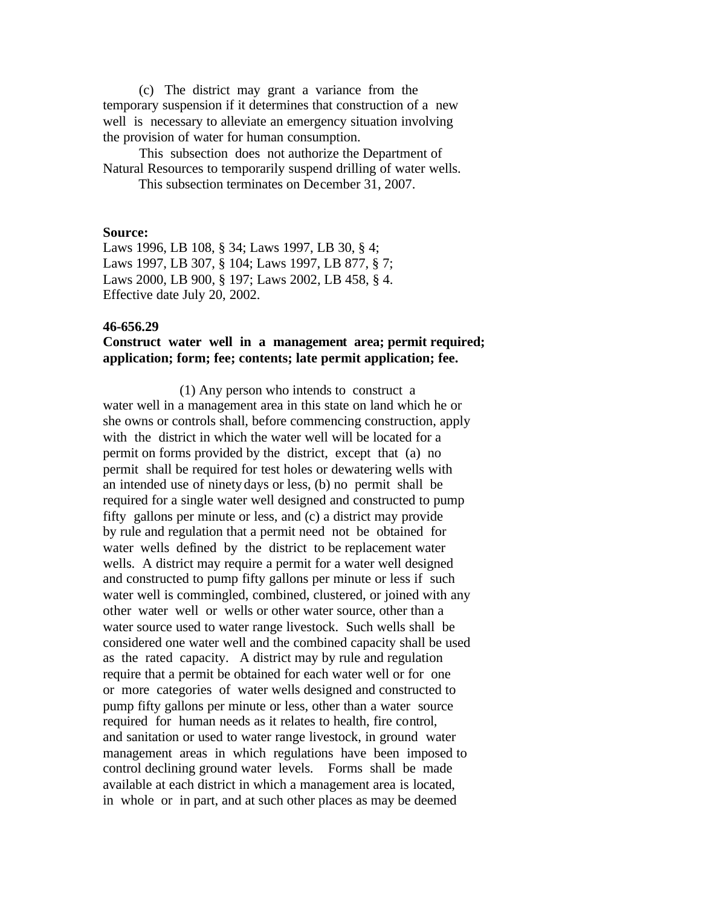(c) The district may grant a variance from the temporary suspension if it determines that construction of a new well is necessary to alleviate an emergency situation involving the provision of water for human consumption.

 This subsection does not authorize the Department of Natural Resources to temporarily suspend drilling of water wells. This subsection terminates on December 31, 2007.

### **Source:**

Laws 1996, LB 108, § 34; Laws 1997, LB 30, § 4; Laws 1997, LB 307, § 104; Laws 1997, LB 877, § 7; Laws 2000, LB 900, § 197; Laws 2002, LB 458, § 4. Effective date July 20, 2002.

## **46-656.29**

# **Construct water well in a management area; permit required; application; form; fee; contents; late permit application; fee.**

 (1) Any person who intends to construct a water well in a management area in this state on land which he or she owns or controls shall, before commencing construction, apply with the district in which the water well will be located for a permit on forms provided by the district, except that (a) no permit shall be required for test holes or dewatering wells with an intended use of ninety days or less, (b) no permit shall be required for a single water well designed and constructed to pump fifty gallons per minute or less, and (c) a district may provide by rule and regulation that a permit need not be obtained for water wells defined by the district to be replacement water wells. A district may require a permit for a water well designed and constructed to pump fifty gallons per minute or less if such water well is commingled, combined, clustered, or joined with any other water well or wells or other water source, other than a water source used to water range livestock. Such wells shall be considered one water well and the combined capacity shall be used as the rated capacity. A district may by rule and regulation require that a permit be obtained for each water well or for one or more categories of water wells designed and constructed to pump fifty gallons per minute or less, other than a water source required for human needs as it relates to health, fire control, and sanitation or used to water range livestock, in ground water management areas in which regulations have been imposed to control declining ground water levels. Forms shall be made available at each district in which a management area is located, in whole or in part, and at such other places as may be deemed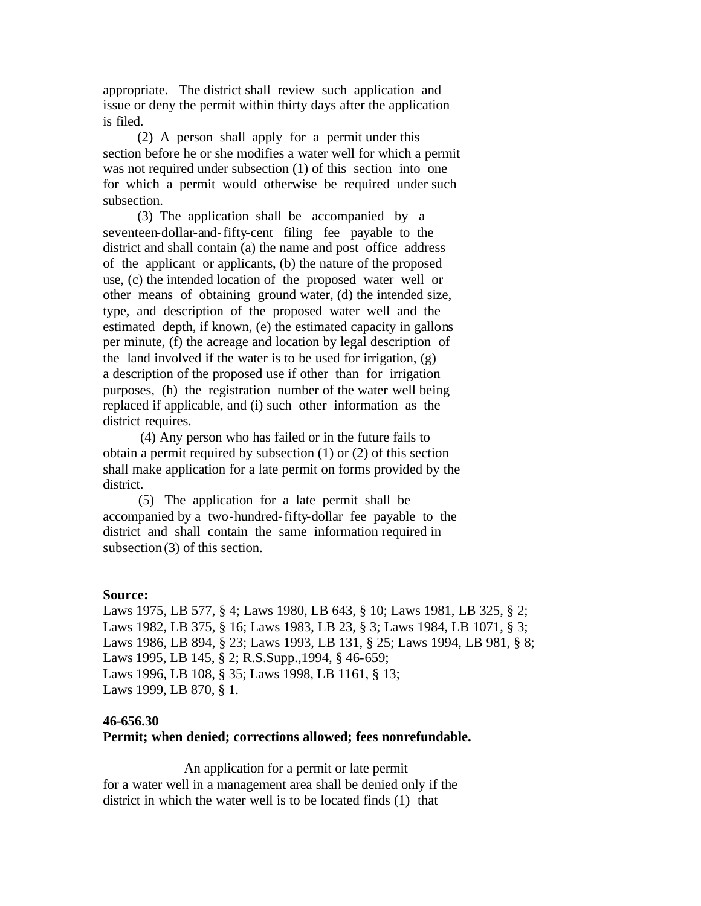appropriate. The district shall review such application and issue or deny the permit within thirty days after the application is filed.

 (2) A person shall apply for a permit under this section before he or she modifies a water well for which a permit was not required under subsection (1) of this section into one for which a permit would otherwise be required under such subsection.

 (3) The application shall be accompanied by a seventeen-dollar-and-fifty-cent filing fee payable to the district and shall contain (a) the name and post office address of the applicant or applicants, (b) the nature of the proposed use, (c) the intended location of the proposed water well or other means of obtaining ground water, (d) the intended size, type, and description of the proposed water well and the estimated depth, if known, (e) the estimated capacity in gallons per minute, (f) the acreage and location by legal description of the land involved if the water is to be used for irrigation,  $(g)$ a description of the proposed use if other than for irrigation purposes, (h) the registration number of the water well being replaced if applicable, and (i) such other information as the district requires.

 (4) Any person who has failed or in the future fails to obtain a permit required by subsection (1) or (2) of this section shall make application for a late permit on forms provided by the district.

 (5) The application for a late permit shall be accompanied by a two-hundred-fifty-dollar fee payable to the district and shall contain the same information required in subsection (3) of this section.

#### **Source:**

Laws 1975, LB 577, § 4; Laws 1980, LB 643, § 10; Laws 1981, LB 325, § 2; Laws 1982, LB 375, § 16; Laws 1983, LB 23, § 3; Laws 1984, LB 1071, § 3; Laws 1986, LB 894, § 23; Laws 1993, LB 131, § 25; Laws 1994, LB 981, § 8; Laws 1995, LB 145, § 2; R.S.Supp.,1994, § 46-659; Laws 1996, LB 108, § 35; Laws 1998, LB 1161, § 13; Laws 1999, LB 870, § 1.

#### **46-656.30**

### **Permit; when denied; corrections allowed; fees nonrefundable.**

 An application for a permit or late permit for a water well in a management area shall be denied only if the district in which the water well is to be located finds (1) that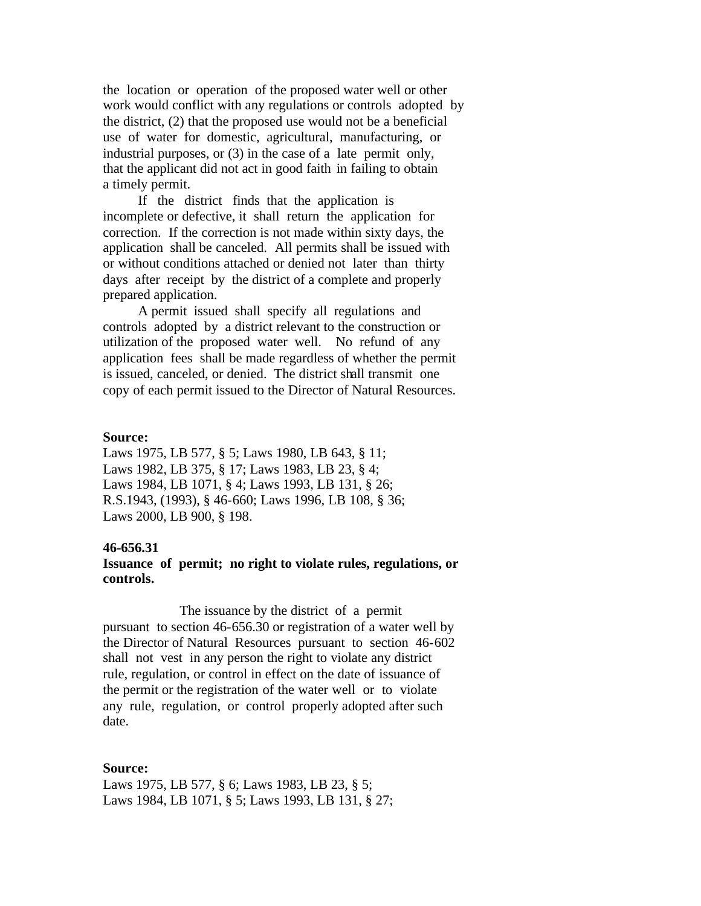the location or operation of the proposed water well or other work would conflict with any regulations or controls adopted by the district, (2) that the proposed use would not be a beneficial use of water for domestic, agricultural, manufacturing, or industrial purposes, or (3) in the case of a late permit only, that the applicant did not act in good faith in failing to obtain a timely permit.

 If the district finds that the application is incomplete or defective, it shall return the application for correction. If the correction is not made within sixty days, the application shall be canceled. All permits shall be issued with or without conditions attached or denied not later than thirty days after receipt by the district of a complete and properly prepared application.

 A permit issued shall specify all regulations and controls adopted by a district relevant to the construction or utilization of the proposed water well. No refund of any application fees shall be made regardless of whether the permit is issued, canceled, or denied. The district shall transmit one copy of each permit issued to the Director of Natural Resources.

#### **Source:**

Laws 1975, LB 577, § 5; Laws 1980, LB 643, § 11; Laws 1982, LB 375, § 17; Laws 1983, LB 23, § 4; Laws 1984, LB 1071, § 4; Laws 1993, LB 131, § 26; R.S.1943, (1993), § 46-660; Laws 1996, LB 108, § 36; Laws 2000, LB 900, § 198.

### **46-656.31**

# **Issuance of permit; no right to violate rules, regulations, or controls.**

 The issuance by the district of a permit pursuant to section 46-656.30 or registration of a water well by the Director of Natural Resources pursuant to section 46-602 shall not vest in any person the right to violate any district rule, regulation, or control in effect on the date of issuance of the permit or the registration of the water well or to violate any rule, regulation, or control properly adopted after such date.

### **Source:**

Laws 1975, LB 577, § 6; Laws 1983, LB 23, § 5; Laws 1984, LB 1071, § 5; Laws 1993, LB 131, § 27;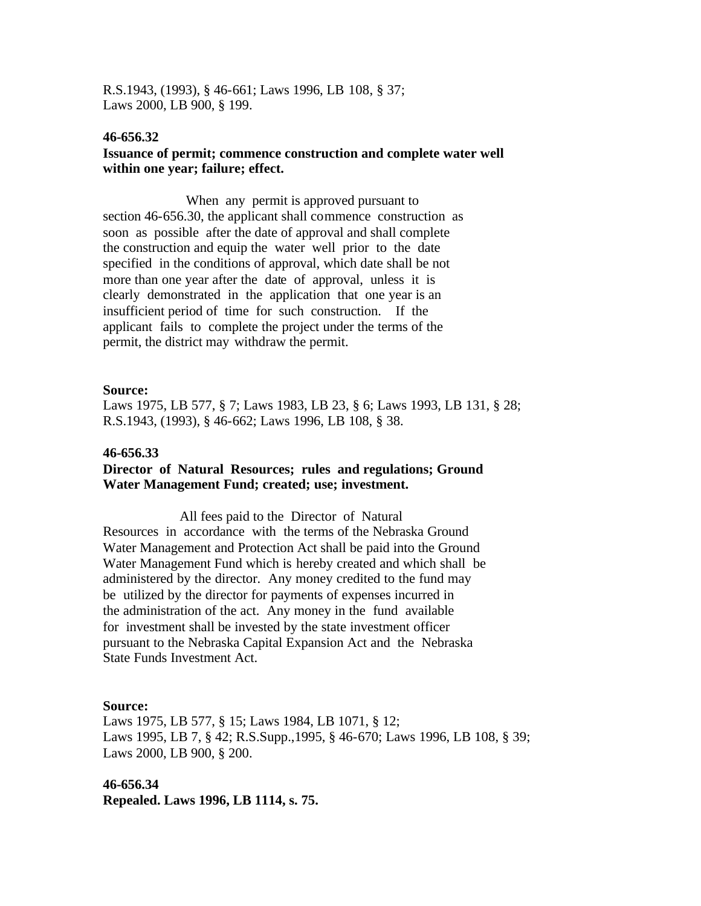R.S.1943, (1993), § 46-661; Laws 1996, LB 108, § 37; Laws 2000, LB 900, § 199.

# **46-656.32**

# **Issuance of permit; commence construction and complete water well within one year; failure; effect.**

 When any permit is approved pursuant to section 46-656.30, the applicant shall commence construction as soon as possible after the date of approval and shall complete the construction and equip the water well prior to the date specified in the conditions of approval, which date shall be not more than one year after the date of approval, unless it is clearly demonstrated in the application that one year is an insufficient period of time for such construction. If the applicant fails to complete the project under the terms of the permit, the district may withdraw the permit.

### **Source:**

Laws 1975, LB 577, § 7; Laws 1983, LB 23, § 6; Laws 1993, LB 131, § 28; R.S.1943, (1993), § 46-662; Laws 1996, LB 108, § 38.

# **46-656.33**

# **Director of Natural Resources; rules and regulations; Ground Water Management Fund; created; use; investment.**

 All fees paid to the Director of Natural Resources in accordance with the terms of the Nebraska Ground Water Management and Protection Act shall be paid into the Ground Water Management Fund which is hereby created and which shall be administered by the director. Any money credited to the fund may be utilized by the director for payments of expenses incurred in the administration of the act. Any money in the fund available for investment shall be invested by the state investment officer pursuant to the Nebraska Capital Expansion Act and the Nebraska State Funds Investment Act.

## **Source:**

Laws 1975, LB 577, § 15; Laws 1984, LB 1071, § 12; Laws 1995, LB 7, § 42; R.S.Supp.,1995, § 46-670; Laws 1996, LB 108, § 39; Laws 2000, LB 900, § 200.

**46-656.34 Repealed. Laws 1996, LB 1114, s. 75.**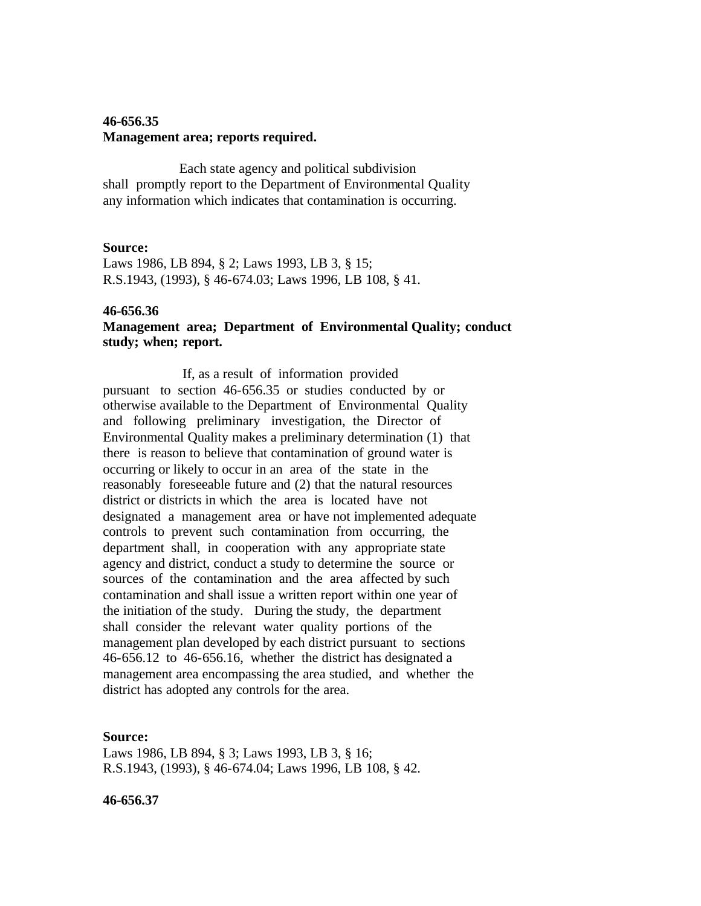# **46-656.35 Management area; reports required.**

 Each state agency and political subdivision shall promptly report to the Department of Environmental Quality any information which indicates that contamination is occurring.

## **Source:**

Laws 1986, LB 894, § 2; Laws 1993, LB 3, § 15; R.S.1943, (1993), § 46-674.03; Laws 1996, LB 108, § 41.

### **46-656.36**

# **Management area; Department of Environmental Quality; conduct study; when; report.**

 If, as a result of information provided pursuant to section 46-656.35 or studies conducted by or otherwise available to the Department of Environmental Quality and following preliminary investigation, the Director of Environmental Quality makes a preliminary determination (1) that there is reason to believe that contamination of ground water is occurring or likely to occur in an area of the state in the reasonably foreseeable future and (2) that the natural resources district or districts in which the area is located have not designated a management area or have not implemented adequate controls to prevent such contamination from occurring, the department shall, in cooperation with any appropriate state agency and district, conduct a study to determine the source or sources of the contamination and the area affected by such contamination and shall issue a written report within one year of the initiation of the study. During the study, the department shall consider the relevant water quality portions of the management plan developed by each district pursuant to sections 46-656.12 to 46-656.16, whether the district has designated a management area encompassing the area studied, and whether the district has adopted any controls for the area.

## **Source:**

Laws 1986, LB 894, § 3; Laws 1993, LB 3, § 16; R.S.1943, (1993), § 46-674.04; Laws 1996, LB 108, § 42.

#### **46-656.37**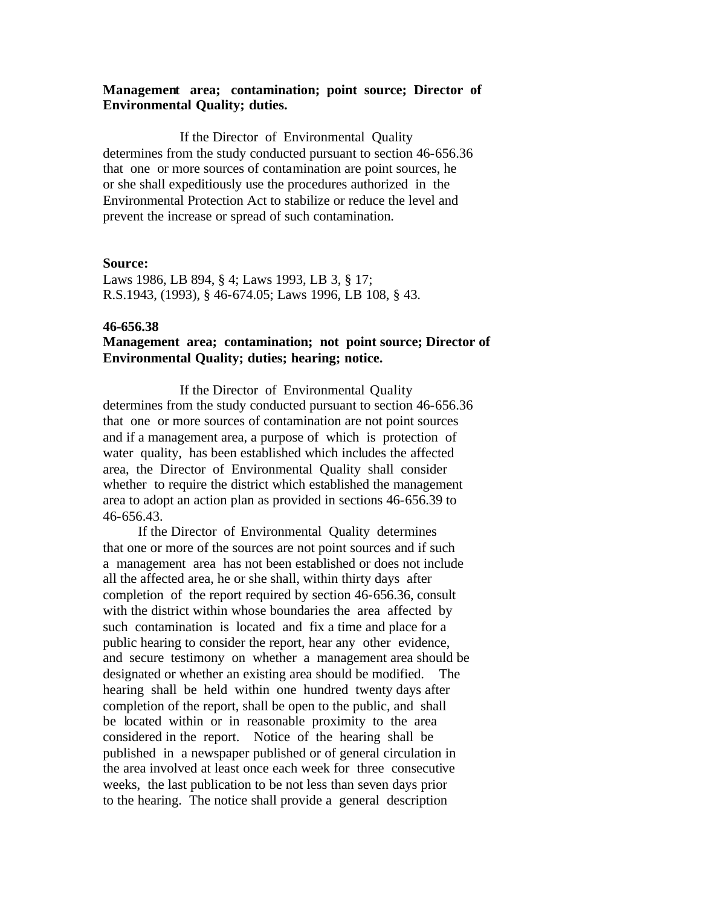# **Management area; contamination; point source; Director of Environmental Quality; duties.**

 If the Director of Environmental Quality determines from the study conducted pursuant to section 46-656.36 that one or more sources of contamination are point sources, he or she shall expeditiously use the procedures authorized in the Environmental Protection Act to stabilize or reduce the level and prevent the increase or spread of such contamination.

## **Source:**

Laws 1986, LB 894, § 4; Laws 1993, LB 3, § 17; R.S.1943, (1993), § 46-674.05; Laws 1996, LB 108, § 43.

### **46-656.38**

# **Management area; contamination; not point source; Director of Environmental Quality; duties; hearing; notice.**

 If the Director of Environmental Quality determines from the study conducted pursuant to section 46-656.36 that one or more sources of contamination are not point sources and if a management area, a purpose of which is protection of water quality, has been established which includes the affected area, the Director of Environmental Quality shall consider whether to require the district which established the management area to adopt an action plan as provided in sections 46-656.39 to 46-656.43.

 If the Director of Environmental Quality determines that one or more of the sources are not point sources and if such a management area has not been established or does not include all the affected area, he or she shall, within thirty days after completion of the report required by section 46-656.36, consult with the district within whose boundaries the area affected by such contamination is located and fix a time and place for a public hearing to consider the report, hear any other evidence, and secure testimony on whether a management area should be designated or whether an existing area should be modified. The hearing shall be held within one hundred twenty days after completion of the report, shall be open to the public, and shall be located within or in reasonable proximity to the area considered in the report. Notice of the hearing shall be published in a newspaper published or of general circulation in the area involved at least once each week for three consecutive weeks, the last publication to be not less than seven days prior to the hearing. The notice shall provide a general description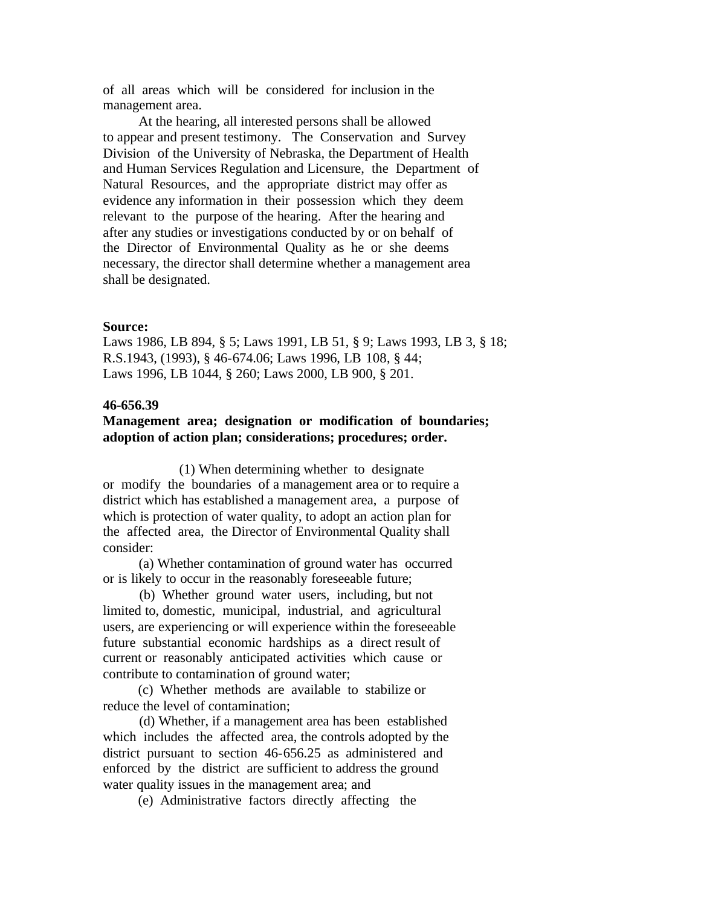of all areas which will be considered for inclusion in the management area.

 At the hearing, all interested persons shall be allowed to appear and present testimony. The Conservation and Survey Division of the University of Nebraska, the Department of Health and Human Services Regulation and Licensure, the Department of Natural Resources, and the appropriate district may offer as evidence any information in their possession which they deem relevant to the purpose of the hearing. After the hearing and after any studies or investigations conducted by or on behalf of the Director of Environmental Quality as he or she deems necessary, the director shall determine whether a management area shall be designated.

### **Source:**

Laws 1986, LB 894, § 5; Laws 1991, LB 51, § 9; Laws 1993, LB 3, § 18; R.S.1943, (1993), § 46-674.06; Laws 1996, LB 108, § 44; Laws 1996, LB 1044, § 260; Laws 2000, LB 900, § 201.

## **46-656.39**

# **Management area; designation or modification of boundaries; adoption of action plan; considerations; procedures; order.**

 (1) When determining whether to designate or modify the boundaries of a management area or to require a district which has established a management area, a purpose of which is protection of water quality, to adopt an action plan for the affected area, the Director of Environmental Quality shall consider:

 (a) Whether contamination of ground water has occurred or is likely to occur in the reasonably foreseeable future;

 (b) Whether ground water users, including, but not limited to, domestic, municipal, industrial, and agricultural users, are experiencing or will experience within the foreseeable future substantial economic hardships as a direct result of current or reasonably anticipated activities which cause or contribute to contamination of ground water;

 (c) Whether methods are available to stabilize or reduce the level of contamination;

 (d) Whether, if a management area has been established which includes the affected area, the controls adopted by the district pursuant to section 46-656.25 as administered and enforced by the district are sufficient to address the ground water quality issues in the management area; and

(e) Administrative factors directly affecting the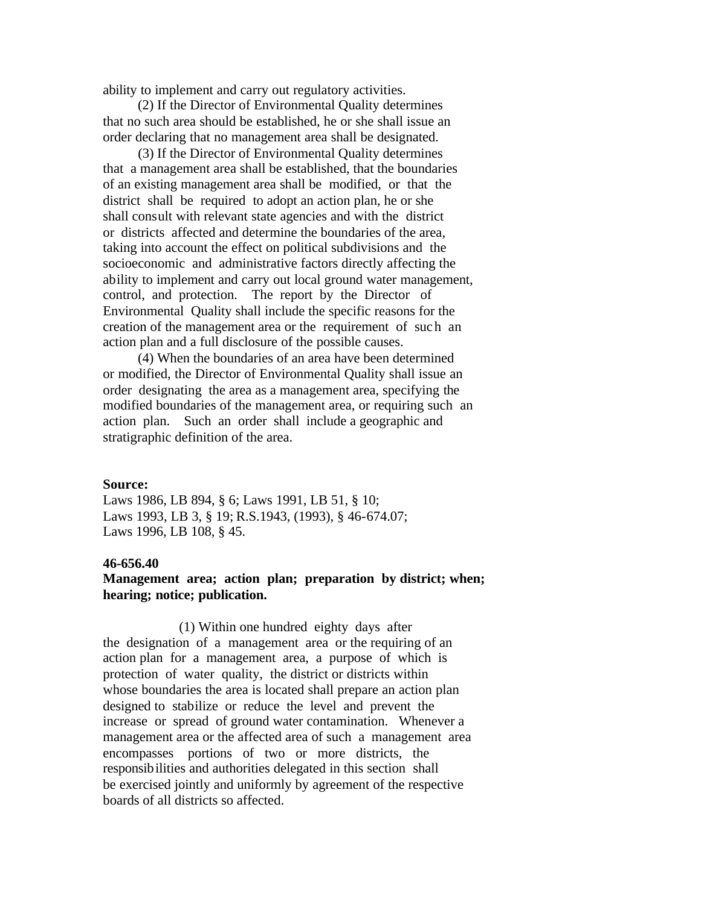ability to implement and carry out regulatory activities.

 (2) If the Director of Environmental Quality determines that no such area should be established, he or she shall issue an order declaring that no management area shall be designated.

 (3) If the Director of Environmental Quality determines that a management area shall be established, that the boundaries of an existing management area shall be modified, or that the district shall be required to adopt an action plan, he or she shall consult with relevant state agencies and with the district or districts affected and determine the boundaries of the area, taking into account the effect on political subdivisions and the socioeconomic and administrative factors directly affecting the ability to implement and carry out local ground water management, control, and protection. The report by the Director of Environmental Quality shall include the specific reasons for the creation of the management area or the requirement of such an action plan and a full disclosure of the possible causes.

 (4) When the boundaries of an area have been determined or modified, the Director of Environmental Quality shall issue an order designating the area as a management area, specifying the modified boundaries of the management area, or requiring such an action plan. Such an order shall include a geographic and stratigraphic definition of the area.

#### **Source:**

Laws 1986, LB 894, § 6; Laws 1991, LB 51, § 10; Laws 1993, LB 3, § 19; R.S.1943, (1993), § 46-674.07; Laws 1996, LB 108, § 45.

### **46-656.40**

# **Management area; action plan; preparation by district; when; hearing; notice; publication.**

 (1) Within one hundred eighty days after the designation of a management area or the requiring of an action plan for a management area, a purpose of which is protection of water quality, the district or districts within whose boundaries the area is located shall prepare an action plan designed to stabilize or reduce the level and prevent the increase or spread of ground water contamination. Whenever a management area or the affected area of such a management area encompasses portions of two or more districts, the responsibilities and authorities delegated in this section shall be exercised jointly and uniformly by agreement of the respective boards of all districts so affected.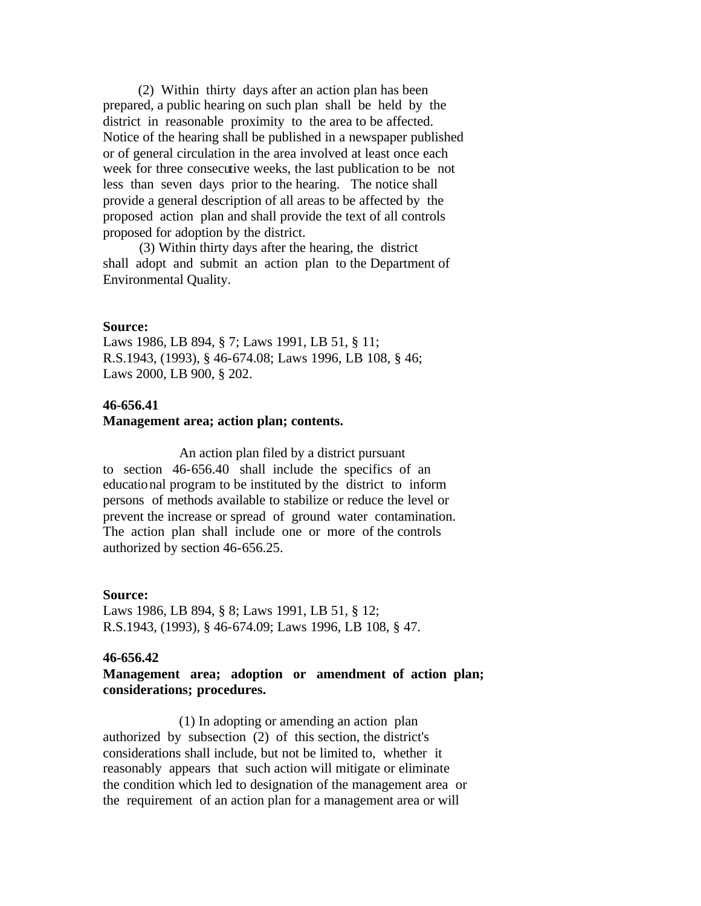(2) Within thirty days after an action plan has been prepared, a public hearing on such plan shall be held by the district in reasonable proximity to the area to be affected. Notice of the hearing shall be published in a newspaper published or of general circulation in the area involved at least once each week for three consecutive weeks, the last publication to be not less than seven days prior to the hearing. The notice shall provide a general description of all areas to be affected by the proposed action plan and shall provide the text of all controls proposed for adoption by the district.

 (3) Within thirty days after the hearing, the district shall adopt and submit an action plan to the Department of Environmental Quality.

#### **Source:**

Laws 1986, LB 894, § 7; Laws 1991, LB 51, § 11; R.S.1943, (1993), § 46-674.08; Laws 1996, LB 108, § 46; Laws 2000, LB 900, § 202.

# **46-656.41**

### **Management area; action plan; contents.**

 An action plan filed by a district pursuant to section 46-656.40 shall include the specifics of an educational program to be instituted by the district to inform persons of methods available to stabilize or reduce the level or prevent the increase or spread of ground water contamination. The action plan shall include one or more of the controls authorized by section 46-656.25.

#### **Source:**

Laws 1986, LB 894, § 8; Laws 1991, LB 51, § 12; R.S.1943, (1993), § 46-674.09; Laws 1996, LB 108, § 47.

# **46-656.42**

# **Management area; adoption or amendment of action plan; considerations; procedures.**

 (1) In adopting or amending an action plan authorized by subsection (2) of this section, the district's considerations shall include, but not be limited to, whether it reasonably appears that such action will mitigate or eliminate the condition which led to designation of the management area or the requirement of an action plan for a management area or will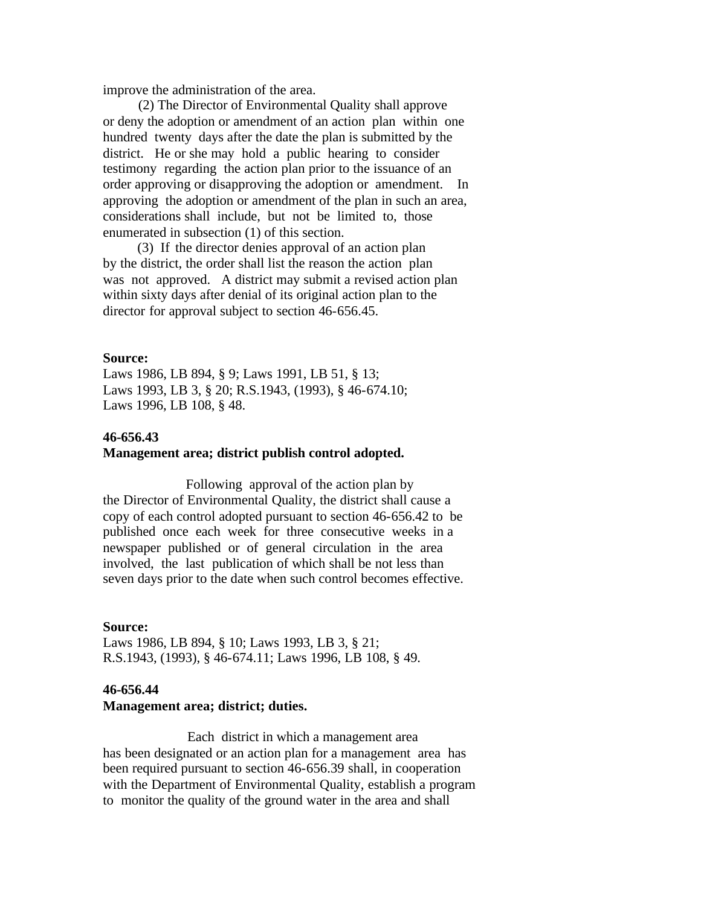improve the administration of the area.

 (2) The Director of Environmental Quality shall approve or deny the adoption or amendment of an action plan within one hundred twenty days after the date the plan is submitted by the district. He or she may hold a public hearing to consider testimony regarding the action plan prior to the issuance of an order approving or disapproving the adoption or amendment. In approving the adoption or amendment of the plan in such an area, considerations shall include, but not be limited to, those enumerated in subsection (1) of this section.

 (3) If the director denies approval of an action plan by the district, the order shall list the reason the action plan was not approved. A district may submit a revised action plan within sixty days after denial of its original action plan to the director for approval subject to section 46-656.45.

### **Source:**

Laws 1986, LB 894, § 9; Laws 1991, LB 51, § 13; Laws 1993, LB 3, § 20; R.S.1943, (1993), § 46-674.10; Laws 1996, LB 108, § 48.

### **46-656.43**

## **Management area; district publish control adopted.**

 Following approval of the action plan by the Director of Environmental Quality, the district shall cause a copy of each control adopted pursuant to section 46-656.42 to be published once each week for three consecutive weeks in a newspaper published or of general circulation in the area involved, the last publication of which shall be not less than seven days prior to the date when such control becomes effective.

#### **Source:**

Laws 1986, LB 894, § 10; Laws 1993, LB 3, § 21; R.S.1943, (1993), § 46-674.11; Laws 1996, LB 108, § 49.

## **46-656.44**

## **Management area; district; duties.**

 Each district in which a management area has been designated or an action plan for a management area has been required pursuant to section 46-656.39 shall, in cooperation with the Department of Environmental Quality, establish a program to monitor the quality of the ground water in the area and shall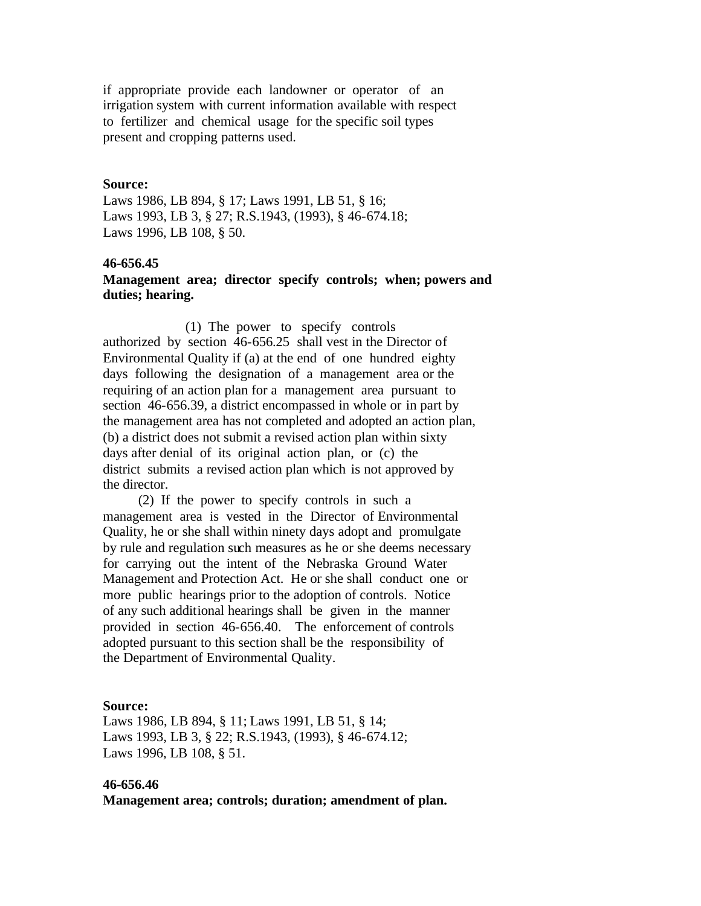if appropriate provide each landowner or operator of an irrigation system with current information available with respect to fertilizer and chemical usage for the specific soil types present and cropping patterns used.

### **Source:**

Laws 1986, LB 894, § 17; Laws 1991, LB 51, § 16; Laws 1993, LB 3, § 27; R.S.1943, (1993), § 46-674.18; Laws 1996, LB 108, § 50.

### **46-656.45**

# **Management area; director specify controls; when; powers and duties; hearing.**

 (1) The power to specify controls authorized by section 46-656.25 shall vest in the Director of Environmental Quality if (a) at the end of one hundred eighty days following the designation of a management area or the requiring of an action plan for a management area pursuant to section 46-656.39, a district encompassed in whole or in part by the management area has not completed and adopted an action plan, (b) a district does not submit a revised action plan within sixty days after denial of its original action plan, or (c) the district submits a revised action plan which is not approved by the director.

 (2) If the power to specify controls in such a management area is vested in the Director of Environmental Quality, he or she shall within ninety days adopt and promulgate by rule and regulation such measures as he or she deems necessary for carrying out the intent of the Nebraska Ground Water Management and Protection Act. He or she shall conduct one or more public hearings prior to the adoption of controls. Notice of any such additional hearings shall be given in the manner provided in section 46-656.40. The enforcement of controls adopted pursuant to this section shall be the responsibility of the Department of Environmental Quality.

## **Source:**

Laws 1986, LB 894, § 11; Laws 1991, LB 51, § 14; Laws 1993, LB 3, § 22; R.S.1943, (1993), § 46-674.12; Laws 1996, LB 108, § 51.

#### **46-656.46**

**Management area; controls; duration; amendment of plan.**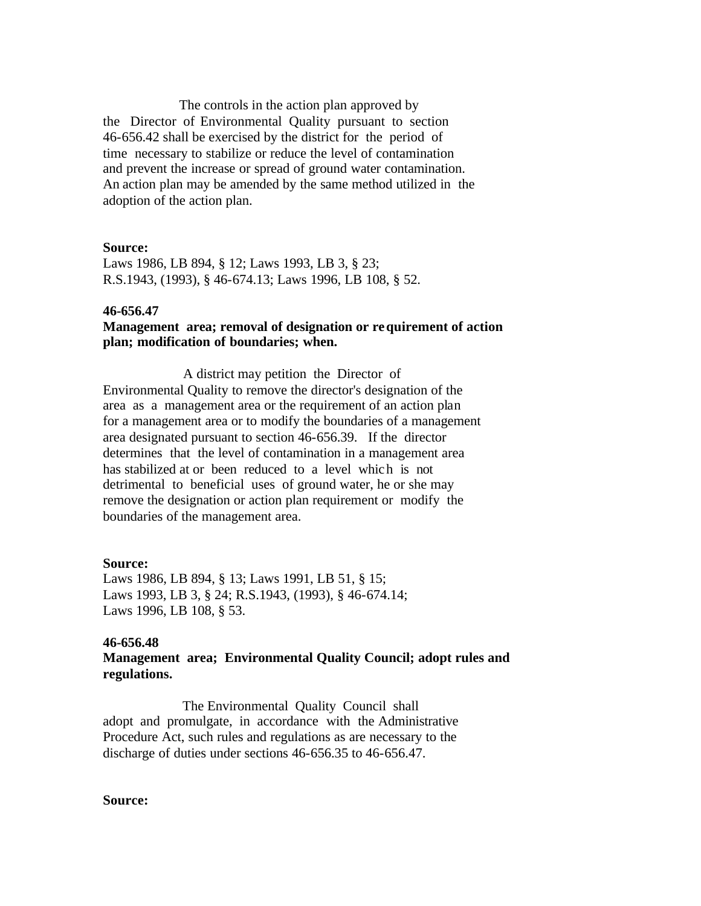The controls in the action plan approved by the Director of Environmental Quality pursuant to section 46-656.42 shall be exercised by the district for the period of time necessary to stabilize or reduce the level of contamination and prevent the increase or spread of ground water contamination. An action plan may be amended by the same method utilized in the adoption of the action plan.

## **Source:**

Laws 1986, LB 894, § 12; Laws 1993, LB 3, § 23; R.S.1943, (1993), § 46-674.13; Laws 1996, LB 108, § 52.

### **46-656.47**

# **Management area; removal of designation or requirement of action plan; modification of boundaries; when.**

 A district may petition the Director of Environmental Quality to remove the director's designation of the area as a management area or the requirement of an action plan for a management area or to modify the boundaries of a management area designated pursuant to section 46-656.39. If the director determines that the level of contamination in a management area has stabilized at or been reduced to a level which is not detrimental to beneficial uses of ground water, he or she may remove the designation or action plan requirement or modify the boundaries of the management area.

## **Source:**

Laws 1986, LB 894, § 13; Laws 1991, LB 51, § 15; Laws 1993, LB 3, § 24; R.S.1943, (1993), § 46-674.14; Laws 1996, LB 108, § 53.

# **46-656.48**

# **Management area; Environmental Quality Council; adopt rules and regulations.**

 The Environmental Quality Council shall adopt and promulgate, in accordance with the Administrative Procedure Act, such rules and regulations as are necessary to the discharge of duties under sections 46-656.35 to 46-656.47.

**Source:**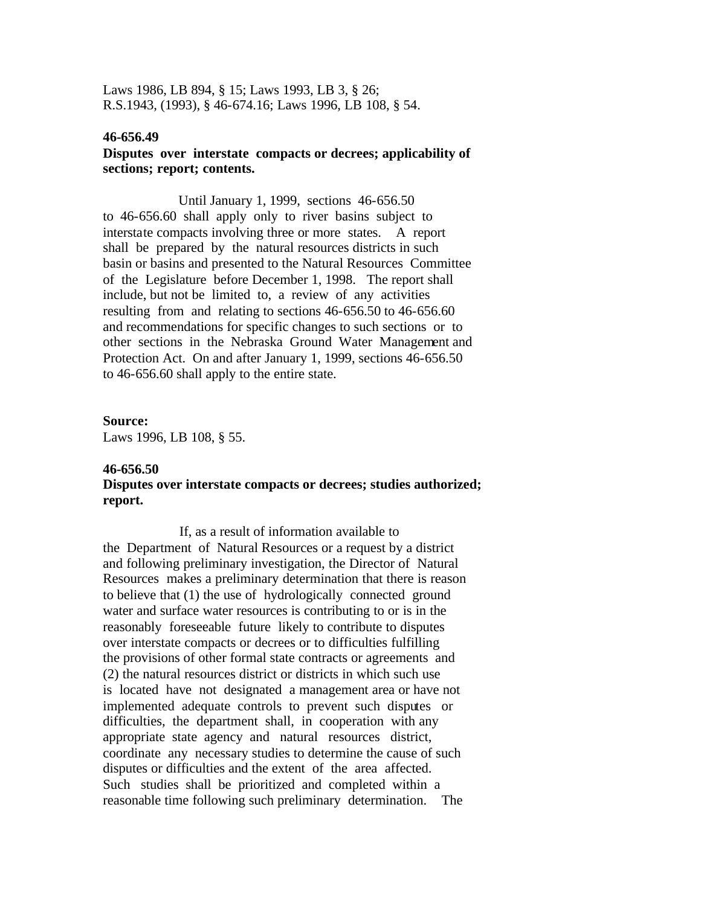Laws 1986, LB 894, § 15; Laws 1993, LB 3, § 26; R.S.1943, (1993), § 46-674.16; Laws 1996, LB 108, § 54.

# **46-656.49**

# **Disputes over interstate compacts or decrees; applicability of sections; report; contents.**

 Until January 1, 1999, sections 46-656.50 to 46-656.60 shall apply only to river basins subject to interstate compacts involving three or more states. A report shall be prepared by the natural resources districts in such basin or basins and presented to the Natural Resources Committee of the Legislature before December 1, 1998. The report shall include, but not be limited to, a review of any activities resulting from and relating to sections 46-656.50 to 46-656.60 and recommendations for specific changes to such sections or to other sections in the Nebraska Ground Water Management and Protection Act. On and after January 1, 1999, sections 46-656.50 to 46-656.60 shall apply to the entire state.

# **Source:**

Laws 1996, LB 108, § 55.

#### **46-656.50**

# **Disputes over interstate compacts or decrees; studies authorized; report.**

 If, as a result of information available to the Department of Natural Resources or a request by a district and following preliminary investigation, the Director of Natural Resources makes a preliminary determination that there is reason to believe that (1) the use of hydrologically connected ground water and surface water resources is contributing to or is in the reasonably foreseeable future likely to contribute to disputes over interstate compacts or decrees or to difficulties fulfilling the provisions of other formal state contracts or agreements and (2) the natural resources district or districts in which such use is located have not designated a management area or have not implemented adequate controls to prevent such disputes or difficulties, the department shall, in cooperation with any appropriate state agency and natural resources district, coordinate any necessary studies to determine the cause of such disputes or difficulties and the extent of the area affected. Such studies shall be prioritized and completed within a reasonable time following such preliminary determination. The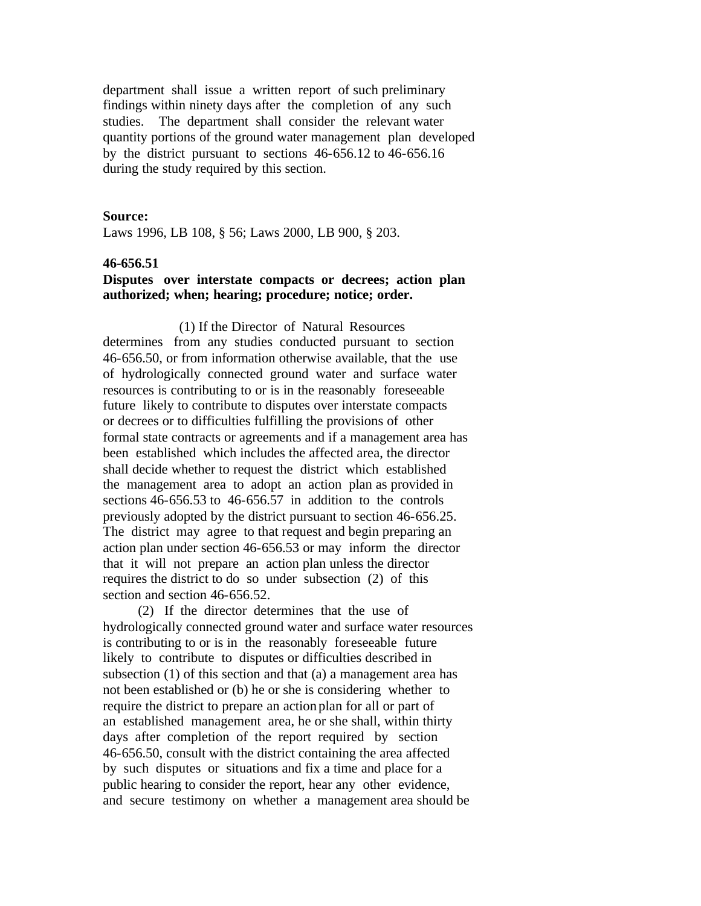department shall issue a written report of such preliminary findings within ninety days after the completion of any such studies. The department shall consider the relevant water quantity portions of the ground water management plan developed by the district pursuant to sections 46-656.12 to 46-656.16 during the study required by this section.

# **Source:**

Laws 1996, LB 108, § 56; Laws 2000, LB 900, § 203.

# **46-656.51**

# **Disputes over interstate compacts or decrees; action plan authorized; when; hearing; procedure; notice; order.**

 (1) If the Director of Natural Resources determines from any studies conducted pursuant to section 46-656.50, or from information otherwise available, that the use of hydrologically connected ground water and surface water resources is contributing to or is in the reasonably foreseeable future likely to contribute to disputes over interstate compacts or decrees or to difficulties fulfilling the provisions of other formal state contracts or agreements and if a management area has been established which includes the affected area, the director shall decide whether to request the district which established the management area to adopt an action plan as provided in sections 46-656.53 to 46-656.57 in addition to the controls previously adopted by the district pursuant to section 46-656.25. The district may agree to that request and begin preparing an action plan under section 46-656.53 or may inform the director that it will not prepare an action plan unless the director requires the district to do so under subsection (2) of this section and section 46-656.52.

 (2) If the director determines that the use of hydrologically connected ground water and surface water resources is contributing to or is in the reasonably foreseeable future likely to contribute to disputes or difficulties described in subsection (1) of this section and that (a) a management area has not been established or (b) he or she is considering whether to require the district to prepare an action plan for all or part of an established management area, he or she shall, within thirty days after completion of the report required by section 46-656.50, consult with the district containing the area affected by such disputes or situations and fix a time and place for a public hearing to consider the report, hear any other evidence, and secure testimony on whether a management area should be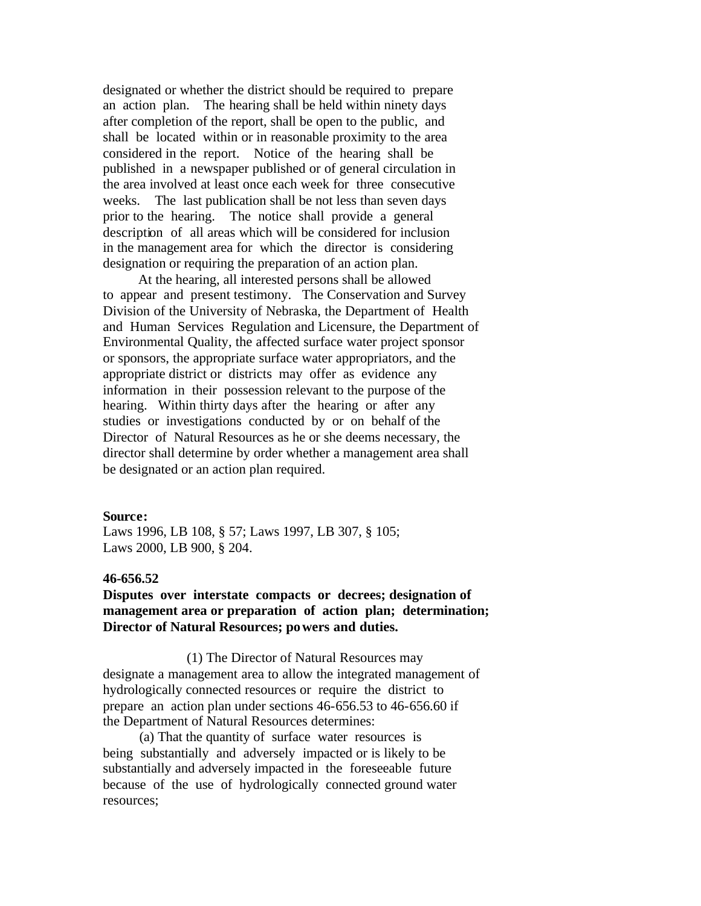designated or whether the district should be required to prepare an action plan. The hearing shall be held within ninety days after completion of the report, shall be open to the public, and shall be located within or in reasonable proximity to the area considered in the report. Notice of the hearing shall be published in a newspaper published or of general circulation in the area involved at least once each week for three consecutive weeks. The last publication shall be not less than seven days prior to the hearing. The notice shall provide a general description of all areas which will be considered for inclusion in the management area for which the director is considering designation or requiring the preparation of an action plan.

 At the hearing, all interested persons shall be allowed to appear and present testimony. The Conservation and Survey Division of the University of Nebraska, the Department of Health and Human Services Regulation and Licensure, the Department of Environmental Quality, the affected surface water project sponsor or sponsors, the appropriate surface water appropriators, and the appropriate district or districts may offer as evidence any information in their possession relevant to the purpose of the hearing. Within thirty days after the hearing or after any studies or investigations conducted by or on behalf of the Director of Natural Resources as he or she deems necessary, the director shall determine by order whether a management area shall be designated or an action plan required.

### **Source:**

Laws 1996, LB 108, § 57; Laws 1997, LB 307, § 105; Laws 2000, LB 900, § 204.

# **46-656.52**

# **Disputes over interstate compacts or decrees; designation of management area or preparation of action plan; determination; Director of Natural Resources; powers and duties.**

 (1) The Director of Natural Resources may designate a management area to allow the integrated management of hydrologically connected resources or require the district to prepare an action plan under sections 46-656.53 to 46-656.60 if the Department of Natural Resources determines:

 (a) That the quantity of surface water resources is being substantially and adversely impacted or is likely to be substantially and adversely impacted in the foreseeable future because of the use of hydrologically connected ground water resources;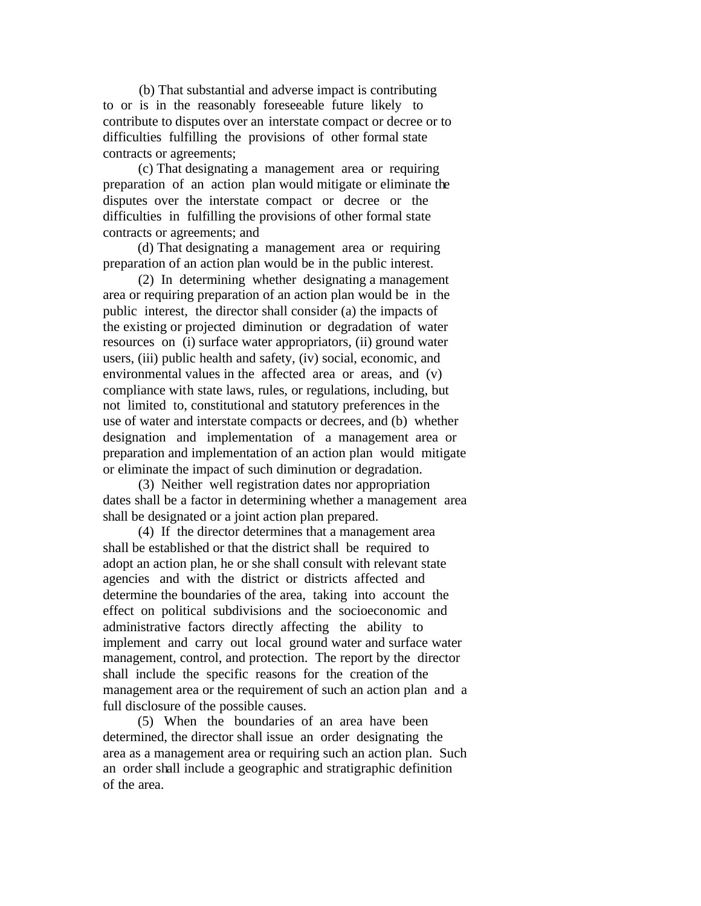(b) That substantial and adverse impact is contributing to or is in the reasonably foreseeable future likely to contribute to disputes over an interstate compact or decree or to difficulties fulfilling the provisions of other formal state contracts or agreements;

 (c) That designating a management area or requiring preparation of an action plan would mitigate or eliminate the disputes over the interstate compact or decree or the difficulties in fulfilling the provisions of other formal state contracts or agreements; and

 (d) That designating a management area or requiring preparation of an action plan would be in the public interest.

 (2) In determining whether designating a management area or requiring preparation of an action plan would be in the public interest, the director shall consider (a) the impacts of the existing or projected diminution or degradation of water resources on (i) surface water appropriators, (ii) ground water users, (iii) public health and safety, (iv) social, economic, and environmental values in the affected area or areas, and (v) compliance with state laws, rules, or regulations, including, but not limited to, constitutional and statutory preferences in the use of water and interstate compacts or decrees, and (b) whether designation and implementation of a management area or preparation and implementation of an action plan would mitigate or eliminate the impact of such diminution or degradation.

 (3) Neither well registration dates nor appropriation dates shall be a factor in determining whether a management area shall be designated or a joint action plan prepared.

 (4) If the director determines that a management area shall be established or that the district shall be required to adopt an action plan, he or she shall consult with relevant state agencies and with the district or districts affected and determine the boundaries of the area, taking into account the effect on political subdivisions and the socioeconomic and administrative factors directly affecting the ability to implement and carry out local ground water and surface water management, control, and protection. The report by the director shall include the specific reasons for the creation of the management area or the requirement of such an action plan and a full disclosure of the possible causes.

 (5) When the boundaries of an area have been determined, the director shall issue an order designating the area as a management area or requiring such an action plan. Such an order shall include a geographic and stratigraphic definition of the area.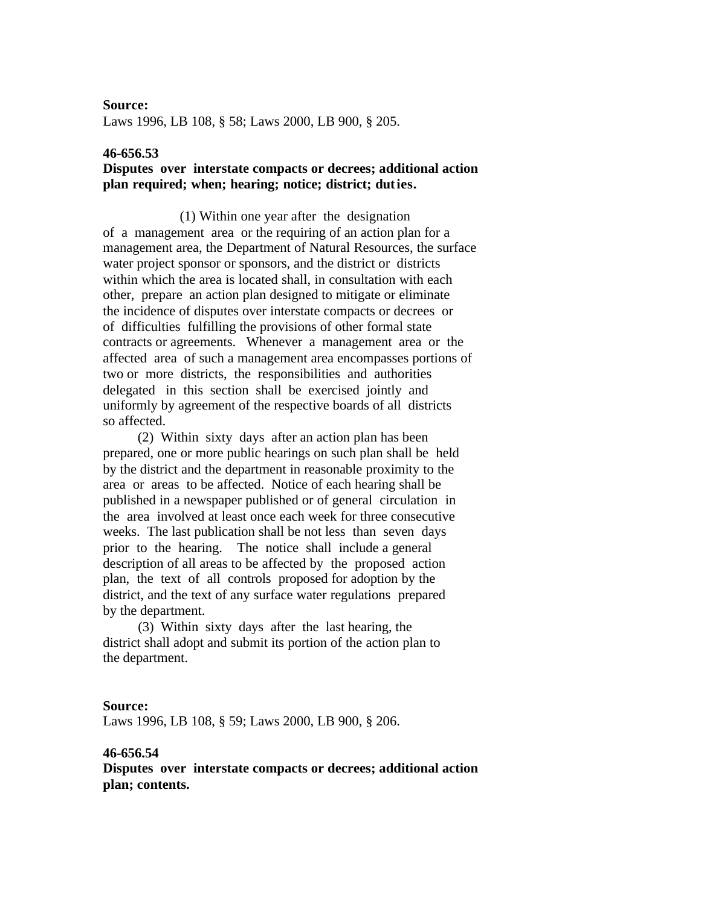#### **Source:**

Laws 1996, LB 108, § 58; Laws 2000, LB 900, § 205.

# **46-656.53**

# **Disputes over interstate compacts or decrees; additional action plan required; when; hearing; notice; district; duties.**

 (1) Within one year after the designation of a management area or the requiring of an action plan for a management area, the Department of Natural Resources, the surface water project sponsor or sponsors, and the district or districts within which the area is located shall, in consultation with each other, prepare an action plan designed to mitigate or eliminate the incidence of disputes over interstate compacts or decrees or of difficulties fulfilling the provisions of other formal state contracts or agreements. Whenever a management area or the affected area of such a management area encompasses portions of two or more districts, the responsibilities and authorities delegated in this section shall be exercised jointly and uniformly by agreement of the respective boards of all districts so affected.

 (2) Within sixty days after an action plan has been prepared, one or more public hearings on such plan shall be held by the district and the department in reasonable proximity to the area or areas to be affected. Notice of each hearing shall be published in a newspaper published or of general circulation in the area involved at least once each week for three consecutive weeks. The last publication shall be not less than seven days prior to the hearing. The notice shall include a general description of all areas to be affected by the proposed action plan, the text of all controls proposed for adoption by the district, and the text of any surface water regulations prepared by the department.

 (3) Within sixty days after the last hearing, the district shall adopt and submit its portion of the action plan to the department.

### **Source:**

Laws 1996, LB 108, § 59; Laws 2000, LB 900, § 206.

### **46-656.54**

**Disputes over interstate compacts or decrees; additional action plan; contents.**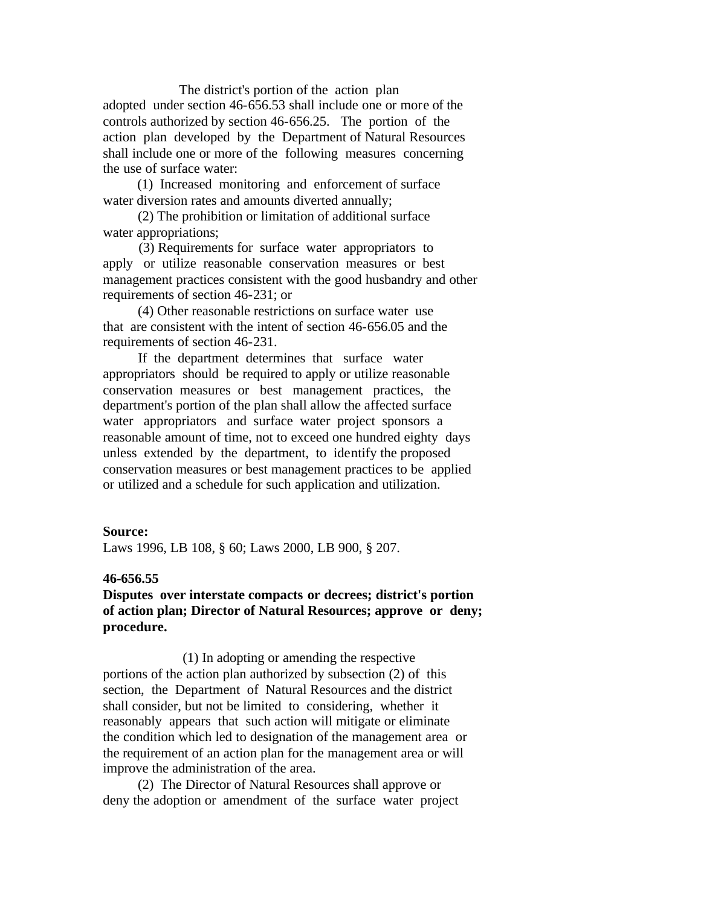The district's portion of the action plan adopted under section 46-656.53 shall include one or more of the controls authorized by section 46-656.25. The portion of the action plan developed by the Department of Natural Resources shall include one or more of the following measures concerning the use of surface water:

 (1) Increased monitoring and enforcement of surface water diversion rates and amounts diverted annually;

 (2) The prohibition or limitation of additional surface water appropriations;

 (3) Requirements for surface water appropriators to apply or utilize reasonable conservation measures or best management practices consistent with the good husbandry and other requirements of section 46-231; or

 (4) Other reasonable restrictions on surface water use that are consistent with the intent of section 46-656.05 and the requirements of section 46-231.

 If the department determines that surface water appropriators should be required to apply or utilize reasonable conservation measures or best management practices, the department's portion of the plan shall allow the affected surface water appropriators and surface water project sponsors a reasonable amount of time, not to exceed one hundred eighty days unless extended by the department, to identify the proposed conservation measures or best management practices to be applied or utilized and a schedule for such application and utilization.

#### **Source:**

Laws 1996, LB 108, § 60; Laws 2000, LB 900, § 207.

## **46-656.55**

# **Disputes over interstate compacts or decrees; district's portion of action plan; Director of Natural Resources; approve or deny; procedure.**

 (1) In adopting or amending the respective portions of the action plan authorized by subsection (2) of this section, the Department of Natural Resources and the district shall consider, but not be limited to considering, whether it reasonably appears that such action will mitigate or eliminate the condition which led to designation of the management area or the requirement of an action plan for the management area or will improve the administration of the area.

 (2) The Director of Natural Resources shall approve or deny the adoption or amendment of the surface water project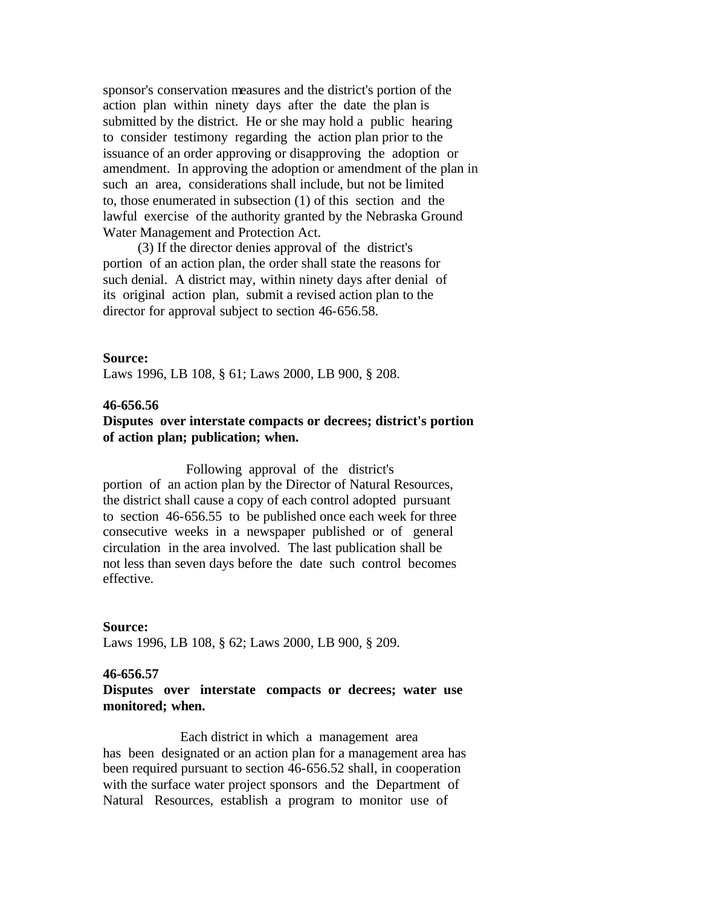sponsor's conservation measures and the district's portion of the action plan within ninety days after the date the plan is submitted by the district. He or she may hold a public hearing to consider testimony regarding the action plan prior to the issuance of an order approving or disapproving the adoption or amendment. In approving the adoption or amendment of the plan in such an area, considerations shall include, but not be limited to, those enumerated in subsection (1) of this section and the lawful exercise of the authority granted by the Nebraska Ground Water Management and Protection Act.

 (3) If the director denies approval of the district's portion of an action plan, the order shall state the reasons for such denial. A district may, within ninety days after denial of its original action plan, submit a revised action plan to the director for approval subject to section 46-656.58.

### **Source:**

Laws 1996, LB 108, § 61; Laws 2000, LB 900, § 208.

## **46-656.56**

# **Disputes over interstate compacts or decrees; district's portion of action plan; publication; when.**

 Following approval of the district's portion of an action plan by the Director of Natural Resources, the district shall cause a copy of each control adopted pursuant to section 46-656.55 to be published once each week for three consecutive weeks in a newspaper published or of general circulation in the area involved. The last publication shall be not less than seven days before the date such control becomes effective.

## **Source:**

Laws 1996, LB 108, § 62; Laws 2000, LB 900, § 209.

#### **46-656.57**

**Disputes over interstate compacts or decrees; water use monitored; when.**

 Each district in which a management area has been designated or an action plan for a management area has been required pursuant to section 46-656.52 shall, in cooperation with the surface water project sponsors and the Department of Natural Resources, establish a program to monitor use of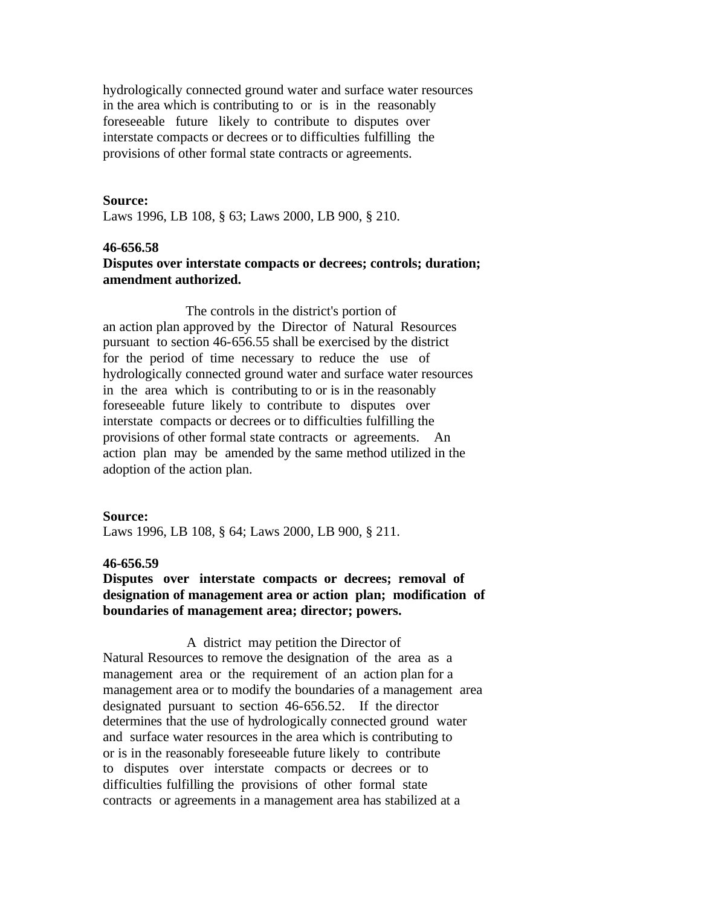hydrologically connected ground water and surface water resources in the area which is contributing to or is in the reasonably foreseeable future likely to contribute to disputes over interstate compacts or decrees or to difficulties fulfilling the provisions of other formal state contracts or agreements.

### **Source:**

Laws 1996, LB 108, § 63; Laws 2000, LB 900, § 210.

## **46-656.58**

# **Disputes over interstate compacts or decrees; controls; duration; amendment authorized.**

 The controls in the district's portion of an action plan approved by the Director of Natural Resources pursuant to section 46-656.55 shall be exercised by the district for the period of time necessary to reduce the use of hydrologically connected ground water and surface water resources in the area which is contributing to or is in the reasonably foreseeable future likely to contribute to disputes over interstate compacts or decrees or to difficulties fulfilling the provisions of other formal state contracts or agreements. An action plan may be amended by the same method utilized in the adoption of the action plan.

### **Source:**

Laws 1996, LB 108, § 64; Laws 2000, LB 900, § 211.

### **46-656.59**

# **Disputes over interstate compacts or decrees; removal of designation of management area or action plan; modification of boundaries of management area; director; powers.**

 A district may petition the Director of Natural Resources to remove the designation of the area as a management area or the requirement of an action plan for a management area or to modify the boundaries of a management area designated pursuant to section 46-656.52. If the director determines that the use of hydrologically connected ground water and surface water resources in the area which is contributing to or is in the reasonably foreseeable future likely to contribute to disputes over interstate compacts or decrees or to difficulties fulfilling the provisions of other formal state contracts or agreements in a management area has stabilized at a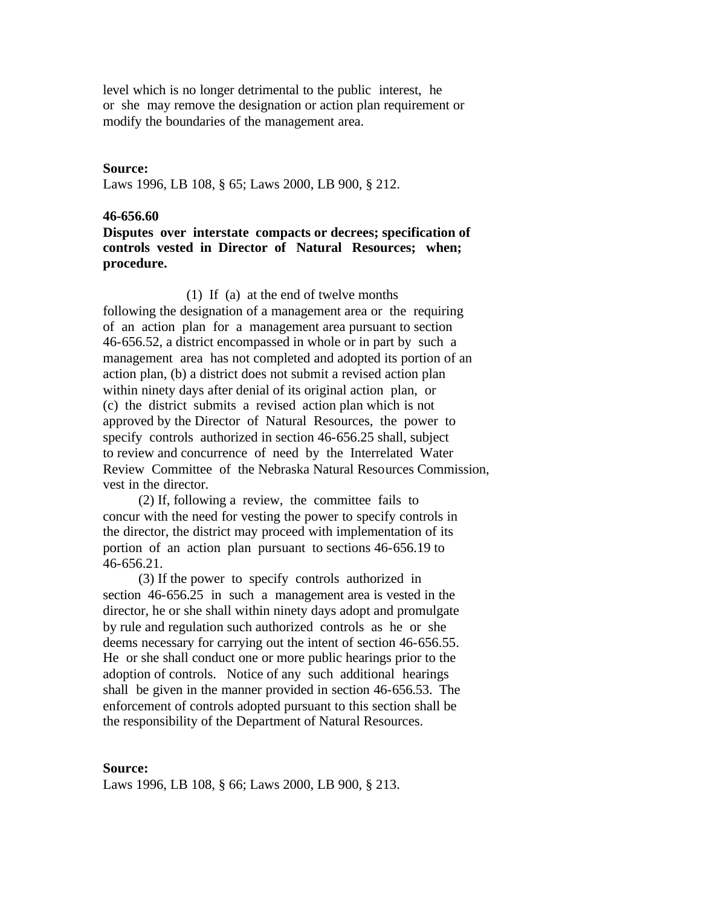level which is no longer detrimental to the public interest, he or she may remove the designation or action plan requirement or modify the boundaries of the management area.

## **Source:**

Laws 1996, LB 108, § 65; Laws 2000, LB 900, § 212.

## **46-656.60**

# **Disputes over interstate compacts or decrees; specification of controls vested in Director of Natural Resources; when; procedure.**

(1) If (a) at the end of twelve months

following the designation of a management area or the requiring of an action plan for a management area pursuant to section 46-656.52, a district encompassed in whole or in part by such a management area has not completed and adopted its portion of an action plan, (b) a district does not submit a revised action plan within ninety days after denial of its original action plan, or (c) the district submits a revised action plan which is not approved by the Director of Natural Resources, the power to specify controls authorized in section 46-656.25 shall, subject to review and concurrence of need by the Interrelated Water Review Committee of the Nebraska Natural Resources Commission, vest in the director.

 (2) If, following a review, the committee fails to concur with the need for vesting the power to specify controls in the director, the district may proceed with implementation of its portion of an action plan pursuant to sections 46-656.19 to 46-656.21.

 (3) If the power to specify controls authorized in section 46-656.25 in such a management area is vested in the director, he or she shall within ninety days adopt and promulgate by rule and regulation such authorized controls as he or she deems necessary for carrying out the intent of section 46-656.55. He or she shall conduct one or more public hearings prior to the adoption of controls. Notice of any such additional hearings shall be given in the manner provided in section 46-656.53. The enforcement of controls adopted pursuant to this section shall be the responsibility of the Department of Natural Resources.

#### **Source:**

Laws 1996, LB 108, § 66; Laws 2000, LB 900, § 213.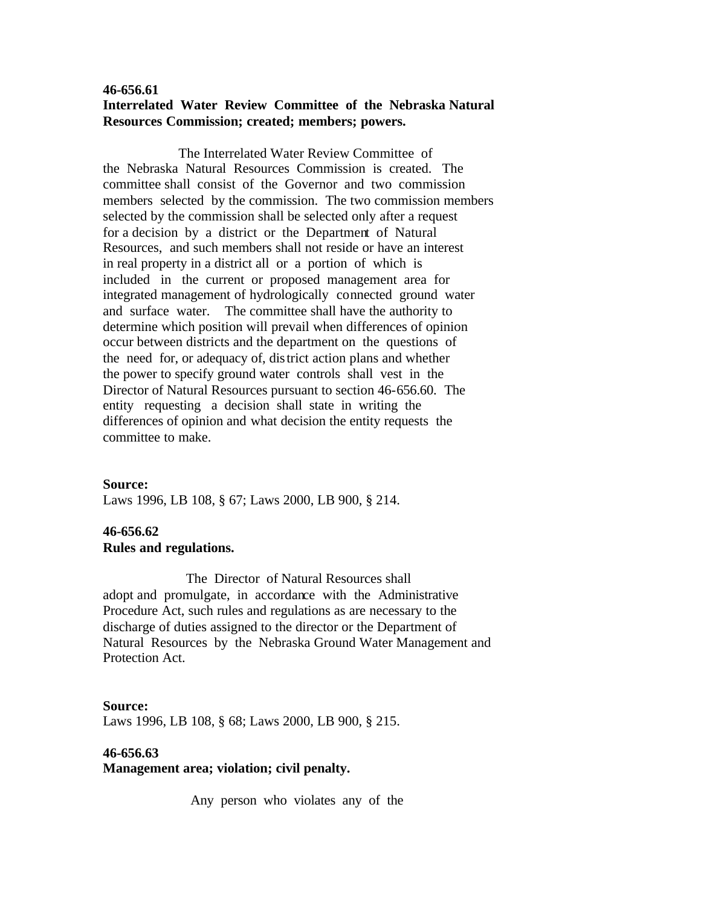# **46-656.61 Interrelated Water Review Committee of the Nebraska Natural Resources Commission; created; members; powers.**

 The Interrelated Water Review Committee of the Nebraska Natural Resources Commission is created. The committee shall consist of the Governor and two commission members selected by the commission. The two commission members selected by the commission shall be selected only after a request for a decision by a district or the Department of Natural Resources, and such members shall not reside or have an interest in real property in a district all or a portion of which is included in the current or proposed management area for integrated management of hydrologically connected ground water and surface water. The committee shall have the authority to determine which position will prevail when differences of opinion occur between districts and the department on the questions of the need for, or adequacy of, district action plans and whether the power to specify ground water controls shall vest in the Director of Natural Resources pursuant to section 46-656.60. The entity requesting a decision shall state in writing the differences of opinion and what decision the entity requests the committee to make.

## **Source:**

Laws 1996, LB 108, § 67; Laws 2000, LB 900, § 214.

# **46-656.62 Rules and regulations.**

 The Director of Natural Resources shall adopt and promulgate, in accordance with the Administrative Procedure Act, such rules and regulations as are necessary to the discharge of duties assigned to the director or the Department of Natural Resources by the Nebraska Ground Water Management and Protection Act.

## **Source:**

Laws 1996, LB 108, § 68; Laws 2000, LB 900, § 215.

### **46-656.63**

## **Management area; violation; civil penalty.**

Any person who violates any of the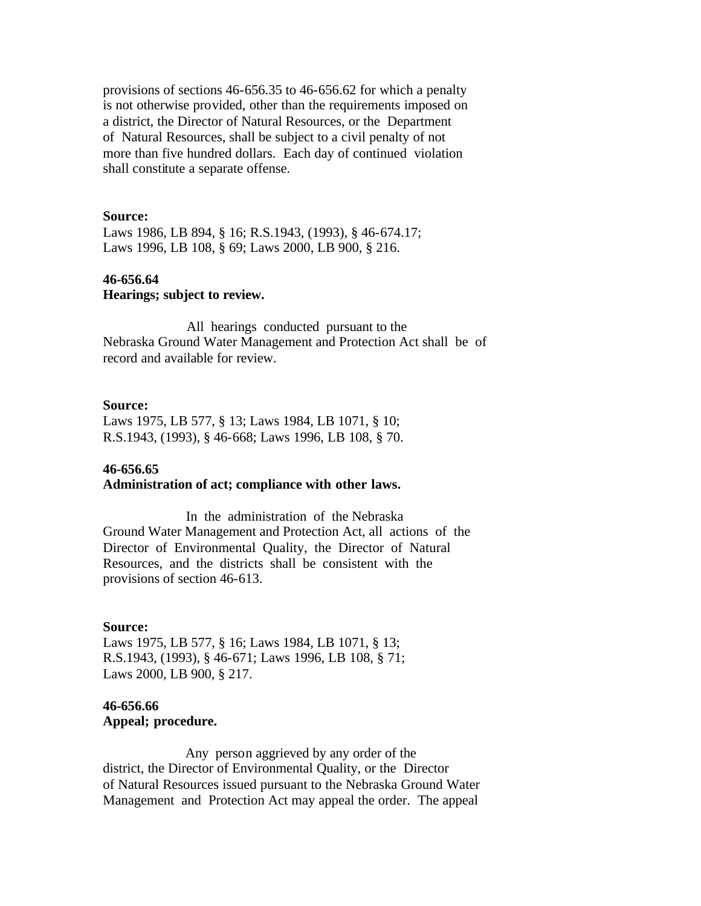provisions of sections 46-656.35 to 46-656.62 for which a penalty is not otherwise provided, other than the requirements imposed on a district, the Director of Natural Resources, or the Department of Natural Resources, shall be subject to a civil penalty of not more than five hundred dollars. Each day of continued violation shall constitute a separate offense.

## **Source:**

Laws 1986, LB 894, § 16; R.S.1943, (1993), § 46-674.17; Laws 1996, LB 108, § 69; Laws 2000, LB 900, § 216.

# **46-656.64 Hearings; subject to review.**

 All hearings conducted pursuant to the Nebraska Ground Water Management and Protection Act shall be of record and available for review.

## **Source:**

Laws 1975, LB 577, § 13; Laws 1984, LB 1071, § 10; R.S.1943, (1993), § 46-668; Laws 1996, LB 108, § 70.

## **46-656.65**

## **Administration of act; compliance with other laws.**

 In the administration of the Nebraska Ground Water Management and Protection Act, all actions of the Director of Environmental Quality, the Director of Natural Resources, and the districts shall be consistent with the provisions of section 46-613.

#### **Source:**

Laws 1975, LB 577, § 16; Laws 1984, LB 1071, § 13; R.S.1943, (1993), § 46-671; Laws 1996, LB 108, § 71; Laws 2000, LB 900, § 217.

# **46-656.66 Appeal; procedure.**

 Any person aggrieved by any order of the district, the Director of Environmental Quality, or the Director of Natural Resources issued pursuant to the Nebraska Ground Water Management and Protection Act may appeal the order. The appeal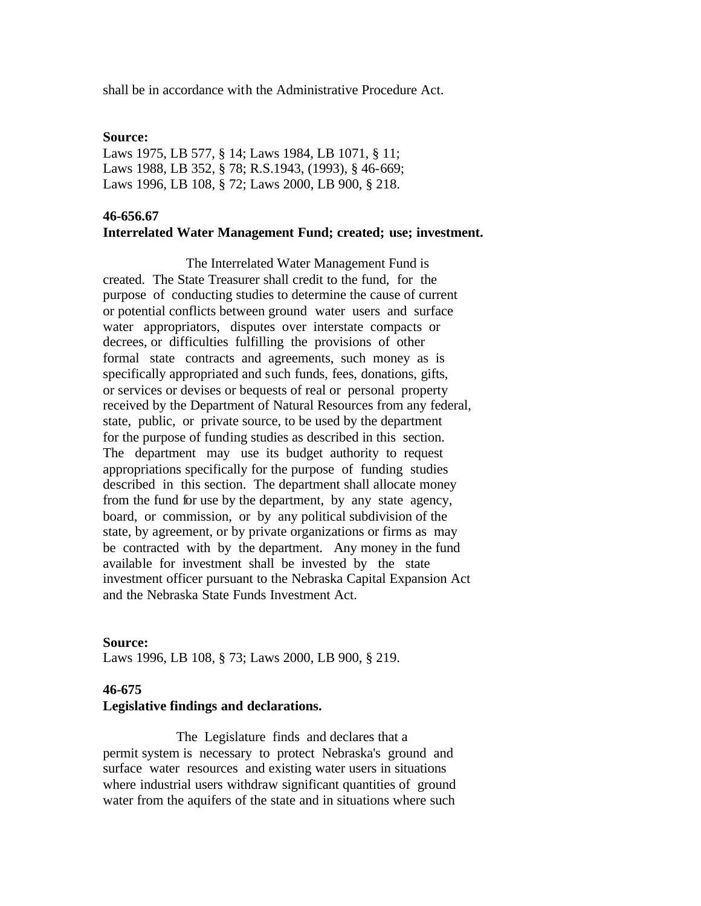shall be in accordance with the Administrative Procedure Act.

#### **Source:**

Laws 1975, LB 577, § 14; Laws 1984, LB 1071, § 11; Laws 1988, LB 352, § 78; R.S.1943, (1993), § 46-669; Laws 1996, LB 108, § 72; Laws 2000, LB 900, § 218.

#### **46-656.67**

#### **Interrelated Water Management Fund; created; use; investment.**

 The Interrelated Water Management Fund is created. The State Treasurer shall credit to the fund, for the purpose of conducting studies to determine the cause of current or potential conflicts between ground water users and surface water appropriators, disputes over interstate compacts or decrees, or difficulties fulfilling the provisions of other formal state contracts and agreements, such money as is specifically appropriated and such funds, fees, donations, gifts, or services or devises or bequests of real or personal property received by the Department of Natural Resources from any federal, state, public, or private source, to be used by the department for the purpose of funding studies as described in this section. The department may use its budget authority to request appropriations specifically for the purpose of funding studies described in this section. The department shall allocate money from the fund for use by the department, by any state agency, board, or commission, or by any political subdivision of the state, by agreement, or by private organizations or firms as may be contracted with by the department. Any money in the fund available for investment shall be invested by the state investment officer pursuant to the Nebraska Capital Expansion Act and the Nebraska State Funds Investment Act.

#### **Source:**

Laws 1996, LB 108, § 73; Laws 2000, LB 900, § 219.

## **46-675**

#### **Legislative findings and declarations.**

 The Legislature finds and declares that a permit system is necessary to protect Nebraska's ground and surface water resources and existing water users in situations where industrial users withdraw significant quantities of ground water from the aquifers of the state and in situations where such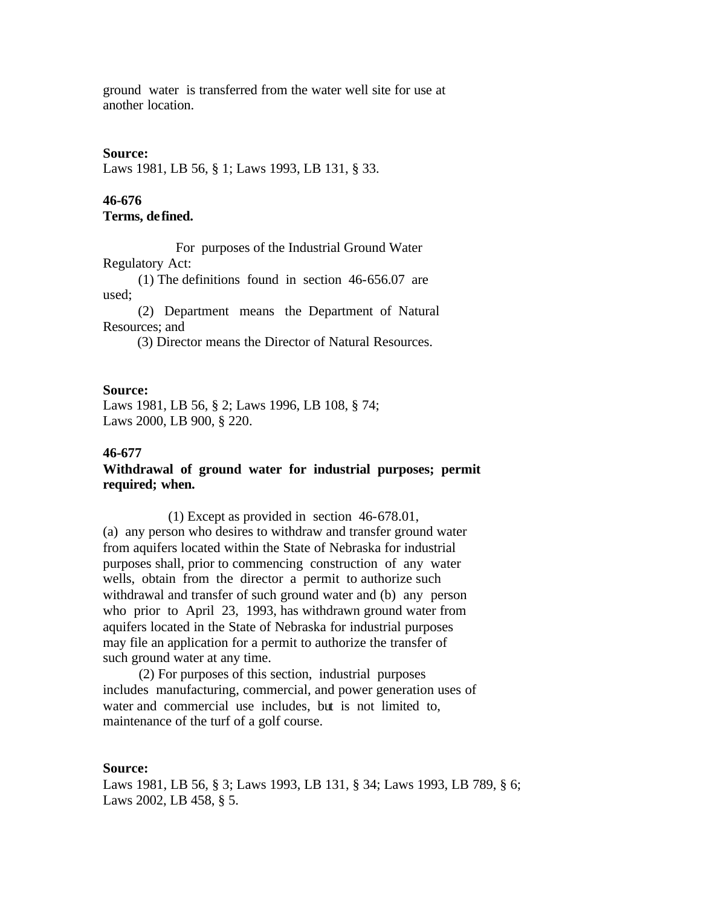ground water is transferred from the water well site for use at another location.

#### **Source:**

Laws 1981, LB 56, § 1; Laws 1993, LB 131, § 33.

## **46-676 Terms, defined.**

 For purposes of the Industrial Ground Water Regulatory Act:

 (1) The definitions found in section 46-656.07 are used;

 (2) Department means the Department of Natural Resources; and

(3) Director means the Director of Natural Resources.

#### **Source:**

Laws 1981, LB 56, § 2; Laws 1996, LB 108, § 74; Laws 2000, LB 900, § 220.

# **46-677**

## **Withdrawal of ground water for industrial purposes; permit required; when.**

 (1) Except as provided in section 46-678.01, (a) any person who desires to withdraw and transfer ground water from aquifers located within the State of Nebraska for industrial purposes shall, prior to commencing construction of any water wells, obtain from the director a permit to authorize such withdrawal and transfer of such ground water and (b) any person who prior to April 23, 1993, has withdrawn ground water from aquifers located in the State of Nebraska for industrial purposes may file an application for a permit to authorize the transfer of such ground water at any time.

 (2) For purposes of this section, industrial purposes includes manufacturing, commercial, and power generation uses of water and commercial use includes, but is not limited to, maintenance of the turf of a golf course.

#### **Source:**

Laws 1981, LB 56, § 3; Laws 1993, LB 131, § 34; Laws 1993, LB 789, § 6; Laws 2002, LB 458, § 5.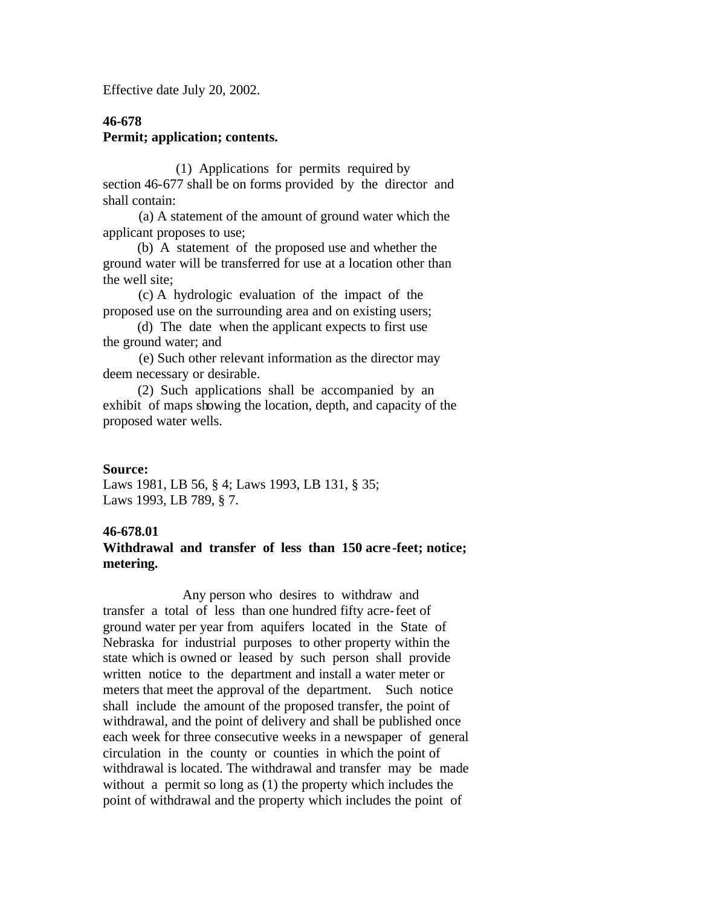Effective date July 20, 2002.

# **46-678 Permit; application; contents.**

 (1) Applications for permits required by section 46-677 shall be on forms provided by the director and shall contain:

 (a) A statement of the amount of ground water which the applicant proposes to use;

 (b) A statement of the proposed use and whether the ground water will be transferred for use at a location other than the well site;

 (c) A hydrologic evaluation of the impact of the proposed use on the surrounding area and on existing users;

 (d) The date when the applicant expects to first use the ground water; and

 (e) Such other relevant information as the director may deem necessary or desirable.

 (2) Such applications shall be accompanied by an exhibit of maps showing the location, depth, and capacity of the proposed water wells.

## **Source:**

Laws 1981, LB 56, § 4; Laws 1993, LB 131, § 35; Laws 1993, LB 789, § 7.

## **46-678.01**

# **Withdrawal and transfer of less than 150 acre -feet; notice; metering.**

 Any person who desires to withdraw and transfer a total of less than one hundred fifty acre-feet of ground water per year from aquifers located in the State of Nebraska for industrial purposes to other property within the state which is owned or leased by such person shall provide written notice to the department and install a water meter or meters that meet the approval of the department. Such notice shall include the amount of the proposed transfer, the point of withdrawal, and the point of delivery and shall be published once each week for three consecutive weeks in a newspaper of general circulation in the county or counties in which the point of withdrawal is located. The withdrawal and transfer may be made without a permit so long as (1) the property which includes the point of withdrawal and the property which includes the point of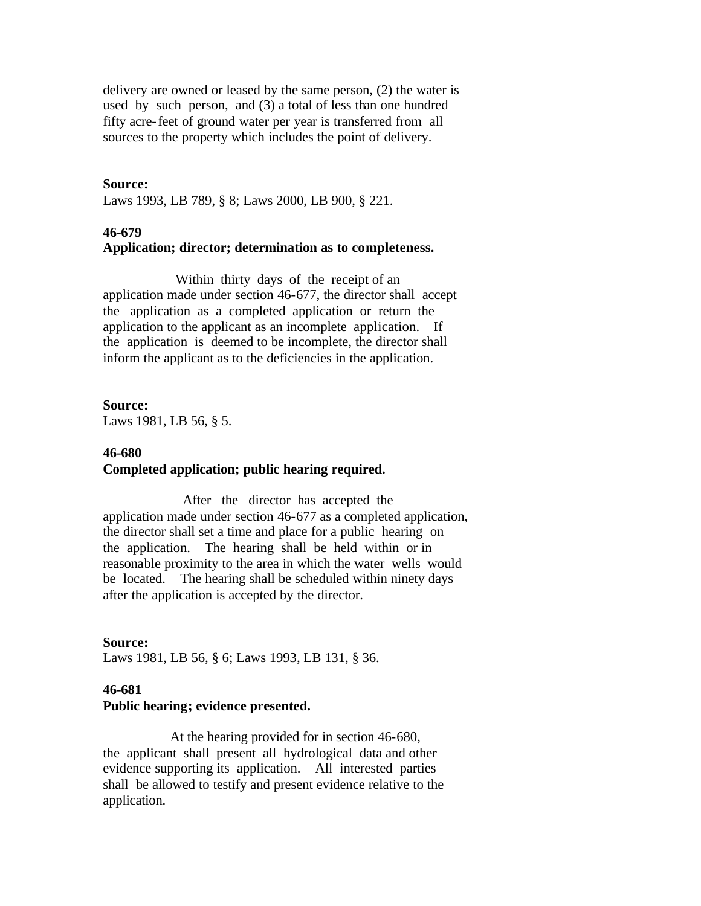delivery are owned or leased by the same person, (2) the water is used by such person, and (3) a total of less than one hundred fifty acre-feet of ground water per year is transferred from all sources to the property which includes the point of delivery.

#### **Source:**

Laws 1993, LB 789, § 8; Laws 2000, LB 900, § 221.

# **46-679**

## **Application; director; determination as to completeness.**

 Within thirty days of the receipt of an application made under section 46-677, the director shall accept the application as a completed application or return the application to the applicant as an incomplete application. If the application is deemed to be incomplete, the director shall inform the applicant as to the deficiencies in the application.

# **Source:**

Laws 1981, LB 56, § 5.

## **46-680 Completed application; public hearing required.**

 After the director has accepted the application made under section 46-677 as a completed application, the director shall set a time and place for a public hearing on the application. The hearing shall be held within or in reasonable proximity to the area in which the water wells would be located. The hearing shall be scheduled within ninety days after the application is accepted by the director.

#### **Source:**

Laws 1981, LB 56, § 6; Laws 1993, LB 131, § 36.

## **46-681**

## **Public hearing; evidence presented.**

 At the hearing provided for in section 46-680, the applicant shall present all hydrological data and other evidence supporting its application. All interested parties shall be allowed to testify and present evidence relative to the application.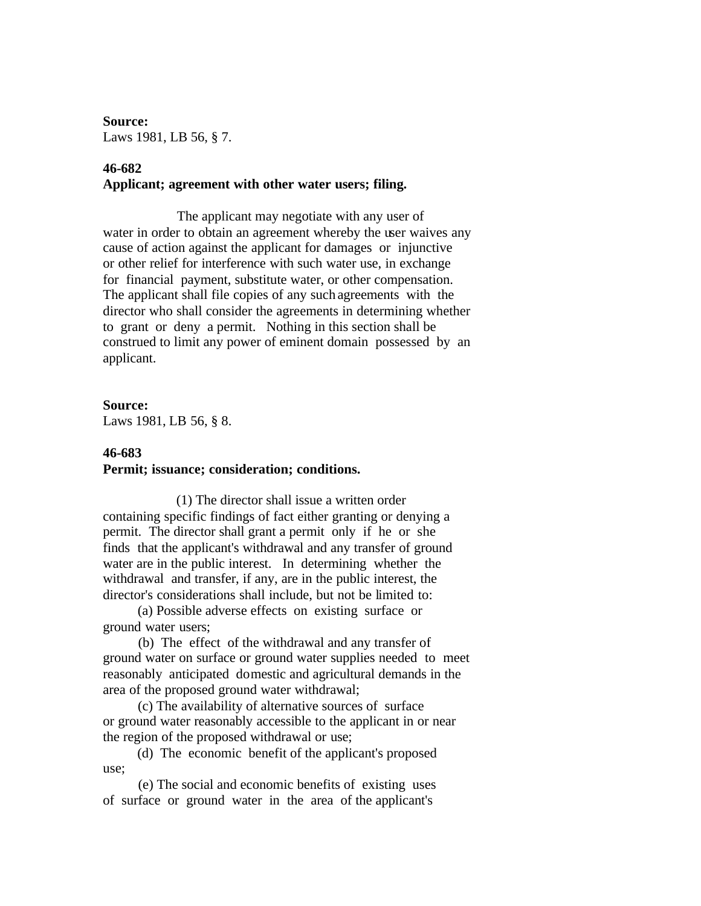**Source:** Laws 1981, LB 56, § 7.

# **46-682 Applicant; agreement with other water users; filing.**

 The applicant may negotiate with any user of water in order to obtain an agreement whereby the user waives any cause of action against the applicant for damages or injunctive or other relief for interference with such water use, in exchange for financial payment, substitute water, or other compensation. The applicant shall file copies of any such agreements with the director who shall consider the agreements in determining whether to grant or deny a permit. Nothing in this section shall be construed to limit any power of eminent domain possessed by an applicant.

# **Source:**

Laws 1981, LB 56, § 8.

# **46-683**

# **Permit; issuance; consideration; conditions.**

 (1) The director shall issue a written order containing specific findings of fact either granting or denying a permit. The director shall grant a permit only if he or she finds that the applicant's withdrawal and any transfer of ground water are in the public interest. In determining whether the withdrawal and transfer, if any, are in the public interest, the director's considerations shall include, but not be limited to:

 (a) Possible adverse effects on existing surface or ground water users;

 (b) The effect of the withdrawal and any transfer of ground water on surface or ground water supplies needed to meet reasonably anticipated domestic and agricultural demands in the area of the proposed ground water withdrawal;

 (c) The availability of alternative sources of surface or ground water reasonably accessible to the applicant in or near the region of the proposed withdrawal or use;

 (d) The economic benefit of the applicant's proposed use;

 (e) The social and economic benefits of existing uses of surface or ground water in the area of the applicant's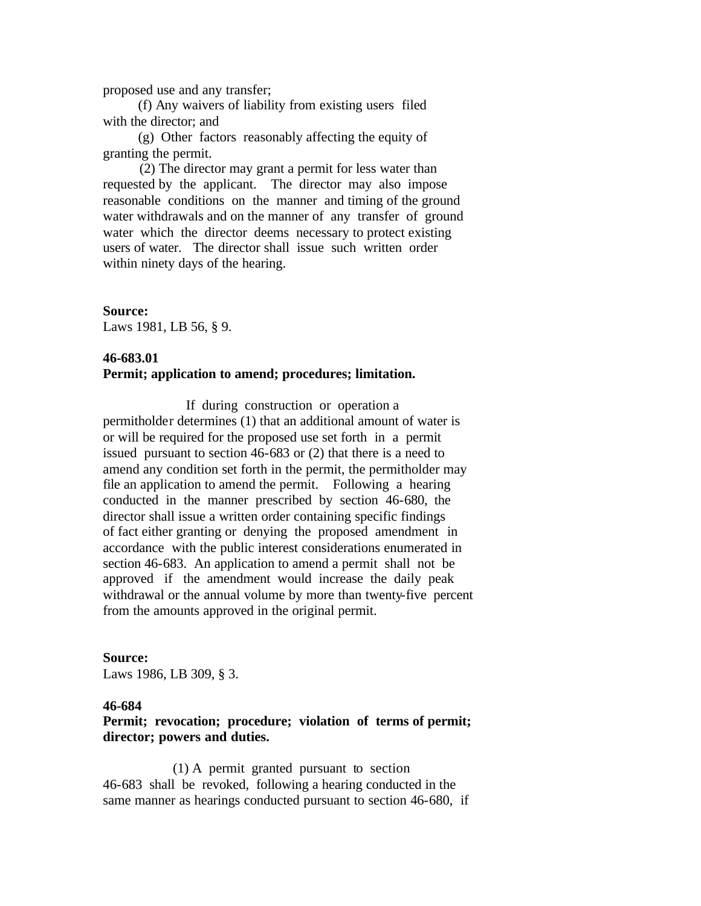proposed use and any transfer;

 (f) Any waivers of liability from existing users filed with the director; and

 (g) Other factors reasonably affecting the equity of granting the permit.

 (2) The director may grant a permit for less water than requested by the applicant. The director may also impose reasonable conditions on the manner and timing of the ground water withdrawals and on the manner of any transfer of ground water which the director deems necessary to protect existing users of water. The director shall issue such written order within ninety days of the hearing.

**Source:**

# Laws 1981, LB 56, § 9.

# **46-683.01**

## **Permit; application to amend; procedures; limitation.**

 If during construction or operation a permitholder determines (1) that an additional amount of water is or will be required for the proposed use set forth in a permit issued pursuant to section 46-683 or (2) that there is a need to amend any condition set forth in the permit, the permitholder may file an application to amend the permit. Following a hearing conducted in the manner prescribed by section 46-680, the director shall issue a written order containing specific findings of fact either granting or denying the proposed amendment in accordance with the public interest considerations enumerated in section 46-683. An application to amend a permit shall not be approved if the amendment would increase the daily peak withdrawal or the annual volume by more than twenty-five percent from the amounts approved in the original permit.

#### **Source:**

Laws 1986, LB 309, § 3.

## **46-684**

# **Permit; revocation; procedure; violation of terms of permit; director; powers and duties.**

 (1) A permit granted pursuant to section 46-683 shall be revoked, following a hearing conducted in the same manner as hearings conducted pursuant to section 46-680, if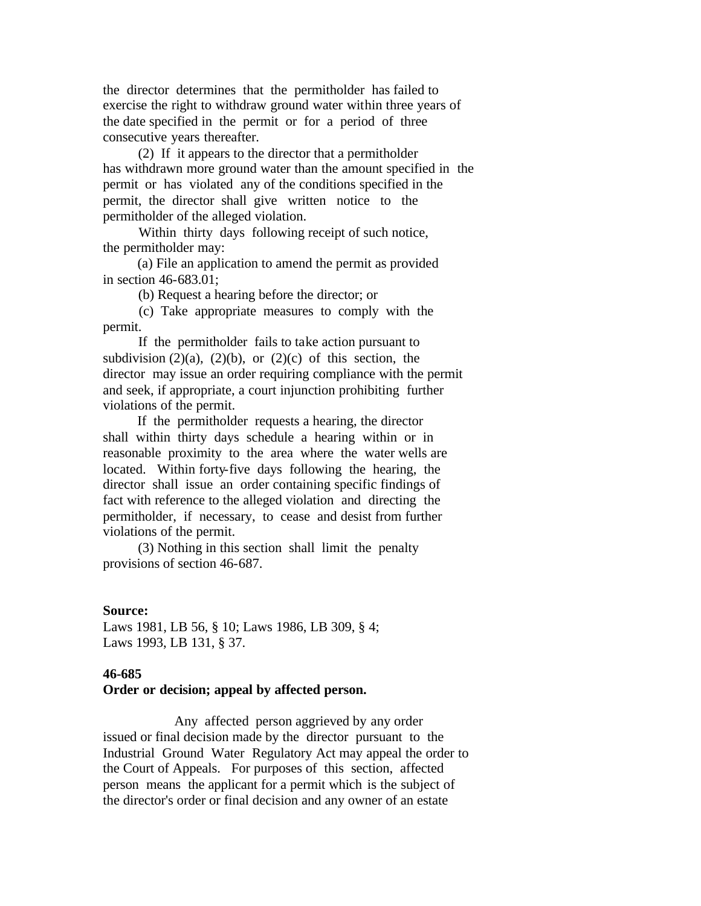the director determines that the permitholder has failed to exercise the right to withdraw ground water within three years of the date specified in the permit or for a period of three consecutive years thereafter.

 (2) If it appears to the director that a permitholder has withdrawn more ground water than the amount specified in the permit or has violated any of the conditions specified in the permit, the director shall give written notice to the permitholder of the alleged violation.

 Within thirty days following receipt of such notice, the permitholder may:

 (a) File an application to amend the permit as provided in section 46-683.01;

(b) Request a hearing before the director; or

 (c) Take appropriate measures to comply with the permit.

 If the permitholder fails to take action pursuant to subdivision  $(2)(a)$ ,  $(2)(b)$ , or  $(2)(c)$  of this section, the director may issue an order requiring compliance with the permit and seek, if appropriate, a court injunction prohibiting further violations of the permit.

 If the permitholder requests a hearing, the director shall within thirty days schedule a hearing within or in reasonable proximity to the area where the water wells are located. Within forty-five days following the hearing, the director shall issue an order containing specific findings of fact with reference to the alleged violation and directing the permitholder, if necessary, to cease and desist from further violations of the permit.

 (3) Nothing in this section shall limit the penalty provisions of section 46-687.

### **Source:**

Laws 1981, LB 56, § 10; Laws 1986, LB 309, § 4; Laws 1993, LB 131, § 37.

#### **46-685**

## **Order or decision; appeal by affected person.**

 Any affected person aggrieved by any order issued or final decision made by the director pursuant to the Industrial Ground Water Regulatory Act may appeal the order to the Court of Appeals. For purposes of this section, affected person means the applicant for a permit which is the subject of the director's order or final decision and any owner of an estate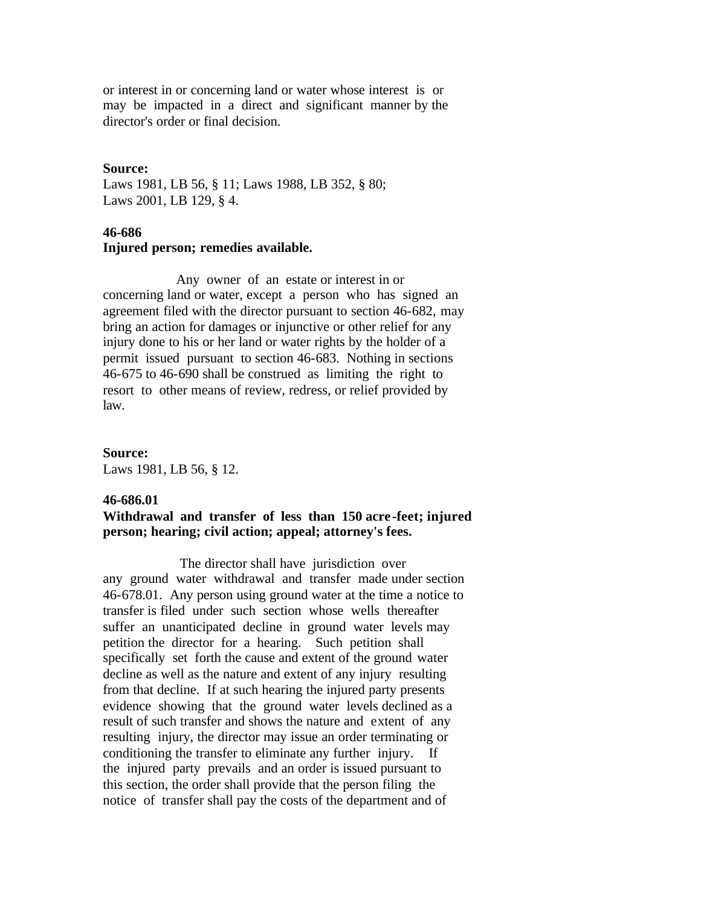or interest in or concerning land or water whose interest is or may be impacted in a direct and significant manner by the director's order or final decision.

#### **Source:**

Laws 1981, LB 56, § 11; Laws 1988, LB 352, § 80; Laws 2001, LB 129, § 4.

#### **46-686**

## **Injured person; remedies available.**

 Any owner of an estate or interest in or concerning land or water, except a person who has signed an agreement filed with the director pursuant to section 46-682, may bring an action for damages or injunctive or other relief for any injury done to his or her land or water rights by the holder of a permit issued pursuant to section 46-683. Nothing in sections 46-675 to 46-690 shall be construed as limiting the right to resort to other means of review, redress, or relief provided by law.

#### **Source:**

Laws 1981, LB 56, § 12.

#### **46-686.01**

# **Withdrawal and transfer of less than 150 acre -feet; injured person; hearing; civil action; appeal; attorney's fees.**

 The director shall have jurisdiction over any ground water withdrawal and transfer made under section 46-678.01. Any person using ground water at the time a notice to transfer is filed under such section whose wells thereafter suffer an unanticipated decline in ground water levels may petition the director for a hearing. Such petition shall specifically set forth the cause and extent of the ground water decline as well as the nature and extent of any injury resulting from that decline. If at such hearing the injured party presents evidence showing that the ground water levels declined as a result of such transfer and shows the nature and extent of any resulting injury, the director may issue an order terminating or conditioning the transfer to eliminate any further injury. If the injured party prevails and an order is issued pursuant to this section, the order shall provide that the person filing the notice of transfer shall pay the costs of the department and of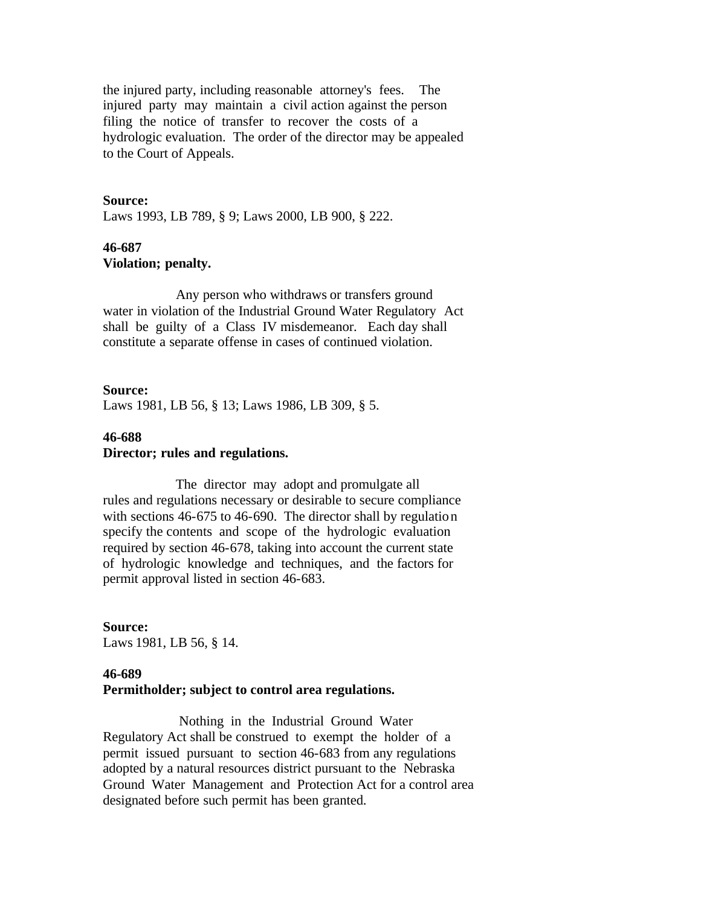the injured party, including reasonable attorney's fees. The injured party may maintain a civil action against the person filing the notice of transfer to recover the costs of a hydrologic evaluation. The order of the director may be appealed to the Court of Appeals.

## **Source:**

Laws 1993, LB 789, § 9; Laws 2000, LB 900, § 222.

# **46-687 Violation; penalty.**

 Any person who withdraws or transfers ground water in violation of the Industrial Ground Water Regulatory Act shall be guilty of a Class IV misdemeanor. Each day shall constitute a separate offense in cases of continued violation.

## **Source:** Laws 1981, LB 56, § 13; Laws 1986, LB 309, § 5.

## **46-688 Director; rules and regulations.**

 The director may adopt and promulgate all rules and regulations necessary or desirable to secure compliance with sections 46-675 to 46-690. The director shall by regulation specify the contents and scope of the hydrologic evaluation required by section 46-678, taking into account the current state of hydrologic knowledge and techniques, and the factors for permit approval listed in section 46-683.

**Source:** Laws 1981, LB 56, § 14.

# **46-689 Permitholder; subject to control area regulations.**

 Nothing in the Industrial Ground Water Regulatory Act shall be construed to exempt the holder of a permit issued pursuant to section 46-683 from any regulations adopted by a natural resources district pursuant to the Nebraska Ground Water Management and Protection Act for a control area designated before such permit has been granted.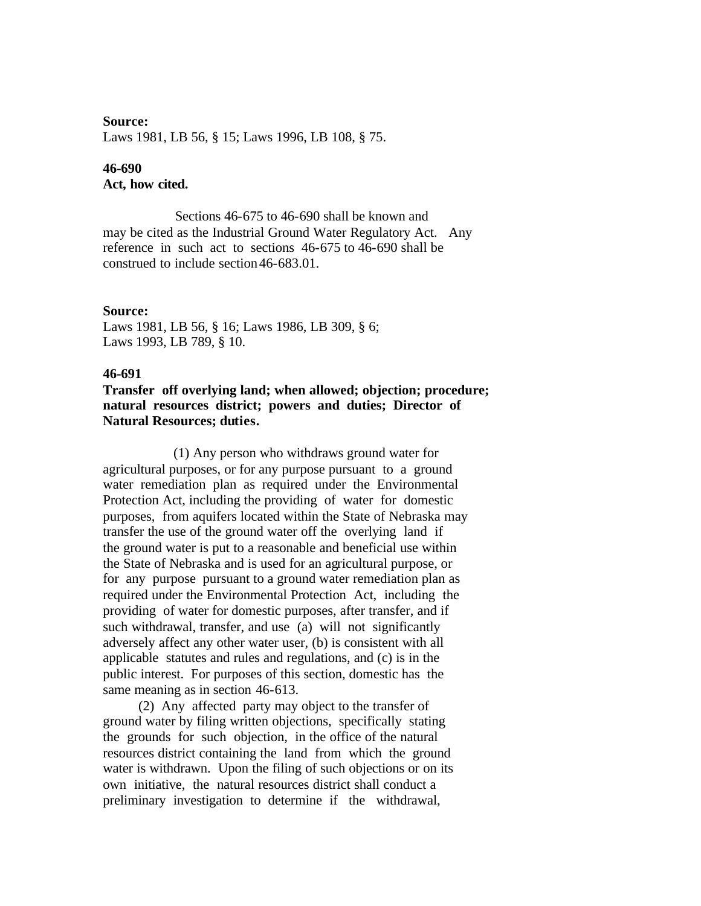# **Source:** Laws 1981, LB 56, § 15; Laws 1996, LB 108, § 75.

## **46-690 Act, how cited.**

 Sections 46-675 to 46-690 shall be known and may be cited as the Industrial Ground Water Regulatory Act. Any reference in such act to sections 46-675 to 46-690 shall be construed to include section 46-683.01.

## **Source:**

Laws 1981, LB 56, § 16; Laws 1986, LB 309, § 6; Laws 1993, LB 789, § 10.

## **46-691**

## **Transfer off overlying land; when allowed; objection; procedure; natural resources district; powers and duties; Director of Natural Resources; duties.**

 (1) Any person who withdraws ground water for agricultural purposes, or for any purpose pursuant to a ground water remediation plan as required under the Environmental Protection Act, including the providing of water for domestic purposes, from aquifers located within the State of Nebraska may transfer the use of the ground water off the overlying land if the ground water is put to a reasonable and beneficial use within the State of Nebraska and is used for an agricultural purpose, or for any purpose pursuant to a ground water remediation plan as required under the Environmental Protection Act, including the providing of water for domestic purposes, after transfer, and if such withdrawal, transfer, and use (a) will not significantly adversely affect any other water user, (b) is consistent with all applicable statutes and rules and regulations, and (c) is in the public interest. For purposes of this section, domestic has the same meaning as in section 46-613.

 (2) Any affected party may object to the transfer of ground water by filing written objections, specifically stating the grounds for such objection, in the office of the natural resources district containing the land from which the ground water is withdrawn. Upon the filing of such objections or on its own initiative, the natural resources district shall conduct a preliminary investigation to determine if the withdrawal,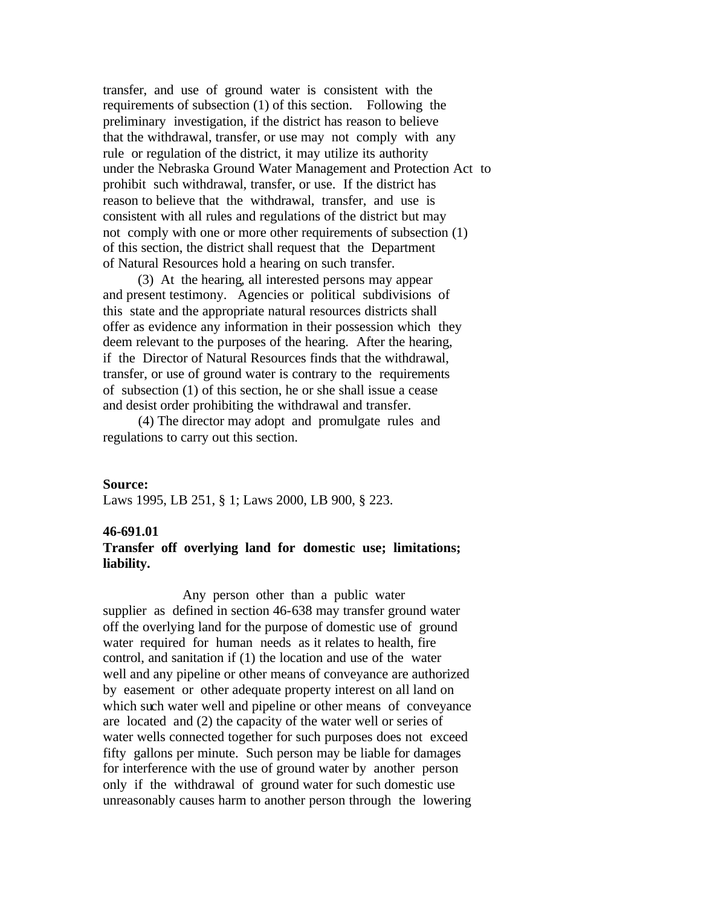transfer, and use of ground water is consistent with the requirements of subsection (1) of this section. Following the preliminary investigation, if the district has reason to believe that the withdrawal, transfer, or use may not comply with any rule or regulation of the district, it may utilize its authority under the Nebraska Ground Water Management and Protection Act to prohibit such withdrawal, transfer, or use. If the district has reason to believe that the withdrawal, transfer, and use is consistent with all rules and regulations of the district but may not comply with one or more other requirements of subsection (1) of this section, the district shall request that the Department of Natural Resources hold a hearing on such transfer.

 (3) At the hearing, all interested persons may appear and present testimony. Agencies or political subdivisions of this state and the appropriate natural resources districts shall offer as evidence any information in their possession which they deem relevant to the purposes of the hearing. After the hearing, if the Director of Natural Resources finds that the withdrawal, transfer, or use of ground water is contrary to the requirements of subsection (1) of this section, he or she shall issue a cease and desist order prohibiting the withdrawal and transfer.

 (4) The director may adopt and promulgate rules and regulations to carry out this section.

#### **Source:**

Laws 1995, LB 251, § 1; Laws 2000, LB 900, § 223.

#### **46-691.01**

# **Transfer off overlying land for domestic use; limitations; liability.**

 Any person other than a public water supplier as defined in section 46-638 may transfer ground water off the overlying land for the purpose of domestic use of ground water required for human needs as it relates to health, fire control, and sanitation if (1) the location and use of the water well and any pipeline or other means of conveyance are authorized by easement or other adequate property interest on all land on which such water well and pipeline or other means of conveyance are located and (2) the capacity of the water well or series of water wells connected together for such purposes does not exceed fifty gallons per minute. Such person may be liable for damages for interference with the use of ground water by another person only if the withdrawal of ground water for such domestic use unreasonably causes harm to another person through the lowering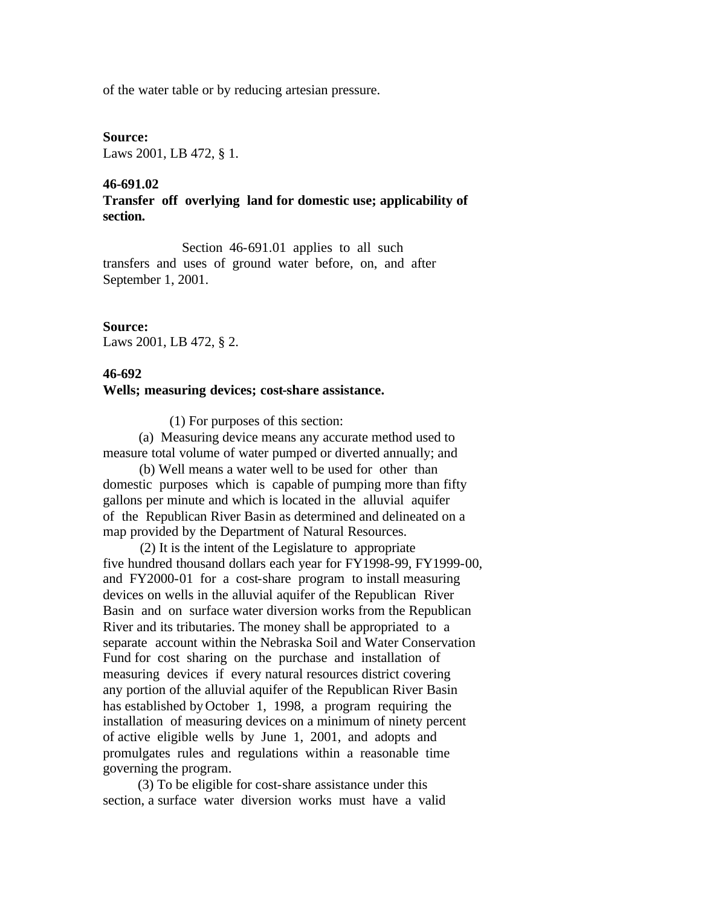of the water table or by reducing artesian pressure.

#### **Source:**

Laws 2001, LB 472, § 1.

#### **46-691.02**

**Transfer off overlying land for domestic use; applicability of section.**

Section 46-691.01 applies to all such transfers and uses of ground water before, on, and after September 1, 2001.

## **Source:**

Laws 2001, LB 472, § 2.

# **46-692**

#### **Wells; measuring devices; cost-share assistance.**

(1) For purposes of this section:

 (a) Measuring device means any accurate method used to measure total volume of water pumped or diverted annually; and

 (b) Well means a water well to be used for other than domestic purposes which is capable of pumping more than fifty gallons per minute and which is located in the alluvial aquifer of the Republican River Basin as determined and delineated on a map provided by the Department of Natural Resources.

 (2) It is the intent of the Legislature to appropriate five hundred thousand dollars each year for FY1998-99, FY1999-00, and FY2000-01 for a cost-share program to install measuring devices on wells in the alluvial aquifer of the Republican River Basin and on surface water diversion works from the Republican River and its tributaries. The money shall be appropriated to a separate account within the Nebraska Soil and Water Conservation Fund for cost sharing on the purchase and installation of measuring devices if every natural resources district covering any portion of the alluvial aquifer of the Republican River Basin has established by October 1, 1998, a program requiring the installation of measuring devices on a minimum of ninety percent of active eligible wells by June 1, 2001, and adopts and promulgates rules and regulations within a reasonable time governing the program.

 (3) To be eligible for cost-share assistance under this section, a surface water diversion works must have a valid